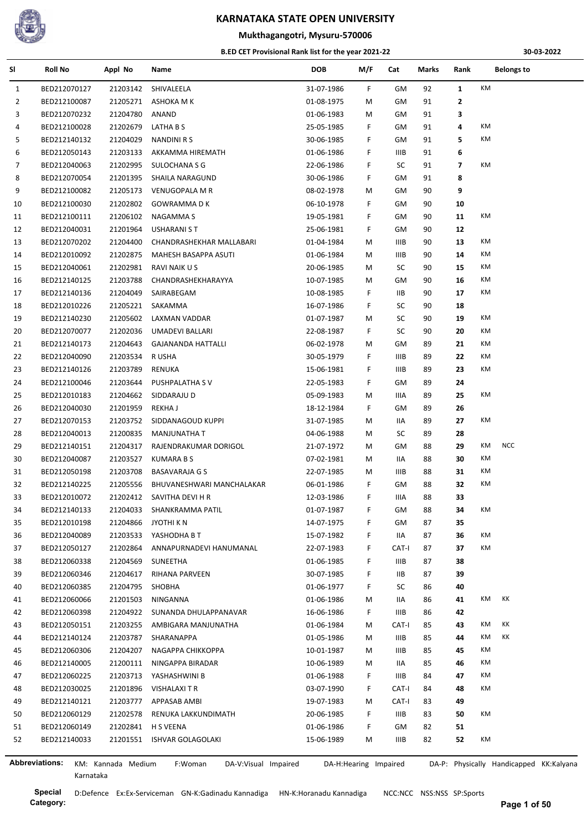

## **Mukthagangotri, Mysuru-570006**

#### **B.ED CET Provisional Rank list for the year 2021-22**

**30-03-2022**

| SI             | <b>Roll No</b>        | Appl No            | Name                            | <b>DOB</b> | M/F                   | Cat         | Marks | Rank           | <b>Belongs to</b>                       |
|----------------|-----------------------|--------------------|---------------------------------|------------|-----------------------|-------------|-------|----------------|-----------------------------------------|
| $\mathbf{1}$   | BED212070127          | 21203142           | SHIVALEELA                      | 31-07-1986 | F.                    | GM          | 92    | $\mathbf{1}$   | KM                                      |
| 2              | BED212100087          | 21205271           | ASHOKA M K                      | 01-08-1975 | M                     | GМ          | 91    | $\mathbf{2}$   |                                         |
| 3              | BED212070232          | 21204780           | ANAND                           | 01-06-1983 | M                     | GМ          | 91    | 3              |                                         |
| 4              | BED212100028          | 21202679           | LATHA B S                       | 25-05-1985 | F                     | GМ          | 91    | 4              | КM                                      |
| 5              | BED212140132          | 21204029           | <b>NANDINI R S</b>              | 30-06-1985 | F                     | GМ          | 91    | 5              | КM                                      |
| 6              | BED212050143          | 21203133           | AKKAMMA HIREMATH                | 01-06-1986 | F                     | <b>IIIB</b> | 91    | 6              |                                         |
| $\overline{7}$ | BED212040063          | 21202995           | <b>SULOCHANA S G</b>            | 22-06-1986 | F                     | SC          | 91    | $\overline{7}$ | КM                                      |
| 8              | BED212070054          | 21201395           | SHAILA NARAGUND                 | 30-06-1986 | F.                    | GM          | 91    | 8              |                                         |
| 9              | BED212100082          | 21205173           | VENUGOPALA M R                  | 08-02-1978 | M                     | GM          | 90    | 9              |                                         |
| 10             | BED212100030          | 21202802           | <b>GOWRAMMADK</b>               | 06-10-1978 | F                     | GМ          | 90    | 10             |                                         |
| 11             | BED212100111          | 21206102           | NAGAMMA S                       | 19-05-1981 | F                     | GM          | 90    | 11             | КM                                      |
| 12             | BED212040031          | 21201964           | USHARANI S T                    | 25-06-1981 | F.                    | GM          | 90    | 12             |                                         |
| 13             | BED212070202          | 21204400           | CHANDRASHEKHAR MALLABARI        | 01-04-1984 | M                     | IIIB        | 90    | 13             | КM                                      |
| 14             | BED212010092          | 21202875           | MAHESH BASAPPA ASUTI            | 01-06-1984 | М                     | IIIB        | 90    | 14             | KM                                      |
| 15             | BED212040061          | 21202981           | RAVI NAIK U S                   | 20-06-1985 | M                     | SC          | 90    | 15             | KM                                      |
| 16             | BED212140125          | 21203788           | CHANDRASHEKHARAYYA              | 10-07-1985 | M                     | GМ          | 90    | 16             | КM                                      |
| 17             | BED212140136          | 21204049           | SAIRABEGAM                      | 10-08-1985 | F                     | IIВ         | 90    | 17             | КM                                      |
| 18             | BED212010226          | 21205221           | SAKAMMA                         | 16-07-1986 | F                     | SC          | 90    | 18             |                                         |
| 19             | BED212140230          | 21205602           | LAXMAN VADDAR                   | 01-07-1987 | M                     | SC          | 90    | 19             | КM                                      |
| 20             | BED212070077          | 21202036           | UMADEVI BALLARI                 | 22-08-1987 | F.                    | SC          | 90    | 20             | КM                                      |
|                |                       |                    | <b>GAJANANDA HATTALLI</b>       |            |                       | GМ          | 89    | 21             | КM                                      |
| 21             | BED212140173          | 21204643           |                                 | 06-02-1978 | M<br>F                |             |       |                | КM                                      |
| 22             | BED212040090          | 21203534           | R USHA                          | 30-05-1979 |                       | IIIB        | 89    | 22             | КM                                      |
| 23             | BED212140126          | 21203789           | RENUKA                          | 15-06-1981 | F                     | IIIB        | 89    | 23             |                                         |
| 24             | BED212100046          | 21203644           | PUSHPALATHA SV                  | 22-05-1983 | F.                    | GM          | 89    | 24             |                                         |
| 25             | BED212010183          | 21204662           | SIDDARAJU D                     | 05-09-1983 | M                     | IIIA        | 89    | 25             | КM                                      |
| 26             | BED212040030          | 21201959           | <b>REKHAJ</b>                   | 18-12-1984 | F.                    | GM          | 89    | 26             |                                         |
| 27             | BED212070153          | 21203752           | SIDDANAGOUD KUPPI               | 31-07-1985 | M                     | IIA         | 89    | 27             | КM                                      |
| 28             | BED212040013          | 21200835           | <b>MANJUNATHA T</b>             | 04-06-1988 | M                     | SC          | 89    | 28             |                                         |
| 29             | BED212140151          | 21204317           | RAJENDRAKUMAR DORIGOL           | 21-07-1972 | М                     | GМ          | 88    | 29             | <b>NCC</b><br>КM                        |
| 30             | BED212040087          | 21203527           | <b>KUMARA B S</b>               | 07-02-1981 | M                     | IIA         | 88    | 30             | КM                                      |
| 31             | BED212050198          | 21203708           | <b>BASAVARAJA G S</b>           | 22-07-1985 | M                     | IIIB        | 88    | 31             | КM                                      |
| 32             | BED212140225          | 21205556           | BHUVANESHWARI MANCHALAKAR       | 06-01-1986 | F                     | GM          | 88    | 32             | КM                                      |
| 33             | BED212010072          | 21202412           | SAVITHA DEVI H R                | 12-03-1986 | F.                    | IIIA        | 88    | 33             |                                         |
| 34             | BED212140133          | 21204033           | SHANKRAMMA PATIL                | 01-07-1987 | F                     | GМ          | 88    | 34             | КM                                      |
| 35             | BED212010198          | 21204866           | JYOTHI K N                      | 14-07-1975 | F.                    | GМ          | 87    | 35             |                                         |
| 36             | BED212040089          | 21203533           | YASHODHA B T                    | 15-07-1982 | F.                    | IIA         | 87    | 36             | KM                                      |
| 37             | BED212050127          | 21202864           | ANNAPURNADEVI HANUMANAL         | 22-07-1983 | F                     | CAT-I       | 87    | 37             | КM                                      |
| 38             | BED212060338          | 21204569           | SUNEETHA                        | 01-06-1985 | F                     | IIIB        | 87    | 38             |                                         |
| 39             | BED212060346          | 21204617           | RIHANA PARVEEN                  | 30-07-1985 | F                     | IIВ         | 87    | 39             |                                         |
| 40             | BED212060385          | 21204795           | SHOBHA                          | 01-06-1977 | F                     | SC          | 86    | 40             |                                         |
| 41             | BED212060066          | 21201503           | NINGANNA                        | 01-06-1986 | M                     | IIA         | 86    | 41             | КM<br>КK                                |
| 42             | BED212060398          | 21204922           | SUNANDA DHULAPPANAVAR           | 16-06-1986 | F.                    | IIIB        | 86    | 42             |                                         |
| 43             | BED212050151          | 21203255           | AMBIGARA MANJUNATHA             | 01-06-1984 | M                     | CAT-I       | 85    | 43             | КK<br>КM                                |
| 44             | BED212140124          | 21203787           | SHARANAPPA                      | 01-05-1986 | M                     | IIIB        | 85    | 44             | КK<br>КM                                |
| 45             | BED212060306          | 21204207           | NAGAPPA CHIKKOPPA               | 10-01-1987 | M                     | IIIB        | 85    | 45             | КM                                      |
| 46             | BED212140005          | 21200111           | NINGAPPA BIRADAR                | 10-06-1989 | M                     | IIA         | 85    | 46             | КM                                      |
| 47             | BED212060225          | 21203713           | YASHASHWINI B                   | 01-06-1988 | F.                    | IIIB        | 84    | 47             | KM                                      |
| 48             | BED212030025          | 21201896           | <b>VISHALAXI T R</b>            | 03-07-1990 | F.                    | CAT-I       | 84    | 48             | КM                                      |
| 49             | BED212140121          | 21203777           | APPASAB AMBI                    | 19-07-1983 | M                     | CAT-I       | 83    | 49             |                                         |
| 50             | BED212060129          | 21202578           | RENUKA LAKKUNDIMATH             | 20-06-1985 | F.                    | IIIB        | 83    | 50             | KM                                      |
| 51             | BED212060149          |                    | 21202841 H S VEENA              | 01-06-1986 | F.                    | GМ          | 82    | 51             |                                         |
| 52             | BED212140033          | 21201551           | ISHVAR GOLAGOLAKI               | 15-06-1989 | M                     | IIIB        | 82    | 52             | КM                                      |
|                |                       |                    |                                 |            |                       |             |       |                |                                         |
|                | <b>Abbreviations:</b> | KM: Kannada Medium | F:Woman<br>DA-V:Visual Impaired |            | DA-H:Hearing Impaired |             |       |                | DA-P: Physically Handicapped KK:Kalyana |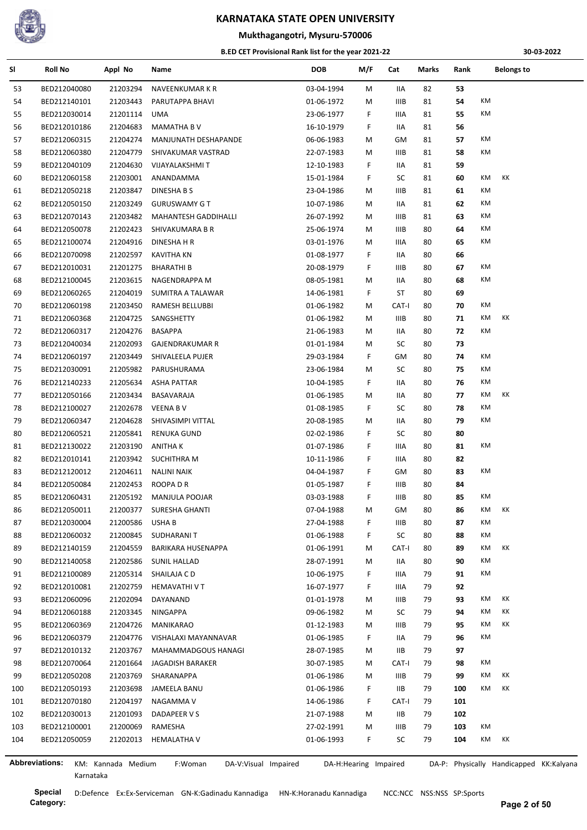

## **Mukthagangotri, Mysuru-570006**

#### **B.ED CET Provisional Rank list for the year 2021-22**

**30-03-2022**

| SI  | <b>Roll No</b> | Appl No            | Name                            | <b>DOB</b> | M/F                   | Cat         | Marks | Rank | <b>Belongs to</b>                       |
|-----|----------------|--------------------|---------------------------------|------------|-----------------------|-------------|-------|------|-----------------------------------------|
| 53  | BED212040080   | 21203294           | NAVEENKUMAR K R                 | 03-04-1994 | M                     | 11A         | 82    | 53   |                                         |
| 54  | BED212140101   | 21203443           | PARUTAPPA BHAVI                 | 01-06-1972 | M                     | IIIB        | 81    | 54   | КM                                      |
| 55  | BED212030014   | 21201114           | UMA                             | 23-06-1977 | F                     | IIIA        | 81    | 55   | КM                                      |
| 56  | BED212010186   | 21204683           | <b>MAMATHA B V</b>              | 16-10-1979 | F.                    | IIA         | 81    | 56   |                                         |
| 57  | BED212060315   | 21204274           | MANJUNATH DESHAPANDE            | 06-06-1983 | M                     | GM          | 81    | 57   | КM                                      |
| 58  | BED212060380   | 21204779           | SHIVAKUMAR VASTRAD              | 22-07-1983 | М                     | IIIB        | 81    | 58   | KM                                      |
| 59  | BED212040109   | 21204630           | VIJAYALAKSHMI T                 | 12-10-1983 | F                     | IIA         | 81    | 59   |                                         |
| 60  | BED212060158   | 21203001           | ANANDAMMA                       | 15-01-1984 | F                     | SC          | 81    | 60   | KM<br>KK                                |
| 61  | BED212050218   | 21203847           | DINESHA B S                     | 23-04-1986 | M                     | IIIB        | 81    | 61   | КM                                      |
| 62  | BED212050150   | 21203249           | <b>GURUSWAMY G T</b>            | 10-07-1986 | M                     | IIA         | 81    | 62   | КM                                      |
| 63  | BED212070143   | 21203482           | MAHANTESH GADDIHALLI            | 26-07-1992 | M                     | IIIB        | 81    | 63   | KM                                      |
| 64  | BED212050078   | 21202423           | SHIVAKUMARA B R                 | 25-06-1974 | M                     | <b>IIIB</b> | 80    | 64   | КM                                      |
| 65  | BED212100074   | 21204916           | DINESHA H R                     | 03-01-1976 | M                     | IIIA        | 80    | 65   | КM                                      |
| 66  | BED212070098   | 21202597           | <b>KAVITHA KN</b>               | 01-08-1977 | F.                    | IIA         | 80    | 66   |                                         |
| 67  | BED212010031   | 21201275           | <b>BHARATHI B</b>               | 20-08-1979 | F.                    | IIIB        | 80    | 67   | КM                                      |
|     |                |                    |                                 |            |                       |             |       |      | КM                                      |
| 68  | BED212100045   | 21203615           | NAGENDRAPPA M                   | 08-05-1981 | М                     | IIA         | 80    | 68   |                                         |
| 69  | BED212060265   | 21204019           | SUMITRA A TALAWAR               | 14-06-1981 | F                     | ST          | 80    | 69   |                                         |
| 70  | BED212060198   | 21203450           | <b>RAMESH BELLUBBI</b>          | 01-06-1982 | M                     | CAT-I       | 80    | 70   | КM                                      |
| 71  | BED212060368   | 21204725           | SANGSHETTY                      | 01-06-1982 | M                     | IIIB        | 80    | 71   | KM<br>KK                                |
| 72  | BED212060317   | 21204276           | <b>BASAPPA</b>                  | 21-06-1983 | M                     | 11A         | 80    | 72   | KM                                      |
| 73  | BED212040034   | 21202093           | GAJENDRAKUMAR R                 | 01-01-1984 | M                     | SC          | 80    | 73   |                                         |
| 74  | BED212060197   | 21203449           | SHIVALEELA PUJER                | 29-03-1984 | F.                    | GМ          | 80    | 74   | КM                                      |
| 75  | BED212030091   | 21205982           | PARUSHURAMA                     | 23-06-1984 | М                     | SC          | 80    | 75   | КM                                      |
| 76  | BED212140233   | 21205634           | ASHA PATTAR                     | 10-04-1985 | F                     | 11A         | 80    | 76   | КM                                      |
| 77  | BED212050166   | 21203434           | BASAVARAJA                      | 01-06-1985 | М                     | IIA         | 80    | 77   | КM<br>КK                                |
| 78  | BED212100027   | 21202678           | <b>VEENA BV</b>                 | 01-08-1985 | F.                    | SC          | 80    | 78   | КM                                      |
| 79  | BED212060347   | 21204628           | SHIVASIMPI VITTAL               | 20-08-1985 | М                     | IIA         | 80    | 79   | КM                                      |
| 80  | BED212060521   | 21205841           | RENUKA GUND                     | 02-02-1986 | F.                    | SC          | 80    | 80   |                                         |
| 81  | BED212130022   | 21203190           | ANITHA K                        | 01-07-1986 | F.                    | IIIA        | 80    | 81   | КM                                      |
| 82  | BED212010141   | 21203942           | <b>SUCHITHRA M</b>              | 10-11-1986 | F.                    | IIIA        | 80    | 82   |                                         |
| 83  | BED212120012   | 21204611           | <b>NALINI NAIK</b>              | 04-04-1987 | F.                    | GM          | 80    | 83   | КM                                      |
| 84  | BED212050084   | 21202453           | ROOPA D R                       | 01-05-1987 | F                     | <b>IIIB</b> | 80    | 84   |                                         |
| 85  | BED212060431   | 21205192           | MANJULA POOJAR                  | 03-03-1988 | F.                    | <b>IIIB</b> | 80    | 85   | KM                                      |
| 86  | BED212050011   | 21200377           | <b>SURESHA GHANTI</b>           | 07-04-1988 | М                     | GМ          | 80    | 86   | ΚM<br>КK                                |
| 87  | BED212030004   | 21200586           | USHA B                          | 27-04-1988 | F                     | IIIB        | 80    | 87   | КM                                      |
| 88  | BED212060032   | 21200845           | SUDHARANI T                     | 01-06-1988 | F.                    | SC          | 80    | 88   | КM                                      |
| 89  | BED212140159   | 21204559           | <b>BARIKARA HUSENAPPA</b>       | 01-06-1991 |                       | CAT-I       | 80    | 89   | КK<br>КM                                |
|     |                |                    |                                 |            | M                     |             |       |      | KM                                      |
| 90  | BED212140058   | 21202586           | SUNIL HALLAD                    | 28-07-1991 | М                     | IIA         | 80    | 90   | KM                                      |
| 91  | BED212100089   | 21205314           | SHAILAJA C D                    | 10-06-1975 | F                     | IIIA        | 79    | 91   |                                         |
| 92  | BED212010081   | 21202759           | HEMAVATHI V T                   | 16-07-1977 | F                     | IIIA        | 79    | 92   |                                         |
| 93  | BED212060096   | 21202094           | DAYANAND                        | 01-01-1978 | М                     | IIIB        | 79    | 93   | КK<br>КM                                |
| 94  | BED212060188   | 21203345           | NINGAPPA                        | 09-06-1982 | M                     | SC          | 79    | 94   | КK<br>КM                                |
| 95  | BED212060369   | 21204726           | <b>MANIKARAO</b>                | 01-12-1983 | М                     | <b>IIIB</b> | 79    | 95   | КK<br>КM                                |
| 96  | BED212060379   | 21204776           | VISHALAXI MAYANNAVAR            | 01-06-1985 | F.                    | IIA         | 79    | 96   | KM                                      |
| 97  | BED212010132   | 21203767           | MAHAMMADGOUS HANAGI             | 28-07-1985 | M                     | <b>IIB</b>  | 79    | 97   |                                         |
| 98  | BED212070064   | 21201664           | JAGADISH BARAKER                | 30-07-1985 | M                     | CAT-I       | 79    | 98   | КM                                      |
| 99  | BED212050208   | 21203769           | SHARANAPPA                      | 01-06-1986 | M                     | <b>IIIB</b> | 79    | 99   | КK<br>КM                                |
| 100 | BED212050193   | 21203698           | JAMEELA BANU                    | 01-06-1986 | F.                    | 11B         | 79    | 100  | КK<br>КM                                |
| 101 | BED212070180   | 21204197           | NAGAMMA V                       | 14-06-1986 | F                     | CAT-I       | 79    | 101  |                                         |
| 102 | BED212030013   | 21201093           | DADAPEER V S                    | 21-07-1988 | М                     | IIВ         | 79    | 102  |                                         |
| 103 | BED212100001   | 21200069           | RAMESHA                         | 27-02-1991 | M                     | <b>IIIB</b> | 79    | 103  | КM                                      |
| 104 | BED212050059   | 21202013           | <b>HEMALATHA V</b>              | 01-06-1993 | F.                    | SC          | 79    | 104  | КM<br>КK                                |
|     |                |                    |                                 |            |                       |             |       |      |                                         |
|     | Abbreviations: | KM: Kannada Medium | F:Woman<br>DA-V:Visual Impaired |            | DA-H:Hearing Impaired |             |       |      | DA-P: Physically Handicapped KK:Kalyana |

ŀ,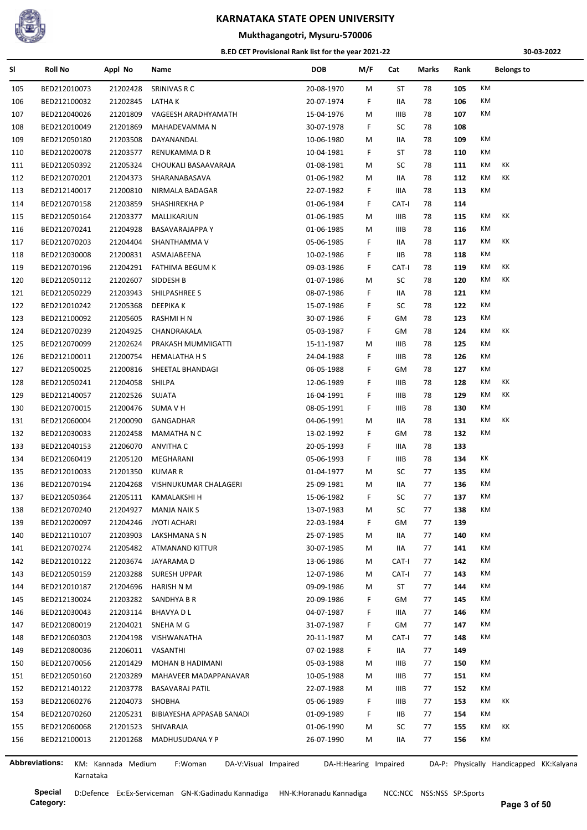

## **Mukthagangotri, Mysuru-570006**

#### **B.ED CET Provisional Rank list for the year 2021-22**

**30-03-2022**

| SI  | <b>Roll No</b> | Appl No              | Name                            | <b>DOB</b> | M/F                   | Cat         | Marks | Rank |    | <b>Belongs to</b>                       |  |
|-----|----------------|----------------------|---------------------------------|------------|-----------------------|-------------|-------|------|----|-----------------------------------------|--|
| 105 | BED212010073   | 21202428             | SRINIVAS R C                    | 20-08-1970 | M                     | ST          | 78    | 105  | KM |                                         |  |
| 106 | BED212100032   | 21202845             | LATHA K                         | 20-07-1974 | F.                    | IIA         | 78    | 106  | KM |                                         |  |
| 107 | BED212040026   | 21201809             | VAGEESH ARADHYAMATH             | 15-04-1976 | M                     | IIIB        | 78    | 107  | КM |                                         |  |
| 108 | BED212010049   | 21201869             | MAHADEVAMMA N                   | 30-07-1978 | F.                    | SC          | 78    | 108  |    |                                         |  |
| 109 | BED212050180   | 21203508             | DAYANANDAL                      | 10-06-1980 | M                     | IIA         | 78    | 109  | КM |                                         |  |
| 110 | BED212020078   | 21203577             | RENUKAMMA D R                   | 10-04-1981 | F.                    | ST          | 78    | 110  | КM |                                         |  |
| 111 | BED212050392   | 21205324             | CHOUKALI BASAAVARAJA            | 01-08-1981 | M                     | SC          | 78    | 111  | КM | КK                                      |  |
| 112 | BED212070201   | 21204373             | SHARANABASAVA                   | 01-06-1982 | M                     | IIA         | 78    | 112  | КM | КK                                      |  |
| 113 | BED212140017   | 21200810             | NIRMALA BADAGAR                 | 22-07-1982 | F.                    | IIIA        | 78    | 113  | КM |                                         |  |
| 114 | BED212070158   | 21203859             | SHASHIREKHA P                   | 01-06-1984 | F.                    | CAT-I       | 78    | 114  |    |                                         |  |
| 115 | BED212050164   | 21203377             | MALLIKARJUN                     | 01-06-1985 | M                     | <b>IIIB</b> | 78    | 115  | КM | КK                                      |  |
| 116 | BED212070241   | 21204928             | <b>BASAVARAJAPPA Y</b>          | 01-06-1985 | M                     | IIIB        | 78    | 116  | КM |                                         |  |
| 117 | BED212070203   | 21204404             | SHANTHAMMA V                    | 05-06-1985 | F.                    | IIA         | 78    | 117  | КM | КK                                      |  |
| 118 | BED212030008   | 21200831             | ASMAJABEENA                     | 10-02-1986 | F.                    | IIB.        | 78    | 118  | КM |                                         |  |
| 119 | BED212070196   | 21204291             | <b>FATHIMA BEGUM K</b>          | 09-03-1986 | F.                    | CAT-I       | 78    | 119  | КM | КK                                      |  |
| 120 | BED212050112   | 21202607             | SIDDESH B                       | 01-07-1986 | M                     | SC          | 78    | 120  | КM | КK                                      |  |
| 121 | BED212050229   | 21203943             | SHILPASHREE S                   | 08-07-1986 | F.                    | IIA         | 78    | 121  | КM |                                         |  |
| 122 | BED212010242   | 21205368             | <b>DEEPIKAK</b>                 | 15-07-1986 | F.                    | SC          | 78    | 122  | КM |                                         |  |
| 123 | BED212100092   | 21205605             | RASHMI H N                      | 30-07-1986 | F.                    | GМ          | 78    | 123  | КM |                                         |  |
| 124 | BED212070239   | 21204925             | CHANDRAKALA                     | 05-03-1987 | F.                    | GM          | 78    | 124  | КM | КK                                      |  |
| 125 | BED212070099   | 21202624             | PRAKASH MUMMIGATTI              | 15-11-1987 | M                     | <b>IIIB</b> | 78    | 125  | КM |                                         |  |
| 126 | BED212100011   | 21200754             | <b>HEMALATHA H S</b>            | 24-04-1988 | F.                    | <b>IIIB</b> | 78    | 126  | КM |                                         |  |
| 127 | BED212050025   | 21200816             | SHEETAL BHANDAGI                | 06-05-1988 | F                     | GM          | 78    | 127  | КM |                                         |  |
| 128 | BED212050241   | 21204058             | SHILPA                          | 12-06-1989 | F.                    | IIIB        | 78    | 128  | КM | КK                                      |  |
| 129 | BED212140057   | 21202526             | SUJATA                          | 16-04-1991 | F.                    | IIIB        | 78    | 129  | КM | КK                                      |  |
| 130 | BED212070015   | 21200476             | SUMA V H                        | 08-05-1991 | F.                    | IIIB        | 78    | 130  | KM |                                         |  |
| 131 | BED212060004   | 21200090             | GANGADHAR                       | 04-06-1991 | M                     | IIA         | 78    | 131  | КM | KK                                      |  |
| 132 | BED212030033   | 21202458             | <b>MAMATHA N C</b>              | 13-02-1992 | F.                    | GM          | 78    | 132  | KM |                                         |  |
| 133 | BED212040153   | 21206070             | ANVITHA C                       | 20-05-1993 | F.                    | IIIA        | 78    | 133  |    |                                         |  |
| 134 | BED212060419   | 21205120             | MEGHARANI                       | 05-06-1993 | F.                    | IIIB        | 78    | 134  | КK |                                         |  |
| 135 | BED212010033   | 21201350             | <b>KUMAR R</b>                  | 01-04-1977 | M                     | SC          | 77    | 135  | КM |                                         |  |
| 136 | BED212070194   | 21204268             | VISHNUKUMAR CHALAGERI           | 25-09-1981 | M                     | IIA         | 77    | 136  | КM |                                         |  |
| 137 | BED212050364   | 21205111             | KAMALAKSHI H                    | 15-06-1982 | F.                    | SC          | 77    | 137  | КM |                                         |  |
| 138 | BED212070240   | 21204927             | <b>MANJA NAIK S</b>             | 13-07-1983 | M                     | SC          | 77    | 138  | КM |                                         |  |
| 139 | BED212020097   | 21204246             | <b>JYOTI ACHARI</b>             | 22-03-1984 | F.                    | GМ          | 77    | 139  |    |                                         |  |
|     |                |                      | LAKSHMANA S N                   | 25-07-1985 |                       |             |       |      | КM |                                         |  |
| 140 | BED212110107   | 21203903<br>21205482 |                                 | 30-07-1985 | М                     | IIA         | 77    | 140  | КM |                                         |  |
| 141 | BED212070274   |                      | ATMANAND KITTUR                 |            | М                     | IIA         | 77    | 141  | КM |                                         |  |
| 142 | BED212010122   | 21203674             | JAYARAMA D                      | 13-06-1986 | М                     | CAT-I       | 77    | 142  | КM |                                         |  |
| 143 | BED212050159   | 21203288             | SURESH UPPAR                    | 12-07-1986 | М                     | CAT-I       | 77    | 143  | КM |                                         |  |
| 144 | BED212010187   | 21204696             | HARISH N M                      | 09-09-1986 | M                     | ST          | 77    | 144  |    |                                         |  |
| 145 | BED212130024   | 21203282             | SANDHYA B R                     | 20-09-1986 | F.                    | GМ          | 77    | 145  | КM |                                         |  |
| 146 | BED212030043   | 21203114             | <b>BHAVYA D L</b>               | 04-07-1987 | F.                    | IIIA        | 77    | 146  | КM |                                         |  |
| 147 | BED212080019   | 21204021             | SNEHA M G                       | 31-07-1987 | F.                    | GМ          | 77    | 147  | КM |                                         |  |
| 148 | BED212060303   | 21204198             | VISHWANATHA                     | 20-11-1987 | M                     | CAT-I       | 77    | 148  | КM |                                         |  |
| 149 | BED212080036   | 21206011             | VASANTHI                        | 07-02-1988 | F.                    | IIA         | 77    | 149  |    |                                         |  |
| 150 | BED212070056   | 21201429             | MOHAN B HADIMANI                | 05-03-1988 | M                     | IIIB        | 77    | 150  | КM |                                         |  |
| 151 | BED212050160   | 21203289             | MAHAVEER MADAPPANAVAR           | 10-05-1988 | M                     | IIIB        | 77    | 151  | КM |                                         |  |
| 152 | BED212140122   | 21203778             | <b>BASAVARAJ PATIL</b>          | 22-07-1988 | М                     | IIIB        | 77    | 152  | КM |                                         |  |
| 153 | BED212060276   | 21204073             | SHOBHA                          | 05-06-1989 | F.                    | IIIB        | 77    | 153  | КM | КK                                      |  |
| 154 | BED212070260   | 21205231             | BIBIAYESHA APPASAB SANADI       | 01-09-1989 | F.                    | IIB         | 77    | 154  | КM |                                         |  |
| 155 | BED212060068   | 21201523             | SHIVARAJA                       | 01-06-1990 | М                     | SC          | 77    | 155  | КM | КK                                      |  |
| 156 | BED212100013   | 21201268             | MADHUSUDANA Y P                 | 26-07-1990 | M                     | IIA         | 77    | 156  | КM |                                         |  |
|     | Abbreviations: | KM: Kannada Medium   | F:Woman<br>DA-V:Visual Impaired |            | DA-H:Hearing Impaired |             |       |      |    | DA-P: Physically Handicapped KK:Kalyana |  |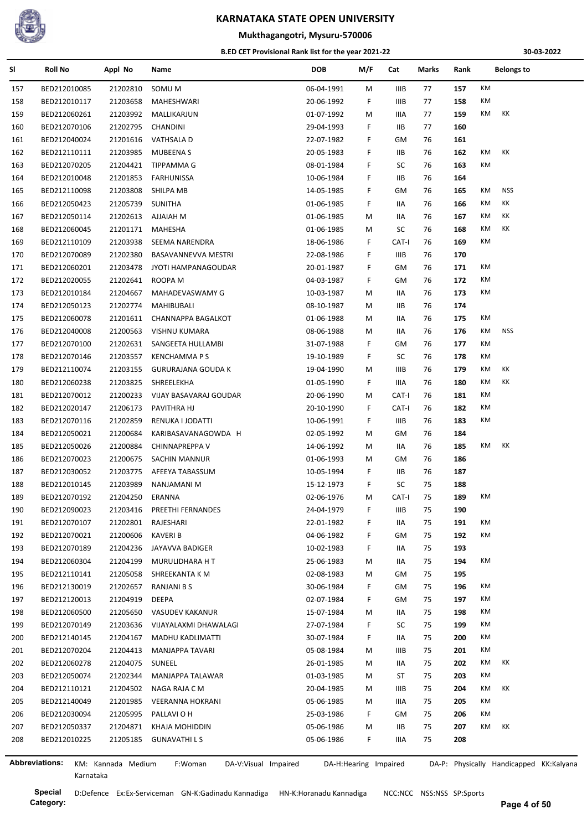

**Mukthagangotri, Mysuru-570006**

#### **B.ED CET Provisional Rank list for the year 2021-22**

**30-03-2022**

| SI  | <b>Roll No</b>        | Appl No            | Name                            | <b>DOB</b> | M/F                   | Cat         | Marks | Rank | <b>Belongs to</b>                       |  |
|-----|-----------------------|--------------------|---------------------------------|------------|-----------------------|-------------|-------|------|-----------------------------------------|--|
| 157 | BED212010085          | 21202810           | SOMU M                          | 06-04-1991 | M                     | IIIB        | 77    | 157  | KM                                      |  |
| 158 | BED212010117          | 21203658           | MAHESHWARI                      | 20-06-1992 | F                     | <b>IIIB</b> | 77    | 158  | КM                                      |  |
| 159 | BED212060261          | 21203992           | MALLIKARJUN                     | 01-07-1992 | М                     | IIIA        | 77    | 159  | КM<br>КK                                |  |
| 160 | BED212070106          | 21202795           | CHANDINI                        | 29-04-1993 | F.                    | IIВ         | 77    | 160  |                                         |  |
| 161 | BED212040024          | 21201616           | VATHSALA D                      | 22-07-1982 | F                     | GM          | 76    | 161  |                                         |  |
| 162 | BED212110111          | 21203985           | <b>MUBEENAS</b>                 | 20-05-1983 | F                     | IIВ         | 76    | 162  | КM<br>КK                                |  |
| 163 | BED212070205          | 21204421           | TIPPAMMA G                      | 08-01-1984 | F                     | SC          | 76    | 163  | КM                                      |  |
| 164 | BED212010048          | 21201853           | FARHUNISSA                      | 10-06-1984 | F                     | IIВ         | 76    | 164  |                                         |  |
| 165 | BED212110098          | 21203808           | SHILPA MB                       | 14-05-1985 | F                     | GМ          | 76    | 165  | <b>NSS</b><br>КM                        |  |
| 166 | BED212050423          | 21205739           | <b>SUNITHA</b>                  | 01-06-1985 | F.                    | IIA         | 76    | 166  | КK<br>КM                                |  |
| 167 | BED212050114          | 21202613           | <b>AJJAIAH M</b>                | 01-06-1985 | м                     | IIA         | 76    | 167  | КK<br>КM                                |  |
| 168 | BED212060045          | 21201171           | MAHESHA                         | 01-06-1985 | М                     | SC          | 76    | 168  | КM<br>КK                                |  |
| 169 | BED212110109          | 21203938           | SEEMA NARENDRA                  | 18-06-1986 | F                     | CAT-I       | 76    | 169  | КM                                      |  |
| 170 | BED212070089          | 21202380           | BASAVANNEVVA MESTRI             | 22-08-1986 | F                     | <b>IIIB</b> | 76    | 170  |                                         |  |
|     | BED212060201          | 21203478           | JYOTI HAMPANAGOUDAR             | 20-01-1987 | F.                    | GМ          | 76    | 171  | КM                                      |  |
| 171 |                       |                    |                                 |            |                       |             |       | 172  | КM                                      |  |
| 172 | BED212020055          | 21202641           | ROOPA M                         | 04-03-1987 | F.                    | GМ          | 76    |      | КM                                      |  |
| 173 | BED212010184          | 21204667           | MAHADEVASWAMY G                 | 10-03-1987 | M                     | IIA         | 76    | 173  |                                         |  |
| 174 | BED212050123          | 21202774           | MAHIBUBALI                      | 08-10-1987 | М                     | IIВ         | 76    | 174  |                                         |  |
| 175 | BED212060078          | 21201611           | CHANNAPPA BAGALKOT              | 01-06-1988 | м                     | IIA         | 76    | 175  | КM                                      |  |
| 176 | BED212040008          | 21200563           | VISHNU KUMARA                   | 08-06-1988 | м                     | 11A         | 76    | 176  | <b>NSS</b><br>КM                        |  |
| 177 | BED212070100          | 21202631           | SANGEETA HULLAMBI               | 31-07-1988 | F.                    | GМ          | 76    | 177  | КM                                      |  |
| 178 | BED212070146          | 21203557           | <b>KENCHAMMA P S</b>            | 19-10-1989 | F.                    | SC          | 76    | 178  | КM                                      |  |
| 179 | BED212110074          | 21203155           | <b>GURURAJANA GOUDA K</b>       | 19-04-1990 | м                     | IIIB        | 76    | 179  | КM<br>КK                                |  |
| 180 | BED212060238          | 21203825           | SHREELEKHA                      | 01-05-1990 | F.                    | IIIA        | 76    | 180  | КM<br>КK                                |  |
| 181 | BED212070012          | 21200233           | VIJAY BASAVARAJ GOUDAR          | 20-06-1990 | м                     | CAT-I       | 76    | 181  | КM                                      |  |
| 182 | BED212020147          | 21206173           | PAVITHRA HJ                     | 20-10-1990 | F                     | CAT-I       | 76    | 182  | КM                                      |  |
| 183 | BED212070116          | 21202859           | RENUKA I JODATTI                | 10-06-1991 | F                     | <b>IIIB</b> | 76    | 183  | КM                                      |  |
| 184 | BED212050021          | 21200684           | KARIBASAVANAGOWDA H             | 02-05-1992 | M                     | GМ          | 76    | 184  |                                         |  |
| 185 | BED212050026          | 21200884           | CHINNAPREPPA V                  | 14-06-1992 | М                     | 11A         | 76    | 185  | КK<br>КM                                |  |
| 186 | BED212070023          | 21200675           | SACHIN MANNUR                   | 01-06-1993 | М                     | GМ          | 76    | 186  |                                         |  |
| 187 | BED212030052          | 21203775           | AFEEYA TABASSUM                 | 10-05-1994 | F.                    | IIВ         | 76    | 187  |                                         |  |
| 188 | BED212010145          | 21203989           | NANJAMANI M                     | 15-12-1973 | F                     | SC          | 75    | 188  |                                         |  |
| 189 | BED212070192          | 21204250           | ERANNA                          | 02-06-1976 | м                     | CAT-I       | 75    | 189  | КM                                      |  |
| 190 | BED212090023          | 21203416           | PREETHI FERNANDES               | 24-04-1979 | F                     | IIIB        | 75    | 190  |                                         |  |
| 191 | BED212070107          | 21202801           | RAJESHARI                       | 22-01-1982 | F                     | IIA         | 75    | 191  | KM                                      |  |
| 192 | BED212070021          | 21200606           | <b>KAVERIB</b>                  | 04-06-1982 | F                     | GМ          | 75    | 192  | КM                                      |  |
| 193 | BED212070189          | 21204236           | JAYAVVA BADIGER                 | 10-02-1983 | F.                    | IIA         | 75    | 193  |                                         |  |
| 194 | BED212060304          | 21204199           | MURULIDHARA H T                 | 25-06-1983 | М                     | IIA         | 75    | 194  | КM                                      |  |
| 195 | BED212110141          | 21205058           | SHREEKANTA K M                  | 02-08-1983 | М                     | GM          | 75    | 195  |                                         |  |
| 196 | BED212130019          | 21202657           | RANJANI B S                     | 30-06-1984 | F                     | GМ          | 75    | 196  | КM                                      |  |
| 197 | BED212120013          | 21204919           | DEEPA                           | 02-07-1984 | F                     | GМ          | 75    | 197  | КM                                      |  |
| 198 | BED212060500          | 21205650           | VASUDEV KAKANUR                 | 15-07-1984 | М                     | IIA         | 75    | 198  | КM                                      |  |
| 199 | BED212070149          | 21203636           | VIJAYALAXMI DHAWALAGI           | 27-07-1984 | F                     | SC          | 75    | 199  | КM                                      |  |
| 200 | BED212140145          | 21204167           | MADHU KADLIMATTI                | 30-07-1984 | F                     | IIA         | 75    | 200  | КM                                      |  |
| 201 | BED212070204          | 21204413           | MANJAPPA TAVARI                 | 05-08-1984 | М                     | IIIB        | 75    | 201  | КM                                      |  |
| 202 | BED212060278          | 21204075           | SUNEEL                          | 26-01-1985 | М                     | IIA         | 75    | 202  | КM<br>КK                                |  |
| 203 | BED212050074          | 21202344           | MANJAPPA TALAWAR                | 01-03-1985 | М                     | ST          | 75    | 203  | КM                                      |  |
| 204 | BED212110121          | 21204502           | NAGA RAJA C M                   | 20-04-1985 | M                     | IIIB        | 75    | 204  | КK<br>КM                                |  |
| 205 | BED212140049          | 21201985           | VEERANNA HOKRANI                | 05-06-1985 | М                     | IIIA        | 75    | 205  | КM                                      |  |
| 206 | BED212030094          | 21205995           | PALLAVI O H                     | 25-03-1986 | F.                    | GM          | 75    | 206  | КM                                      |  |
| 207 | BED212050337          | 21204871           | KHAJA MOHIDDIN                  | 05-06-1986 | М                     | IIВ         | 75    | 207  | KK<br>КM                                |  |
| 208 | BED212010225          | 21205185           | <b>GUNAVATHILS</b>              | 05-06-1986 | F                     | IIIA.       | 75    | 208  |                                         |  |
|     |                       |                    |                                 |            |                       |             |       |      |                                         |  |
|     | <b>Abbreviations:</b> | KM: Kannada Medium | F:Woman<br>DA-V:Visual Impaired |            | DA-H:Hearing Impaired |             |       |      | DA-P: Physically Handicapped KK:Kalyana |  |

J.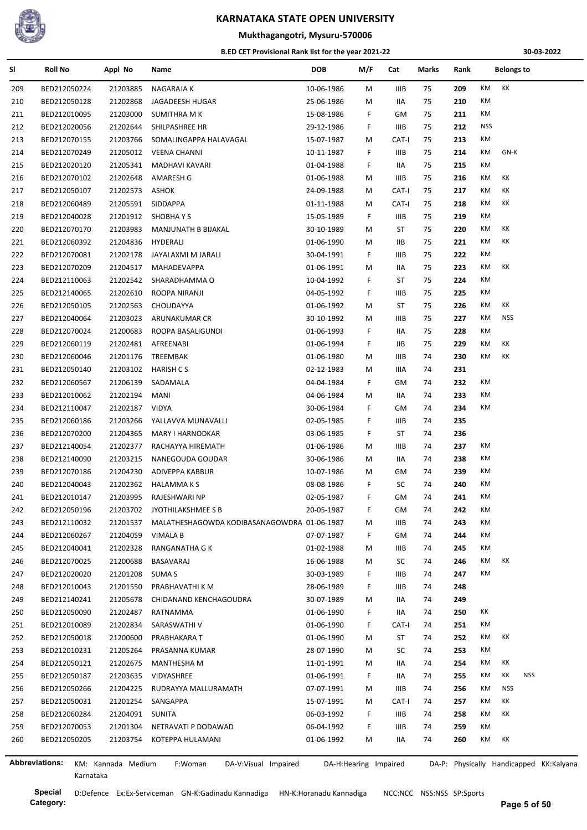

## **Mukthagangotri, Mysuru-570006**

#### **B.ED CET Provisional Rank list for the year 2021-22**

**30-03-2022**

| SI  | <b>Roll No</b>        | Appl No            | Name                                        | <b>DOB</b> | M/F                   | Cat         | Marks | Rank | <b>Belongs to</b>                       |  |
|-----|-----------------------|--------------------|---------------------------------------------|------------|-----------------------|-------------|-------|------|-----------------------------------------|--|
| 209 | BED212050224          | 21203885           | NAGARAJA K                                  | 10-06-1986 | М                     | IIIB        | 75    | 209  | КK<br>KM                                |  |
| 210 | BED212050128          | 21202868           | JAGADEESH HUGAR                             | 25-06-1986 | М                     | IIA         | 75    | 210  | КM                                      |  |
| 211 | BED212010095          | 21203000           | SUMITHRA M K                                | 15-08-1986 | F                     | GM          | 75    | 211  | КM                                      |  |
| 212 | BED212020056          | 21202644           | SHILPASHREE HR                              | 29-12-1986 | F                     | <b>IIIB</b> | 75    | 212  | <b>NSS</b>                              |  |
| 213 | BED212070155          | 21203766           | SOMALINGAPPA HALAVAGAL                      | 15-07-1987 | М                     | CAT-I       | 75    | 213  | КM                                      |  |
| 214 | BED212070249          | 21205012           | <b>VEENA CHANNI</b>                         | 10-11-1987 | F.                    | IIIB        | 75    | 214  | GN-K<br>КM                              |  |
| 215 | BED212020120          | 21205341           | MADHAVI KAVARI                              | 01-04-1988 | F                     | IIA         | 75    | 215  | КM                                      |  |
| 216 | BED212070102          | 21202648           | AMARESH G                                   | 01-06-1988 | М                     | IIIB        | 75    | 216  | КK<br>КM                                |  |
| 217 | BED212050107          | 21202573           | ASHOK                                       | 24-09-1988 | М                     | CAT-I       | 75    | 217  | КK<br>КM                                |  |
| 218 | BED212060489          | 21205591           | SIDDAPPA                                    | 01-11-1988 | М                     | CAT-I       | 75    | 218  | КM<br>КK                                |  |
| 219 | BED212040028          | 21201912           | SHOBHAYS                                    | 15-05-1989 | F                     | IIIB        | 75    | 219  | КM                                      |  |
| 220 | BED212070170          | 21203983           | MANJUNATH B BIJAKAL                         | 30-10-1989 | М                     | ST          | 75    | 220  | КK<br>КM                                |  |
| 221 | BED212060392          | 21204836           | HYDERALI                                    | 01-06-1990 | М                     | ШB          | 75    | 221  | КK<br>КM                                |  |
| 222 | BED212070081          | 21202178           | JAYALAXMI M JARALI                          | 30-04-1991 | F.                    | IIIB        | 75    | 222  | КM                                      |  |
| 223 | BED212070209          | 21204517           | MAHADEVAPPA                                 | 01-06-1991 | М                     | IIA         | 75    | 223  | KM<br>КK                                |  |
| 224 | BED212110063          | 21202542           | SHARADHAMMA O                               | 10-04-1992 | F.                    | ST          | 75    | 224  | КM                                      |  |
| 225 | BED212140065          | 21202610           | ROOPA NIRANJI                               | 04-05-1992 | F.                    | IIIB        | 75    | 225  | КM                                      |  |
| 226 | BED212050105          | 21202563           | CHOUDAYYA                                   | 01-06-1992 | М                     | ST          | 75    | 226  | КK<br>КM                                |  |
| 227 | BED212040064          | 21203023           | ARUNAKUMAR CR                               | 30-10-1992 | М                     | IIIB        | 75    | 227  | <b>NSS</b><br>КM                        |  |
| 228 | BED212070024          | 21200683           | ROOPA BASALIGUNDI                           | 01-06-1993 | F.                    | IIA         | 75    | 228  | КM                                      |  |
| 229 | BED212060119          | 21202481           | AFREENABI                                   | 01-06-1994 | F                     | IIВ         | 75    | 229  | КK<br>КM                                |  |
| 230 | BED212060046          | 21201176           | TREEMBAK                                    | 01-06-1980 | М                     | IIIB        | 74    | 230  | КM<br>КK                                |  |
| 231 | BED212050140          | 21203102           | HARISH C S                                  | 02-12-1983 | М                     | IIIA        | 74    | 231  |                                         |  |
| 232 | BED212060567          | 21206139           | SADAMALA                                    | 04-04-1984 | F.                    | GM          | 74    | 232  | КM                                      |  |
| 233 | BED212010062          | 21202194           | MANI                                        | 04-06-1984 | М                     | IIA         | 74    | 233  | KM                                      |  |
| 234 | BED212110047          | 21202187           | <b>VIDYA</b>                                | 30-06-1984 | F.                    | GM          | 74    | 234  | KM                                      |  |
| 235 | BED212060186          | 21203266           | YALLAVVA MUNAVALLI                          | 02-05-1985 | F.                    | IIIB        | 74    | 235  |                                         |  |
| 236 | BED212070200          | 21204365           | MARY I HARNODKAR                            | 03-06-1985 | F.                    | ST          | 74    | 236  |                                         |  |
| 237 | BED212140054          | 21202377           | RACHAYYA HIREMATH                           | 01-06-1986 | М                     | IIIB        | 74    | 237  | КM                                      |  |
| 238 | BED212140090          | 21203215           | NANEGOUDA GOUDAR                            | 30-06-1986 | М                     | IIA         | 74    | 238  | КM                                      |  |
|     |                       |                    |                                             |            |                       |             | 74    | 239  | КM                                      |  |
| 239 | BED212070186          | 21204230           | ADIVEPPA KABBUR                             | 10-07-1986 | М                     | GM          |       |      | КM                                      |  |
| 240 | BED212040043          | 21202362           | <b>HALAMMAKS</b>                            | 08-08-1986 | F                     | SC          | 74    | 240  | КM                                      |  |
| 241 | BED212010147          | 21203995           | RAJESHWARI NP                               | 02-05-1987 | F                     | GМ          | 74    | 241  |                                         |  |
| 242 | BED212050196          | 21203702           | JYOTHILAKSHMEE S B                          | 20-05-1987 | F                     | GМ          | 74    | 242  | КM                                      |  |
| 243 | BED212110032          | 21201537           | MALATHESHAGOWDA KODIBASANAGOWDRA 01-06-1987 |            | М                     | <b>IIIB</b> | 74    | 243  | KM                                      |  |
| 244 | BED212060267          | 21204059           | VIMALA B                                    | 07-07-1987 | F.                    | GМ          | 74    | 244  | KM                                      |  |
| 245 | BED212040041          | 21202328           | RANGANATHA G K                              | 01-02-1988 | М                     | IIIB        | 74    | 245  | КM                                      |  |
| 246 | BED212070025          | 21200688           | BASAVARAJ                                   | 16-06-1988 | М                     | SC          | 74    | 246  | КK<br>КM                                |  |
| 247 | BED212020020          | 21201208           | SUMA S                                      | 30-03-1989 | F.                    | IIIB        | 74    | 247  | KM                                      |  |
| 248 | BED212010043          | 21201550           | PRABHAVATHI K M                             | 28-06-1989 | F                     | IIIB        | 74    | 248  |                                         |  |
| 249 | BED212140241          | 21205678           | CHIDANAND KENCHAGOUDRA                      | 30-07-1989 | М                     | IIA         | 74    | 249  |                                         |  |
| 250 | BED212050090          | 21202487           | RATNAMMA                                    | 01-06-1990 | F.                    | IIA         | 74    | 250  | КK                                      |  |
| 251 | BED212010089          | 21202834           | SARASWATHI V                                | 01-06-1990 | F                     | CAT-I       | 74    | 251  | КM                                      |  |
| 252 | BED212050018          | 21200600           | PRABHAKARA T                                | 01-06-1990 | М                     | ST          | 74    | 252  | КK<br>КM                                |  |
| 253 | BED212010231          | 21205264           | PRASANNA KUMAR                              | 28-07-1990 | М                     | SC          | 74    | 253  | КM                                      |  |
| 254 | BED212050121          | 21202675           | MANTHESHA M                                 | 11-01-1991 | М                     | IIA         | 74    | 254  | КK<br>КM                                |  |
| 255 | BED212050187          | 21203635           | VIDYASHREE                                  | 01-06-1991 | F.                    | IIA         | 74    | 255  | KK<br><b>NSS</b><br>КM                  |  |
| 256 | BED212050266          | 21204225           | RUDRAYYA MALLURAMATH                        | 07-07-1991 | М                     | IIIB        | 74    | 256  | <b>NSS</b><br>КM                        |  |
| 257 | BED212050031          | 21201254           | SANGAPPA                                    | 15-07-1991 | М                     | CAT-I       | 74    | 257  | КK<br>КM                                |  |
| 258 | BED212060284          | 21204091           | SUNITA                                      | 06-03-1992 | F.                    | IIIB        | 74    | 258  | КK<br>КM                                |  |
| 259 | BED212070053          | 21201304           | NETRAVATI P DODAWAD                         | 06-04-1992 | F.                    | <b>IIIB</b> | 74    | 259  | КM                                      |  |
| 260 | BED212050205          | 21203754           | KOTEPPA HULAMANI                            | 01-06-1992 | М                     | IIA         | 74    | 260  | КK<br>КM                                |  |
|     |                       |                    |                                             |            |                       |             |       |      |                                         |  |
|     | <b>Abbreviations:</b> | KM: Kannada Medium | F:Woman<br>DA-V:Visual Impaired             |            | DA-H:Hearing Impaired |             |       |      | DA-P: Physically Handicapped KK:Kalyana |  |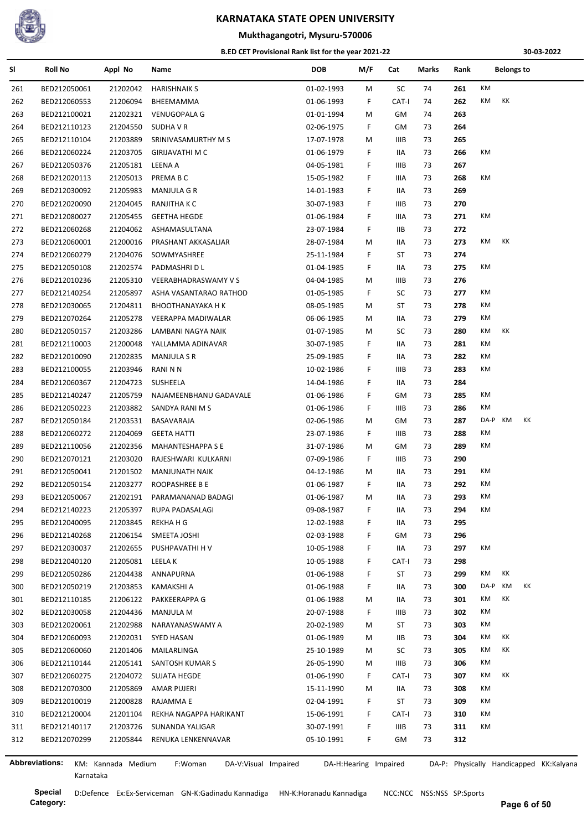

## **Mukthagangotri, Mysuru-570006**

#### **B.ED CET Provisional Rank list for the year 2021-22**

**30-03-2022**

| SI  | <b>Roll No</b> | Appl No            | Name                            | <b>DOB</b>            | M/F | Cat   | Marks | Rank |            | Belongs to |                                         |
|-----|----------------|--------------------|---------------------------------|-----------------------|-----|-------|-------|------|------------|------------|-----------------------------------------|
| 261 | BED212050061   | 21202042           | <b>HARISHNAIK S</b>             | 01-02-1993            | M   | SC    | 74    | 261  | КM         |            |                                         |
| 262 | BED212060553   | 21206094           | BHEEMAMMA                       | 01-06-1993            | F.  | CAT-I | 74    | 262  | КM<br>КK   |            |                                         |
| 263 | BED212100021   | 21202321           | <b>VENUGOPALA G</b>             | 01-01-1994            | M   | GM    | 74    | 263  |            |            |                                         |
| 264 | BED212110123   | 21204550           | SUDHA V R                       | 02-06-1975            | F.  | GМ    | 73    | 264  |            |            |                                         |
| 265 | BED212110104   | 21203889           | SRINIVASAMURTHY M S             | 17-07-1978            | M   | IIIB  | 73    | 265  |            |            |                                         |
| 266 | BED212060224   | 21203705           | GIRIJAVATHI M C                 | 01-06-1979            | F.  | IIA   | 73    | 266  | КM         |            |                                         |
| 267 | BED212050376   | 21205181           | <b>LEENA A</b>                  | 04-05-1981            | F.  | IIIB  | 73    | 267  |            |            |                                         |
| 268 | BED212020113   | 21205013           | PREMA B C                       | 15-05-1982            | F.  | IIIA  | 73    | 268  | КM         |            |                                         |
| 269 | BED212030092   | 21205983           | MANJULA G R                     | 14-01-1983            | F.  | IIA   | 73    | 269  |            |            |                                         |
| 270 | BED212020090   | 21204045           | RANJITHA K C                    | 30-07-1983            | F.  | IIIB  | 73    | 270  |            |            |                                         |
| 271 | BED212080027   | 21205455           | <b>GEETHA HEGDE</b>             | 01-06-1984            | F.  | IIIA  | 73    | 271  | КM         |            |                                         |
| 272 | BED212060268   | 21204062           | ASHAMASULTANA                   | 23-07-1984            | F.  | IIB   | 73    | 272  |            |            |                                         |
| 273 | BED212060001   | 21200016           | PRASHANT AKKASALIAR             | 28-07-1984            | M   | IIA   | 73    | 273  | КM<br>КK   |            |                                         |
| 274 | BED212060279   | 21204076           | SOWMYASHREE                     | 25-11-1984            | F.  | ST    | 73    | 274  |            |            |                                         |
| 275 | BED212050108   | 21202574           | PADMASHRI D L                   | 01-04-1985            | F.  | IIA   | 73    | 275  | КM         |            |                                         |
| 276 | BED212010236   | 21205310           | VEERABHADRASWAMY V S            | 04-04-1985            | M   | IIIB  | 73    | 276  |            |            |                                         |
| 277 | BED212140254   | 21205897           | ASHA VASANTARAO RATHOD          | 01-05-1985            | F.  | SC    | 73    | 277  | КM         |            |                                         |
| 278 | BED212030065   | 21204811           | <b>BHOOTHANAYAKA H K</b>        | 08-05-1985            | M   | ST    | 73    | 278  | КM         |            |                                         |
| 279 | BED212070264   | 21205278           | VEERAPPA MADIWALAR              | 06-06-1985            | M   | IIA   | 73    | 279  | КM         |            |                                         |
| 280 | BED212050157   | 21203286           | LAMBANI NAGYA NAIK              | 01-07-1985            | M   | SC    | 73    | 280  | КM<br>КK   |            |                                         |
| 281 | BED212110003   | 21200048           | YALLAMMA ADINAVAR               | 30-07-1985            | F.  | IIA   | 73    | 281  | КM         |            |                                         |
| 282 | BED212010090   | 21202835           | MANJULA S R                     | 25-09-1985            | F.  | IIA   | 73    | 282  | КM         |            |                                         |
| 283 | BED212100055   | 21203946           | RANI N N                        | 10-02-1986            | F.  | IIIB  | 73    | 283  | КM         |            |                                         |
| 284 | BED212060367   | 21204723           | SUSHEELA                        | 14-04-1986            | F.  | IIA   | 73    | 284  |            |            |                                         |
| 285 | BED212140247   | 21205759           | NAJAMEENBHANU GADAVALE          | 01-06-1986            | F.  | GM    | 73    | 285  | КM         |            |                                         |
| 286 | BED212050223   | 21203882           | SANDYA RANI M S                 | 01-06-1986            | F.  | IIIB  | 73    | 286  | КM         |            |                                         |
| 287 | BED212050184   | 21203531           | BASAVARAJA                      | 02-06-1986            | М   | GM    | 73    | 287  | DA-P KM    | КK         |                                         |
| 288 | BED212060272   | 21204069           | <b>GEETA HATTI</b>              | 23-07-1986            | F.  | IIIB  | 73    | 288  | КM         |            |                                         |
| 289 | BED212110056   | 21202356           | <b>MAHANTESHAPPA S E</b>        | 31-07-1986            | M   | GM    | 73    | 289  | КM         |            |                                         |
| 290 | BED212070121   | 21203020           | RAJESHWARI KULKARNI             | 07-09-1986            | F.  | IIIB  | 73    | 290  |            |            |                                         |
|     |                | 21201502           |                                 |                       |     | IIA   | 73    | 291  | КM         |            |                                         |
| 291 | BED212050041   |                    | MANJUNATH NAIK                  | 04-12-1986            | M   |       | 73    | 292  | КM         |            |                                         |
| 292 | BED212050154   | 21203277           | ROOPASHREE B E                  | 01-06-1987            | F.  | IIA   |       | 293  | КM         |            |                                         |
| 293 | BED212050067   | 21202191           | PARAMANANAD BADAGI              | 01-06-1987            | M   | IIA   | 73    |      | КM         |            |                                         |
| 294 | BED212140223   | 21205397           | RUPA PADASALAGI                 | 09-08-1987            | F.  | IIA   | 73    | 294  |            |            |                                         |
| 295 | BED212040095   | 21203845           | <b>REKHAHG</b>                  | 12-02-1988            | F   | IIA   | 73    | 295  |            |            |                                         |
| 296 | BED212140268   | 21206154           | SMEETA JOSHI                    | 02-03-1988            | F.  | GM    | 73    | 296  |            |            |                                         |
| 297 | BED212030037   | 21202655           | PUSHPAVATHI H V                 | 10-05-1988            | F   | IIA   | 73    | 297  | КM         |            |                                         |
| 298 | BED212040120   | 21205081           | LEELA K                         | 10-05-1988            | F.  | CAT-I | 73    | 298  |            |            |                                         |
| 299 | BED212050286   | 21204438           | ANNAPURNA                       | 01-06-1988            | F   | ST    | 73    | 299  | КK<br>КM   |            |                                         |
| 300 | BED212050219   | 21203853           | KAMAKSHI A                      | 01-06-1988            | F.  | IIA   | 73    | 300  | KM<br>DA-P | КK         |                                         |
| 301 | BED212110185   | 21206122           | PAKKEERAPPA G                   | 01-06-1988            | M   | IIA   | 73    | 301  | КK<br>КM   |            |                                         |
| 302 | BED212030058   | 21204436           | <b>MANJULA M</b>                | 20-07-1988            | F.  | IIIB  | 73    | 302  | КM         |            |                                         |
| 303 | BED212020061   | 21202988           | NARAYANASWAMY A                 | 20-02-1989            | M   | ST    | 73    | 303  | КM         |            |                                         |
| 304 | BED212060093   | 21202031           | SYED HASAN                      | 01-06-1989            | M   | IIВ   | 73    | 304  | КK<br>КM   |            |                                         |
| 305 | BED212060060   | 21201406           | MAILARLINGA                     | 25-10-1989            | M   | SC    | 73    | 305  | КM<br>КK   |            |                                         |
| 306 | BED212110144   | 21205141           | SANTOSH KUMAR S                 | 26-05-1990            | М   | IIIB  | 73    | 306  | КM         |            |                                         |
| 307 | BED212060275   | 21204072           | SUJATA HEGDE                    | 01-06-1990            | F.  | CAT-I | 73    | 307  | КK<br>КM   |            |                                         |
| 308 | BED212070300   | 21205869           | AMAR PUJERI                     | 15-11-1990            | M   | IIA   | 73    | 308  | КM         |            |                                         |
| 309 | BED212010019   | 21200828           | RAJAMMA E                       | 02-04-1991            | F.  | ST    | 73    | 309  | КM         |            |                                         |
| 310 | BED212120004   | 21201104           | REKHA NAGAPPA HARIKANT          | 15-06-1991            | F.  | CAT-I | 73    | 310  | КM         |            |                                         |
| 311 | BED212140117   | 21203726           | SUNANDA YALIGAR                 | 30-07-1991            | F.  | IIIB  | 73    | 311  | КM         |            |                                         |
| 312 | BED212070299   | 21205844           | RENUKA LENKENNAVAR              | 05-10-1991            | F.  | GМ    | 73    | 312  |            |            |                                         |
|     |                |                    |                                 |                       |     |       |       |      |            |            |                                         |
|     | Abbreviations: | KM: Kannada Medium | F:Woman<br>DA-V:Visual Impaired | DA-H:Hearing Impaired |     |       |       |      |            |            | DA-P: Physically Handicapped KK:Kalyana |

l,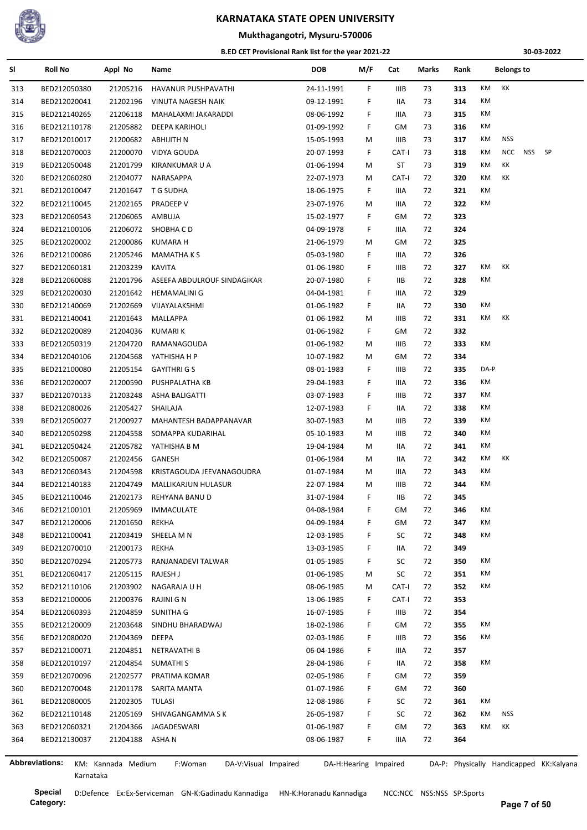

#### **Mukthagangotri, Mysuru-570006**

#### **B.ED CET Provisional Rank list for the year 2021-22**

**30-03-2022**

| SI  | <b>Roll No</b>        | Appl No              | Name                            | <b>DOB</b> | M/F                   | Cat         | Marks | Rank |      | <b>Belongs to</b> |            |                                         |
|-----|-----------------------|----------------------|---------------------------------|------------|-----------------------|-------------|-------|------|------|-------------------|------------|-----------------------------------------|
| 313 | BED212050380          | 21205216             | HAVANUR PUSHPAVATHI             | 24-11-1991 | F.                    | IIIB        | 73    | 313  | KM   | КK                |            |                                         |
| 314 | BED212020041          | 21202196             | VINUTA NAGESH NAIK              | 09-12-1991 | F                     | IIA         | 73    | 314  | КM   |                   |            |                                         |
| 315 | BED212140265          | 21206118             | MAHALAXMI JAKARADDI             | 08-06-1992 | F                     | IIIA        | 73    | 315  | КM   |                   |            |                                         |
| 316 | BED212110178          | 21205882             | DEEPA KARIHOLI                  | 01-09-1992 | F.                    | GM          | 73    | 316  | KM   |                   |            |                                         |
| 317 | BED212010017          | 21200682             | <b>ABHIJITH N</b>               | 15-05-1993 | М                     | IIIB        | 73    | 317  | КM   | <b>NSS</b>        |            |                                         |
| 318 | BED212070003          | 21200070             | VIDYA GOUDA                     | 20-07-1993 | F.                    | CAT-I       | 73    | 318  | KM   | <b>NCC</b>        | <b>NSS</b> | <b>SP</b>                               |
| 319 | BED212050048          | 21201799             | KIRANKUMAR U A                  | 01-06-1994 | М                     | ST          | 73    | 319  | KM   | КK                |            |                                         |
| 320 | BED212060280          | 21204077             | NARASAPPA                       | 22-07-1973 | М                     | CAT-I       | 72    | 320  | КM   | КK                |            |                                         |
| 321 | BED212010047          | 21201647             | T G SUDHA                       | 18-06-1975 | F.                    | IIIA        | 72    | 321  | КM   |                   |            |                                         |
| 322 | BED212110045          | 21202165             | PRADEEP V                       | 23-07-1976 | М                     | IIIA        | 72    | 322  | КM   |                   |            |                                         |
| 323 | BED212060543          | 21206065             | AMBUJA                          | 15-02-1977 | F                     | GM          | 72    | 323  |      |                   |            |                                         |
| 324 | BED212100106          | 21206072             | SHOBHA CD                       | 04-09-1978 | F                     | IIIA        | 72    | 324  |      |                   |            |                                         |
| 325 | BED212020002          | 21200086             | <b>KUMARA H</b>                 | 21-06-1979 | М                     | GM          | 72    | 325  |      |                   |            |                                         |
| 326 | BED212100086          | 21205246             | <b>MAMATHAKS</b>                | 05-03-1980 | F                     | IIIA        | 72    | 326  |      |                   |            |                                         |
| 327 | BED212060181          | 21203239             | <b>KAVITA</b>                   | 01-06-1980 | F                     | IIIB        | 72    | 327  | КM   | КK                |            |                                         |
| 328 | BED212060088          | 21201796             | ASEEFA ABDULROUF SINDAGIKAR     | 20-07-1980 | F                     | IIВ         | 72    | 328  | КM   |                   |            |                                         |
| 329 | BED212020030          | 21201642             | <b>HEMAMALINI G</b>             | 04-04-1981 | F                     | IIIA        | 72    | 329  |      |                   |            |                                         |
| 330 | BED212140069          | 21202669             | VIJAYALAKSHMI                   | 01-06-1982 | F                     | 11A         | 72    | 330  | КM   |                   |            |                                         |
| 331 | BED212140041          | 21201643             | MALLAPPA                        | 01-06-1982 | М                     | IIIB        | 72    | 331  | КM   | КK                |            |                                         |
| 332 | BED212020089          | 21204036             | <b>KUMARIK</b>                  | 01-06-1982 | F                     | GM          | 72    | 332  |      |                   |            |                                         |
| 333 | BED212050319          | 21204720             | RAMANAGOUDA                     | 01-06-1982 | М                     | IIIB        | 72    | 333  | КM   |                   |            |                                         |
| 334 | BED212040106          | 21204568             | YATHISHA H P                    | 10-07-1982 | М                     | GM          | 72    | 334  |      |                   |            |                                         |
| 335 | BED212100080          | 21205154             | <b>GAYITHRI G S</b>             | 08-01-1983 | F                     | IIIB        | 72    | 335  | DA-P |                   |            |                                         |
| 336 | BED212020007          | 21200590             | PUSHPALATHA KB                  | 29-04-1983 | F                     | IIIA        | 72    | 336  | КM   |                   |            |                                         |
| 337 |                       |                      |                                 |            | F                     | IIIB        | 72    | 337  | КM   |                   |            |                                         |
| 338 | BED212070133          | 21203248<br>21205427 | ASHA BALIGATTI<br>SHAILAJA      | 03-07-1983 | F.                    | IIA         | 72    | 338  | KM   |                   |            |                                         |
|     | BED212080026          |                      | MAHANTESH BADAPPANAVAR          | 12-07-1983 |                       |             | 72    | 339  | КM   |                   |            |                                         |
| 339 | BED212050027          | 21200927             |                                 | 30-07-1983 | М                     | IIIB        |       |      | КM   |                   |            |                                         |
| 340 | BED212050298          | 21204558             | SOMAPPA KUDARIHAL               | 05-10-1983 | М                     | IIIB        | 72    | 340  | КM   |                   |            |                                         |
| 341 | BED212050424          | 21205782             | YATHISHA B M                    | 19-04-1984 | М                     | IIA         | 72    | 341  |      |                   |            |                                         |
| 342 | BED212050087          | 21202456             | GANESH                          | 01-06-1984 | М                     | IIA         | 72    | 342  | КM   | КK                |            |                                         |
| 343 | BED212060343          | 21204598             | KRISTAGOUDA JEEVANAGOUDRA       | 01-07-1984 | М                     | IIIA        | 72    | 343  | КM   |                   |            |                                         |
| 344 | BED212140183          | 21204749             | MALLIKARJUN HULASUR             | 22-07-1984 | М                     | <b>IIIB</b> | 72    | 344  | KM   |                   |            |                                         |
| 345 | BED212110046          | 21202173             | REHYANA BANU D                  | 31-07-1984 | F.                    | IIВ         | 72    | 345  |      |                   |            |                                         |
| 346 | BED212100101          | 21205969             | <b>IMMACULATE</b>               | 04-08-1984 | F                     | GM          | 72    | 346  | KM   |                   |            |                                         |
| 347 | BED212120006          | 21201650             | <b>REKHA</b>                    | 04-09-1984 | F                     | GM          | 72    | 347  | КM   |                   |            |                                         |
| 348 | BED212100041          | 21203419             | SHEELA M N                      | 12-03-1985 | F                     | SC          | 72    | 348  | КM   |                   |            |                                         |
| 349 | BED212070010          | 21200173             | REKHA                           | 13-03-1985 | F                     | IIA         | 72    | 349  |      |                   |            |                                         |
| 350 | BED212070294          | 21205773             | RANJANADEVI TALWAR              | 01-05-1985 | F                     | SC          | 72    | 350  | КM   |                   |            |                                         |
| 351 | BED212060417          | 21205115             | RAJESH J                        | 01-06-1985 | м                     | SC          | 72    | 351  | КM   |                   |            |                                         |
| 352 | BED212110106          | 21203902             | NAGARAJA U H                    | 08-06-1985 | М                     | CAT-I       | 72    | 352  | КM   |                   |            |                                         |
| 353 | BED212100006          | 21200376             | RAJINI G N                      | 13-06-1985 | F                     | CAT-I       | 72    | 353  |      |                   |            |                                         |
| 354 | BED212060393          | 21204859             | SUNITHA G                       | 16-07-1985 | F                     | IIIB        | 72    | 354  |      |                   |            |                                         |
| 355 | BED212120009          | 21203648             | SINDHU BHARADWAJ                | 18-02-1986 | F                     | GM          | 72    | 355  | КM   |                   |            |                                         |
| 356 | BED212080020          | 21204369             | DEEPA                           | 02-03-1986 | F                     | IIIB        | 72    | 356  | КM   |                   |            |                                         |
| 357 | BED212100071          | 21204851             | NETRAVATHI B                    | 06-04-1986 | F                     | IIIA        | 72    | 357  |      |                   |            |                                         |
| 358 | BED212010197          | 21204854             | <b>SUMATHIS</b>                 | 28-04-1986 | F                     | IIA         | 72    | 358  | КM   |                   |            |                                         |
| 359 | BED212070096          | 21202577             | PRATIMA KOMAR                   | 02-05-1986 | F                     | GM          | 72    | 359  |      |                   |            |                                         |
| 360 | BED212070048          | 21201178             | SARITA MANTA                    | 01-07-1986 | F                     | GM          | 72    | 360  |      |                   |            |                                         |
| 361 | BED212080005          | 21202305 TULASI      |                                 | 12-08-1986 | F                     | SC          | 72    | 361  | КM   |                   |            |                                         |
| 362 | BED212110148          | 21205169             | SHIVAGANGAMMA S K               | 26-05-1987 | F                     | SC          | 72    | 362  | КM   | <b>NSS</b>        |            |                                         |
| 363 | BED212060321          | 21204366             | JAGADESWARI                     | 01-06-1987 | F                     | GM          | 72    | 363  | КM   | КK                |            |                                         |
| 364 | BED212130037          | 21204188             | ASHA N                          | 08-06-1987 | F.                    | IIIA        | 72    | 364  |      |                   |            |                                         |
|     | <b>Abbreviations:</b> | KM: Kannada Medium   | F:Woman<br>DA-V:Visual Impaired |            | DA-H:Hearing Impaired |             |       |      |      |                   |            | DA-P: Physically Handicapped KK:Kalyana |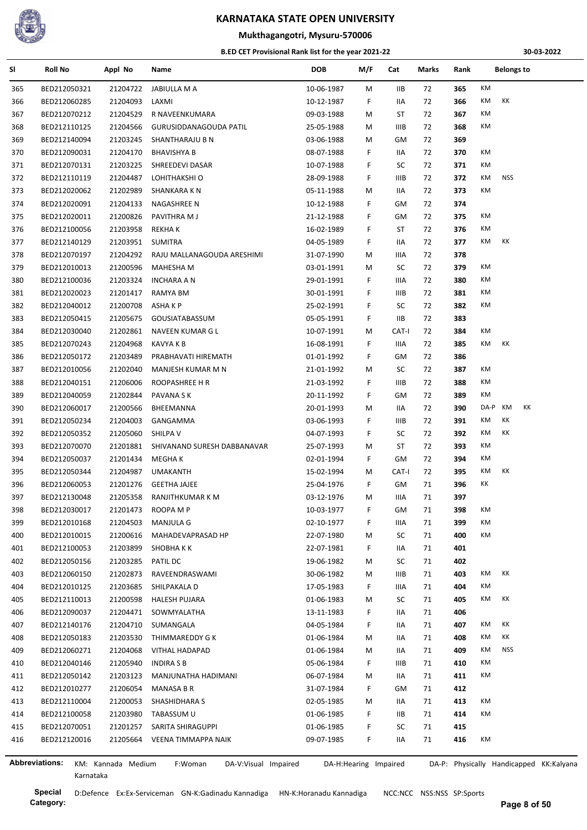

## **Mukthagangotri, Mysuru-570006**

#### **B.ED CET Provisional Rank list for the year 2021-22**

**30-03-2022**

| SI  | <b>Roll No</b>        | Appl No            | Name                            | <b>DOB</b> | M/F                   | Cat         | Marks | Rank       | <b>Belongs to</b>                       |
|-----|-----------------------|--------------------|---------------------------------|------------|-----------------------|-------------|-------|------------|-----------------------------------------|
| 365 | BED212050321          | 21204722           | JABIULLA M A                    | 10-06-1987 | M                     | IIВ         | 72    | 365        | KM                                      |
| 366 | BED212060285          | 21204093           | LAXMI                           | 10-12-1987 | F.                    | IIA         | 72    | 366        | KM<br>КK                                |
| 367 | BED212070212          | 21204529           | R NAVEENKUMARA                  | 09-03-1988 | M                     | ST          | 72    | 367        | KM                                      |
| 368 | BED212110125          | 21204566           | GURUSIDDANAGOUDA PATIL          | 25-05-1988 | M                     | <b>IIIB</b> | 72    | 368        | КM                                      |
| 369 | BED212140094          | 21203245           | SHANTHARAJU B N                 | 03-06-1988 | M                     | GM          | 72    | 369        |                                         |
| 370 | BED212090031          | 21204170           | <b>BHAVISHYA B</b>              | 08-07-1988 | F.                    | IIA         | 72    | 370        | КM                                      |
| 371 | BED212070131          | 21203225           | SHREEDEVI DASAR                 | 10-07-1988 | F.                    | SC          | 72    | 371        | КM                                      |
| 372 | BED212110119          | 21204487           | LOHITHAKSHI O                   | 28-09-1988 | F.                    | <b>IIIB</b> | 72    | 372        | KM<br>NSS                               |
| 373 | BED212020062          | 21202989           | SHANKARA K N                    | 05-11-1988 | M                     | IIA         | 72    | 373        | KM                                      |
| 374 | BED212020091          | 21204133           | NAGASHREE N                     | 10-12-1988 | F.                    | GМ          | 72    | 374        |                                         |
| 375 | BED212020011          | 21200826           | PAVITHRA M J                    | 21-12-1988 | F.                    | GM          | 72    | 375        | КM                                      |
| 376 | BED212100056          | 21203958           | <b>REKHAK</b>                   | 16-02-1989 | F.                    | ST          | 72    | 376        | KM                                      |
| 377 | BED212140129          | 21203951           | <b>SUMITRA</b>                  | 04-05-1989 | F.                    | IIA         | 72    | 377        | KM<br>КK                                |
| 378 | BED212070197          | 21204292           | RAJU MALLANAGOUDA ARESHIMI      | 31-07-1990 | M                     | IIIA        | 72    | 378        |                                         |
| 379 | BED212010013          | 21200596           | MAHESHA M                       | 03-01-1991 | M                     | SC          | 72    | 379        | КM                                      |
| 380 | BED212100036          | 21203324           | <b>INCHARA A N</b>              | 29-01-1991 | F.                    | IIIA        | 72    | 380        | КM                                      |
| 381 | BED212020023          | 21201417           | RAMYA BM                        | 30-01-1991 | F.                    | IIIB        | 72    | 381        | KM                                      |
| 382 | BED212040012          | 21200708           | ASHA K P                        | 25-02-1991 | F.                    | SC          | 72    | 382        | КM                                      |
| 383 | BED212050415          | 21205675           | GOUSIATABASSUM                  | 05-05-1991 | F.                    | IIB         | 72    | 383        |                                         |
| 384 | BED212030040          | 21202861           | NAVEEN KUMAR G L                | 10-07-1991 | M                     | CAT-I       | 72    | 384        | KM                                      |
| 385 | BED212070243          | 21204968           | KAVYA K B                       | 16-08-1991 | F.                    | IIIA        | 72    | 385        | KM<br>КK                                |
| 386 | BED212050172          | 21203489           | PRABHAVATI HIREMATH             | 01-01-1992 | F.                    | GM          | 72    | 386        |                                         |
| 387 | BED212010056          | 21202040           | MANJESH KUMAR M N               | 21-01-1992 | M                     | SC          | 72    | 387        | KM                                      |
| 388 | BED212040151          | 21206006           | ROOPASHREE H R                  | 21-03-1992 | F.                    | <b>IIIB</b> | 72    | 388        | KM                                      |
| 389 | BED212040059          | 21202844           | PAVANA S K                      | 20-11-1992 | F.                    | GM          | 72    | 389        | КM                                      |
| 390 | BED212060017          | 21200566           | BHEEMANNA                       | 20-01-1993 | M                     | IIA         | 72    | 390        | DA-P<br>KM<br>КK                        |
| 391 | BED212050234          | 21204003           | GANGAMMA                        | 03-06-1993 | F.                    | IIIB        | 72    | 391        | КK<br>KM                                |
| 392 | BED212050352          | 21205060           | SHILPA V                        | 04-07-1993 | F.                    | SC          | 72    | 392        | KM<br>КK                                |
| 393 | BED212070070          | 21201881           | SHIVANAND SURESH DABBANAVAR     | 25-07-1993 | М                     | ST          | 72    | 393        | КM                                      |
| 394 | BED212050037          | 21201434           | MEGHA K                         | 02-01-1994 | F.                    | GM          | 72    | 394        | КM                                      |
| 395 | BED212050344          | 21204987           | UMAKANTH                        | 15-02-1994 | M                     | CAT-I       | 72    | 395        | KM<br>КK                                |
| 396 | BED212060053          | 21201276           | <b>GEETHA JAJEE</b>             | 25-04-1976 | F.                    | GМ          | 71    | 396        | КK                                      |
|     |                       |                    |                                 |            | M                     | IIIA        |       | 397        |                                         |
| 397 | BED212130048          | 21205358           | RANJITHKUMAR K M                | 03-12-1976 |                       |             | 71    |            | КM                                      |
| 398 | BED212030017          | 21201473           | ROOPA M P<br><b>MANJULA G</b>   | 10-03-1977 | F.                    | GМ          | 71    | 398<br>399 | KM                                      |
| 399 | BED212010168          | 21204503           |                                 | 02-10-1977 | F.                    | IIIA        | 71    |            | KM                                      |
| 400 | BED212010015          | 21200616           | MAHADEVAPRASAD HP               | 22-07-1980 | М                     | SC          | 71    | 400        |                                         |
| 401 | BED212100053          | 21203899           | SHOBHA K K                      | 22-07-1981 | F.                    | IIA         | 71    | 401        |                                         |
| 402 | BED212050156          | 21203285           | PATIL DC                        | 19-06-1982 | M                     | SC          | 71    | 402        |                                         |
| 403 | BED212060150          | 21202873           | RAVEENDRASWAMI                  | 30-06-1982 | M                     | IIIB        | 71    | 403        | КM<br>ΚK                                |
| 404 | BED212010125          | 21203685           | SHILPAKALA D                    | 17-05-1983 | F.                    | IIIA        | 71    | 404        | КM                                      |
| 405 | BED212110013          | 21200598           | HALESH PUJARA                   | 01-06-1983 | м                     | SC          | 71    | 405        | KM<br>КK                                |
| 406 | BED212090037          | 21204471           | SOWMYALATHA                     | 13-11-1983 | F.                    | IIA         | 71    | 406        |                                         |
| 407 | BED212140176          | 21204710           | SUMANGALA                       | 04-05-1984 | F.                    | IIA         | 71    | 407        | КK<br>KM                                |
| 408 | BED212050183          | 21203530           | THIMMAREDDY G K                 | 01-06-1984 | M                     | IIA         | 71    | 408        | КK<br>KM                                |
| 409 | BED212060271          | 21204068           | <b>VITHAL HADAPAD</b>           | 01-06-1984 | M                     | IIA         | 71    | 409        | KM<br><b>NSS</b>                        |
| 410 | BED212040146          | 21205940           | <b>INDIRA S B</b>               | 05-06-1984 | F.                    | IIIB        | 71    | 410        | КM                                      |
| 411 | BED212050142          | 21203123           | MANJUNATHA HADIMANI             | 06-07-1984 | M                     | IIA         | 71    | 411        | КM                                      |
| 412 | BED212010277          | 21206054           | MANASA B R                      | 31-07-1984 | F.                    | GM          | 71    | 412        |                                         |
| 413 | BED212110004          | 21200053           | SHASHIDHARA S                   | 02-05-1985 | М                     | IIA         | 71    | 413        | КM                                      |
| 414 | BED212100058          | 21203980           | TABASSUM U                      | 01-06-1985 | F.                    | IIB         | 71    | 414        | KM                                      |
| 415 | BED212070051          | 21201257           | SARITA SHIRAGUPPI               | 01-06-1985 | F.                    | SC          | 71    | 415        |                                         |
| 416 | BED212120016          | 21205664           | VEENA TIMMAPPA NAIK             | 09-07-1985 | F.                    | IIA         | 71    | 416        | КM                                      |
|     | <b>Abbreviations:</b> | KM: Kannada Medium | F:Woman<br>DA-V:Visual Impaired |            | DA-H:Hearing Impaired |             |       |            | DA-P: Physically Handicapped KK:Kalyana |

Karnataka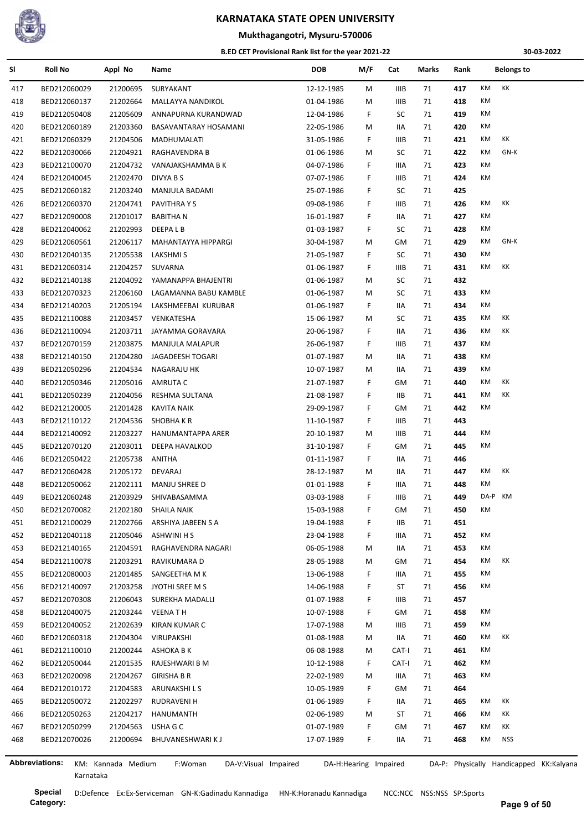

## **Mukthagangotri, Mysuru-570006**

#### **B.ED CET Provisional Rank list for the year 2021-22**

**30-03-2022**

| SI  | <b>Roll No</b> | Appl No            | Name                            | <b>DOB</b> | M/F                   | Cat         | Marks | Rank | <b>Belongs to</b>                       |
|-----|----------------|--------------------|---------------------------------|------------|-----------------------|-------------|-------|------|-----------------------------------------|
| 417 | BED212060029   | 21200695           | SURYAKANT                       | 12-12-1985 | М                     | <b>IIIB</b> | 71    | 417  | KM<br>КK                                |
| 418 | BED212060137   | 21202664           | MALLAYYA NANDIKOL               | 01-04-1986 | М                     | IIIB        | 71    | 418  | КM                                      |
| 419 | BED212050408   | 21205609           | ANNAPURNA KURANDWAD             | 12-04-1986 | F.                    | SC          | 71    | 419  | КM                                      |
| 420 | BED212060189   | 21203360           | BASAVANTARAY HOSAMANI           | 22-05-1986 | М                     | IIA         | 71    | 420  | КM                                      |
| 421 | BED212060329   | 21204506           | MADHUMALATI                     | 31-05-1986 | F.                    | <b>IIIB</b> | 71    | 421  | КK<br>КM                                |
| 422 | BED212030066   | 21204921           | RAGHAVENDRA B                   | 01-06-1986 | м                     | SC          | 71    | 422  | КM<br>GN-K                              |
| 423 | BED212100070   | 21204732           | VANAJAKSHAMMA B K               | 04-07-1986 | F                     | IIIA        | 71    | 423  | КM                                      |
| 424 | BED212040045   | 21202470           | DIVYA B S                       | 07-07-1986 | F                     | IIIB        | 71    | 424  | КM                                      |
| 425 | BED212060182   | 21203240           | MANJULA BADAMI                  | 25-07-1986 | F.                    | SC          | 71    | 425  |                                         |
| 426 | BED212060370   | 21204741           | PAVITHRA Y S                    | 09-08-1986 | F                     | <b>IIIB</b> | 71    | 426  | КM<br>КK                                |
| 427 | BED212090008   | 21201017           | <b>BABITHAN</b>                 | 16-01-1987 | F                     | IIA         | 71    | 427  | КM                                      |
| 428 | BED212040062   | 21202993           | DEEPA L B                       | 01-03-1987 | F                     | SC          | 71    | 428  | КM                                      |
| 429 | BED212060561   | 21206117           | MAHANTAYYA HIPPARGI             | 30-04-1987 | М                     | GМ          | 71    | 429  | КM<br>GN-K                              |
| 430 | BED212040135   | 21205538           | LAKSHMI S                       | 21-05-1987 | F.                    | SC          | 71    | 430  | KM                                      |
| 431 | BED212060314   | 21204257           | SUVARNA                         | 01-06-1987 | F.                    | <b>IIIB</b> | 71    | 431  | КM<br>КK                                |
| 432 | BED212140138   | 21204092           | YAMANAPPA BHAJENTRI             | 01-06-1987 | М                     | SC          | 71    | 432  |                                         |
| 433 | BED212070323   | 21206160           | LAGAMANNA BABU KAMBLE           | 01-06-1987 | м                     | SC          | 71    | 433  | КM                                      |
| 434 | BED212140203   | 21205194           | LAKSHMEEBAI KURUBAR             | 01-06-1987 | F.                    | IIA         | 71    | 434  | КM                                      |
| 435 | BED212110088   | 21203457           | VENKATESHA                      | 15-06-1987 | М                     | SC          | 71    | 435  | КK<br>КM                                |
| 436 | BED212110094   | 21203711           | JAYAMMA GORAVARA                | 20-06-1987 | F.                    | IIA         | 71    | 436  | КK<br>КM                                |
| 437 | BED212070159   | 21203875           | MANJULA MALAPUR                 | 26-06-1987 | F.                    | IIIB        | 71    | 437  | КM                                      |
| 438 | BED212140150   | 21204280           | JAGADEESH TOGARI                | 01-07-1987 | М                     | 11A         | 71    | 438  | КM                                      |
| 439 | BED212050296   | 21204534           | NAGARAJU HK                     | 10-07-1987 | М                     | IIA         | 71    | 439  | КM                                      |
| 440 | BED212050346   | 21205016           | AMRUTA C                        | 21-07-1987 | F.                    | GM          | 71    | 440  | КK<br>КM                                |
| 441 | BED212050239   | 21204056           | RESHMA SULTANA                  | 21-08-1987 | F                     | <b>IIB</b>  | 71    | 441  | КM<br>КK                                |
| 442 | BED212120005   | 21201428           | <b>KAVITA NAIK</b>              | 29-09-1987 | F                     | GM          | 71    | 442  | КM                                      |
| 443 | BED212110122   | 21204536           | SHOBHA K R                      | 11-10-1987 | F.                    | IIIB        | 71    | 443  |                                         |
| 444 | BED212140092   | 21203227           | HANUMANTAPPA ARER               | 20-10-1987 | М                     | IIIB        | 71    | 444  | КM                                      |
| 445 | BED212070120   | 21203011           | DEEPA HAVALKOD                  | 31-10-1987 | F.                    | GM          | 71    | 445  | КM                                      |
| 446 | BED212050422   | 21205738           | ANITHA                          | 01-11-1987 | F                     | IIA         | 71    | 446  |                                         |
|     |                |                    |                                 |            |                       |             |       |      | КK<br>КM                                |
| 447 | BED212060428   | 21205172           | DEVARAJ                         | 28-12-1987 | м                     | 11A         | 71    | 447  | КM                                      |
| 448 | BED212050062   | 21202111           | MANJU SHREE D<br>SHIVABASAMMA   | 01-01-1988 | F<br>F                | IIIA        | 71    | 448  | DA-P KM                                 |
| 449 | BED212060248   | 21203929           |                                 | 03-03-1988 |                       | IIIB        | 71    | 449  |                                         |
| 450 | BED212070082   | 21202180           | SHAILA NAIK                     | 15-03-1988 | F.                    | GМ          | 71    | 450  | ΚM                                      |
| 451 | BED212100029   | 21202766           | ARSHIYA JABEEN S A              | 19-04-1988 | F                     | IIВ         | 71    | 451  |                                         |
| 452 | BED212040118   | 21205046           | <b>ASHWINI H S</b>              | 23-04-1988 | F                     | IIIA        | 71    | 452  | КM                                      |
| 453 | BED212140165   | 21204591           | RAGHAVENDRA NAGARI              | 06-05-1988 | M                     | IIA         | 71    | 453  | КM                                      |
| 454 | BED212110078   | 21203291           | RAVIKUMARA D                    | 28-05-1988 | М                     | GM          | 71    | 454  | КM<br>КK                                |
| 455 | BED212080003   | 21201485           | SANGEETHA M K                   | 13-06-1988 | F                     | IIIA        | 71    | 455  | КM                                      |
| 456 | BED212140097   | 21203258           | JYOTHI SREE M S                 | 14-06-1988 | F                     | ST          | 71    | 456  | КM                                      |
| 457 | BED212070308   | 21206043           | SUREKHA MADALLI                 | 01-07-1988 | F                     | IIIB        | 71    | 457  |                                         |
| 458 | BED212040075   | 21203244           | <b>VEENATH</b>                  | 10-07-1988 | F                     | GМ          | 71    | 458  | КM                                      |
| 459 | BED212040052   | 21202639           | <b>KIRAN KUMAR C</b>            | 17-07-1988 | М                     | <b>IIIB</b> | 71    | 459  | КM                                      |
| 460 | BED212060318   | 21204304           | VIRUPAKSHI                      | 01-08-1988 | M                     | IIA         | 71    | 460  | КM<br>КK                                |
| 461 | BED212110010   | 21200244           | ASHOKA B K                      | 06-08-1988 | м                     | CAT-I       | 71    | 461  | КM                                      |
| 462 | BED212050044   | 21201535           | RAJESHWARI B M                  | 10-12-1988 | F.                    | CAT-I       | 71    | 462  | КM                                      |
| 463 | BED212020098   | 21204267           | <b>GIRISHA B R</b>              | 22-02-1989 | Μ                     | IIIA        | 71    | 463  | КM                                      |
| 464 | BED212010172   | 21204583           | ARUNAKSHI L S                   | 10-05-1989 | F.                    | GM          | 71    | 464  |                                         |
| 465 | BED212050072   | 21202297           | RUDRAVENI H                     | 01-06-1989 | F.                    | IIA         | 71    | 465  | КM<br>КK                                |
| 466 | BED212050263   | 21204217           | HANUMANTH                       | 02-06-1989 | M                     | ST          | 71    | 466  | КK<br>КM                                |
| 467 | BED212050299   | 21204563           | USHA G C                        | 01-07-1989 | F                     | GМ          | 71    | 467  | КM<br>КK                                |
| 468 | BED212070026   | 21200694           | BHUVANESHWARI K J               | 17-07-1989 | F.                    | IIA         | 71    | 468  | <b>NSS</b><br>КM                        |
|     | Abbreviations: | KM: Kannada Medium | F:Woman<br>DA-V:Visual Impaired |            | DA-H:Hearing Impaired |             |       |      | DA-P: Physically Handicapped KK:Kalyana |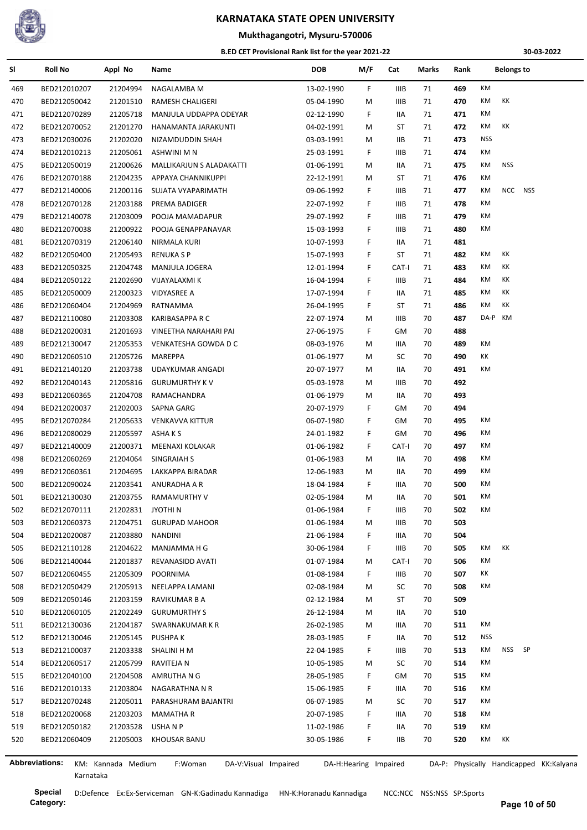

## **Mukthagangotri, Mysuru-570006**

#### **B.ED CET Provisional Rank list for the year 2021-22**

**30-03-2022**

| SI  | <b>Roll No</b> | Appl No            | Name                            | <b>DOB</b> | M/F                   | Cat         | Marks | Rank | <b>Belongs to</b>                       |
|-----|----------------|--------------------|---------------------------------|------------|-----------------------|-------------|-------|------|-----------------------------------------|
| 469 | BED212010207   | 21204994           | NAGALAMBA M                     | 13-02-1990 | F.                    | <b>IIIB</b> | 71    | 469  | KM                                      |
| 470 | BED212050042   | 21201510           | RAMESH CHALIGERI                | 05-04-1990 | М                     | IIIB        | 71    | 470  | KM<br>КK                                |
| 471 | BED212070289   | 21205718           | MANJULA UDDAPPA ODEYAR          | 02-12-1990 | F                     | IIA         | 71    | 471  | KM                                      |
| 472 | BED212070052   | 21201270           | HANAMANTA JARAKUNTI             | 04-02-1991 | М                     | ST          | 71    | 472  | КK<br>КM                                |
| 473 | BED212030026   | 21202020           | NIZAMDUDDIN SHAH                | 03-03-1991 | М                     | IIВ         | 71    | 473  | <b>NSS</b>                              |
| 474 | BED212010213   | 21205061           | ASHWINI M N                     | 25-03-1991 | F                     | IIIB        | 71    | 474  | КM                                      |
| 475 | BED212050019   | 21200626           | MALLIKARJUN S ALADAKATTI        | 01-06-1991 | М                     | IIA         | 71    | 475  | <b>NSS</b><br>КM                        |
| 476 | BED212070188   | 21204235           | APPAYA CHANNIKUPPI              | 22-12-1991 | М                     | ST          | 71    | 476  | КM                                      |
| 477 | BED212140006   | 21200116           | SUJATA VYAPARIMATH              | 09-06-1992 | F                     | IIIB        | 71    | 477  | NCC NSS<br>КM                           |
| 478 | BED212070128   | 21203188           | PREMA BADIGER                   | 22-07-1992 | F                     | IIIB        | 71    | 478  | КM                                      |
| 479 | BED212140078   | 21203009           | POOJA MAMADAPUR                 | 29-07-1992 | F.                    | IIIB        | 71    | 479  | KM                                      |
| 480 | BED212070038   | 21200922           | POOJA GENAPPANAVAR              | 15-03-1993 | F                     | IIIB        | 71    | 480  | КM                                      |
| 481 | BED212070319   | 21206140           | NIRMALA KURI                    | 10-07-1993 | F                     | IIA         | 71    | 481  |                                         |
| 482 | BED212050400   | 21205493           | <b>RENUKA S P</b>               | 15-07-1993 | F                     | ST          | 71    | 482  | КK<br>КM                                |
| 483 | BED212050325   | 21204748           | MANJULA JOGERA                  | 12-01-1994 | F.                    | CAT-I       | 71    | 483  | КK<br>КM                                |
| 484 | BED212050122   | 21202690           | VIJAYALAXMI K                   | 16-04-1994 | F                     | IIIB        | 71    | 484  | КK<br>КM                                |
| 485 | BED212050009   | 21200323           | <b>VIDYASREE A</b>              | 17-07-1994 | F                     | IIA         | 71    | 485  | КK<br>КM                                |
| 486 | BED212060404   | 21204969           | <b>RATNAMMA</b>                 | 26-04-1995 | F                     | ST          | 71    | 486  | КK<br>КM                                |
| 487 | BED212110080   | 21203308           | KARIBASAPPA R C                 | 22-07-1974 | М                     | IIIB        | 70    | 487  | DA-P<br>КM                              |
| 488 | BED212020031   | 21201693           | VINEETHA NARAHARI PAI           | 27-06-1975 | F.                    | GM          | 70    | 488  |                                         |
|     | BED212130047   | 21205353           | VENKATESHA GOWDA D C            | 08-03-1976 | М                     | IIIA        | 70    | 489  | КM                                      |
| 489 |                | 21205726           | MAREPPA                         |            |                       | SC          | 70    | 490  | КK                                      |
| 490 | BED212060510   |                    |                                 | 01-06-1977 | М                     |             |       |      | КM                                      |
| 491 | BED212140120   | 21203738           | <b>UDAYKUMAR ANGADI</b>         | 20-07-1977 | М                     | IIA         | 70    | 491  |                                         |
| 492 | BED212040143   | 21205816           | <b>GURUMURTHY KV</b>            | 05-03-1978 | М                     | IIIB        | 70    | 492  |                                         |
| 493 | BED212060365   | 21204708           | RAMACHANDRA                     | 01-06-1979 | М                     | 11A         | 70    | 493  |                                         |
| 494 | BED212020037   | 21202003           | SAPNA GARG                      | 20-07-1979 | F.                    | GM          | 70    | 494  |                                         |
| 495 | BED212070284   | 21205633           | <b>VENKAVVA KITTUR</b>          | 06-07-1980 | F                     | GM          | 70    | 495  | КM                                      |
| 496 | BED212080029   | 21205597           | ASHA K S                        | 24-01-1982 | F                     | GM          | 70    | 496  | КM                                      |
| 497 | BED212140009   | 21200371           | MEENAXI KOLAKAR                 | 01-06-1982 | F                     | CAT-I       | 70    | 497  | КM                                      |
| 498 | BED212060269   | 21204064           | SINGRAIAH S                     | 01-06-1983 | M                     | IIA         | 70    | 498  | КM                                      |
| 499 | BED212060361   | 21204695           | LAKKAPPA BIRADAR                | 12-06-1983 | М                     | IIA         | 70    | 499  | КM                                      |
| 500 | BED212090024   | 21203541           | ANURADHA A R                    | 18-04-1984 | F.                    | IIIA        | 70    | 500  | КM                                      |
| 501 | BED212130030   | 21203755           | RAMAMURTHY V                    | 02-05-1984 | м                     | IIA         | 70    | 501  | KM                                      |
| 502 | BED212070111   | 21202831 JYOTHIN   |                                 | 01-06-1984 | F                     | IIIB        | 70    | 502  | КM                                      |
| 503 | BED212060373   | 21204751           | <b>GURUPAD MAHOOR</b>           | 01-06-1984 | М                     | IIIB        | 70    | 503  |                                         |
| 504 | BED212020087   | 21203880           | <b>NANDINI</b>                  | 21-06-1984 | F                     | IIIA        | 70    | 504  |                                         |
| 505 | BED212110128   | 21204622           | MANJAMMA H G                    | 30-06-1984 | F                     | IIIB        | 70    | 505  | КK<br>КM                                |
| 506 | BED212140044   | 21201837           | REVANASIDD AVATI                | 01-07-1984 | М                     | CAT-I       | 70    | 506  | KM                                      |
| 507 | BED212060455   | 21205309           | POORNIMA                        | 01-08-1984 | F                     | <b>IIIB</b> | 70    | 507  | КK                                      |
| 508 | BED212050429   | 21205913           | NEELAPPA LAMANI                 | 02-08-1984 | М                     | SC          | 70    | 508  | КM                                      |
| 509 | BED212050146   | 21203159           | RAVIKUMAR B A                   | 02-12-1984 | М                     | ST          | 70    | 509  |                                         |
| 510 | BED212060105   | 21202249           | <b>GURUMURTHY S</b>             | 26-12-1984 | М                     | IIA         | 70    | 510  |                                         |
| 511 | BED212130036   | 21204187           | SWARNAKUMAR K R                 | 26-02-1985 | М                     | IIIA        | 70    | 511  | KM                                      |
| 512 | BED212130046   | 21205145           | PUSHPA K                        | 28-03-1985 | F                     | IIA         | 70    | 512  | <b>NSS</b>                              |
| 513 | BED212100037   | 21203338           | SHALINI H M                     | 22-04-1985 | F                     | IIIB        | 70    | 513  | <b>NSS</b><br>SP<br>КM                  |
| 514 | BED212060517   | 21205799           | RAVITEJA N                      | 10-05-1985 | м                     | SC          | 70    | 514  | KM                                      |
| 515 | BED212040100   | 21204508           | AMRUTHA N G                     | 28-05-1985 | F.                    | GM          | 70    | 515  | KM                                      |
| 516 | BED212010133   | 21203804           | NAGARATHNA N R                  | 15-06-1985 | F.                    | IIIA        | 70    | 516  | КM                                      |
| 517 | BED212070248   | 21205011           | PARASHURAM BAJANTRI             | 06-07-1985 | М                     | SC          | 70    | 517  | KM                                      |
| 518 | BED212020068   | 21203203           | <b>MAMATHAR</b>                 | 20-07-1985 | F                     | IIIA        | 70    | 518  | KM                                      |
| 519 | BED212050182   | 21203528           | USHA N P                        | 11-02-1986 | F                     | IIA         | 70    | 519  | KM                                      |
| 520 | BED212060409   | 21205003           | KHOUSAR BANU                    | 30-05-1986 | F.                    | <b>IIB</b>  | 70    | 520  | KM<br>КK                                |
|     |                |                    |                                 |            |                       |             |       |      |                                         |
|     | Abbreviations: | KM: Kannada Medium | F:Woman<br>DA-V:Visual Impaired |            | DA-H:Hearing Impaired |             |       |      | DA-P: Physically Handicapped KK:Kalyana |

ŀ,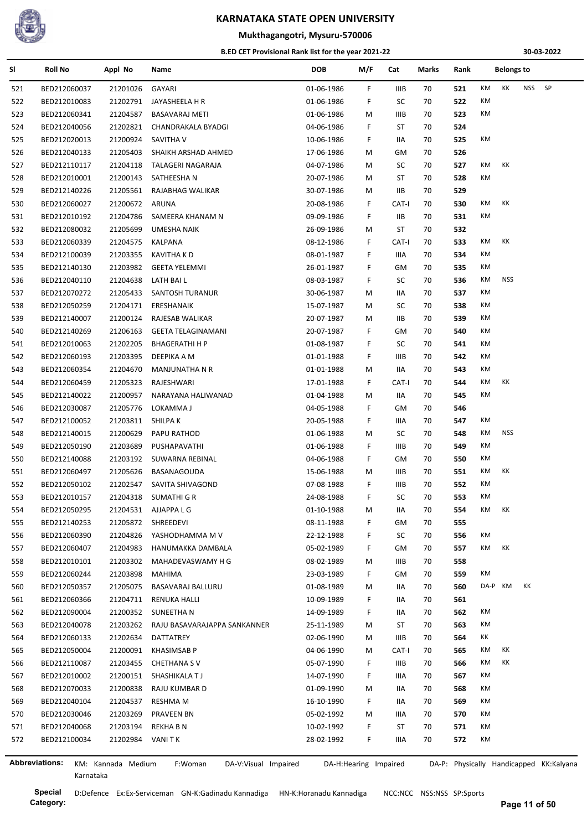

#### **Mukthagangotri, Mysuru-570006**

#### **B.ED CET Provisional Rank list for the year 2021-22**

**30-03-2022**

| SI  | Roll No        | Appl No            | Name                            | <b>DOB</b> | M/F                   | Cat         | Marks | Rank |         | <b>Belongs to</b> |     |                                         |
|-----|----------------|--------------------|---------------------------------|------------|-----------------------|-------------|-------|------|---------|-------------------|-----|-----------------------------------------|
| 521 | BED212060037   | 21201026           | GAYARI                          | 01-06-1986 | F                     | IIIB        | 70    | 521  | KM      | КK                | NSS | SP                                      |
| 522 | BED212010083   | 21202791           | JAYASHEELA H R                  | 01-06-1986 | F                     | SC          | 70    | 522  | KM      |                   |     |                                         |
| 523 | BED212060341   | 21204587           | <b>BASAVARAJ METI</b>           | 01-06-1986 | M                     | <b>IIIB</b> | 70    | 523  | КM      |                   |     |                                         |
| 524 | BED212040056   | 21202821           | CHANDRAKALA BYADGI              | 04-06-1986 | F                     | ST          | 70    | 524  |         |                   |     |                                         |
| 525 | BED212020013   | 21200924           | SAVITHA V                       | 10-06-1986 | F.                    | IIA         | 70    | 525  | КM      |                   |     |                                         |
| 526 | BED212040133   | 21205403           | SHAIKH ARSHAD AHMED             | 17-06-1986 | M                     | GM          | 70    | 526  |         |                   |     |                                         |
| 527 | BED212110117   | 21204118           | TALAGERI NAGARAJA               | 04-07-1986 | M                     | SC          | 70    | 527  | КM      | КK                |     |                                         |
| 528 | BED212010001   | 21200143           | SATHEESHA N                     | 20-07-1986 | M                     | ST          | 70    | 528  | КM      |                   |     |                                         |
| 529 | BED212140226   | 21205561           | RAJABHAG WALIKAR                | 30-07-1986 | M                     | IIВ         | 70    | 529  |         |                   |     |                                         |
| 530 | BED212060027   | 21200672           | ARUNA                           | 20-08-1986 | F.                    | CAT-I       | 70    | 530  | КM      | КK                |     |                                         |
| 531 | BED212010192   | 21204786           | SAMEERA KHANAM N                | 09-09-1986 | F.                    | IIВ         | 70    | 531  | КM      |                   |     |                                         |
| 532 | BED212080032   | 21205699           | UMESHA NAIK                     | 26-09-1986 | M                     | ST          | 70    | 532  |         |                   |     |                                         |
| 533 | BED212060339   | 21204575           | KALPANA                         | 08-12-1986 | F.                    | CAT-I       | 70    | 533  | КM      | КK                |     |                                         |
| 534 | BED212100039   | 21203355           | <b>KAVITHA KD</b>               | 08-01-1987 | F                     | IIIA        | 70    | 534  | КM      |                   |     |                                         |
| 535 | BED212140130   | 21203982           | <b>GEETA YELEMMI</b>            | 26-01-1987 | F                     | GM          | 70    | 535  | КM      |                   |     |                                         |
| 536 | BED212040110   | 21204638           | LATH BAI L                      | 08-03-1987 | F                     | SC          | 70    | 536  | КM      | NSS               |     |                                         |
| 537 | BED212070272   | 21205433           | SANTOSH TURANUR                 | 30-06-1987 | M                     | IIA         | 70    | 537  | КM      |                   |     |                                         |
| 538 | BED212050259   | 21204171           | ERESHANAIK                      | 15-07-1987 | М                     | SC          | 70    | 538  | КM      |                   |     |                                         |
| 539 | BED212140007   | 21200124           | RAJESAB WALIKAR                 | 20-07-1987 | M                     | IIВ         | 70    | 539  | КM      |                   |     |                                         |
| 540 | BED212140269   | 21206163           | <b>GEETA TELAGINAMANI</b>       | 20-07-1987 | F.                    | GM          | 70    | 540  | КM      |                   |     |                                         |
|     |                |                    |                                 | 01-08-1987 | F                     |             |       |      | КM      |                   |     |                                         |
| 541 | BED212010063   | 21202205           | <b>BHAGERATHI H P</b>           |            |                       | SC          | 70    | 541  | КM      |                   |     |                                         |
| 542 | BED212060193   | 21203395           | DEEPIKA A M                     | 01-01-1988 | F.                    | IIIB        | 70    | 542  |         |                   |     |                                         |
| 543 | BED212060354   | 21204670           | MANJUNATHA N R                  | 01-01-1988 | M                     | IIA         | 70    | 543  | КM      |                   |     |                                         |
| 544 | BED212060459   | 21205323           | RAJESHWARI                      | 17-01-1988 | F.                    | CAT-I       | 70    | 544  | КM      | КK                |     |                                         |
| 545 | BED212140022   | 21200957           | NARAYANA HALIWANAD              | 01-04-1988 | M                     | IIA         | 70    | 545  | КM      |                   |     |                                         |
| 546 | BED212030087   | 21205776           | LOKAMMA J                       | 04-05-1988 | F                     | GM          | 70    | 546  |         |                   |     |                                         |
| 547 | BED212100052   | 21203811           | SHILPA K                        | 20-05-1988 | F.                    | IIIA        | 70    | 547  | КM      |                   |     |                                         |
| 548 | BED212140015   | 21200629           | PAPU RATHOD                     | 01-06-1988 | M                     | SC          | 70    | 548  | КM      | <b>NSS</b>        |     |                                         |
| 549 | BED212050190   | 21203689           | PUSHAPAVATHI                    | 01-06-1988 | F.                    | <b>IIIB</b> | 70    | 549  | КM      |                   |     |                                         |
| 550 | BED212140088   | 21203192           | SUWARNA REBINAL                 | 04-06-1988 | F.                    | GМ          | 70    | 550  | КM      |                   |     |                                         |
| 551 | BED212060497   | 21205626           | BASANAGOUDA                     | 15-06-1988 | M                     | IIIB        | 70    | 551  | КM      | КK                |     |                                         |
| 552 | BED212050102   | 21202547           | SAVITA SHIVAGOND                | 07-08-1988 | F                     | IIIB        | 70    | 552  | КM      |                   |     |                                         |
| 553 | BED212010157   | 21204318           | SUMATHI G R                     | 24-08-1988 | F.                    | SC          | 70    | 553  | КM      |                   |     |                                         |
| 554 | BED212050295   | 21204531           | AJJAPPA L G                     | 01-10-1988 | M                     | IIA         | 70    | 554  | КM      | КK                |     |                                         |
| 555 | BED212140253   | 21205872           | SHREEDEVI                       | 08-11-1988 | F                     | GМ          | 70    | 555  |         |                   |     |                                         |
| 556 | BED212060390   | 21204826           | YASHODHAMMA M V                 | 22-12-1988 | F.                    | SC          | 70    | 556  | КM      |                   |     |                                         |
| 557 | BED212060407   | 21204983           | HANUMAKKA DAMBALA               | 05-02-1989 | F                     | GM          | 70    | 557  | KM      | КK                |     |                                         |
| 558 | BED212010101   | 21203302           | MAHADEVASWAMY H G               | 08-02-1989 | M                     | <b>IIIB</b> | 70    | 558  |         |                   |     |                                         |
| 559 | BED212060244   | 21203898           | MAHIMA                          | 23-03-1989 | F.                    | GМ          | 70    | 559  | КM      |                   |     |                                         |
| 560 | BED212050357   | 21205075           | BASAVARAJ BALLURU               | 01-08-1989 | M                     | IIA         | 70    | 560  | DA-P KM |                   | КK  |                                         |
| 561 | BED212060366   | 21204711           | <b>RENUKA HALLI</b>             | 10-09-1989 | F                     | IIA         | 70    | 561  |         |                   |     |                                         |
| 562 | BED212090004   | 21200352           | SUNEETHA N                      | 14-09-1989 | F.                    | IIA         | 70    | 562  | KM      |                   |     |                                         |
| 563 | BED212040078   | 21203262           | RAJU BASAVARAJAPPA SANKANNER    | 25-11-1989 | M                     | ST          | 70    | 563  | КM      |                   |     |                                         |
| 564 | BED212060133   | 21202634           | DATTATREY                       | 02-06-1990 | M                     | IIIB        | 70    | 564  | КK      |                   |     |                                         |
| 565 | BED212050004   | 21200091           | <b>KHASIMSAB P</b>              | 04-06-1990 | M                     | CAT-I       | 70    | 565  | КM      | КK                |     |                                         |
| 566 | BED212110087   | 21203455           | <b>CHETHANA SV</b>              | 05-07-1990 | F.                    | IIIB        | 70    | 566  | КM      | КK                |     |                                         |
| 567 | BED212010002   | 21200151           | SHASHIKALA TJ                   | 14-07-1990 | F.                    | IIIA        | 70    | 567  | КM      |                   |     |                                         |
| 568 | BED212070033   | 21200838           | RAJU KUMBAR D                   | 01-09-1990 | M                     | IIA         | 70    | 568  | КM      |                   |     |                                         |
| 569 | BED212040104   | 21204537           | RESHMA M                        | 16-10-1990 | F.                    | IIA         | 70    | 569  | КM      |                   |     |                                         |
| 570 | BED212030046   | 21203269           | PRAVEEN BN                      | 05-02-1992 | M                     | IIIA        | 70    | 570  | КM      |                   |     |                                         |
| 571 | BED212040068   | 21203194           | <b>REKHABN</b>                  | 10-02-1992 | F.                    | ST          | 70    | 571  | КM      |                   |     |                                         |
| 572 | BED212100034   | 21202984           | VANI T K                        | 28-02-1992 | F.                    | IIIA        | 70    | 572  | КM      |                   |     |                                         |
|     |                |                    |                                 |            |                       |             |       |      |         |                   |     |                                         |
|     | Abbreviations: | KM: Kannada Medium | F:Woman<br>DA-V:Visual Impaired |            | DA-H:Hearing Impaired |             |       |      |         |                   |     | DA-P: Physically Handicapped KK:Kalyana |

**Category:**

J.

Karnataka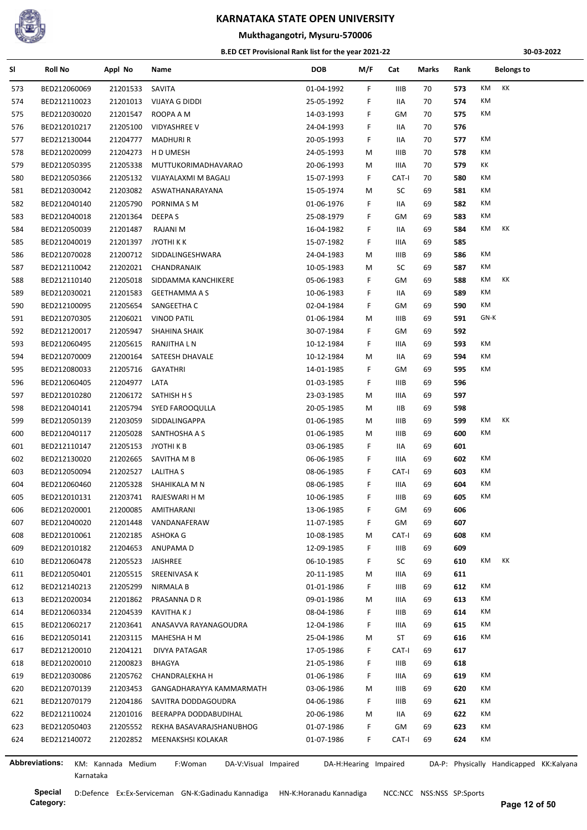

## **Mukthagangotri, Mysuru-570006**

#### **B.ED CET Provisional Rank list for the year 2021-22**

**30-03-2022**

| SI  | <b>Roll No</b> | Appl No            | Name                            | <b>DOB</b> | M/F                   | Cat         | Marks | Rank | <b>Belongs to</b>                       |
|-----|----------------|--------------------|---------------------------------|------------|-----------------------|-------------|-------|------|-----------------------------------------|
| 573 | BED212060069   | 21201533           | SAVITA                          | 01-04-1992 | F.                    | IIIB        | 70    | 573  | KM<br>KK                                |
| 574 | BED212110023   | 21201013           | VIJAYA G DIDDI                  | 25-05-1992 | F.                    | IIA         | 70    | 574  | КM                                      |
| 575 | BED212030020   | 21201547           | ROOPA A M                       | 14-03-1993 | F.                    | GМ          | 70    | 575  | КM                                      |
| 576 | BED212010217   | 21205100           | <b>VIDYASHREE V</b>             | 24-04-1993 | F.                    | IIA         | 70    | 576  |                                         |
| 577 | BED212130044   | 21204777           | <b>MADHURI R</b>                | 20-05-1993 | F.                    | 11A         | 70    | 577  | КM                                      |
| 578 | BED212020099   | 21204273           | H D UMESH                       | 24-05-1993 | М                     | IIIB        | 70    | 578  | KM                                      |
| 579 | BED212050395   | 21205338           | MUTTUKORIMADHAVARAO             | 20-06-1993 | М                     | IIIA        | 70    | 579  | КK                                      |
| 580 | BED212050366   | 21205132           | VIJAYALAXMI M BAGALI            | 15-07-1993 | F.                    | CAT-I       | 70    | 580  | КM                                      |
| 581 | BED212030042   | 21203082           | ASWATHANARAYANA                 | 15-05-1974 | м                     | SC          | 69    | 581  | КM                                      |
| 582 | BED212040140   | 21205790           | PORNIMA S M                     | 01-06-1976 | F.                    | IIA         | 69    | 582  | КM                                      |
| 583 | BED212040018   | 21201364           | DEEPA S                         | 25-08-1979 | F.                    | GM          | 69    | 583  | КM                                      |
| 584 | BED212050039   | 21201487           | RAJANI M                        | 16-04-1982 | F.                    | 11A         | 69    | 584  | КK<br>КM                                |
| 585 | BED212040019   | 21201397           | JYOTHI K K                      | 15-07-1982 | F.                    | IIIA        | 69    | 585  |                                         |
| 586 | BED212070028   | 21200712           | SIDDALINGESHWARA                | 24-04-1983 | М                     | IIIB        | 69    | 586  | КM                                      |
| 587 | BED212110042   | 21202021           | CHANDRANAIK                     | 10-05-1983 | М                     | SC          | 69    | 587  | KM                                      |
| 588 | BED212110140   | 21205018           | SIDDAMMA KANCHIKERE             | 05-06-1983 | F.                    | GМ          | 69    | 588  | КM<br>КK                                |
| 589 | BED212030021   | 21201583           | <b>GEETHAMMA A S</b>            | 10-06-1983 | F.                    | IIA         | 69    | 589  | KM                                      |
| 590 | BED212100095   | 21205654           | SANGEETHA C                     | 02-04-1984 | F.                    | GМ          | 69    | 590  | КM                                      |
| 591 | BED212070305   | 21206021           | <b>VINOD PATIL</b>              | 01-06-1984 | М                     | IIIB        | 69    | 591  | GN-K                                    |
| 592 | BED212120017   | 21205947           | SHAHINA SHAIK                   | 30-07-1984 | F.                    | GM          | 69    | 592  |                                         |
| 593 | BED212060495   | 21205615           | RANJITHA L N                    | 10-12-1984 | F.                    | IIIA        | 69    | 593  | КM                                      |
| 594 | BED212070009   | 21200164           | SATEESH DHAVALE                 | 10-12-1984 | М                     | IIA         | 69    | 594  | КM                                      |
| 595 | BED212080033   | 21205716           | <b>GAYATHRI</b>                 | 14-01-1985 | F.                    | GМ          | 69    | 595  | КM                                      |
| 596 | BED212060405   | 21204977           | LATA                            | 01-03-1985 | F.                    | <b>IIIB</b> | 69    | 596  |                                         |
| 597 | BED212010280   | 21206172           | SATHISH H S                     | 23-03-1985 | М                     | IIIA        | 69    | 597  |                                         |
| 598 | BED212040141   | 21205794           | SYED FAROOQULLA                 | 20-05-1985 | М                     | IIВ         | 69    | 598  |                                         |
| 599 | BED212050139   | 21203059           | SIDDALINGAPPA                   | 01-06-1985 | М                     | IIIB        | 69    | 599  | КK<br>КM                                |
| 600 | BED212040117   | 21205028           | SANTHOSHA A S                   | 01-06-1985 | М                     | IIIB        | 69    | 600  | KM                                      |
| 601 | BED212110147   | 21205153           | JYOTHI K B                      | 03-06-1985 | F.                    | IIA         | 69    | 601  |                                         |
| 602 | BED212130020   | 21202665           | SAVITHA M B                     | 06-06-1985 | F.                    | IIIA        | 69    | 602  | КM                                      |
| 603 | BED212050094   | 21202527           | <b>LALITHA S</b>                | 08-06-1985 | F.                    | CAT-I       | 69    | 603  | КM                                      |
| 604 | BED212060460   | 21205328           | SHAHIKALA M N                   | 08-06-1985 | F.                    | IIIA        | 69    | 604  | КM                                      |
| 605 | BED212010131   | 21203741           | RAJESWARI H M                   | 10-06-1985 | F.                    | IIIB        | 69    | 605  | КM                                      |
| 606 | BED212020001   | 21200085           | AMITHARANI                      | 13-06-1985 | F.                    | GМ          | 69    | 606  |                                         |
| 607 | BED212040020   | 21201448           | VANDANAFERAW                    | 11-07-1985 | F.                    | GM          | 69    | 607  |                                         |
| 608 | BED212010061   | 21202185           | ASHOKA G                        | 10-08-1985 | M                     | CAT-I       | 69    | 608  | КM                                      |
| 609 | BED212010182   | 21204653           | ANUPAMA D                       | 12-09-1985 | F.                    | IIIB        | 69    | 609  |                                         |
| 610 | BED212060478   | 21205523           | JAISHREE                        | 06-10-1985 | F.                    | SC          | 69    | 610  | КM<br>ΚK                                |
| 611 | BED212050401   | 21205515           | SREENIVASA K                    | 20-11-1985 | М                     | IIIA        | 69    | 611  |                                         |
| 612 | BED212140213   | 21205299           | <b>NIRMALA B</b>                | 01-01-1986 | F.                    | <b>IIIB</b> | 69    | 612  | КM                                      |
| 613 | BED212020034   | 21201862           | PRASANNA D R                    | 09-01-1986 | М                     | IIIA        | 69    | 613  | КM                                      |
| 614 | BED212060334   | 21204539           | KAVITHA K J                     | 08-04-1986 | F.                    | IIIB        | 69    | 614  | КM                                      |
| 615 | BED212060217   | 21203641           | ANASAVVA RAYANAGOUDRA           | 12-04-1986 | F.                    | IIIA        | 69    | 615  | КM                                      |
| 616 | BED212050141   | 21203115           | MAHESHA H M                     | 25-04-1986 | M                     | ST          | 69    | 616  | КM                                      |
| 617 | BED212120010   | 21204121           | DIVYA PATAGAR                   | 17-05-1986 | F.                    | CAT-I       | 69    | 617  |                                         |
| 618 | BED212020010   | 21200823           | BHAGYA                          | 21-05-1986 | F.                    | IIIB        | 69    | 618  |                                         |
| 619 | BED212030086   | 21205762           | CHANDRALEKHA H                  | 01-06-1986 | F.                    | IIIA        | 69    | 619  | КM                                      |
| 620 | BED212070139   | 21203453           | GANGADHARAYYA KAMMARMATH        | 03-06-1986 | М                     | IIIB        | 69    | 620  | КM                                      |
| 621 | BED212070179   | 21204186           | SAVITRA DODDAGOUDRA             | 04-06-1986 | F.                    | IIIB        | 69    | 621  | КM                                      |
| 622 | BED212110024   | 21201016           | BEERAPPA DODDABUDIHAL           | 20-06-1986 | M                     | IIA         | 69    | 622  | КM                                      |
| 623 | BED212050403   | 21205552           | REKHA BASAVARAJSHANUBHOG        | 01-07-1986 | F.                    | GM          | 69    | 623  | КM                                      |
| 624 | BED212140072   | 21202852           | MEENAKSHSI KOLAKAR              | 01-07-1986 | F.                    | CAT-I       | 69    | 624  | КM                                      |
|     |                |                    |                                 |            |                       |             |       |      |                                         |
|     | Abbreviations: | KM: Kannada Medium | F:Woman<br>DA-V:Visual Impaired |            | DA-H:Hearing Impaired |             |       |      | DA-P: Physically Handicapped KK:Kalyana |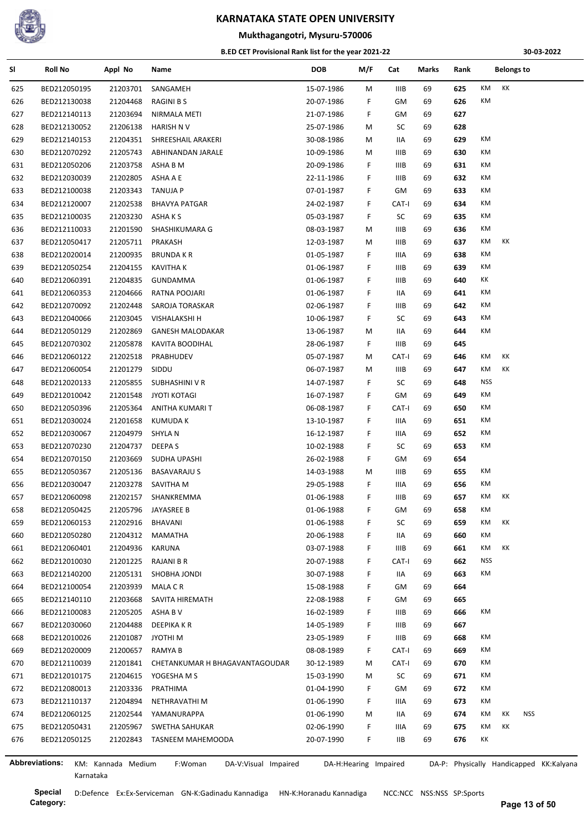

## **Mukthagangotri, Mysuru-570006**

#### **B.ED CET Provisional Rank list for the year 2021-22**

**30-03-2022**

| SI  | <b>Roll No</b>        | Appl No            | Name                            | <b>DOB</b> | M/F                   | Cat         | Marks | Rank |            | <b>Belongs to</b> |            |                                         |
|-----|-----------------------|--------------------|---------------------------------|------------|-----------------------|-------------|-------|------|------------|-------------------|------------|-----------------------------------------|
| 625 | BED212050195          | 21203701           | SANGAMEH                        | 15-07-1986 | м                     | <b>IIIB</b> | 69    | 625  | KM         | КK                |            |                                         |
| 626 | BED212130038          | 21204468           | RAGINI B S                      | 20-07-1986 | F                     | GM          | 69    | 626  | KM         |                   |            |                                         |
| 627 | BED212140113          | 21203694           | NIRMALA METI                    | 21-07-1986 | F.                    | GM          | 69    | 627  |            |                   |            |                                         |
| 628 | BED212130052          | 21206138           | HARISH N V                      | 25-07-1986 | м                     | SC          | 69    | 628  |            |                   |            |                                         |
| 629 | BED212140153          | 21204351           | SHREESHAIL ARAKERI              | 30-08-1986 | М                     | IIA         | 69    | 629  | КM         |                   |            |                                         |
| 630 | BED212070292          | 21205743           | ABHINANDAN JARALE               | 10-09-1986 | М                     | IIIB        | 69    | 630  | КM         |                   |            |                                         |
| 631 | BED212050206          | 21203758           | ASHA B M                        | 20-09-1986 | F.                    | IIIB        | 69    | 631  | КM         |                   |            |                                         |
| 632 | BED212030039          | 21202805           | ASHA A E                        | 22-11-1986 | F                     | IIIB        | 69    | 632  | КM         |                   |            |                                         |
| 633 | BED212100038          | 21203343           | TANUJA P                        | 07-01-1987 | F                     | GM          | 69    | 633  | КM         |                   |            |                                         |
| 634 | BED212120007          | 21202538           | <b>BHAVYA PATGAR</b>            | 24-02-1987 | F                     | CAT-I       | 69    | 634  | КM         |                   |            |                                         |
| 635 | BED212100035          | 21203230           | ASHA K S                        | 05-03-1987 | F                     | SC          | 69    | 635  | КM         |                   |            |                                         |
| 636 | BED212110033          | 21201590           | SHASHIKUMARA G                  | 08-03-1987 | м                     | <b>IIIB</b> | 69    | 636  | КM         |                   |            |                                         |
| 637 | BED212050417          | 21205711           | PRAKASH                         | 12-03-1987 | М                     | IIIB        | 69    | 637  | КM         | КK                |            |                                         |
| 638 | BED212020014          | 21200935           | <b>BRUNDA K R</b>               | 01-05-1987 | F.                    | IIIA        | 69    | 638  | КM         |                   |            |                                         |
| 639 | BED212050254          | 21204155           | <b>KAVITHA K</b>                | 01-06-1987 | F                     | IIIB        | 69    | 639  | КM         |                   |            |                                         |
| 640 | BED212060391          | 21204835           | GUNDAMMA                        | 01-06-1987 | F                     | IIIB        | 69    | 640  | КK         |                   |            |                                         |
| 641 | BED212060353          | 21204666           | RATNA POOJARI                   | 01-06-1987 | F                     | IIA         | 69    | 641  | КM         |                   |            |                                         |
| 642 | BED212070092          | 21202448           | SAROJA TORASKAR                 | 02-06-1987 | F                     | IIIB        | 69    | 642  | КM         |                   |            |                                         |
| 643 | BED212040066          | 21203045           | VISHALAKSHI H                   | 10-06-1987 | F                     | SC          | 69    | 643  | KM         |                   |            |                                         |
| 644 | BED212050129          | 21202869           | <b>GANESH MALODAKAR</b>         | 13-06-1987 | м                     | IIA         | 69    | 644  | КM         |                   |            |                                         |
| 645 | BED212070302          | 21205878           | <b>KAVITA BOODIHAL</b>          | 28-06-1987 | F.                    | IIIB        | 69    | 645  |            |                   |            |                                         |
| 646 | BED212060122          | 21202518           | PRABHUDEV                       | 05-07-1987 | М                     | CAT-I       | 69    | 646  | КM         | КK                |            |                                         |
| 647 | BED212060054          | 21201279           | SIDDU                           | 06-07-1987 | М                     | <b>IIIB</b> | 69    | 647  | КM         | КK                |            |                                         |
|     | BED212020133          | 21205855           | SUBHASHINI V R                  | 14-07-1987 | F                     | SC          | 69    | 648  | <b>NSS</b> |                   |            |                                         |
| 648 |                       |                    |                                 |            |                       |             |       | 649  | КM         |                   |            |                                         |
| 649 | BED212010042          | 21201548           | <b>JYOTI KOTAGI</b>             | 16-07-1987 | F                     | GM          | 69    | 650  | КM         |                   |            |                                         |
| 650 | BED212050396          | 21205364           | ANITHA KUMARI T                 | 06-08-1987 | F.                    | CAT-I       | 69    |      | КM         |                   |            |                                         |
| 651 | BED212030024          | 21201658           | KUMUDA K                        | 13-10-1987 | F                     | IIIA        | 69    | 651  |            |                   |            |                                         |
| 652 | BED212030067          | 21204979           | SHYLA N                         | 16-12-1987 | F                     | IIIA        | 69    | 652  | KM         |                   |            |                                         |
| 653 | BED212070230          | 21204737           | DEEPA S                         | 10-02-1988 | F.                    | SC          | 69    | 653  | КM         |                   |            |                                         |
| 654 | BED212070150          | 21203669           | SUDHA UPASHI                    | 26-02-1988 | F.                    | GM          | 69    | 654  |            |                   |            |                                         |
| 655 | BED212050367          | 21205136           | <b>BASAVARAJU S</b>             | 14-03-1988 | М                     | IIIB        | 69    | 655  | КM         |                   |            |                                         |
| 656 | BED212030047          | 21203278           | SAVITHA M                       | 29-05-1988 | F                     | IIIA        | 69    | 656  | КM         |                   |            |                                         |
| 657 | BED212060098          | 21202157           | SHANKREMMA                      | 01-06-1988 | F                     | <b>IIIB</b> | 69    | 657  | КM         | КK                |            |                                         |
| 658 | BED212050425          | 21205796           | JAYASREE B                      | 01-06-1988 | F                     | GM          | 69    | 658  | КM         |                   |            |                                         |
| 659 | BED212060153          | 21202916           | BHAVANI                         | 01-06-1988 | F                     | SC          | 69    | 659  | КM         | КK                |            |                                         |
| 660 | BED212050280          | 21204312           | MAMATHA                         | 20-06-1988 | F                     | IIA         | 69    | 660  | КM         |                   |            |                                         |
| 661 | BED212060401          | 21204936           | KARUNA                          | 03-07-1988 | F                     | <b>IIIB</b> | 69    | 661  | КM         | KK                |            |                                         |
| 662 | BED212010030          | 21201225           | RAJANI B R                      | 20-07-1988 | F                     | CAT-I       | 69    | 662  | <b>NSS</b> |                   |            |                                         |
| 663 | BED212140200          | 21205131           | SHOBHA JONDI                    | 30-07-1988 | F                     | IIA         | 69    | 663  | КM         |                   |            |                                         |
| 664 | BED212100054          | 21203939           | <b>MALA C R</b>                 | 15-08-1988 | F                     | GM          | 69    | 664  |            |                   |            |                                         |
| 665 | BED212140110          | 21203668           | SAVITA HIREMATH                 | 22-08-1988 | F                     | GM          | 69    | 665  |            |                   |            |                                         |
| 666 | BED212100083          | 21205205           | ASHA B V                        | 16-02-1989 | F                     | IIIB        | 69    | 666  | КM         |                   |            |                                         |
| 667 | BED212030060          | 21204488           | <b>DEEPIKAKR</b>                | 14-05-1989 | F                     | IIIB        | 69    | 667  |            |                   |            |                                         |
| 668 | BED212010026          | 21201087           | JYOTHI M                        | 23-05-1989 | F                     | <b>IIIB</b> | 69    | 668  | КM         |                   |            |                                         |
| 669 | BED212020009          | 21200657           | RAMYA B                         | 08-08-1989 | F                     | CAT-I       | 69    | 669  | КM         |                   |            |                                         |
| 670 | BED212110039          | 21201841           | CHETANKUMAR H BHAGAVANTAGOUDAR  | 30-12-1989 | М                     | CAT-I       | 69    | 670  | КM         |                   |            |                                         |
| 671 | BED212010175          | 21204615           | YOGESHA M S                     | 15-03-1990 | M                     | SC          | 69    | 671  | КM         |                   |            |                                         |
| 672 | BED212080013          | 21203336           | PRATHIMA                        | 01-04-1990 | F.                    | GM          | 69    | 672  | КM         |                   |            |                                         |
| 673 | BED212110137          | 21204894           | NETHRAVATHI M                   | 01-06-1990 | F                     | IIIA        | 69    | 673  | КM         |                   |            |                                         |
| 674 | BED212060125          | 21202544           | YAMANURAPPA                     | 01-06-1990 | м                     | IIA         | 69    | 674  | КM         | КK                | <b>NSS</b> |                                         |
| 675 | BED212050431          | 21205967           | SWETHA SAHUKAR                  | 02-06-1990 | F                     | IIIA        | 69    | 675  | КM         | КK                |            |                                         |
| 676 | BED212050125          | 21202843           | TASNEEM MAHEMOODA               | 20-07-1990 | F.                    | IIВ         | 69    | 676  | КK         |                   |            |                                         |
|     |                       |                    |                                 |            |                       |             |       |      |            |                   |            |                                         |
|     | <b>Abbreviations:</b> | KM: Kannada Medium | F:Woman<br>DA-V:Visual Impaired |            | DA-H:Hearing Impaired |             |       |      |            |                   |            | DA-P: Physically Handicapped KK:Kalyana |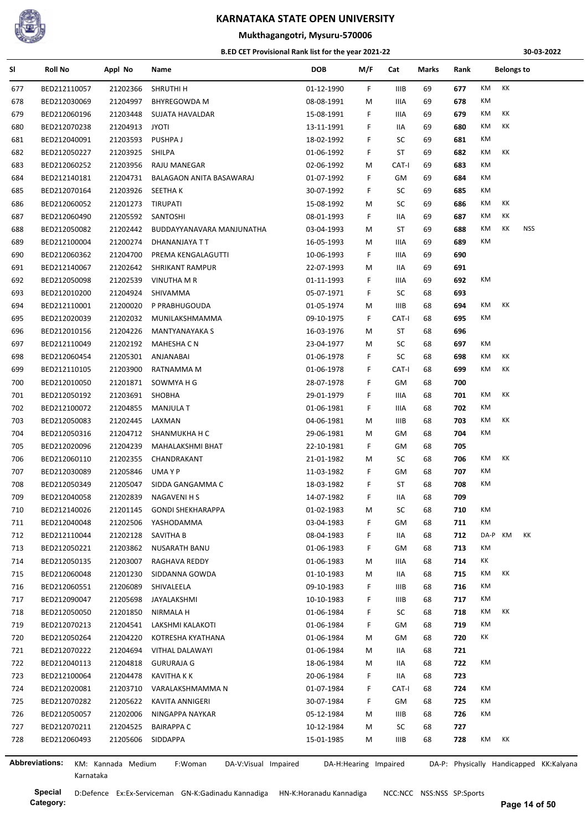

## **Mukthagangotri, Mysuru-570006**

#### **B.ED CET Provisional Rank list for the year 2021-22**

**30-03-2022**

| SI  | Roll No                      | Appl No            | Name                            | <b>DOB</b>               | M/F | Cat         | Marks | Rank |          | <b>Belongs to</b> |                                         |
|-----|------------------------------|--------------------|---------------------------------|--------------------------|-----|-------------|-------|------|----------|-------------------|-----------------------------------------|
| 677 | BED212110057                 | 21202366           | <b>SHRUTHIH</b>                 | 01-12-1990               | F   | <b>IIIB</b> | 69    | 677  | KM<br>КK |                   |                                         |
| 678 | BED212030069                 | 21204997           | <b>BHYREGOWDA M</b>             | 08-08-1991               | М   | IIIA        | 69    | 678  | КM       |                   |                                         |
| 679 | BED212060196                 | 21203448           | SUJATA HAVALDAR                 | 15-08-1991               | F   | IIIA        | 69    | 679  | КK<br>КM |                   |                                         |
| 680 | BED212070238                 | 21204913           | <b>JYOTI</b>                    | 13-11-1991               | F   | IIA         | 69    | 680  | KM<br>КK |                   |                                         |
| 681 | BED212040091                 | 21203593           | PUSHPA J                        | 18-02-1992               | F   | SC          | 69    | 681  | КM       |                   |                                         |
| 682 | BED212050227                 | 21203925           | SHILPA                          | 01-06-1992               | F   | ST          | 69    | 682  | КK<br>КM |                   |                                         |
| 683 | BED212060252                 | 21203956           | RAJU MANEGAR                    | 02-06-1992               | M   | CAT-I       | 69    | 683  | КM       |                   |                                         |
| 684 | BED212140181                 | 21204731           | BALAGAON ANITA BASAWARAJ        | 01-07-1992               | F   | GM          | 69    | 684  | КM       |                   |                                         |
| 685 | BED212070164                 | 21203926           | <b>SEETHAK</b>                  | 30-07-1992               | F.  | SC          | 69    | 685  | КM       |                   |                                         |
| 686 | BED212060052                 | 21201273           | <b>TIRUPATI</b>                 | 15-08-1992               | М   | SC          | 69    | 686  | КM<br>КK |                   |                                         |
| 687 | BED212060490                 | 21205592           | SANTOSHI                        | 08-01-1993               | F   | IIA         | 69    | 687  | КM<br>КK |                   |                                         |
| 688 | BED212050082                 | 21202442           | BUDDAYYANAVARA MANJUNATHA       | 03-04-1993               | M   | ST          | 69    | 688  | КM<br>КK | NSS               |                                         |
| 689 | BED212100004                 | 21200274           | DHANANJAYA T T                  | 16-05-1993               | M   | IIIA        | 69    | 689  | КM       |                   |                                         |
| 690 | BED212060362                 | 21204700           | PREMA KENGALAGUTTI              | 10-06-1993               | F.  | IIIA        | 69    | 690  |          |                   |                                         |
| 691 | BED212140067                 | 21202642           | <b>SHRIKANT RAMPUR</b>          | 22-07-1993               | М   | IIA         | 69    | 691  |          |                   |                                         |
| 692 | BED212050098                 | 21202539           | VINUTHA M R                     | 01-11-1993               | F.  | IIIA        | 69    | 692  | КM       |                   |                                         |
| 693 | BED212010200                 | 21204924           | SHIVAMMA                        | 05-07-1971               | F.  | SC          | 68    | 693  |          |                   |                                         |
| 694 | BED212110001                 | 21200020           | P PRABHUGOUDA                   | 01-05-1974               | М   | IIIB        | 68    | 694  | КM<br>КK |                   |                                         |
| 695 | BED212020039                 | 21202032           | MUNILAKSHMAMMA                  | 09-10-1975               | F   | CAT-I       | 68    | 695  | КM       |                   |                                         |
| 696 | BED212010156                 | 21204226           | <b>MANTYANAYAKA S</b>           | 16-03-1976               | M   | ST          | 68    | 696  |          |                   |                                         |
| 697 | BED212110049                 | 21202192           | <b>MAHESHA C N</b>              | 23-04-1977               | М   | SC          | 68    | 697  | КM       |                   |                                         |
| 698 | BED212060454                 | 21205301           | ANJANABAI                       | 01-06-1978               | F.  | SC          | 68    | 698  | КK<br>КM |                   |                                         |
| 699 | BED212110105                 | 21203900           | RATNAMMA M                      | 01-06-1978               | F.  | CAT-I       | 68    | 699  | КM<br>КK |                   |                                         |
| 700 | BED212010050                 | 21201871           | SOWMYA H G                      | 28-07-1978               | F.  | GМ          | 68    | 700  |          |                   |                                         |
| 701 | BED212050192                 | 21203691           | SHOBHA                          | 29-01-1979               | F   | IIIA        | 68    | 701  | КK<br>КM |                   |                                         |
| 702 | BED212100072                 | 21204855           | <b>MANJULA T</b>                | 01-06-1981               | F   | IIIA        | 68    | 702  | КM       |                   |                                         |
| 703 | BED212050083                 | 21202445           | LAXMAN                          | 04-06-1981               | M   | <b>IIIB</b> | 68    | 703  | КM<br>КK |                   |                                         |
| 704 | BED212050316                 | 21204712           | SHANMUKHA H C                   | 29-06-1981               | М   | GM          | 68    | 704  | КM       |                   |                                         |
| 705 | BED212020096                 | 21204239           | MAHALAKSHMI BHAT                | 22-10-1981               | F.  | GM          | 68    | 705  |          |                   |                                         |
| 706 | BED212060110                 | 21202355           | CHANDRAKANT                     | 21-01-1982               | М   | SC          | 68    | 706  | КM<br>КK |                   |                                         |
| 707 | BED212030089                 | 21205846           | UMA Y P                         | 11-03-1982               | F   | GM          | 68    | 707  | КM       |                   |                                         |
| 708 | BED212050349                 | 21205047           | SIDDA GANGAMMA C                | 18-03-1982               | F   | ST          | 68    | 708  | КM       |                   |                                         |
| 709 | BED212040058                 | 21202839           | <b>NAGAVENI H S</b>             | 14-07-1982               | F.  | IIA         | 68    | 709  |          |                   |                                         |
|     |                              |                    |                                 |                          |     |             |       |      | ΚM       |                   |                                         |
| 710 | BED212140026                 | 21201145           | <b>GONDI SHEKHARAPPA</b>        | 01-02-1983               | M   | SC          | 68    | 710  | КM       |                   |                                         |
| 711 | BED212040048<br>BED212110044 | 21202506           | YASHODAMMA<br>SAVITHA B         | 03-04-1983<br>08-04-1983 | F.  | GМ          | 68    | 711  | DA-P KM  | КK                |                                         |
| 712 |                              | 21202128           |                                 |                          | F   | IIA         | 68    | 712  | КM       |                   |                                         |
| 713 | BED212050221                 | 21203862           | NUSARATH BANU                   | 01-06-1983               | F.  | GМ          | 68    | 713  |          |                   |                                         |
| 714 | BED212050135                 | 21203007           | RAGHAVA REDDY                   | 01-06-1983               | M   | IIIA        | 68    | 714  | КK       |                   |                                         |
| 715 | BED212060048                 | 21201230           | SIDDANNA GOWDA                  | 01-10-1983               | M   | IIA         | 68    | 715  | КK<br>КM |                   |                                         |
| 716 | BED212060551                 | 21206089           | SHIVALEELA                      | 09-10-1983               | F.  | IIIB        | 68    | 716  | КM       |                   |                                         |
| 717 | BED212090047                 | 21205698           | JAYALAKSHMI                     | 10-10-1983               | F.  | IIIB        | 68    | 717  | КM       |                   |                                         |
| 718 | BED212050050                 | 21201850           | NIRMALA H                       | 01-06-1984               | F.  | SC          | 68    | 718  | КM<br>КK |                   |                                         |
| 719 | BED212070213                 | 21204541           | LAKSHMI KALAKOTI                | 01-06-1984               | F.  | GМ          | 68    | 719  | КM       |                   |                                         |
| 720 | BED212050264                 | 21204220           | KOTRESHA KYATHANA               | 01-06-1984               | M   | GМ          | 68    | 720  | КK       |                   |                                         |
| 721 | BED212070222                 | 21204694           | <b>VITHAL DALAWAYI</b>          | 01-06-1984               | M   | IIA         | 68    | 721  |          |                   |                                         |
| 722 | BED212040113                 | 21204818           | <b>GURURAJA G</b>               | 18-06-1984               | M   | IIA         | 68    | 722  | ΚM       |                   |                                         |
| 723 | BED212100064                 | 21204478           | <b>KAVITHA K K</b>              | 20-06-1984               | F.  | IIA         | 68    | 723  |          |                   |                                         |
| 724 | BED212020081                 | 21203710           | VARALAKSHMAMMA N                | 01-07-1984               | F   | CAT-I       | 68    | 724  | КM       |                   |                                         |
| 725 | BED212070282                 | 21205622           | KAVITA ANNIGERI                 | 30-07-1984               | F   | GМ          | 68    | 725  | КM       |                   |                                         |
| 726 | BED212050057                 | 21202006           | NINGAPPA NAYKAR                 | 05-12-1984               | M   | IIIB        | 68    | 726  | КM       |                   |                                         |
| 727 | BED212070211                 | 21204525           | <b>BAIRAPPA C</b>               | 10-12-1984               | M   | SC          | 68    | 727  |          |                   |                                         |
| 728 | BED212060493                 | 21205606           | SIDDAPPA                        | 15-01-1985               | м   | IIIB        | 68    | 728  | КM<br>КK |                   |                                         |
|     | Abbreviations:               | KM: Kannada Medium | F:Woman<br>DA-V:Visual Impaired | DA-H:Hearing Impaired    |     |             |       |      |          |                   | DA-P: Physically Handicapped KK:Kalyana |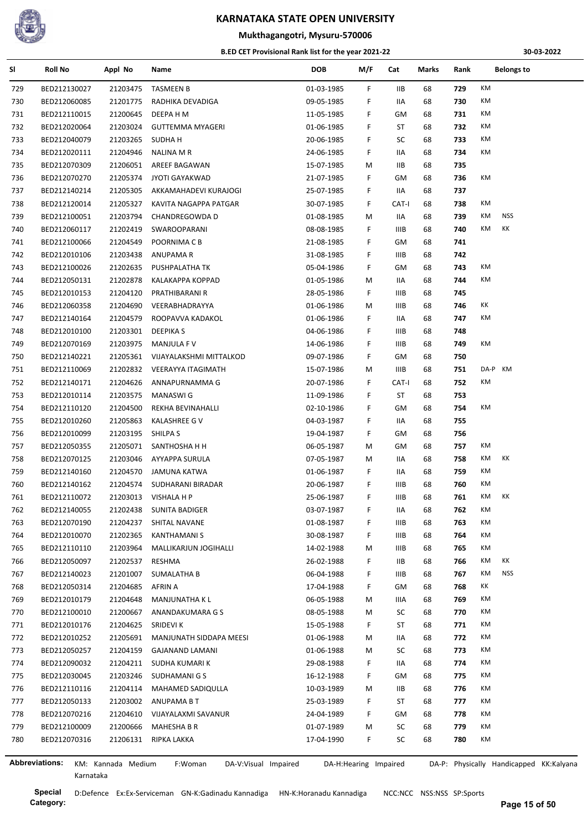

## **Mukthagangotri, Mysuru-570006**

#### **B.ED CET Provisional Rank list for the year 2021-22**

**30-03-2022**

| SI  | <b>Roll No</b>               | Appl No            | Name                            | <b>DOB</b>               | M/F                   | Cat         | Marks | Rank | <b>Belongs to</b>                       |  |
|-----|------------------------------|--------------------|---------------------------------|--------------------------|-----------------------|-------------|-------|------|-----------------------------------------|--|
| 729 | BED212130027                 | 21203475           | <b>TASMEEN B</b>                | 01-03-1985               | F                     | IIB         | 68    | 729  | KM                                      |  |
| 730 | BED212060085                 | 21201775           | RADHIKA DEVADIGA                | 09-05-1985               | F                     | IIA         | 68    | 730  | КM                                      |  |
| 731 | BED212110015                 | 21200645           | DEEPA H M                       | 11-05-1985               | F                     | GM          | 68    | 731  | КM                                      |  |
| 732 | BED212020064                 | 21203024           | <b>GUTTEMMA MYAGERI</b>         | 01-06-1985               | F                     | ST          | 68    | 732  | КM                                      |  |
| 733 | BED212040079                 | 21203265           | SUDHA H                         | 20-06-1985               | F                     | SC          | 68    | 733  | КM                                      |  |
| 734 | BED212020111                 | 21204946           | NALINA M R                      | 24-06-1985               | F                     | IIA         | 68    | 734  | KM                                      |  |
| 735 | BED212070309                 | 21206051           | AREEF BAGAWAN                   | 15-07-1985               | М                     | <b>IIB</b>  | 68    | 735  |                                         |  |
| 736 | BED212070270                 | 21205374           | JYOTI GAYAKWAD                  | 21-07-1985               | F.                    | GM          | 68    | 736  | KM                                      |  |
| 737 | BED212140214                 | 21205305           | AKKAMAHADEVI KURAJOGI           | 25-07-1985               | F.                    | IIA         | 68    | 737  |                                         |  |
| 738 | BED212120014                 | 21205327           | KAVITA NAGAPPA PATGAR           | 30-07-1985               | F                     | CAT-I       | 68    | 738  | КM                                      |  |
| 739 | BED212100051                 | 21203794           | CHANDREGOWDA D                  | 01-08-1985               | М                     | IIA         | 68    | 739  | <b>NSS</b><br>KM                        |  |
| 740 | BED212060117                 | 21202419           | SWAROOPARANI                    | 08-08-1985               | F                     | <b>IIIB</b> | 68    | 740  | КK<br>КM                                |  |
| 741 | BED212100066                 | 21204549           | POORNIMA C B                    | 21-08-1985               | F                     | GM          | 68    | 741  |                                         |  |
| 742 | BED212010106                 | 21203438           | ANUPAMA R                       | 31-08-1985               | F                     | IIIB        | 68    | 742  |                                         |  |
| 743 | BED212100026                 | 21202635           | PUSHPALATHA TK                  | 05-04-1986               | F                     | GM          | 68    | 743  | КM                                      |  |
| 744 | BED212050131                 | 21202878           | <b>KALAKAPPA KOPPAD</b>         | 01-05-1986               | М                     | IIA         | 68    | 744  | KM                                      |  |
| 745 | BED212010153                 | 21204120           | PRATHIBARANI R                  | 28-05-1986               | F                     | IIIB        | 68    | 745  |                                         |  |
| 746 | BED212060358                 | 21204690           | VEERABHADRAYYA                  | 01-06-1986               | М                     | <b>IIIB</b> | 68    | 746  | ΚK                                      |  |
| 747 | BED212140164                 | 21204579           | ROOPAVVA KADAKOL                | 01-06-1986               | F                     | IIA         | 68    | 747  | КM                                      |  |
| 748 | BED212010100                 | 21203301           | DEEPIKA S                       | 04-06-1986               | F                     | <b>IIIB</b> | 68    | 748  |                                         |  |
| 749 | BED212070169                 | 21203975           | <b>MANJULA F V</b>              | 14-06-1986               | F.                    | <b>IIIB</b> | 68    | 749  | КM                                      |  |
| 750 | BED212140221                 | 21205361           | VIJAYALAKSHMI MITTALKOD         | 09-07-1986               | F.                    | GM          | 68    | 750  |                                         |  |
| 751 | BED212110069                 | 21202832           | VEERAYYA ITAGIMATH              | 15-07-1986               | М                     | <b>IIIB</b> | 68    | 751  | KM<br>DA-P                              |  |
| 752 | BED212140171                 | 21204626           | ANNAPURNAMMA G                  | 20-07-1986               | F                     | CAT-I       | 68    | 752  | КM                                      |  |
| 753 | BED212010114                 | 21203575           | MANASWI G                       | 11-09-1986               | F                     | ST          | 68    | 753  |                                         |  |
| 754 | BED212110120                 | 21204500           | REKHA BEVINAHALLI               | 02-10-1986               | F                     | GM          | 68    | 754  | КM                                      |  |
| 755 | BED212010260                 | 21205863           | KALASHREE G V                   | 04-03-1987               | F                     | IIA         | 68    | 755  |                                         |  |
| 756 | BED212010099                 | 21203195           | SHILPA S                        | 19-04-1987               | F.                    | GM          | 68    | 756  |                                         |  |
| 757 |                              | 21205071           |                                 |                          |                       | GM          | 68    | 757  | КM                                      |  |
| 758 | BED212050355<br>BED212070125 | 21203046           | SANTHOSHA H H<br>AYYAPPA SURULA | 06-05-1987<br>07-05-1987 | М<br>М                | IIA         | 68    | 758  | КK<br>КM                                |  |
|     |                              |                    |                                 |                          |                       |             |       |      | КM                                      |  |
| 759 | BED212140160                 | 21204570           | JAMUNA KATWA                    | 01-06-1987               | F.                    | IIA         | 68    | 759  | КM                                      |  |
| 760 | BED212140162                 | 21204574           | SUDHARANI BIRADAR               | 20-06-1987               | F                     | <b>IIIB</b> | 68    | 760  |                                         |  |
| 761 | BED212110072                 | 21203013           | VISHALA H P                     | 25-06-1987               | F                     | IIIB        | 68    | 761  | КM<br>КK                                |  |
| 762 | BED212140055                 | 21202438           | <b>SUNITA BADIGER</b>           | 03-07-1987               | F                     | IIA         | 68    | 762  | KM                                      |  |
| 763 | BED212070190                 | 21204237           | SHITAL NAVANE                   | 01-08-1987               | F                     | IIIB        | 68    | 763  | КM                                      |  |
| 764 | BED212010070                 | 21202365           | KANTHAMANI S                    | 30-08-1987               | F                     | IIIB        | 68    | 764  | КM                                      |  |
| 765 | BED212110110                 | 21203964           | MALLIKARJUN JOGIHALLI           | 14-02-1988               | М                     | <b>IIIB</b> | 68    | 765  | КM                                      |  |
| 766 | BED212050097                 | 21202537           | RESHMA                          | 26-02-1988               | F                     | IIВ         | 68    | 766  | KK<br>КM                                |  |
| 767 | BED212140023                 | 21201007           | SUMALATHA B                     | 06-04-1988               | F                     | IIIB        | 68    | 767  | <b>NSS</b><br>KM                        |  |
| 768 | BED212050314                 | 21204685           | AFRIN A                         | 17-04-1988               | F                     | GМ          | 68    | 768  | ΚK                                      |  |
| 769 | BED212010179                 | 21204648           | MANJUNATHA K L                  | 06-05-1988               | М                     | IIIA        | 68    | 769  | КM                                      |  |
| 770 | BED212100010                 | 21200667           | ANANDAKUMARA G S                | 08-05-1988               | М                     | SC          | 68    | 770  | КM                                      |  |
| 771 | BED212010176                 | 21204625           | SRIDEVI K                       | 15-05-1988               | F                     | ST          | 68    | 771  | КM                                      |  |
| 772 | BED212010252                 | 21205691           | MANJUNATH SIDDAPA MEESI         | 01-06-1988               | М                     | IIA         | 68    | 772  | КM                                      |  |
| 773 | BED212050257                 | 21204159           | <b>GAJANAND LAMANI</b>          | 01-06-1988               | М                     | SC          | 68    | 773  | КM                                      |  |
| 774 | BED212090032                 | 21204211           | SUDHA KUMARI K                  | 29-08-1988               | F                     | IIA         | 68    | 774  | КM                                      |  |
| 775 | BED212030045                 | 21203246           | SUDHAMANI G S                   | 16-12-1988               | F.                    | GM          | 68    | 775  | KM                                      |  |
| 776 | BED212110116                 | 21204114           | MAHAMED SADIQULLA               | 10-03-1989               | М                     | IIB         | 68    | 776  | КM                                      |  |
| 777 | BED212050133                 | 21203002           | ANUPAMA B T                     | 25-03-1989               | F                     | ST          | 68    | 777  | КM                                      |  |
| 778 | BED212070216                 | 21204610           | VIJAYALAXMI SAVANUR             | 24-04-1989               | F                     | GМ          | 68    | 778  | KM                                      |  |
| 779 | BED212100009                 | 21200666           | MAHESHA B R                     | 01-07-1989               | М                     | SC          | 68    | 779  | КM                                      |  |
| 780 | BED212070316                 | 21206131           | RIPKA LAKKA                     | 17-04-1990               | F                     | SC          | 68    | 780  | КM                                      |  |
|     |                              |                    |                                 |                          |                       |             |       |      |                                         |  |
|     | <b>Abbreviations:</b>        | KM: Kannada Medium | F:Woman<br>DA-V:Visual Impaired |                          | DA-H:Hearing Impaired |             |       |      | DA-P: Physically Handicapped KK:Kalyana |  |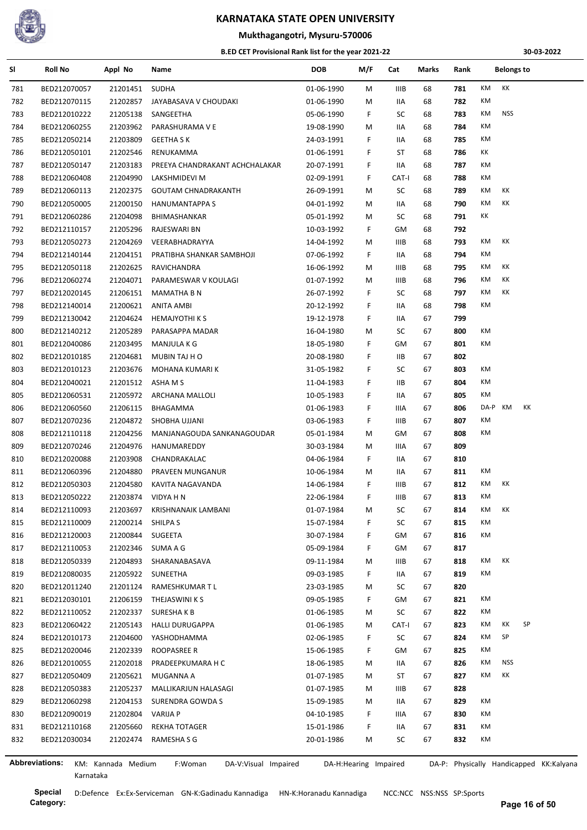

## **Mukthagangotri, Mysuru-570006**

#### **B.ED CET Provisional Rank list for the year 2021-22**

**30-03-2022**

| SI  | <b>Roll No</b>        | Appl No            | Name                            | <b>DOB</b> | M/F                   | Cat         | Marks | Rank |         | <b>Belongs to</b> |    |                                         |
|-----|-----------------------|--------------------|---------------------------------|------------|-----------------------|-------------|-------|------|---------|-------------------|----|-----------------------------------------|
| 781 | BED212070057          | 21201451           | <b>SUDHA</b>                    | 01-06-1990 | M                     | <b>IIIB</b> | 68    | 781  | KM      | КK                |    |                                         |
| 782 | BED212070115          | 21202857           | JAYABASAVA V CHOUDAKI           | 01-06-1990 | M                     | IIA         | 68    | 782  | KM      |                   |    |                                         |
| 783 | BED212010222          | 21205138           | SANGEETHA                       | 05-06-1990 | F.                    | SC          | 68    | 783  | KM      | <b>NSS</b>        |    |                                         |
| 784 | BED212060255          | 21203962           | PARASHURAMA V E                 | 19-08-1990 | М                     | IIA         | 68    | 784  | KM      |                   |    |                                         |
| 785 | BED212050214          | 21203809           | <b>GEETHA S K</b>               | 24-03-1991 | F.                    | IIA         | 68    | 785  | КM      |                   |    |                                         |
| 786 | BED212050101          | 21202546           | RENUKAMMA                       | 01-06-1991 | F.                    | ST          | 68    | 786  | КK      |                   |    |                                         |
| 787 | BED212050147          | 21203183           | PREEYA CHANDRAKANT ACHCHALAKAR  | 20-07-1991 | F.                    | IIA         | 68    | 787  | КM      |                   |    |                                         |
| 788 | BED212060408          | 21204990           | LAKSHMIDEVI M                   | 02-09-1991 | F.                    | CAT-I       | 68    | 788  | КM      |                   |    |                                         |
| 789 | BED212060113          | 21202375           | <b>GOUTAM CHNADRAKANTH</b>      | 26-09-1991 | M                     | SC          | 68    | 789  | KM      | КK                |    |                                         |
| 790 | BED212050005          | 21200150           | <b>HANUMANTAPPA S</b>           | 04-01-1992 | M                     | IIA         | 68    | 790  | KM      | КK                |    |                                         |
| 791 | BED212060286          | 21204098           | BHIMASHANKAR                    | 05-01-1992 | M                     | SC          | 68    | 791  | КK      |                   |    |                                         |
| 792 | BED212110157          | 21205296           | RAJESWARI BN                    | 10-03-1992 | F.                    | GМ          | 68    | 792  |         |                   |    |                                         |
| 793 | BED212050273          | 21204269           | VEERABHADRAYYA                  | 14-04-1992 | M                     | IIIB        | 68    | 793  | KM      | КK                |    |                                         |
| 794 | BED212140144          | 21204151           | PRATIBHA SHANKAR SAMBHOJI       | 07-06-1992 | F.                    | IIA         | 68    | 794  | KM      |                   |    |                                         |
| 795 | BED212050118          | 21202625           | RAVICHANDRA                     | 16-06-1992 | M                     | IIIB        | 68    | 795  | KM      | КK                |    |                                         |
| 796 | BED212060274          | 21204071           | PARAMESWAR V KOULAGI            | 01-07-1992 | M                     | IIIB        | 68    | 796  | KM      | КK                |    |                                         |
| 797 | BED212020145          | 21206151           | MAMATHA B N                     | 26-07-1992 | F.                    | SC          | 68    | 797  | КM      | КK                |    |                                         |
| 798 | BED212140014          | 21200621           | ANITA AMBI                      | 20-12-1992 | F.                    | IIA         | 68    | 798  | КM      |                   |    |                                         |
| 799 | BED212130042          | 21204624           | <b>HEMAJYOTHI K S</b>           | 19-12-1978 | F.                    | IIA         | 67    | 799  |         |                   |    |                                         |
| 800 | BED212140212          | 21205289           | PARASAPPA MADAR                 | 16-04-1980 | M                     | SC          | 67    | 800  | КM      |                   |    |                                         |
| 801 | BED212040086          | 21203495           | MANJULA K G                     | 18-05-1980 | F.                    | GМ          | 67    | 801  | КM      |                   |    |                                         |
| 802 | BED212010185          | 21204681           | MUBIN TAJ H O                   | 20-08-1980 | F.                    | IIB.        | 67    | 802  |         |                   |    |                                         |
| 803 | BED212010123          | 21203676           | MOHANA KUMARI K                 | 31-05-1982 | F.                    | SC          | 67    | 803  | KM      |                   |    |                                         |
| 804 | BED212040021          | 21201512           | ASHA M S                        | 11-04-1983 | F.                    | IIB.        | 67    | 804  | КM      |                   |    |                                         |
| 805 | BED212060531          | 21205972           | ARCHANA MALLOLI                 | 10-05-1983 | F.                    | IIA         | 67    | 805  | КM      |                   |    |                                         |
| 806 | BED212060560          | 21206115           | BHAGAMMA                        | 01-06-1983 | F.                    | IIIA        | 67    | 806  | DA-P KM |                   | КK |                                         |
| 807 | BED212070236          | 21204872           | SHOBHA UJJANI                   | 03-06-1983 | F.                    | IIIB        | 67    | 807  | KM      |                   |    |                                         |
| 808 | BED212110118          | 21204256           | MANJANAGOUDA SANKANAGOUDAR      | 05-01-1984 | M                     | GM          | 67    | 808  | КM      |                   |    |                                         |
| 809 | BED212070246          | 21204976           | HANUMAREDDY                     | 30-03-1984 | M                     | IIIA        | 67    | 809  |         |                   |    |                                         |
| 810 | BED212020088          | 21203908           | CHANDRAKALAC                    | 04-06-1984 | F.                    | IIA         | 67    | 810  |         |                   |    |                                         |
| 811 | BED212060396          | 21204880           | PRAVEEN MUNGANUR                | 10-06-1984 | М                     | IIA         | 67    | 811  | КM      |                   |    |                                         |
| 812 | BED212050303          | 21204580           | KAVITA NAGAVANDA                | 14-06-1984 | F.                    | <b>IIIB</b> | 67    | 812  | KM      | КK                |    |                                         |
| 813 | BED212050222          | 21203874           | VIDYA H N                       | 22-06-1984 | F.                    | <b>IIIB</b> | 67    | 813  | КM      |                   |    |                                         |
| 814 | BED212110093          | 21203697           | <b>KRISHNANAIK LAMBANI</b>      | 01-07-1984 | M                     | SC          | 67    | 814  | КM      | КK                |    |                                         |
| 815 | BED212110009          | 21200214           | SHILPA S                        | 15-07-1984 | F.                    | SC          | 67    | 815  | КM      |                   |    |                                         |
| 816 | BED212120003          | 21200844           | SUGEETA                         | 30-07-1984 | F.                    | GМ          | 67    | 816  | КM      |                   |    |                                         |
| 817 | BED212110053          | 21202346           | SUMA A G                        | 05-09-1984 | F.                    | GM          | 67    | 817  |         |                   |    |                                         |
| 818 | BED212050339          | 21204893           | SHARANABASAVA                   | 09-11-1984 | M                     | IIIB        | 67    | 818  | КM      | КK                |    |                                         |
| 819 | BED212080035          | 21205922           | SUNEETHA                        | 09-03-1985 | F.                    | IIA         | 67    | 819  | KM      |                   |    |                                         |
| 820 | BED212011240          | 21201124           | RAMESHKUMAR T L                 | 23-03-1985 | М                     | SC          | 67    | 820  |         |                   |    |                                         |
| 821 | BED212030101          | 21206159           | THEJASWINI K S                  | 09-05-1985 | F.                    | GM          | 67    | 821  | КM      |                   |    |                                         |
| 822 | BED212110052          | 21202337           | SURESHAKB                       | 01-06-1985 | M                     | SC          | 67    | 822  | КM      |                   |    |                                         |
| 823 | BED212060422          | 21205143           | <b>HALLI DURUGAPPA</b>          | 01-06-1985 | М                     | CAT-I       | 67    | 823  | КM      | КK                | SP |                                         |
| 824 | BED212010173          | 21204600           |                                 |            | F.                    | SC          | 67    | 824  | КM      | SP                |    |                                         |
|     |                       |                    | YASHODHAMMA                     | 02-06-1985 |                       |             |       |      | КM      |                   |    |                                         |
| 825 | BED212020046          | 21202339           | ROOPASREE R                     | 15-06-1985 | F.                    | GM          | 67    | 825  |         |                   |    |                                         |
| 826 | BED212010055          | 21202018           | PRADEEPKUMARA H C               | 18-06-1985 | M                     | IIA         | 67    | 826  | КM      | <b>NSS</b><br>КK  |    |                                         |
| 827 | BED212050409          | 21205621           | MUGANNA A                       | 01-07-1985 | M                     | ST          | 67    | 827  | KM      |                   |    |                                         |
| 828 | BED212050383          | 21205237           | MALLIKARJUN HALASAGI            | 01-07-1985 | M                     | <b>IIIB</b> | 67    | 828  |         |                   |    |                                         |
| 829 | BED212060298          | 21204153           | SURENDRA GOWDA S                | 15-09-1985 | M                     | IIA         | 67    | 829  | КM      |                   |    |                                         |
| 830 | BED212090019          | 21202804           | <b>VARIJA P</b>                 | 04-10-1985 | F.                    | IIIA        | 67    | 830  | КM      |                   |    |                                         |
| 831 | BED212110168          | 21205660           | <b>REKHA TOTAGER</b>            | 15-01-1986 | F.                    | IIA         | 67    | 831  | КM      |                   |    |                                         |
| 832 | BED212030034          | 21202474           | RAMESHA S G                     | 20-01-1986 | М                     | SC          | 67    | 832  | КM      |                   |    |                                         |
|     | <b>Abbreviations:</b> | KM: Kannada Medium | F:Woman<br>DA-V:Visual Impaired |            | DA-H:Hearing Impaired |             |       |      |         |                   |    | DA-P: Physically Handicapped KK:Kalyana |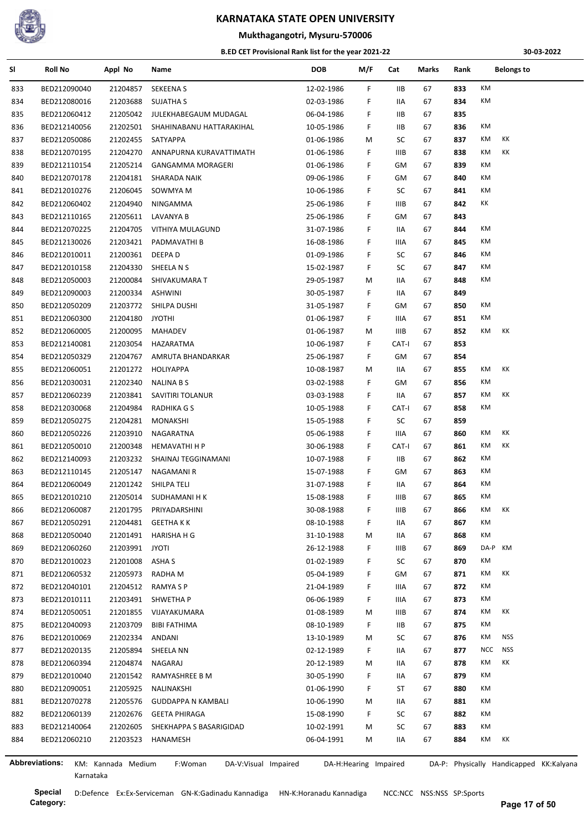

# **Mukthagangotri, Mysuru-570006**

#### **B.ED CET Provisional Rank list for the year 2021-22**

**30-03-2022**

| SI  | <b>Roll No</b> | Appl No            | Name                             | <b>DOB</b> | M/F                   | Cat   | Marks | Rank |            | <b>Belongs to</b>                       |
|-----|----------------|--------------------|----------------------------------|------------|-----------------------|-------|-------|------|------------|-----------------------------------------|
| 833 | BED212090040   | 21204857           | <b>SEKEENA S</b>                 | 12-02-1986 | F.                    | IIВ   | 67    | 833  | KM         |                                         |
| 834 | BED212080016   | 21203688           | <b>SUJATHA S</b>                 | 02-03-1986 | F.                    | IIA   | 67    | 834  | KM         |                                         |
| 835 | BED212060412   | 21205042           | JULEKHABEGAUM MUDAGAL            | 06-04-1986 | F.                    | IIB.  | 67    | 835  |            |                                         |
| 836 | BED212140056   | 21202501           | SHAHINABANU HATTARAKIHAL         | 10-05-1986 | F.                    | IIВ   | 67    | 836  | КM         |                                         |
| 837 | BED212050086   | 21202455           | SATYAPPA                         | 01-06-1986 | М                     | SC    | 67    | 837  | KM         | КK                                      |
| 838 | BED212070195   | 21204270           | ANNAPURNA KURAVATTIMATH          | 01-06-1986 | F.                    | IIIB  | 67    | 838  | KM         | КK                                      |
| 839 | BED212110154   | 21205214           | <b>GANGAMMA MORAGERI</b>         | 01-06-1986 | F                     | GM    | 67    | 839  | КM         |                                         |
| 840 | BED212070178   | 21204181           | SHARADA NAIK                     | 09-06-1986 | F.                    | GM    | 67    | 840  | КM         |                                         |
| 841 | BED212010276   | 21206045           | SOWMYA M                         | 10-06-1986 | F.                    | SC    | 67    | 841  | KM         |                                         |
| 842 | BED212060402   | 21204940           | NINGAMMA                         | 25-06-1986 | F                     | IIIB  | 67    | 842  | КK         |                                         |
| 843 | BED212110165   | 21205611           | LAVANYA B                        | 25-06-1986 | F.                    | GM    | 67    | 843  |            |                                         |
| 844 | BED212070225   | 21204705           | VITHIYA MULAGUND                 | 31-07-1986 | F.                    | IIA   | 67    | 844  | KM         |                                         |
| 845 | BED212130026   | 21203421           | PADMAVATHI B                     | 16-08-1986 | F                     | IIIA  | 67    | 845  | КM         |                                         |
| 846 | BED212010011   | 21200361 DEEPA D   |                                  | 01-09-1986 | F                     | SC    | 67    | 846  | КM         |                                         |
| 847 | BED212010158   | 21204330           | SHEELA N S                       | 15-02-1987 | F.                    | SC    | 67    | 847  | KM         |                                         |
| 848 | BED212050003   | 21200084           | SHIVAKUMARA T                    | 29-05-1987 | М                     | IIA   | 67    | 848  | КM         |                                         |
| 849 | BED212090003   | 21200334           | ASHWINI                          | 30-05-1987 | F.                    | IIA   | 67    | 849  |            |                                         |
| 850 | BED212050209   | 21203772           | SHILPA DUSHI                     | 31-05-1987 | F.                    | GM    | 67    | 850  | КM         |                                         |
| 851 | BED212060300   | 21204180           | JYOTHI                           | 01-06-1987 | F.                    | IIIA  | 67    | 851  | КM         |                                         |
| 852 | BED212060005   | 21200095           | MAHADEV                          | 01-06-1987 | M                     | IIIB  | 67    | 852  | KM         | КK                                      |
| 853 | BED212140081   | 21203054           | HAZARATMA                        | 10-06-1987 | F.                    | CAT-I | 67    | 853  |            |                                         |
| 854 | BED212050329   | 21204767           | AMRUTA BHANDARKAR                | 25-06-1987 | F.                    | GM    | 67    | 854  |            |                                         |
|     |                |                    |                                  |            |                       |       |       |      | KM         | КK                                      |
| 855 | BED212060051   | 21201272           | HOLIYAPPA                        | 10-08-1987 | М                     | IIA   | 67    | 855  | КM         |                                         |
| 856 | BED212030031   | 21202340           | NALINA B S                       | 03-02-1988 | F.                    | GM    | 67    | 856  | KM         | КK                                      |
| 857 | BED212060239   | 21203841           | SAVITIRI TOLANUR                 | 03-03-1988 | F.                    | IIA   | 67    | 857  | KM         |                                         |
| 858 | BED212030068   | 21204984           | RADHIKA G S                      | 10-05-1988 | F.                    | CAT-I | 67    | 858  |            |                                         |
| 859 | BED212050275   | 21204281           | MONAKSHI                         | 15-05-1988 | F.                    | SC    | 67    | 859  |            |                                         |
| 860 | BED212050226   | 21203910           | NAGARATNA                        | 05-06-1988 | F.                    | IIIA  | 67    | 860  | КM         | КK                                      |
| 861 | BED212050010   | 21200348           | <b>HEMAVATHI H P</b>             | 30-06-1988 | F.                    | CAT-I | 67    | 861  | KM         | КK                                      |
| 862 | BED212140093   | 21203232           | SHAINAJ TEGGINAMANI              | 10-07-1988 | F.                    | IIB   | 67    | 862  | КM         |                                         |
| 863 | BED212110145   | 21205147           | NAGAMANI R                       | 15-07-1988 | F.                    | GM    | 67    | 863  | КM         |                                         |
| 864 | BED212060049   | 21201242           | SHILPA TELI                      | 31-07-1988 | F                     | IIA   | 67    | 864  | КM         |                                         |
| 865 | BED212010210   | 21205014           | SUDHAMANI H K                    | 15-08-1988 | F.                    | IIIB  | 67    | 865  | КM         |                                         |
| 866 | BED212060087   | 21201795           | PRIYADARSHINI                    | 30-08-1988 | F.                    | IIIB  | 67    | 866  | КM         | КK                                      |
| 867 | BED212050291   | 21204481           | <b>GEETHA K K</b>                | 08-10-1988 | F.                    | IIA   | 67    | 867  | KM         |                                         |
| 868 | BED212050040   | 21201491           | HARISHA H G                      | 31-10-1988 | M                     | IIA   | 67    | 868  | КM         |                                         |
| 869 | BED212060260   | 21203991           | <b>JYOTI</b>                     | 26-12-1988 | F.                    | IIIB  | 67    | 869  | DA-P KM    |                                         |
| 870 | BED212010023   | 21201008 ASHA S    |                                  | 01-02-1989 | F.                    | SC    | 67    | 870  | КM         |                                         |
| 871 | BED212060532   |                    | 21205973 RADHA M                 | 05-04-1989 | F.                    | GМ    | 67    | 871  | KM         | КK                                      |
| 872 | BED212040101   | 21204512           | RAMYA S P                        | 21-04-1989 | F.                    | IIIA  | 67    | 872  | КM         |                                         |
| 873 | BED212010111   |                    | 21203491 SHWETHA P               | 06-06-1989 | F.                    | IIIA  | 67    | 873  | КM         |                                         |
| 874 | BED212050051   | 21201855           | VIJAYAKUMARA                     | 01-08-1989 | M                     | IIIB  | 67    | 874  | KM         | KK                                      |
| 875 | BED212040093   | 21203709           | <b>BIBI FATHIMA</b>              | 08-10-1989 | F.                    | IIВ   | 67    | 875  | КM         |                                         |
| 876 | BED212010069   | 21202334           | ANDANI                           | 13-10-1989 | M                     | SC    | 67    | 876  | KM         | <b>NSS</b>                              |
| 877 | BED212020135   | 21205894           | SHEELA NN                        | 02-12-1989 | F.                    | IIA   | 67    | 877  | <b>NCC</b> | <b>NSS</b>                              |
| 878 | BED212060394   | 21204874           | NAGARAJ                          | 20-12-1989 | M                     | IIA   | 67    | 878  | KM         | КK                                      |
| 879 | BED212010040   | 21201542           | RAMYASHREE B M                   | 30-05-1990 | F.                    | IIA   | 67    | 879  | KM         |                                         |
| 880 | BED212090051   | 21205925           | NALINAKSHI                       | 01-06-1990 | F.                    | ST    | 67    | 880  | КM         |                                         |
| 881 | BED212070278   | 21205576           | <b>GUDDAPPA N KAMBALI</b>        | 10-06-1990 | M                     | IIA   | 67    | 881  | КM         |                                         |
| 882 | BED212060139   | 21202676           | GEETA PHIRAGA                    | 15-08-1990 | F.                    | SC    | 67    | 882  | KM         |                                         |
| 883 | BED212140064   |                    | 21202605 SHEKHAPPA S BASARIGIDAD | 10-02-1991 | М                     | SC    | 67    | 883  | KM         |                                         |
| 884 | BED212060210   | 21203523           | HANAMESH                         | 06-04-1991 | M                     | IIA   | 67    | 884  | KM         | КK                                      |
|     |                |                    |                                  |            |                       |       |       |      |            |                                         |
|     | Abbreviations: | KM: Kannada Medium | F:Woman<br>DA-V:Visual Impaired  |            | DA-H:Hearing Impaired |       |       |      |            | DA-P: Physically Handicapped KK:Kalyana |

l,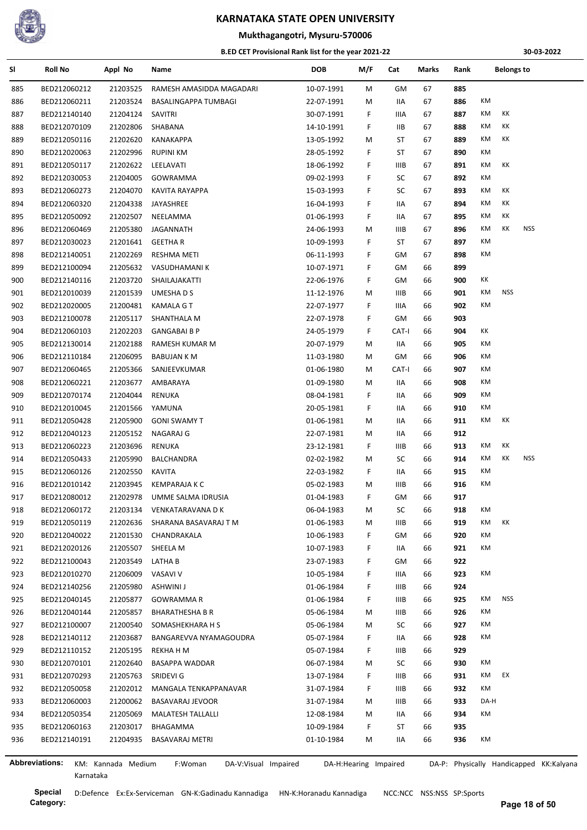

## **Mukthagangotri, Mysuru-570006**

#### **B.ED CET Provisional Rank list for the year 2021-22**

**30-03-2022**

| SI  | <b>Roll No</b>        | Appl No            | Name                            | <b>DOB</b> | M/F                   | Cat         | Marks | Rank | <b>Belongs to</b> |                                         |
|-----|-----------------------|--------------------|---------------------------------|------------|-----------------------|-------------|-------|------|-------------------|-----------------------------------------|
| 885 | BED212060212          | 21203525           | RAMESH AMASIDDA MAGADARI        | 10-07-1991 | М                     | GМ          | 67    | 885  |                   |                                         |
| 886 | BED212060211          | 21203524           | BASALINGAPPA TUMBAGI            | 22-07-1991 | М                     | IIA         | 67    | 886  | КM                |                                         |
| 887 | BED212140140          | 21204124           | SAVITRI                         | 30-07-1991 | F                     | IIIA        | 67    | 887  | КM<br>КK          |                                         |
| 888 | BED212070109          | 21202806           | SHABANA                         | 14-10-1991 | F                     | <b>IIB</b>  | 67    | 888  | КK<br>КM          |                                         |
| 889 | BED212050116          | 21202620           | KANAKAPPA                       | 13-05-1992 | М                     | ST          | 67    | 889  | КK<br>КM          |                                         |
| 890 | BED212020063          | 21202996           | <b>RUPINI KM</b>                | 28-05-1992 | F                     | ST          | 67    | 890  | KM                |                                         |
| 891 | BED212050117          | 21202622           | LEELAVATI                       | 18-06-1992 | F                     | <b>IIIB</b> | 67    | 891  | КK<br>КM          |                                         |
| 892 | BED212030053          | 21204005           | GOWRAMMA                        | 09-02-1993 | F                     | SC          | 67    | 892  | KM                |                                         |
| 893 | BED212060273          | 21204070           | KAVITA RAYAPPA                  | 15-03-1993 | F                     | SC          | 67    | 893  | КK<br>КM          |                                         |
| 894 | BED212060320          | 21204338           | JAYASHREE                       | 16-04-1993 | F                     | IIА         | 67    | 894  | КK<br>КM          |                                         |
| 895 | BED212050092          | 21202507           | NEELAMMA                        | 01-06-1993 | F                     | IIА         | 67    | 895  | КK<br>КM          |                                         |
| 896 | BED212060469          | 21205380           | <b>JAGANNATH</b>                | 24-06-1993 | М                     | <b>IIIB</b> | 67    | 896  | КM<br>КK          | <b>NSS</b>                              |
| 897 | BED212030023          | 21201641           | <b>GEETHAR</b>                  | 10-09-1993 | F                     | ST          | 67    | 897  | КM                |                                         |
| 898 | BED212140051          | 21202269           | RESHMA METI                     | 06-11-1993 | F                     | GМ          | 67    | 898  | КM                |                                         |
| 899 | BED212100094          | 21205632           | VASUDHAMANI K                   | 10-07-1971 | F                     | GМ          | 66    | 899  |                   |                                         |
| 900 | BED212140116          | 21203720           | SHAILAJAKATTI                   | 22-06-1976 | F                     | GМ          | 66    | 900  | КK                |                                         |
| 901 | BED212010039          | 21201539           | UMESHA D S                      | 11-12-1976 | М                     | <b>IIIB</b> | 66    | 901  | КM<br><b>NSS</b>  |                                         |
| 902 | BED212020005          | 21200481           | <b>KAMALA G T</b>               | 22-07-1977 | F                     | IIIA        | 66    | 902  | КM                |                                         |
| 903 | BED212100078          | 21205117           | SHANTHALA M                     | 22-07-1978 | F                     | GМ          | 66    | 903  |                   |                                         |
| 904 | BED212060103          | 21202203           | <b>GANGABAI B P</b>             | 24-05-1979 | F                     | CAT-I       | 66    | 904  | КK                |                                         |
| 905 | BED212130014          | 21202188           | RAMESH KUMAR M                  | 20-07-1979 | М                     | IIA         | 66    | 905  | КM                |                                         |
| 906 | BED212110184          | 21206095           | BABUJAN K M                     | 11-03-1980 | М                     | GМ          | 66    | 906  | КM                |                                         |
| 907 | BED212060465          | 21205366           | SANJEEVKUMAR                    | 01-06-1980 | м                     | CAT-I       | 66    | 907  | КM                |                                         |
| 908 | BED212060221          | 21203677           | AMBARAYA                        | 01-09-1980 | М                     | IIA         | 66    | 908  | КM                |                                         |
| 909 | BED212070174          | 21204044           | <b>RENUKA</b>                   | 08-04-1981 | F                     | IIA         | 66    | 909  | КM                |                                         |
| 910 | BED212010045          | 21201566           | YAMUNA                          | 20-05-1981 | F                     | IIА         | 66    | 910  | КM                |                                         |
| 911 | BED212050428          | 21205900           | <b>GONI SWAMY T</b>             | 01-06-1981 | М                     | IIA         | 66    | 911  | КM<br>КK          |                                         |
| 912 | BED212040123          | 21205152           | NAGARAJ G                       | 22-07-1981 | М                     | IIA         | 66    | 912  |                   |                                         |
| 913 | BED212060223          | 21203696           | <b>RENUKA</b>                   | 23-12-1981 | F                     | IIIB        | 66    | 913  | КM<br>КK          |                                         |
| 914 | BED212050433          | 21205990           | BALCHANDRA                      | 02-02-1982 | м                     | SC          | 66    | 914  | КK<br>КM          | <b>NSS</b>                              |
| 915 | BED212060126          | 21202550           | <b>KAVITA</b>                   | 22-03-1982 | F.                    | IIA         | 66    | 915  | КM                |                                         |
| 916 | BED212010142          | 21203945           | KEMPARAJA K C                   | 05-02-1983 | м                     | <b>IIIB</b> | 66    | 916  | КM                |                                         |
| 917 | BED212080012          | 21202978           | UMME SALMA IDRUSIA              | 01-04-1983 | F                     | GM          | 66    | 917  |                   |                                         |
| 918 | BED212060172          | 21203134           | VENKATARAVANA D K               | 06-04-1983 | M                     | SC          | 66    | 918  | КM                |                                         |
| 919 | BED212050119          | 21202636           | SHARANA BASAVARAJ T M           | 01-06-1983 | M                     | IIIB        | 66    | 919  | KK<br>КM          |                                         |
| 920 | BED212040022          | 21201530           | CHANDRAKALA                     | 10-06-1983 | F.                    | GМ          | 66    | 920  | КM                |                                         |
| 921 | BED212020126          | 21205507           | SHEELA M                        | 10-07-1983 | F                     | IIA         | 66    | 921  | КM                |                                         |
| 922 | BED212100043          | 21203549           | LATHA B                         | 23-07-1983 | F                     | GМ          | 66    | 922  |                   |                                         |
| 923 | BED212010270          | 21206009           | VASAVI V                        | 10-05-1984 | F                     | IIIA        | 66    | 923  | КM                |                                         |
| 924 | BED212140256          | 21205980           | ASHWINI J                       | 01-06-1984 | F                     | <b>IIIB</b> | 66    | 924  |                   |                                         |
| 925 | BED212040145          | 21205877           | <b>GOWRAMMAR</b>                | 01-06-1984 | F                     | IIIB        | 66    | 925  | <b>NSS</b><br>КM  |                                         |
| 926 | BED212040144          | 21205857           | <b>BHARATHESHA B R</b>          | 05-06-1984 | м                     | IIIB        | 66    | 926  | КM                |                                         |
| 927 | BED212100007          | 21200540           | SOMASHEKHARA H S                | 05-06-1984 | М                     | SC          | 66    | 927  | КM                |                                         |
| 928 | BED212140112          | 21203687           | BANGAREVVA NYAMAGOUDRA          | 05-07-1984 | F                     | IIA         | 66    | 928  | КM                |                                         |
| 929 | BED212110152          | 21205195           | REKHA H M                       | 05-07-1984 | F.                    | IIIB        | 66    | 929  |                   |                                         |
| 930 | BED212070101          | 21202640           | BASAPPA WADDAR                  | 06-07-1984 | M                     | SC          | 66    | 930  | КM                |                                         |
| 931 | BED212070293          | 21205763           | SRIDEVI G                       | 13-07-1984 | F                     | IIIB        | 66    | 931  | EX<br>КM          |                                         |
| 932 | BED212050058          | 21202012           | MANGALA TENKAPPANAVAR           | 31-07-1984 | F                     | IIIB        | 66    | 932  | КM                |                                         |
| 933 | BED212060003          | 21200062           | BASAVARAJ JEVOOR                | 31-07-1984 | M                     | IIIB        | 66    | 933  | DA-H              |                                         |
| 934 | BED212050354          | 21205069           | MALATESH TALLALLI               | 12-08-1984 | M                     | 11A         | 66    | 934  | КM                |                                         |
| 935 | BED212060163          | 21203017           | BHAGAMMA                        | 10-09-1984 | F.                    | ST          | 66    | 935  |                   |                                         |
| 936 | BED212140191          | 21204935           | BASAVARAJ METRI                 | 01-10-1984 | М                     | IIA         | 66    | 936  | КM                |                                         |
|     |                       |                    |                                 |            |                       |             |       |      |                   |                                         |
|     | <b>Abbreviations:</b> | KM: Kannada Medium | F:Woman<br>DA-V:Visual Impaired |            | DA-H:Hearing Impaired |             |       |      |                   | DA-P: Physically Handicapped KK:Kalyana |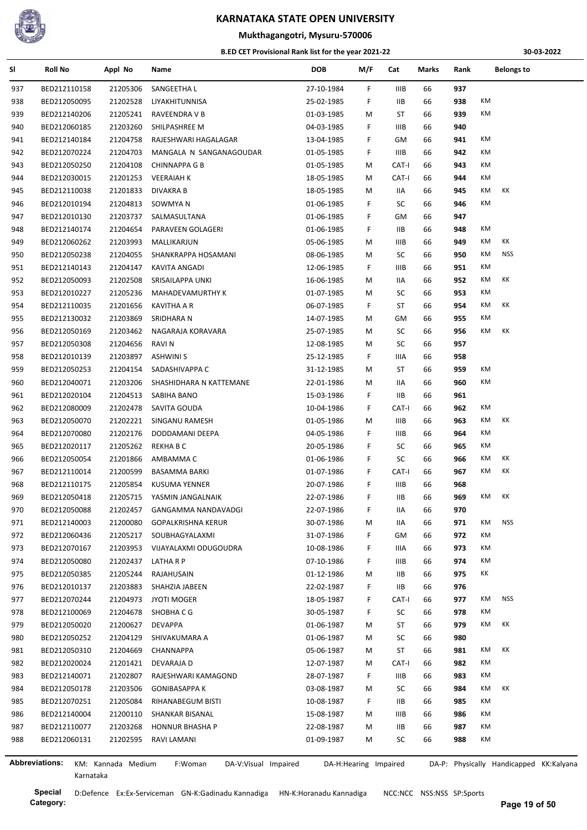

## **Mukthagangotri, Mysuru-570006**

#### **B.ED CET Provisional Rank list for the year 2021-22**

**30-03-2022**

| SI  | <b>Roll No</b>        | Appl No            | Name                            | <b>DOB</b> | M/F                   | Cat         | Marks | Rank | <b>Belongs to</b>                       |  |
|-----|-----------------------|--------------------|---------------------------------|------------|-----------------------|-------------|-------|------|-----------------------------------------|--|
| 937 | BED212110158          | 21205306           | SANGEETHA L                     | 27-10-1984 | F                     | IIIB        | 66    | 937  |                                         |  |
| 938 | BED212050095          | 21202528           | LIYAKHITUNNISA                  | 25-02-1985 | F                     | IIВ         | 66    | 938  | КM                                      |  |
| 939 | BED212140206          | 21205241           | RAVEENDRA V B                   | 01-03-1985 | М                     | ST          | 66    | 939  | КM                                      |  |
| 940 | BED212060185          | 21203260           | SHILPASHREE M                   | 04-03-1985 | F.                    | IIIB        | 66    | 940  |                                         |  |
| 941 | BED212140184          | 21204758           | RAJESHWARI HAGALAGAR            | 13-04-1985 | F                     | GM          | 66    | 941  | КM                                      |  |
| 942 | BED212070224          | 21204703           | MANGALA N SANGANAGOUDAR         | 01-05-1985 | F                     | IIIB        | 66    | 942  | КM                                      |  |
| 943 | BED212050250          | 21204108           | <b>CHINNAPPA G B</b>            | 01-05-1985 | М                     | CAT-I       | 66    | 943  | КM                                      |  |
| 944 | BED212030015          | 21201253           | <b>VEERAIAH K</b>               | 18-05-1985 | М                     | CAT-I       | 66    | 944  | КM                                      |  |
| 945 | BED212110038          | 21201833           | DIVAKRA B                       | 18-05-1985 | M                     | IIА         | 66    | 945  | КK<br>КM                                |  |
| 946 | BED212010194          | 21204813           | SOWMYA N                        | 01-06-1985 | F                     | SC          | 66    | 946  | КM                                      |  |
| 947 | BED212010130          | 21203737           | SALMASULTANA                    | 01-06-1985 | F                     | GM          | 66    | 947  |                                         |  |
| 948 | BED212140174          | 21204654           | PARAVEEN GOLAGERI               | 01-06-1985 | F                     | IIВ         | 66    | 948  | КM                                      |  |
| 949 | BED212060262          | 21203993           | MALLIKARJUN                     | 05-06-1985 | М                     | IIIB        | 66    | 949  | КK<br>КM                                |  |
| 950 | BED212050238          | 21204055           | SHANKRAPPA HOSAMANI             | 08-06-1985 | М                     | SC          | 66    | 950  | <b>NSS</b><br>КM                        |  |
| 951 | BED212140143          | 21204147           | KAVITA ANGADI                   | 12-06-1985 | F.                    | IIIB        | 66    | 951  | KM                                      |  |
| 952 | BED212050093          | 21202508           | SRISAILAPPA UNKI                | 16-06-1985 | М                     | IIA         | 66    | 952  | КK<br>КM                                |  |
| 953 | BED212010227          | 21205236           | MAHADEVAMURTHY K                | 01-07-1985 | М                     | SC          | 66    | 953  | КM                                      |  |
| 954 | BED212110035          | 21201656           | <b>KAVITHA A R</b>              | 06-07-1985 | F.                    | ST          | 66    | 954  | КK<br>КM                                |  |
| 955 | BED212130032          | 21203869           | SRIDHARA N                      | 14-07-1985 | М                     | GM          | 66    | 955  | КM                                      |  |
| 956 | BED212050169          | 21203462           | NAGARAJA KORAVARA               | 25-07-1985 | М                     | SC          | 66    | 956  | КM<br>КK                                |  |
| 957 | BED212050308          | 21204656           | RAVI N                          | 12-08-1985 | М                     | SC          | 66    | 957  |                                         |  |
| 958 | BED212010139          | 21203897           | <b>ASHWINI S</b>                | 25-12-1985 | F.                    | IIIA        | 66    | 958  |                                         |  |
| 959 | BED212050253          | 21204154           | SADASHIVAPPA C                  | 31-12-1985 | М                     | ST          | 66    | 959  | КM                                      |  |
| 960 | BED212040071          | 21203206           | SHASHIDHARA N KATTEMANE         | 22-01-1986 | М                     | IIA         | 66    | 960  | КM                                      |  |
|     |                       |                    |                                 |            |                       |             |       |      |                                         |  |
| 961 | BED212020104          | 21204513           | SABIHA BANO                     | 15-03-1986 | F                     | IIВ         | 66    | 961  | KM                                      |  |
| 962 | BED212080009          | 21202478           | SAVITA GOUDA                    | 10-04-1986 | F.                    | CAT-I       | 66    | 962  | КM<br>КK                                |  |
| 963 | BED212050070          | 21202221           | SINGANU RAMESH                  | 01-05-1986 | М                     | IIIB        | 66    | 963  |                                         |  |
| 964 | BED212070080          | 21202176           | DODDAMANI DEEPA                 | 04-05-1986 | F.                    | IIIB        | 66    | 964  | КM                                      |  |
| 965 | BED212020117          | 21205262           | REKHA B C                       | 20-05-1986 | F                     | SC          | 66    | 965  | КM                                      |  |
| 966 | BED212050054          | 21201866           | AMBAMMA C                       | 01-06-1986 | F.                    | SC          | 66    | 966  | КM<br>КK                                |  |
| 967 | BED212110014          | 21200599           | BASAMMA BARKI                   | 01-07-1986 | F.                    | CAT-I       | 66    | 967  | КM<br>КK                                |  |
| 968 | BED212110175          | 21205854           | <b>KUSUMA YENNER</b>            | 20-07-1986 | F                     | <b>IIIB</b> | 66    | 968  |                                         |  |
| 969 | BED212050418          | 21205715           | YASMIN JANGALNAIK               | 22-07-1986 | F.                    | IIВ         | 66    | 969  | КM<br>КK                                |  |
| 970 | BED212050088          | 21202457           | GANGAMMA NANDAVADGI             | 22-07-1986 | F                     | IIА         | 66    | 970  |                                         |  |
| 971 | BED212140003          | 21200080           | <b>GOPALKRISHNA KERUR</b>       | 30-07-1986 | М                     | IIA         | 66    | 971  | КM<br>NSS                               |  |
| 972 | BED212060436          | 21205217           | SOUBHAGYALAXMI                  | 31-07-1986 | F.                    | GM          | 66    | 972  | КM                                      |  |
| 973 | BED212070167          | 21203953           | VIJAYALAXMI ODUGOUDRA           | 10-08-1986 | F.                    | IIIA        | 66    | 973  | KM                                      |  |
| 974 | BED212050080          | 21202437           | LATHA R P                       | 07-10-1986 | F                     | IIIB        | 66    | 974  | КM                                      |  |
| 975 | BED212050385          | 21205244           | RAJAHUSAIN                      | 01-12-1986 | м                     | IIВ         | 66    | 975  | КK                                      |  |
| 976 | BED212010137          | 21203883           | SHAHZIA JABEEN                  | 22-02-1987 | F                     | IIВ         | 66    | 976  |                                         |  |
| 977 | BED212070244          | 21204973           | <b>JYOTI MOGER</b>              | 18-05-1987 | F                     | CAT-I       | 66    | 977  | NSS<br>КM                               |  |
| 978 | BED212100069          | 21204678           | SHOBHA C G                      | 30-05-1987 | F                     | SC          | 66    | 978  | КM                                      |  |
| 979 | BED212050020          | 21200627           | <b>DEVAPPA</b>                  | 01-06-1987 | М                     | ST          | 66    | 979  | КK<br>КM                                |  |
| 980 | BED212050252          | 21204129           | SHIVAKUMARA A                   | 01-06-1987 | М                     | SC          | 66    | 980  |                                         |  |
| 981 | BED212050310          | 21204669           | CHANNAPPA                       | 05-06-1987 | M                     | ST          | 66    | 981  | КK<br>КM                                |  |
| 982 | BED212020024          | 21201421           | DEVARAJA D                      | 12-07-1987 | M                     | CAT-I       | 66    | 982  | KM                                      |  |
| 983 | BED212140071          | 21202807           | RAJESHWARI KAMAGOND             | 28-07-1987 | F.                    | IIIB        | 66    | 983  | КM                                      |  |
| 984 | BED212050178          | 21203506           | <b>GONIBASAPPA K</b>            | 03-08-1987 | М                     | SC          | 66    | 984  | KM<br>КK                                |  |
| 985 | BED212070251          | 21205084           | RIHANABEGUM BISTI               | 10-08-1987 | F                     | IIВ         | 66    | 985  | КM                                      |  |
| 986 | BED212140004          | 21200110           | SHANKAR BISANAL                 | 15-08-1987 | M                     | IIIB        | 66    | 986  | KM                                      |  |
| 987 | BED212110077          | 21203268           | <b>HONNUR BHASHA P</b>          | 22-08-1987 | M                     | IIВ         | 66    | 987  | KM                                      |  |
| 988 | BED212060131          | 21202595           | RAVI LAMANI                     | 01-09-1987 | M                     | SC          | 66    | 988  | КM                                      |  |
|     |                       |                    |                                 |            |                       |             |       |      |                                         |  |
|     | <b>Abbreviations:</b> | KM: Kannada Medium | DA-V:Visual Impaired<br>F:Woman |            | DA-H:Hearing Impaired |             |       |      | DA-P: Physically Handicapped KK:Kalyana |  |

Ĭ.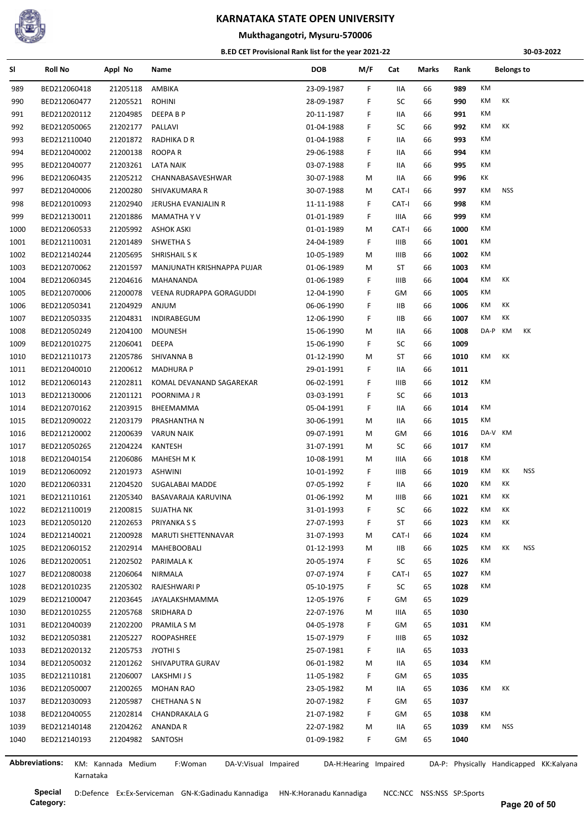

# **Mukthagangotri, Mysuru-570006**

#### **B.ED CET Provisional Rank list for the year 2021-22**

**30-03-2022**

| SI             | <b>Roll No</b>               | Appl No              | Name                            | <b>DOB</b>               | M/F                   | Cat         | Marks    | Rank         |         | <b>Belongs to</b> |                                         |
|----------------|------------------------------|----------------------|---------------------------------|--------------------------|-----------------------|-------------|----------|--------------|---------|-------------------|-----------------------------------------|
| 989            | BED212060418                 | 21205118             | AMBIKA                          | 23-09-1987               | F.                    | IIA         | 66       | 989          | KM      |                   |                                         |
| 990            | BED212060477                 | 21205521             | <b>ROHINI</b>                   | 28-09-1987               | F.                    | SC          | 66       | 990          | KM      | КK                |                                         |
| 991            | BED212020112                 | 21204985             | DEEPA B P                       | 20-11-1987               | F                     | IIA         | 66       | 991          | KM      |                   |                                         |
| 992            | BED212050065                 | 21202177             | PALLAVI                         | 01-04-1988               | F.                    | SC          | 66       | 992          | КM      | КK                |                                         |
| 993            | BED212110040                 | 21201872             | RADHIKA D R                     | 01-04-1988               | F                     | IIA         | 66       | 993          | КM      |                   |                                         |
| 994            | BED212040002                 | 21200138             | <b>ROOPAR</b>                   | 29-06-1988               | F.                    | IIA         | 66       | 994          | КM      |                   |                                         |
| 995            | BED212040077                 | 21203261             | LATA NAIK                       | 03-07-1988               | F.                    | IIA         | 66       | 995          | КM      |                   |                                         |
| 996            | BED212060435                 | 21205212             | CHANNABASAVESHWAR               | 30-07-1988               | M                     | IIA         | 66       | 996          | КK      |                   |                                         |
| 997            | BED212040006                 | 21200280             | SHIVAKUMARA R                   | 30-07-1988               | M                     | CAT-I       | 66       | 997          | KM      | <b>NSS</b>        |                                         |
| 998            | BED212010093                 | 21202940             | JERUSHA EVANJALIN R             | 11-11-1988               | F.                    | CAT-I       | 66       | 998          | КM      |                   |                                         |
| 999            | BED212130011                 | 21201886             | <b>MAMATHAYV</b>                | 01-01-1989               | F.                    | IIIA        | 66       | 999          | КM      |                   |                                         |
| 1000           | BED212060533                 | 21205992             | <b>ASHOK ASKI</b>               | 01-01-1989               | М                     | CAT-I       | 66       | 1000         | КM      |                   |                                         |
| 1001           | BED212110031                 | 21201489             | SHWETHA S                       | 24-04-1989               | F.                    | <b>IIIB</b> | 66       | 1001         | КM      |                   |                                         |
| 1002           | BED212140244                 | 21205695             | SHRISHAIL S K                   | 10-05-1989               | M                     | <b>IIIB</b> | 66       | 1002         | КM      |                   |                                         |
| 1003           | BED212070062                 | 21201597             | MANJUNATH KRISHNAPPA PUJAR      | 01-06-1989               | М                     | ST          | 66       | 1003         | KM      |                   |                                         |
| 1004           | BED212060345                 | 21204616             | MAHANANDA                       | 01-06-1989               | F.                    | <b>IIIB</b> | 66       | 1004         | KM      | КK                |                                         |
| 1005           | BED212070006                 | 21200078             | VEENA RUDRAPPA GORAGUDDI        | 12-04-1990               | F.                    | GM          | 66       | 1005         | KM      |                   |                                         |
| 1006           | BED212050341                 | 21204929             | ANJUM                           | 06-06-1990               | F.                    | 11B         | 66       | 1006         | KM      | КK                |                                         |
| 1007           | BED212050335                 | 21204831             | INDIRABEGUM                     | 12-06-1990               | F.                    | ШB          | 66       | 1007         | KM      | КK                |                                         |
| 1008           | BED212050249                 | 21204100             | <b>MOUNESH</b>                  | 15-06-1990               | М                     | IIA         | 66       | 1008         | DA-P    | КM                | КK                                      |
| 1009           | BED212010275                 | 21206041             | <b>DEEPA</b>                    | 15-06-1990               | F.                    | SC          | 66       | 1009         |         |                   |                                         |
| 1010           | BED212110173                 | 21205786             | SHIVANNA B                      | 01-12-1990               | M                     | ST          | 66       | 1010         | КM      | КK                |                                         |
| $1011\,$       | BED212040010                 | 21200612             | <b>MADHURA P</b>                | 29-01-1991               | F.                    | IIA         | 66       | 1011         |         |                   |                                         |
| 1012           | BED212060143                 | 21202811             | KOMAL DEVANAND SAGAREKAR        | 06-02-1991               | F                     | <b>IIIB</b> | 66       | 1012         | КM      |                   |                                         |
| 1013           | BED212130006                 | 21201121             | POORNIMA J R                    | 03-03-1991               | F.                    | SC          | 66       | 1013         |         |                   |                                         |
| 1014           | BED212070162                 | 21203915             | BHEEMAMMA                       | 05-04-1991               | F.                    | IIA         | 66       | 1014         | KM      |                   |                                         |
| 1015           | BED212090022                 | 21203179             | PRASHANTHA N                    | 30-06-1991               | М                     | IIA         | 66       | 1015         | КM      |                   |                                         |
| 1016           | BED212120002                 | 21200639             | <b>VARUN NAIK</b>               | 09-07-1991               | M                     | GМ          | 66       | 1016         | DA-V KM |                   |                                         |
| 1017           | BED212050265                 | 21204224             | <b>KANTESH</b>                  | 31-07-1991               | M                     | SC          | 66       | 1017         | КM      |                   |                                         |
| 1018           | BED212040154                 | 21206086             | MAHESH M K                      | 10-08-1991               | M                     | IIIA        | 66       | 1018         | КM      |                   |                                         |
| 1019           | BED212060092                 | 21201973             | ASHWINI                         | 10-01-1992               | F.                    | IIIB        | 66       | 1019         | KM      | КK                | <b>NSS</b>                              |
| 1020           | BED212060331                 | 21204520             | SUGALABAI MADDE                 | 07-05-1992               | F.                    | IIA         | 66       | 1020         | КM      | КK                |                                         |
| 1021           | BED212110161                 | 21205340             | BASAVARAJA KARUVINA             | 01-06-1992               | М                     | IIIB        | 66       | 1021         | КM      | КK                |                                         |
| 1022           | BED212110019                 | 21200815             | SUJATHA NK                      | 31-01-1993               | F.                    | SC          | 66       | 1022         | КM      | KK                |                                         |
| 1023           | BED212050120                 | 21202653             | PRIYANKA S S                    | 27-07-1993               | F.                    | ST          | 66       | 1023         | КM      | KK                |                                         |
| 1024           | BED212140021                 | 21200928             | MARUTI SHETTENNAVAR             | 31-07-1993               | M                     | CAT-I       | 66       | 1024         | КM      |                   |                                         |
| 1025           | BED212060152                 | 21202914             | <b>MAHEBOOBALI</b>              | 01-12-1993               | M                     | IIB         | 66       | 1025         | KM      | КK                | NSS                                     |
| 1026           | BED212020051                 | 21202502             | PARIMALA K                      | 20-05-1974               | F.                    | SC          | 65       | 1026         | КM      |                   |                                         |
| 1027           | BED212080038                 | 21206064             | NIRMALA                         | 07-07-1974               | F.                    | CAT-I       | 65       | 1027         | КM      |                   |                                         |
| 1028           | BED212010235                 | 21205302             | RAJESHWARI P                    | 05-10-1975               | F.                    | SC          | 65       | 1028         | КM      |                   |                                         |
| 1029           | BED212100047                 | 21203645             | JAYALAKSHMAMMA                  | 12-05-1976               | F.                    | GМ          | 65       | 1029         |         |                   |                                         |
| 1030           | BED212010255                 | 21205768             | SRIDHARA D                      | 22-07-1976               | M                     | IIIA        | 65       | 1030         |         |                   |                                         |
| 1031           | BED212040039                 | 21202200             | PRAMILA S M                     | 04-05-1978               | F.                    | GM          | 65       | 1031         | KM      |                   |                                         |
| 1032           | BED212050381                 | 21205227             | ROOPASHREE                      | 15-07-1979               | F.                    | IIIB        | 65       | 1032         |         |                   |                                         |
| 1033           | BED212020132                 | 21205753             | JYOTHI S                        | 25-07-1981               | F.                    | IIA         | 65       | 1033         |         |                   |                                         |
| 1034           | BED212050032                 | 21201262             | SHIVAPUTRA GURAV                | 06-01-1982               | M                     | IIA         | 65       | 1034         | KM      |                   |                                         |
|                |                              |                      |                                 |                          |                       |             |          |              |         |                   |                                         |
| 1035<br>1036   | BED212110181<br>BED212050007 | 21206007<br>21200265 | LAKSHMI J S                     | 11-05-1982<br>23-05-1982 | F.                    | GM          | 65<br>65 | 1035<br>1036 | КM      | КK                |                                         |
|                |                              |                      | <b>MOHAN RAO</b>                |                          | M                     | IIA         |          | 1037         |         |                   |                                         |
| 1037           | BED212030093                 | 21205987             | <b>CHETHANA S N</b>             | 20-07-1982               | F.                    | GM          | 65       | 1038         | КM      |                   |                                         |
| 1038           | BED212040055                 | 21202814             | CHANDRAKALA G                   | 21-07-1982               | F.                    | GM          | 65       |              | KM      | NSS               |                                         |
| 1039           | BED212140148                 |                      | 21204262 ANANDA R               | 22-07-1982               | М                     | IIA         | 65       | 1039         |         |                   |                                         |
| 1040           | BED212140193                 |                      | 21204982 SANTOSH                | 01-09-1982               | F.                    | GM          | 65       | 1040         |         |                   |                                         |
| Abbreviations: |                              | KM: Kannada Medium   | F:Woman<br>DA-V:Visual Impaired |                          | DA-H:Hearing Impaired |             |          |              |         |                   | DA-P: Physically Handicapped KK:Kalyana |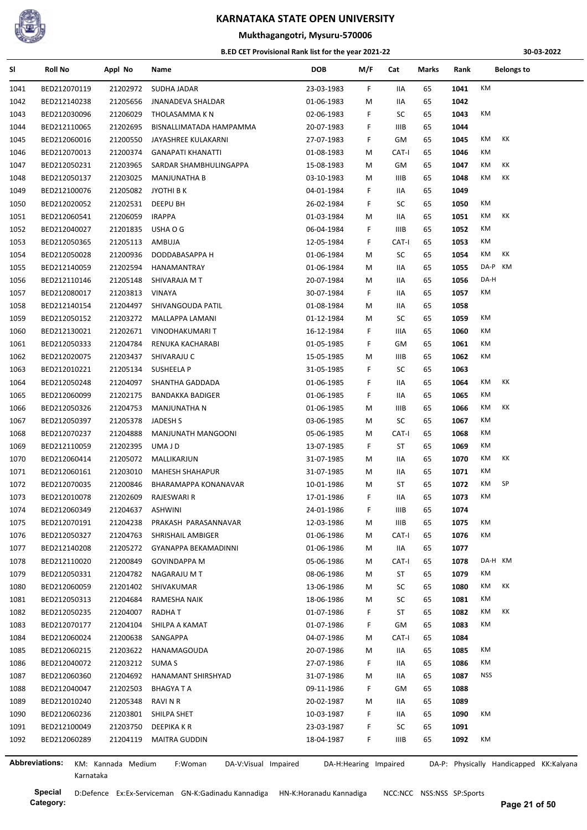

## **Mukthagangotri, Mysuru-570006**

#### **B.ED CET Provisional Rank list for the year 2021-22**

**30-03-2022**

| SI           | <b>Roll No</b>               | Appl No              | Name                            | <b>DOB</b>               | M/F                   | Cat         | Marks | Rank         | <b>Belongs to</b>                       |
|--------------|------------------------------|----------------------|---------------------------------|--------------------------|-----------------------|-------------|-------|--------------|-----------------------------------------|
| 1041         | BED212070119                 | 21202972             | SUDHA JADAR                     | 23-03-1983               | F                     | IIA         | 65    | 1041         | KM                                      |
| 1042         | BED212140238                 | 21205656             | <b>JNANADEVA SHALDAR</b>        | 01-06-1983               | м                     | IIA         | 65    | 1042         |                                         |
| 1043         | BED212030096                 | 21206029             | THOLASAMMA K N                  | 02-06-1983               | F                     | SC          | 65    | 1043         | КM                                      |
| 1044         | BED212110065                 | 21202695             | BISNALLIMATADA HAMPAMMA         | 20-07-1983               | F                     | IIIB        | 65    | 1044         |                                         |
| 1045         | BED212060016                 | 21200550             | JAYASHREE KULAKARNI             | 27-07-1983               | F.                    | GM          | 65    | 1045         | КM<br>КK                                |
| 1046         | BED212070013                 | 21200374             | <b>GANAPATI KHANATTI</b>        | 01-08-1983               | М                     | CAT-I       | 65    | 1046         | КM                                      |
| 1047         | BED212050231                 | 21203965             | SARDAR SHAMBHULINGAPPA          | 15-08-1983               | М                     | GM          | 65    | 1047         | КM<br>КK                                |
| 1048         | BED212050137                 | 21203025             | <b>MANJUNATHA B</b>             | 03-10-1983               | м                     | IIIB        | 65    | 1048         | КM<br>КK                                |
| 1049         | BED212100076                 | 21205082             | JYOTHI B K                      | 04-01-1984               | F                     | IIA         | 65    | 1049         |                                         |
| 1050         | BED212020052                 | 21202531             | DEEPU BH                        | 26-02-1984               | F                     | SC          | 65    | 1050         | КM                                      |
| 1051         | BED212060541                 | 21206059             | <b>IRAPPA</b>                   | 01-03-1984               | М                     | IIA         | 65    | 1051         | КK<br>КM                                |
| 1052         | BED212040027                 | 21201835             | USHA O G                        | 06-04-1984               | F.                    | IIIB        | 65    | 1052         | КM                                      |
| 1053         | BED212050365                 | 21205113             | AMBUJA                          | 12-05-1984               | F                     | CAT-I       | 65    | 1053         | КM                                      |
| 1054         | BED212050028                 | 21200936             | DODDABASAPPA H                  | 01-06-1984               | М                     | SC          | 65    | 1054         | КK<br>КM                                |
| 1055         | BED212140059                 | 21202594             | HANAMANTRAY                     | 01-06-1984               | М                     | IIA         | 65    | 1055         | DA-P KM                                 |
| 1056         | BED212110146                 | 21205148             | SHIVARAJA M T                   | 20-07-1984               | М                     | IIA         | 65    | 1056         | DA-H                                    |
| 1057         | BED212080017                 | 21203813             | VINAYA                          | 30-07-1984               | F                     | IIA         | 65    | 1057         | КM                                      |
| 1058         | BED212140154                 | 21204497             | SHIVANGOUDA PATIL               | 01-08-1984               | М                     | IIA         | 65    | 1058         |                                         |
| 1059         | BED212050152                 | 21203272             | MALLAPPA LAMANI                 | 01-12-1984               | М                     | SC          | 65    | 1059         | КM                                      |
| 1060         | BED212130021                 | 21202671             | VINODHAKUMARI T                 | 16-12-1984               | F                     | IIIA        | 65    | 1060         | КM                                      |
| 1061         | BED212050333                 | 21204784             | RENUKA KACHARABI                | 01-05-1985               | F.                    | GМ          | 65    | 1061         | КM                                      |
| 1062         | BED212020075                 | 21203437             | SHIVARAJU C                     | 15-05-1985               | м                     | IIIB        | 65    | 1062         | КM                                      |
| 1063         | BED212010221                 | 21205134             | SUSHEELA P                      | 31-05-1985               | F                     | SC          | 65    | 1063         |                                         |
| 1064         | BED212050248                 | 21204097             | SHANTHA GADDADA                 | 01-06-1985               | F                     | IIA         | 65    | 1064         | КK<br>КM                                |
| 1065         | BED212060099                 | 21202175             | <b>BANDAKKA BADIGER</b>         | 01-06-1985               | F                     | IIA         | 65    | 1065         | КM                                      |
| 1066         | BED212050326                 | 21204753             | MANJUNATHA N                    | 01-06-1985               | М                     | IIIB        | 65    | 1066         | КM<br>КK                                |
|              | BED212050397                 | 21205378             | JADESH S                        | 03-06-1985               | М                     | SC          | 65    | 1067         | КM                                      |
| 1067         | BED212070237                 | 21204888             | MANJUNATH MANGOONI              |                          | М                     | CAT-I       | 65    | 1068         | КM                                      |
| 1068         |                              |                      |                                 | 05-06-1985<br>13-07-1985 |                       | ST          | 65    |              | КM                                      |
| 1069<br>1070 | BED212110059<br>BED212060414 | 21202395<br>21205072 | UMA J D<br>MALLIKARJUN          | 31-07-1985               | F.                    | IIA         | 65    | 1069<br>1070 | КK<br>КM                                |
|              |                              |                      |                                 |                          | М                     |             |       |              | КM                                      |
| 1071         | BED212060161                 | 21203010             | <b>MAHESH SHAHAPUR</b>          | 31-07-1985               | М                     | IIA         | 65    | 1071         | КM<br>SP                                |
| 1072         | BED212070035                 | 21200846             | BHARAMAPPA KONANAVAR            | 10-01-1986               | М                     | ST          | 65    | 1072         |                                         |
| 1073         | BED212010078                 | 21202609             | <b>RAJESWARI R</b>              | 17-01-1986               | F.                    | IIA         | 65    | 1073         | KM                                      |
| 1074         | BED212060349                 | 21204637             | <b>ASHWINI</b>                  | 24-01-1986               | F                     | IIIB        | 65    | 1074         |                                         |
| 1075         | BED212070191                 | 21204238             | PRAKASH PARASANNAVAR            | 12-03-1986               | М                     | IIIB        | 65    | 1075         | КM                                      |
| 1076         | BED212050327                 | 21204763             | SHRISHAIL AMBIGER               | 01-06-1986               | м                     | CAT-I       | 65    | 1076         | KM                                      |
| 1077         | BED212140208                 | 21205272             | GYANAPPA BEKAMADINNI            | 01-06-1986               | М                     | IIA         | 65    | 1077         |                                         |
| 1078         | BED212110020                 | 21200849             | <b>GOVINDAPPA M</b>             | 05-06-1986               | М                     | CAT-I       | 65    | 1078         | DA-H KM                                 |
| 1079         | BED212050331                 | 21204782             | NAGARAJU M T                    | 08-06-1986               | М                     | ST          | 65    | 1079         | КM                                      |
| 1080         | BED212060059                 | 21201402             | SHIVAKUMAR                      | 13-06-1986               | М                     | SC          | 65    | 1080         | КM<br>КK                                |
| 1081         | BED212050313                 | 21204684             | RAMESHA NAIK                    | 18-06-1986               | м                     | SC          | 65    | 1081         | КM                                      |
| 1082         | BED212050235                 | 21204007             | RADHA T                         | 01-07-1986               | F                     | ST          | 65    | 1082         | КK<br>КM                                |
| 1083         | BED212070177                 | 21204104             | SHILPA A KAMAT                  | 01-07-1986               | F                     | GM          | 65    | 1083         | КM                                      |
| 1084         | BED212060024                 | 21200638             | SANGAPPA                        | 04-07-1986               | М                     | CAT-I       | 65    | 1084         |                                         |
| 1085         | BED212060215                 | 21203622             | HANAMAGOUDA                     | 20-07-1986               | М                     | IIA         | 65    | 1085         | КM                                      |
| 1086         | BED212040072                 | 21203212             | <b>SUMA S</b>                   | 27-07-1986               | F.                    | IIA         | 65    | 1086         | КM                                      |
| 1087         | BED212060360                 | 21204692             | HANAMANT SHIRSHYAD              | 31-07-1986               | M                     | IIA         | 65    | 1087         | <b>NSS</b>                              |
| 1088         | BED212040047                 | 21202503             | <b>BHAGYATA</b>                 | 09-11-1986               | F.                    | GМ          | 65    | 1088         |                                         |
| 1089         | BED212010240                 | 21205348             | <b>RAVINR</b>                   | 20-02-1987               | М                     | IIA         | 65    | 1089         |                                         |
| 1090         | BED212060236                 | 21203801             | SHILPA SHET                     | 10-03-1987               | F                     | IIA         | 65    | 1090         | КM                                      |
| 1091         | BED212100049                 | 21203750             | DEEPIKA K R                     | 23-03-1987               | F                     | SC          | 65    | 1091         |                                         |
| 1092         | BED212060289                 | 21204119             | <b>MAITRA GUDDIN</b>            | 18-04-1987               | F.                    | <b>IIIB</b> | 65    | 1092         | КM                                      |
|              |                              |                      |                                 |                          |                       |             |       |              |                                         |
|              | <b>Abbreviations:</b>        | KM: Kannada Medium   | F:Woman<br>DA-V:Visual Impaired |                          | DA-H:Hearing Impaired |             |       |              | DA-P: Physically Handicapped KK:Kalyana |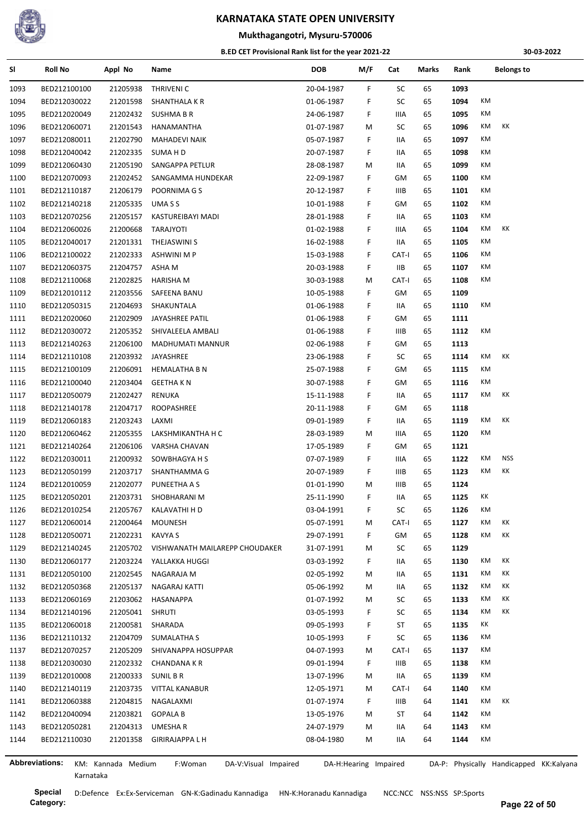

## **Mukthagangotri, Mysuru-570006**

#### **B.ED CET Provisional Rank list for the year 2021-22**

**30-03-2022**

| SI                    | <b>Roll No</b> | Appl No            | Name                            | <b>DOB</b> | M/F                   | Cat         | Marks | Rank | <b>Belongs to</b>                       |
|-----------------------|----------------|--------------------|---------------------------------|------------|-----------------------|-------------|-------|------|-----------------------------------------|
| 1093                  | BED212100100   | 21205938           | THRIVENI C                      | 20-04-1987 | F.                    | SC          | 65    | 1093 |                                         |
| 1094                  | BED212030022   | 21201598           | SHANTHALA K R                   | 01-06-1987 | F.                    | SC          | 65    | 1094 | КM                                      |
| 1095                  | BED212020049   | 21202432           | SUSHMA B R                      | 24-06-1987 | F.                    | IIIA        | 65    | 1095 | KM                                      |
| 1096                  | BED212060071   | 21201543           | HANAMANTHA                      | 01-07-1987 | М                     | SC          | 65    | 1096 | KM<br>КK                                |
| 1097                  | BED212080011   | 21202790           | <b>MAHADEVI NAIK</b>            | 05-07-1987 | F.                    | IIA         | 65    | 1097 | КM                                      |
| 1098                  | BED212040042   | 21202335           | SUMA H D                        | 20-07-1987 | F.                    | IIA         | 65    | 1098 | KM                                      |
| 1099                  | BED212060430   | 21205190           | SANGAPPA PETLUR                 | 28-08-1987 | М                     | 11A         | 65    | 1099 | КM                                      |
| 1100                  | BED212070093   | 21202452           | SANGAMMA HUNDEKAR               | 22-09-1987 | F.                    | GМ          | 65    | 1100 | КM                                      |
| 1101                  | BED212110187   | 21206179           | POORNIMA G S                    | 20-12-1987 | F.                    | IIIB        | 65    | 1101 | КM                                      |
| 1102                  | BED212140218   | 21205335           | UMA S S                         | 10-01-1988 | F.                    | GМ          | 65    | 1102 | КM                                      |
| 1103                  | BED212070256   | 21205157           | KASTUREIBAYI MADI               | 28-01-1988 | F.                    | IIA         | 65    | 1103 | КM                                      |
| 1104                  | BED212060026   | 21200668           | TARAJYOTI                       | 01-02-1988 | F.                    | IIIA        | 65    | 1104 | КK<br>КM                                |
| 1105                  | BED212040017   | 21201331           | THEJASWINI S                    | 16-02-1988 | F.                    | 11A         | 65    | 1105 | KM                                      |
| 1106                  | BED212100022   | 21202333           | <b>ASHWINI M P</b>              | 15-03-1988 | F.                    | CAT-I       | 65    | 1106 | КM                                      |
| 1107                  | BED212060375   | 21204757           | ASHA M                          | 20-03-1988 | F.                    | IIВ         | 65    | 1107 | KM                                      |
| 1108                  | BED212110068   | 21202825           | HARISHA M                       | 30-03-1988 | М                     | CAT-I       | 65    | 1108 | КM                                      |
| 1109                  | BED212010112   | 21203556           | SAFEENA BANU                    | 10-05-1988 | F.                    | GМ          | 65    | 1109 |                                         |
| 1110                  | BED212050315   | 21204693           | SHAKUNTALA                      | 01-06-1988 | F.                    | 11A         | 65    | 1110 | КM                                      |
| 1111                  | BED212020060   | 21202909           | JAYASHREE PATIL                 | 01-06-1988 | F.                    | GМ          | 65    | 1111 |                                         |
| 1112                  | BED212030072   | 21205352           | SHIVALEELA AMBALI               | 01-06-1988 | F.                    | IIIB        | 65    | 1112 | КM                                      |
| 1113                  | BED212140263   | 21206100           | MADHUMATI MANNUR                | 02-06-1988 | F.                    | GМ          | 65    | 1113 |                                         |
| 1114                  | BED212110108   | 21203932           | JAYASHREE                       | 23-06-1988 | F.                    | SC          | 65    | 1114 | KK<br>КM                                |
| 1115                  | BED212100109   | 21206091           | <b>HEMALATHA B N</b>            | 25-07-1988 | F.                    | GМ          | 65    | 1115 | KM                                      |
| 1116                  | BED212100040   | 21203404           | <b>GEETHA K N</b>               | 30-07-1988 | F.                    | GМ          | 65    | 1116 | КM                                      |
| 1117                  | BED212050079   | 21202427           | RENUKA                          | 15-11-1988 | F.                    | 11A         | 65    | 1117 | КK<br>КM                                |
| 1118                  | BED212140178   | 21204717           | ROOPASHREE                      | 20-11-1988 | F.                    | GМ          | 65    | 1118 |                                         |
| 1119                  | BED212060183   | 21203243           | LAXMI                           | 09-01-1989 | F.                    | 11A         | 65    | 1119 | КK<br>КM                                |
| 1120                  | BED212060462   | 21205355           | LAKSHMIKANTHA H C               | 28-03-1989 | М                     | IIIA        | 65    | 1120 | KM                                      |
| 1121                  | BED212140264   | 21206106           | VARSHA CHAVAN                   | 17-05-1989 | F.                    | GМ          | 65    | 1121 |                                         |
| 1122                  | BED212030011   | 21200932           | SOWBHAGYA H S                   | 07-07-1989 | F.                    | IIIA        | 65    | 1122 | <b>NSS</b><br>КM                        |
| 1123                  | BED212050199   | 21203717           | SHANTHAMMA G                    | 20-07-1989 | F.                    | IIIB        | 65    | 1123 | KK<br>КM                                |
| 1124                  | BED212010059   | 21202077           | PUNEETHA A S                    | 01-01-1990 | М                     | IIIB        | 65    | 1124 |                                         |
| 1125                  | BED212050201   | 21203731           | SHOBHARANI M                    | 25-11-1990 | F.                    | IIA         | 65    | 1125 | КK                                      |
| 1126                  | BED212010254   | 21205767           | KALAVATHI H D                   | 03-04-1991 | F.                    | SC          | 65    | 1126 | КM                                      |
| 1127                  | BED212060014   | 21200464           | <b>MOUNESH</b>                  | 05-07-1991 | М                     | CAT-I       | 65    | 1127 | KM<br>KK                                |
| 1128                  | BED212050071   | 21202231           | <b>KAVYA S</b>                  | 29-07-1991 | F.                    | GМ          | 65    | 1128 | КM<br>КK                                |
| 1129                  | BED212140245   | 21205702           | VISHWANATH MAILAREPP CHOUDAKER  | 31-07-1991 | М                     | SC          | 65    | 1129 |                                         |
| 1130                  | BED212060177   | 21203224           | YALLAKKA HUGGI                  | 03-03-1992 | F.                    | 11A         | 65    | 1130 | КK<br>КM                                |
| 1131                  | BED212050100   | 21202545           | NAGARAJA M                      | 02-05-1992 | М                     | IIA         | 65    | 1131 | KM<br>KK                                |
| 1132                  | BED212050368   | 21205137           | NAGARAJ KATTI                   | 05-06-1992 | М                     | IIA         | 65    | 1132 | КK<br>КM                                |
| 1133                  | BED212060169   | 21203062           | HASANAPPA                       | 01-07-1992 | М                     | SC          | 65    | 1133 | КK<br>КM                                |
| 1134                  | BED212140196   | 21205041           | <b>SHRUTI</b>                   | 03-05-1993 | F.                    | SC          | 65    | 1134 | КK<br>КM                                |
| 1135                  | BED212060018   | 21200581           | SHARADA                         | 09-05-1993 | F.                    | ST          | 65    | 1135 | КK                                      |
| 1136                  | BED212110132   | 21204709           | SUMALATHA S                     | 10-05-1993 | F.                    | SC          | 65    | 1136 | KM                                      |
| 1137                  | BED212070257   | 21205209           | SHIVANAPPA HOSUPPAR             | 04-07-1993 | М                     | CAT-I       | 65    | 1137 | КM                                      |
| 1138                  | BED212030030   | 21202332           | CHANDANA K R                    | 09-01-1994 | F.                    | IIIB        | 65    | 1138 | KM                                      |
| 1139                  | BED212010008   | 21200333           | <b>SUNIL B R</b>                | 13-07-1996 | м                     | 11A         | 65    | 1139 | KM                                      |
| 1140                  | BED212140119   | 21203735           | <b>VITTAL KANABUR</b>           | 12-05-1971 | М                     | CAT-I       | 64    | 1140 | KM                                      |
| 1141                  | BED212060388   | 21204815           | NAGALAXMI                       | 01-07-1974 | F.                    | <b>IIIB</b> | 64    | 1141 | КK<br>КM                                |
| 1142                  | BED212040094   | 21203821           | <b>GOPALA B</b>                 | 13-05-1976 | М                     | ST          | 64    | 1142 | KM                                      |
| 1143                  | BED212050281   | 21204313           | UMESHA R                        | 24-07-1979 | М                     | IIA         | 64    | 1143 | КM                                      |
| 1144                  | BED212110030   | 21201358           | <b>GIRIRAJAPPA L H</b>          | 08-04-1980 | М                     | IIA         | 64    | 1144 | KM                                      |
|                       |                |                    |                                 |            |                       |             |       |      |                                         |
| <b>Abbreviations:</b> |                | KM: Kannada Medium | F:Woman<br>DA-V:Visual Impaired |            | DA-H:Hearing Impaired |             |       |      | DA-P: Physically Handicapped KK:Kalyana |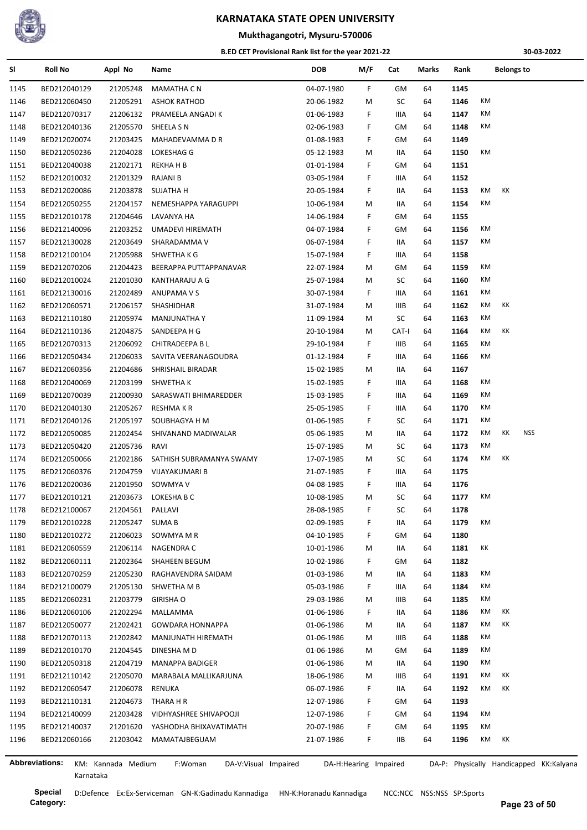

#### **Mukthagangotri, Mysuru-570006**

#### **B.ED CET Provisional Rank list for the year 2021-22**

**30-03-2022**

| SI   | <b>Roll No</b>               | Appl No            | Name                            | <b>DOB</b> | M/F                   | Cat         | Marks | Rank | <b>Belongs to</b>                       |
|------|------------------------------|--------------------|---------------------------------|------------|-----------------------|-------------|-------|------|-----------------------------------------|
| 1145 | BED212040129                 | 21205248           | <b>MAMATHA C N</b>              | 04-07-1980 | F.                    | GМ          | 64    | 1145 |                                         |
| 1146 | BED212060450                 | 21205291           | <b>ASHOK RATHOD</b>             | 20-06-1982 | М                     | SC          | 64    | 1146 | KM                                      |
| 1147 | BED212070317                 | 21206132           | PRAMEELA ANGADI K               | 01-06-1983 | F.                    | IIIA        | 64    | 1147 | КM                                      |
| 1148 | BED212040136                 | 21205570           | SHEELA S N                      | 02-06-1983 | F.                    | GM          | 64    | 1148 | КM                                      |
| 1149 | BED212020074                 | 21203425           | MAHADEVAMMA D R                 | 01-08-1983 | F.                    | GM          | 64    | 1149 |                                         |
| 1150 | BED212050236                 | 21204028           | LOKESHAG G                      | 05-12-1983 | М                     | IIA         | 64    | 1150 | KM                                      |
| 1151 | BED212040038                 | 21202171           | <b>REKHAHB</b>                  | 01-01-1984 | F.                    | GM          | 64    | 1151 |                                         |
| 1152 | BED212010032                 | 21201329           | <b>RAJANI B</b>                 | 03-05-1984 | F.                    | IIIA        | 64    | 1152 |                                         |
| 1153 | BED212020086                 | 21203878           | <b>SUJATHA H</b>                | 20-05-1984 | F.                    | IIA         | 64    | 1153 | КK<br>КM                                |
| 1154 | BED212050255                 | 21204157           | NEMESHAPPA YARAGUPPI            | 10-06-1984 | М                     | IIA         | 64    | 1154 | КM                                      |
| 1155 | BED212010178                 | 21204646           | LAVANYA HA                      | 14-06-1984 | F.                    | GM          | 64    | 1155 |                                         |
| 1156 | BED212140096                 | 21203252           | UMADEVI HIREMATH                | 04-07-1984 | F.                    | GM          | 64    | 1156 | КM                                      |
| 1157 | BED212130028                 | 21203649           | SHARADAMMA V                    | 06-07-1984 | F.                    | IIA         | 64    | 1157 | KM                                      |
| 1158 | BED212100104                 | 21205988           | SHWETHA K G                     | 15-07-1984 | F.                    | IIIA        | 64    | 1158 |                                         |
| 1159 | BED212070206                 | 21204423           | BEERAPPA PUTTAPPANAVAR          | 22-07-1984 | М                     | GM          | 64    | 1159 | KM                                      |
| 1160 | BED212010024                 | 21201030           | KANTHARAJU A G                  | 25-07-1984 | M                     | SC          | 64    | 1160 | КM                                      |
| 1161 | BED212130016                 | 21202489           | ANUPAMA V S                     | 30-07-1984 | F.                    | IIIA        | 64    | 1161 | КM                                      |
| 1162 | BED212060571                 | 21206157           | SHASHIDHAR                      | 31-07-1984 | M                     | IIIB        | 64    | 1162 | KM<br>КK                                |
| 1163 | BED212110180                 | 21205974           | <b>MANJUNATHA Y</b>             | 11-09-1984 | M                     | SC          | 64    | 1163 | КM                                      |
| 1164 | BED212110136                 | 21204875           | SANDEEPA H G                    | 20-10-1984 | M                     | CAT-I       | 64    | 1164 | KM<br>КK                                |
| 1165 | BED212070313                 | 21206092           | CHITRADEEPA B L                 | 29-10-1984 | F.                    | <b>IIIB</b> | 64    | 1165 | KM                                      |
| 1166 | BED212050434                 | 21206033           | SAVITA VEERANAGOUDRA            | 01-12-1984 | F.                    | IIIA        | 64    | 1166 | КM                                      |
| 1167 | BED212060356                 | 21204686           | SHRISHAIL BIRADAR               | 15-02-1985 | М                     | IIA         | 64    | 1167 |                                         |
| 1168 | BED212040069                 | 21203199           | SHWETHA K                       | 15-02-1985 | F.                    | IIIA        | 64    | 1168 | КM                                      |
| 1169 | BED212070039                 | 21200930           | SARASWATI BHIMAREDDER           | 15-03-1985 | F.                    | IIIA        | 64    | 1169 | КM                                      |
| 1170 | BED212040130                 | 21205267           | RESHMA K R                      | 25-05-1985 | F.                    | IIIA        | 64    | 1170 | KM                                      |
| 1171 | BED212040126                 | 21205197           | SOUBHAGYA H M                   | 01-06-1985 | F.                    | SC          | 64    | 1171 | КM                                      |
| 1172 |                              |                    |                                 |            |                       |             | 64    | 1172 | КK<br><b>NSS</b><br>KM                  |
|      | BED212050085                 | 21202454           | SHIVANAND MADIWALAR             | 05-06-1985 | M                     | IIA         |       | 1173 | КM                                      |
| 1173 | BED212050420<br>BED212050066 | 21205736           | RAVI                            | 15-07-1985 | M                     | SC<br>SC    | 64    | 1174 | KM<br>КK                                |
| 1174 |                              | 21202186           | SATHISH SUBRAMANYA SWAMY        | 17-07-1985 | M                     |             | 64    |      |                                         |
| 1175 | BED212060376                 | 21204759           | VIJAYAKUMARI B                  | 21-07-1985 | F.                    | IIIA        | 64    | 1175 |                                         |
| 1176 | BED212020036                 | 21201950           | SOWMYA V                        | 04-08-1985 | F.                    | IIIA        | 64    | 1176 |                                         |
| 1177 | BED212010121                 | 21203673           | LOKESHA B C                     | 10-08-1985 | М                     | SC          | 64    | 1177 | КM                                      |
| 1178 | BED212100067                 | 21204561 PALLAVI   |                                 | 28-08-1985 | F.                    | SC          | 64    | 1178 |                                         |
| 1179 | BED212010228                 | 21205247           | SUMA B                          | 02-09-1985 | F.                    | IIA         | 64    | 1179 | КM                                      |
| 1180 | BED212010272                 | 21206023           | SOWMYA M R                      | 04-10-1985 | F.                    | GM          | 64    | 1180 |                                         |
| 1181 | BED212060559                 | 21206114           | NAGENDRA C                      | 10-01-1986 | М                     | IIA         | 64    | 1181 | КK                                      |
| 1182 | BED212060111                 | 21202364           | SHAHEEN BEGUM                   | 10-02-1986 | F.                    | GМ          | 64    | 1182 |                                         |
| 1183 | BED212070259                 | 21205230           | RAGHAVENDRA SAIDAM              | 01-03-1986 | M                     | IIA         | 64    | 1183 | KM                                      |
| 1184 | BED212100079                 | 21205130           | SHWETHA M B                     | 05-03-1986 | F.                    | IIIA        | 64    | 1184 | КM                                      |
| 1185 | BED212060231                 | 21203779           | <b>GIRISHA O</b>                | 29-03-1986 | M                     | IIIB        | 64    | 1185 | КM                                      |
| 1186 | BED212060106                 | 21202294           | MALLAMMA                        | 01-06-1986 | F.                    | IIA         | 64    | 1186 | КM<br>КK                                |
| 1187 | BED212050077                 | 21202421           | <b>GOWDARA HONNAPPA</b>         | 01-06-1986 | M                     | IIA         | 64    | 1187 | КM<br>ΚK                                |
| 1188 | BED212070113                 | 21202842           | MANJUNATH HIREMATH              | 01-06-1986 | M                     | IIIB        | 64    | 1188 | КM                                      |
| 1189 | BED212010170                 | 21204545           | DINESHA M D                     | 01-06-1986 | M                     | GМ          | 64    | 1189 | КM                                      |
| 1190 | BED212050318                 | 21204719           | MANAPPA BADIGER                 | 01-06-1986 | M                     | IIA         | 64    | 1190 | КM                                      |
| 1191 | BED212110142                 | 21205070           | MARABALA MALLIKARJUNA           | 18-06-1986 | М                     | IIIB        | 64    | 1191 | КK<br>КM                                |
| 1192 | BED212060547                 | 21206078           | RENUKA                          | 06-07-1986 | F.                    | IIA         | 64    | 1192 | КM<br>КK                                |
| 1193 | BED212110131                 | 21204673           | THARA H R                       | 12-07-1986 | F.                    | GM          | 64    | 1193 |                                         |
| 1194 | BED212140099                 | 21203428           | VIDHYASHREE SHIVAPOOJI          | 12-07-1986 | F.                    | GМ          | 64    | 1194 | КM                                      |
| 1195 | BED212140037                 | 21201620           | YASHODHA BHIXAVATIMATH          | 20-07-1986 | F.                    | GM          | 64    | 1195 | КM                                      |
| 1196 | BED212060166                 | 21203042           | MAMATAJBEGUAM                   | 21-07-1986 | F.                    | IIВ         | 64    | 1196 | КM<br>КK                                |
|      |                              |                    |                                 |            |                       |             |       |      |                                         |
|      | <b>Abbreviations:</b>        | KM: Kannada Medium | F:Woman<br>DA-V:Visual Impaired |            | DA-H:Hearing Impaired |             |       |      | DA-P: Physically Handicapped KK:Kalyana |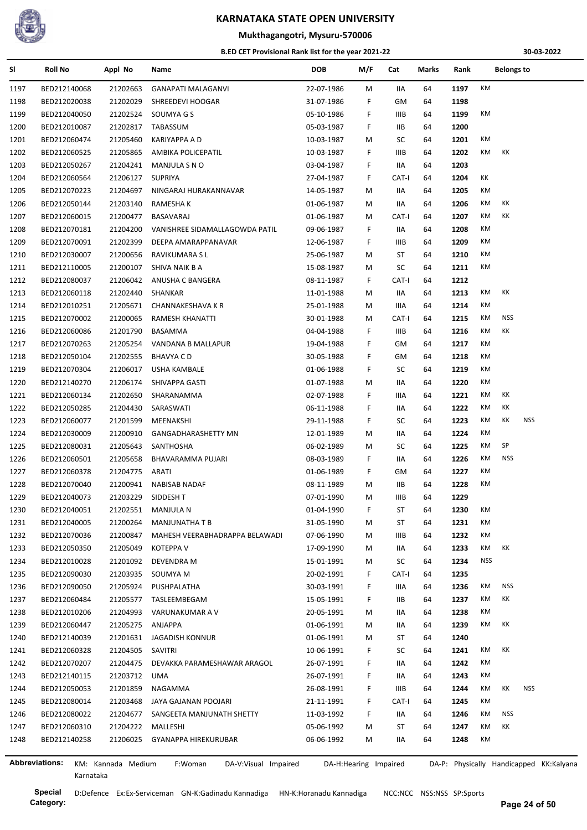

### **Mukthagangotri, Mysuru-570006**

#### **B.ED CET Provisional Rank list for the year 2021-22**

**30-03-2022**

| SI   | <b>Roll No</b>        | Appl No            | Name                            | <b>DOB</b> | M/F                   | Cat         | Marks | Rank |            | <b>Belongs to</b> |                                         |
|------|-----------------------|--------------------|---------------------------------|------------|-----------------------|-------------|-------|------|------------|-------------------|-----------------------------------------|
| 1197 | BED212140068          | 21202663           | <b>GANAPATI MALAGANVI</b>       | 22-07-1986 | M                     | <b>IIA</b>  | 64    | 1197 | KM         |                   |                                         |
| 1198 | BED212020038          | 21202029           | SHREEDEVI HOOGAR                | 31-07-1986 | F                     | GМ          | 64    | 1198 |            |                   |                                         |
| 1199 | BED212040050          | 21202524           | SOUMYA G S                      | 05-10-1986 | F                     | IIIB        | 64    | 1199 | КM         |                   |                                         |
| 1200 | BED212010087          | 21202817           | TABASSUM                        | 05-03-1987 | F.                    | IIВ         | 64    | 1200 |            |                   |                                         |
| 1201 | BED212060474          | 21205460           | KARIYAPPA A D                   | 10-03-1987 | M                     | SC          | 64    | 1201 | КM         |                   |                                         |
| 1202 | BED212060525          | 21205865           | AMBIKA POLICEPATIL              | 10-03-1987 | F                     | IIIB        | 64    | 1202 | КM         | КK                |                                         |
| 1203 | BED212050267          | 21204241           | MANJULA S N O                   | 03-04-1987 | F.                    | IIA         | 64    | 1203 |            |                   |                                         |
| 1204 | BED212060564          | 21206127           | <b>SUPRIYA</b>                  | 27-04-1987 | F                     | CAT-I       | 64    | 1204 | КK         |                   |                                         |
| 1205 | BED212070223          | 21204697           | NINGARAJ HURAKANNAVAR           | 14-05-1987 | M                     | IIA         | 64    | 1205 | КM         |                   |                                         |
| 1206 | BED212050144          | 21203140           | RAMESHA K                       | 01-06-1987 | M                     | IIA         | 64    | 1206 | КM         | КK                |                                         |
| 1207 | BED212060015          | 21200477           | BASAVARAJ                       | 01-06-1987 | M                     | CAT-I       | 64    | 1207 | KM         | КK                |                                         |
| 1208 | BED212070181          | 21204200           | VANISHREE SIDAMALLAGOWDA PATIL  | 09-06-1987 | F                     | IIA         | 64    | 1208 | КM         |                   |                                         |
| 1209 | BED212070091          | 21202399           | DEEPA AMARAPPANAVAR             | 12-06-1987 | F.                    | IIIB        | 64    | 1209 | КM         |                   |                                         |
| 1210 | BED212030007          | 21200656           | RAVIKUMARA S L                  | 25-06-1987 | M                     | ST          | 64    | 1210 | КM         |                   |                                         |
| 1211 | BED212110005          | 21200107           | SHIVA NAIK B A                  | 15-08-1987 | M                     | SC          | 64    | 1211 | КM         |                   |                                         |
| 1212 | BED212080037          | 21206042           | ANUSHA C BANGERA                | 08-11-1987 | F.                    | CAT-I       | 64    | 1212 |            |                   |                                         |
| 1213 | BED212060118          | 21202440           | SHANKAR                         | 11-01-1988 | M                     | IIA         | 64    | 1213 | КM         | КK                |                                         |
| 1214 | BED212010251          | 21205671           | CHANNAKESHAVA K R               | 25-01-1988 | M                     | IIIA        | 64    | 1214 | КM         |                   |                                         |
| 1215 | BED212070002          | 21200065           | RAMESH KHANATTI                 | 30-01-1988 | M                     | CAT-I       | 64    | 1215 | КM         | <b>NSS</b>        |                                         |
| 1216 | BED212060086          | 21201790           | BASAMMA                         | 04-04-1988 | F                     | <b>IIIB</b> | 64    | 1216 | КM         | КK                |                                         |
| 1217 | BED212070263          | 21205254           | VANDANA B MALLAPUR              | 19-04-1988 | F                     | GМ          | 64    | 1217 | КM         |                   |                                         |
| 1218 | BED212050104          | 21202555           | <b>BHAVYA CD</b>                | 30-05-1988 | F                     | GМ          | 64    | 1218 | КM         |                   |                                         |
| 1219 | BED212070304          | 21206017           | USHA KAMBALE                    | 01-06-1988 | F                     | SC          | 64    | 1219 | КM         |                   |                                         |
| 1220 | BED212140270          | 21206174           | SHIVAPPA GASTI                  | 01-07-1988 | M                     | IIA         | 64    | 1220 | КM         |                   |                                         |
| 1221 | BED212060134          | 21202650           | SHARANAMMA                      | 02-07-1988 | F                     | IIIA        | 64    | 1221 | КM         | КK                |                                         |
| 1222 | BED212050285          | 21204430           | SARASWATI                       | 06-11-1988 | F.                    | IIA         | 64    | 1222 | КM         | КK                |                                         |
| 1223 | BED212060077          | 21201599           | MEENAKSHI                       | 29-11-1988 | F                     | SC          | 64    | 1223 | KM         | КK                | <b>NSS</b>                              |
| 1224 | BED212030009          | 21200910           | GANGADHARASHETTY MN             | 12-01-1989 | M                     | IIA         | 64    | 1224 | КM         |                   |                                         |
| 1225 | BED212080031          | 21205643           | SANTHOSHA                       | 06-02-1989 | М                     | SC          | 64    | 1225 | КM         | SP                |                                         |
| 1226 | BED212060501          | 21205658           | BHAVARAMMA PUJARI               | 08-03-1989 | F                     | IIА         | 64    | 1226 | KM         | <b>NSS</b>        |                                         |
| 1227 | BED212060378          | 21204775           | ARATI                           | 01-06-1989 | F                     | GМ          | 64    | 1227 | КM         |                   |                                         |
| 1228 | BED212070040          | 21200941           | NABISAB NADAF                   | 08-11-1989 | M                     | <b>IIB</b>  | 64    | 1228 | КM         |                   |                                         |
| 1229 | BED212040073          | 21203229           | SIDDESH T                       | 07-01-1990 | м                     | <b>IIIB</b> | 64    | 1229 |            |                   |                                         |
| 1230 | BED212040051          | 21202551           | <b>MANJULA N</b>                | 01-04-1990 | F.                    | ST          | 64    | 1230 | КM         |                   |                                         |
| 1231 | BED212040005          | 21200264           | <b>MANJUNATHA T B</b>           | 31-05-1990 | М                     | ST          | 64    | 1231 | KM         |                   |                                         |
| 1232 | BED212070036          | 21200847           | MAHESH VEERABHADRAPPA BELAWADI  | 07-06-1990 | M                     | <b>IIIB</b> | 64    | 1232 | КM         |                   |                                         |
| 1233 | BED212050350          | 21205049           | KOTEPPA V                       | 17-09-1990 | M                     | IIA         | 64    | 1233 | КM         | КK                |                                         |
| 1234 | BED212010028          | 21201092           | DEVENDRA M                      | 15-01-1991 | M                     | SC          | 64    | 1234 | <b>NSS</b> |                   |                                         |
| 1235 | BED212090030          | 21203935           | SOUMYA M                        | 20-02-1991 | F                     | CAT-I       | 64    | 1235 |            |                   |                                         |
| 1236 | BED212090050          | 21205924           | PUSHPALATHA                     | 30-03-1991 | F                     | IIIA        | 64    | 1236 | КM         | <b>NSS</b>        |                                         |
| 1237 | BED212060484          | 21205577           | TASLEEMBEGAM                    | 15-05-1991 | F                     | IIВ         | 64    | 1237 | КM         | КK                |                                         |
| 1238 | BED212010206          | 21204993           | VARUNAKUMAR A V                 | 20-05-1991 | М                     | IIA         | 64    | 1238 | КM         |                   |                                         |
| 1239 | BED212060447          | 21205275           | ANJAPPA                         | 01-06-1991 | М                     | IIA         | 64    | 1239 | КM         | КK                |                                         |
| 1240 | BED212140039          | 21201631           | <b>JAGADISH KONNUR</b>          | 01-06-1991 | М                     | ST          | 64    | 1240 |            |                   |                                         |
| 1241 | BED212060328          | 21204505           | SAVITRI                         | 10-06-1991 | F                     | SC          | 64    | 1241 | КM         | КK                |                                         |
| 1242 | BED212070207          | 21204475           | DEVAKKA PARAMESHAWAR ARAGOL     | 26-07-1991 | F                     | IIA         | 64    | 1242 | KM         |                   |                                         |
| 1243 | BED212140115          | 21203712           | UMA                             | 26-07-1991 | F                     | IIA         | 64    | 1243 | КM         |                   |                                         |
| 1244 | BED212050053          | 21201859           | NAGAMMA                         | 26-08-1991 | F                     | <b>IIIB</b> | 64    | 1244 | КM         | КK                | <b>NSS</b>                              |
| 1245 | BED212080014          | 21203468           | JAYA GAJANAN POOJARI            | 21-11-1991 | F                     | CAT-I       | 64    | 1245 | КM         |                   |                                         |
| 1246 | BED212080022          | 21204677           | SANGEETA MANJUNATH SHETTY       | 11-03-1992 | F                     | IIA         | 64    | 1246 | КM         | <b>NSS</b>        |                                         |
| 1247 | BED212060310          | 21204222           | MALLESHI                        | 05-06-1992 | M                     | ST          | 64    | 1247 | КM         | КK                |                                         |
| 1248 | BED212140258          | 21206025           | GYANAPPA HIREKURUBAR            | 06-06-1992 | M                     | IIA         | 64    | 1248 | КM         |                   |                                         |
|      |                       |                    |                                 |            |                       |             |       |      |            |                   |                                         |
|      | <b>Abbreviations:</b> | KM: Kannada Medium | F:Woman<br>DA-V:Visual Impaired |            | DA-H:Hearing Impaired |             |       |      |            |                   | DA-P: Physically Handicapped KK:Kalyana |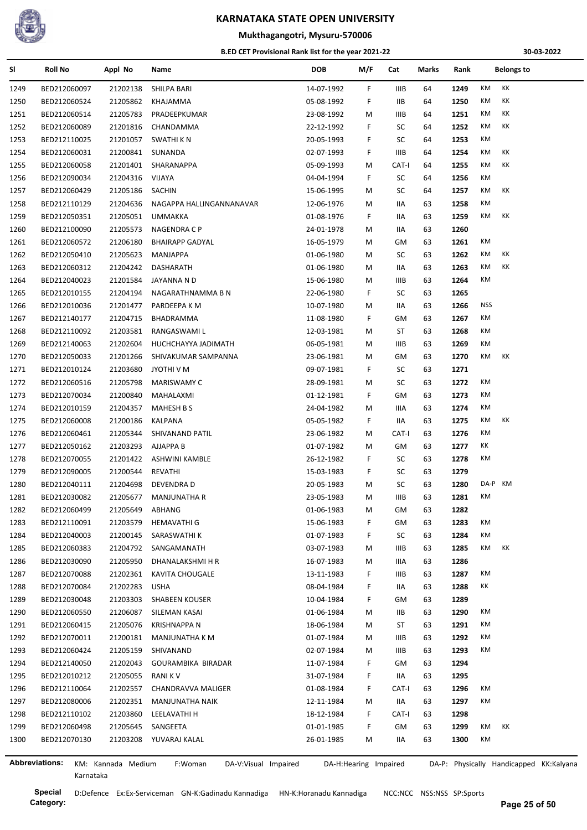

## **Mukthagangotri, Mysuru-570006**

#### **B.ED CET Provisional Rank list for the year 2021-22**

**30-03-2022**

| SI           | <b>Roll No</b>        | Appl No              | Name                            | <b>DOB</b> | M/F                   | Cat         | Marks | Rank | <b>Belongs to</b>                       |  |
|--------------|-----------------------|----------------------|---------------------------------|------------|-----------------------|-------------|-------|------|-----------------------------------------|--|
| 1249         | BED212060097          | 21202138             | SHILPA BARI                     | 14-07-1992 | F.                    | IIIB        | 64    | 1249 | KM<br>КK                                |  |
| 1250         | BED212060524          | 21205862             | KHAJAMMA                        | 05-08-1992 | F                     | IIВ         | 64    | 1250 | KM<br>КK                                |  |
| 1251         | BED212060514          | 21205783             | PRADEEPKUMAR                    | 23-08-1992 | M                     | IIIB        | 64    | 1251 | КK<br>КM                                |  |
| 1252         | BED212060089          | 21201816             | CHANDAMMA                       | 22-12-1992 | F                     | SC          | 64    | 1252 | KM<br>КK                                |  |
| 1253         | BED212110025          | 21201057             | SWATHI K N                      | 20-05-1993 | F.                    | SC          | 64    | 1253 | KM                                      |  |
| 1254         | BED212060031          | 21200841             | SUNANDA                         | 02-07-1993 | F.                    | <b>IIIB</b> | 64    | 1254 | КK<br>КM                                |  |
| 1255         | BED212060058          | 21201401             | SHARANAPPA                      | 05-09-1993 | M                     | CAT-I       | 64    | 1255 | KM<br>КK                                |  |
| 1256         | BED212090034          | 21204316             | VIJAYA                          | 04-04-1994 | F                     | SC          | 64    | 1256 | KM                                      |  |
| 1257         | BED212060429          | 21205186             | SACHIN                          | 15-06-1995 | M                     | SC          | 64    | 1257 | КK<br>КM                                |  |
| 1258         | BED212110129          | 21204636             | NAGAPPA HALLINGANNANAVAR        | 12-06-1976 | М                     | IIA         | 63    | 1258 | KM                                      |  |
| 1259         | BED212050351          | 21205051             | UMMAKKA                         | 01-08-1976 | F                     | IIA         | 63    | 1259 | KM<br>КK                                |  |
| 1260         | BED212100090          | 21205573             | NAGENDRA C P                    | 24-01-1978 | M                     | IIA         | 63    | 1260 |                                         |  |
| 1261         | BED212060572          | 21206180             | <b>BHAIRAPP GADYAL</b>          | 16-05-1979 | M                     | GM          | 63    | 1261 | KM                                      |  |
| 1262         | BED212050410          | 21205623             | MANJAPPA                        | 01-06-1980 | M                     | SC          | 63    | 1262 | KK<br>КM                                |  |
| 1263         | BED212060312          | 21204242             | DASHARATH                       | 01-06-1980 | M                     | IIA         | 63    | 1263 | KM<br>КK                                |  |
| 1264         | BED212040023          | 21201584             | JAYANNA N D                     | 15-06-1980 | M                     | IIIB        | 63    | 1264 | KM                                      |  |
| 1265         | BED212010155          | 21204194             | NAGARATHNAMMA B N               | 22-06-1980 | F.                    | SC          | 63    | 1265 |                                         |  |
| 1266         | BED212010036          | 21201477             | PARDEEPA K M                    | 10-07-1980 | M                     | IIA         | 63    | 1266 | <b>NSS</b>                              |  |
| 1267         | BED212140177          | 21204715             | BHADRAMMA                       | 11-08-1980 | F.                    | GM          | 63    | 1267 | KM                                      |  |
| 1268         | BED212110092          | 21203581             | RANGASWAMI L                    | 12-03-1981 | M                     | ST          | 63    | 1268 | КM                                      |  |
| 1269         | BED212140063          | 21202604             | HUCHCHAYYA JADIMATH             | 06-05-1981 | M                     | IIIB        | 63    | 1269 | KM                                      |  |
| 1270         | BED212050033          | 21201266             | SHIVAKUMAR SAMPANNA             | 23-06-1981 | М                     | GM          | 63    | 1270 | KM<br>КK                                |  |
| 1271         | BED212010124          | 21203680             | JYOTHI V M                      | 09-07-1981 | F.                    | SC          | 63    | 1271 |                                         |  |
| 1272         | BED212060516          | 21205798             | <b>MARISWAMY C</b>              | 28-09-1981 | M                     | SC          | 63    | 1272 | КM                                      |  |
| 1273         | BED212070034          | 21200840             | MAHALAXMI                       | 01-12-1981 | F.                    | GM          | 63    | 1273 | КM                                      |  |
| 1274         | BED212010159          | 21204357             | <b>MAHESH B S</b>               | 24-04-1982 | M                     | IIIA        | 63    | 1274 | КM                                      |  |
| 1275         | BED212060008          | 21200186             | KALPANA                         | 05-05-1982 | F.                    | 11A         | 63    | 1275 | КM<br>КK                                |  |
| 1276         | BED212060461          | 21205344             | SHIVANAND PATIL                 | 23-06-1982 | M                     | CAT-I       | 63    | 1276 | КM                                      |  |
|              |                       |                      | AJJAPPA B                       |            | M                     | GМ          | 63    | 1277 | КK                                      |  |
| 1277<br>1278 | BED212050162          | 21203293<br>21201422 |                                 | 01-07-1982 | F                     | SC          | 63    | 1278 | КM                                      |  |
|              | BED212070055          |                      | ASHWINI KAMBLE                  | 26-12-1982 |                       |             |       |      |                                         |  |
| 1279         | BED212090005          | 21200544             | REVATHI                         | 15-03-1983 | F.                    | SC          | 63    | 1279 | KM                                      |  |
| 1280         | BED212040111          | 21204698             | <b>DEVENDRA D</b>               | 20-05-1983 | M                     | SC          | 63    | 1280 | DA-P                                    |  |
| 1281         | BED212030082          | 21205677             | <b>MANJUNATHA R</b>             | 23-05-1983 | M                     | <b>IIIB</b> | 63    | 1281 | КM                                      |  |
| 1282         | BED212060499          | 21205649             | ABHANG                          | 01-06-1983 | M                     | GМ          | 63    | 1282 |                                         |  |
| 1283         | BED212110091          | 21203579             | HEMAVATHI G                     | 15-06-1983 | F.                    | GМ          | 63    | 1283 | КM                                      |  |
| 1284         | BED212040003          | 21200145             | SARASWATHI K                    | 01-07-1983 | F.                    | SC          | 63    | 1284 | KM                                      |  |
| 1285         | BED212060383          | 21204792             | SANGAMANATH                     | 03-07-1983 | M                     | IIIB        | 63    | 1285 | КK<br>КM                                |  |
| 1286         | BED212030090          | 21205950             | DHANALAKSHMI H R                | 16-07-1983 | M                     | IIIA        | 63    | 1286 |                                         |  |
| 1287         | BED212070088          | 21202361             | <b>KAVITA CHOUGALE</b>          | 13-11-1983 | F                     | IIIB        | 63    | 1287 | КM                                      |  |
| 1288         | BED212070084          | 21202283             | <b>USHA</b>                     | 08-04-1984 | F                     | IIA         | 63    | 1288 | ΚK                                      |  |
| 1289         | BED212030048          | 21203303             | <b>SHABEEN KOUSER</b>           | 10-04-1984 | F.                    | GM          | 63    | 1289 |                                         |  |
| 1290         | BED212060550          | 21206087             | SILEMAN KASAI                   | 01-06-1984 | М                     | IIВ         | 63    | 1290 | КM                                      |  |
| 1291         | BED212060415          | 21205076             | <b>KRISHNAPPA N</b>             | 18-06-1984 | М                     | ST          | 63    | 1291 | КM                                      |  |
| 1292         | BED212070011          | 21200181             | MANJUNATHA K M                  | 01-07-1984 | M                     | IIIB        | 63    | 1292 | КM                                      |  |
| 1293         | BED212060424          | 21205159             | SHIVANAND                       | 02-07-1984 | M                     | IIIB        | 63    | 1293 | КM                                      |  |
| 1294         | BED212140050          | 21202043             | GOURAMBIKA BIRADAR              | 11-07-1984 | F.                    | GM          | 63    | 1294 |                                         |  |
| 1295         | BED212010212          | 21205055             | <b>RANIKV</b>                   | 31-07-1984 | F.                    | IIA         | 63    | 1295 |                                         |  |
| 1296         | BED212110064          | 21202557             | CHANDRAVVA MALIGER              | 01-08-1984 | F.                    | CAT-I       | 63    | 1296 | КM                                      |  |
| 1297         | BED212080006          | 21202351             | MANJUNATHA NAIK                 | 12-11-1984 | M                     | IIA         | 63    | 1297 | КM                                      |  |
| 1298         | BED212110102          | 21203860             | LEELAVATHI H                    | 18-12-1984 | F.                    | CAT-I       | 63    | 1298 |                                         |  |
| 1299         | BED212060498          | 21205645             | SANGEETA                        | 01-01-1985 | F.                    | GМ          | 63    | 1299 | КK<br>КM                                |  |
| 1300         | BED212070130          | 21203208             | YUVARAJ KALAL                   | 26-01-1985 | M                     | IIA         | 63    | 1300 | КM                                      |  |
|              |                       |                      |                                 |            |                       |             |       |      |                                         |  |
|              | <b>Abbreviations:</b> | KM: Kannada Medium   | F:Woman<br>DA-V:Visual Impaired |            | DA-H:Hearing Impaired |             |       |      | DA-P: Physically Handicapped KK:Kalyana |  |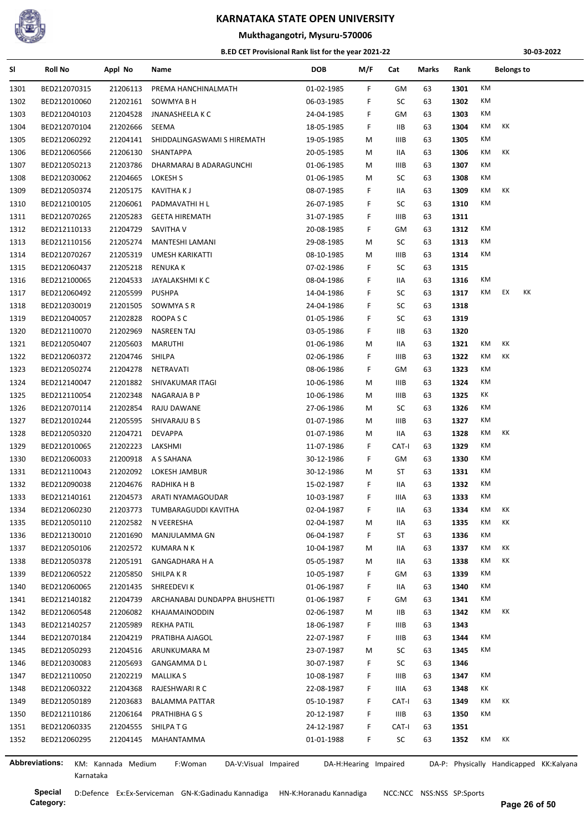

## **Mukthagangotri, Mysuru-570006**

#### **B.ED CET Provisional Rank list for the year 2021-22**

**30-03-2022**

| SI             | <b>Roll No</b> | Appl No            | Name                            | <b>DOB</b> | M/F                   | Cat   | Marks | Rank | <b>Belongs to</b>                       |
|----------------|----------------|--------------------|---------------------------------|------------|-----------------------|-------|-------|------|-----------------------------------------|
| 1301           | BED212070315   | 21206113           | PREMA HANCHINALMATH             | 01-02-1985 | F                     | GM    | 63    | 1301 | КM                                      |
| 1302           | BED212010060   | 21202161           | SOWMYA B H                      | 06-03-1985 | F                     | SC    | 63    | 1302 | КM                                      |
| 1303           | BED212040103   | 21204528           | JNANASHEELA K C                 | 24-04-1985 | F                     | GМ    | 63    | 1303 | КM                                      |
| 1304           | BED212070104   | 21202666           | SEEMA                           | 18-05-1985 | F.                    | IIВ   | 63    | 1304 | КM<br>КK                                |
| 1305           | BED212060292   | 21204141           | SHIDDALINGASWAMI S HIREMATH     | 19-05-1985 | М                     | IIIB  | 63    | 1305 | КM                                      |
| 1306           | BED212060566   | 21206130           | SHANTAPPA                       | 20-05-1985 | М                     | IIA   | 63    | 1306 | КK<br>КM                                |
| 1307           | BED212050213   | 21203786           | DHARMARAJ B ADARAGUNCHI         | 01-06-1985 | М                     | IIIB  | 63    | 1307 | КM                                      |
| 1308           | BED212030062   | 21204665           | LOKESH S                        | 01-06-1985 | М                     | SC    | 63    | 1308 | КM                                      |
| 1309           | BED212050374   | 21205175           | <b>KAVITHAKJ</b>                | 08-07-1985 | F                     | IIA   | 63    | 1309 | КM<br>КK                                |
| 1310           | BED212100105   | 21206061           | PADMAVATHI H L                  | 26-07-1985 | F                     | SC    | 63    | 1310 | КM                                      |
| 1311           | BED212070265   | 21205283           | <b>GEETA HIREMATH</b>           | 31-07-1985 | F                     | IIIB  | 63    | 1311 |                                         |
| 1312           | BED212110133   | 21204729           | SAVITHA V                       | 20-08-1985 | F.                    | GM    | 63    | 1312 | КM                                      |
| 1313           | BED212110156   | 21205274           | MANTESHI LAMANI                 | 29-08-1985 | М                     | SC    | 63    | 1313 | КM                                      |
| 1314           | BED212070267   | 21205319           | UMESH KARIKATTI                 | 08-10-1985 | М                     | IIIB  | 63    | 1314 | KM                                      |
| 1315           | BED212060437   | 21205218           | <b>RENUKA K</b>                 | 07-02-1986 | F.                    | SC    | 63    | 1315 |                                         |
| 1316           | BED212100065   | 21204533           | JAYALAKSHMI K C                 | 08-04-1986 | F                     | IIA   | 63    | 1316 | КM                                      |
| 1317           | BED212060492   | 21205599           | <b>PUSHPA</b>                   | 14-04-1986 | F                     | SC    | 63    | 1317 | KK<br>КM<br>EX                          |
| 1318           | BED212030019   | 21201505           | SOWMYA S R                      | 24-04-1986 | F                     | SC    | 63    | 1318 |                                         |
| 1319           | BED212040057   | 21202828           | ROOPA S C                       | 01-05-1986 | F.                    | SC    | 63    | 1319 |                                         |
| 1320           | BED212110070   | 21202969           | <b>NASREEN TAJ</b>              | 03-05-1986 | F                     | IIВ   | 63    | 1320 |                                         |
| 1321           | BED212050407   | 21205603           | <b>MARUTHI</b>                  | 01-06-1986 | M                     | IIA   | 63    | 1321 | КK<br>КM                                |
| 1322           | BED212060372   | 21204746           | SHILPA                          | 02-06-1986 | F                     | IIIB  | 63    | 1322 | КK<br>КM                                |
|                |                |                    |                                 |            |                       |       |       |      | КM                                      |
| 1323           | BED212050274   | 21204278           | NETRAVATI                       | 08-06-1986 | F                     | GМ    | 63    | 1323 | КM                                      |
| 1324           | BED212140047   | 21201882           | SHIVAKUMAR ITAGI                | 10-06-1986 | М                     | IIIB  | 63    | 1324 |                                         |
| 1325           | BED212110054   | 21202348           | NAGARAJA B P                    | 10-06-1986 | М                     | IIIB  | 63    | 1325 | КK                                      |
| 1326           | BED212070114   | 21202854           | RAJU DAWANE                     | 27-06-1986 | М                     | SC    | 63    | 1326 | КM                                      |
| 1327           | BED212010244   | 21205595           | SHIVARAJU B S                   | 01-07-1986 | М                     | IIIB  | 63    | 1327 | КM                                      |
| 1328           | BED212050320   | 21204721           | <b>DEVAPPA</b>                  | 01-07-1986 | М                     | IIA   | 63    | 1328 | КM<br>КK                                |
| 1329           | BED212010065   | 21202223           | LAKSHMI                         | 11-07-1986 | F                     | CAT-I | 63    | 1329 | КM                                      |
| 1330           | BED212060033   | 21200918           | A S SAHANA                      | 30-12-1986 | F.                    | GM    | 63    | 1330 | КM                                      |
| 1331           | BED212110043   | 21202092           | LOKESH JAMBUR                   | 30-12-1986 | М                     | ST    | 63    | 1331 | КM                                      |
| 1332           | BED212090038   | 21204676           | RADHIKA H B                     | 15-02-1987 | F                     | IIA   | 63    | 1332 | КM                                      |
| 1333           | BED212140161   | 21204573           | ARATI NYAMAGOUDAR               | 10-03-1987 | F.                    | IIIA  | 63    | 1333 | КM                                      |
| 1334           | BED212060230   | 21203773           | TUMBARAGUDDI KAVITHA            | 02-04-1987 | F                     | IIA   | 63    | 1334 | KK<br>КM                                |
| 1335           | BED212050110   | 21202582           | N VEERESHA                      | 02-04-1987 | М                     | IIA   | 63    | 1335 | KK<br>КM                                |
| 1336           | BED212130010   | 21201690           | MANJULAMMA GN                   | 06-04-1987 | F.                    | ST    | 63    | 1336 | КM                                      |
| 1337           | BED212050106   | 21202572           | KUMARA N K                      | 10-04-1987 | М                     | IIA   | 63    | 1337 | KK<br>КM                                |
| 1338           | BED212050378   | 21205191           | <b>GANGADHARA H A</b>           | 05-05-1987 | М                     | IIA   | 63    | 1338 | КM<br>КK                                |
| 1339           | BED212060522   | 21205850           | SHILPA K R                      | 10-05-1987 | F                     | GМ    | 63    | 1339 | КM                                      |
| 1340           | BED212060065   | 21201435           | SHREEDEVI K                     | 01-06-1987 | F.                    | IIA   | 63    | 1340 | КM                                      |
| 1341           | BED212140182   | 21204739           | ARCHANABAI DUNDAPPA BHUSHETTI   | 01-06-1987 | F.                    | GМ    | 63    | 1341 | КM                                      |
| 1342           | BED212060548   | 21206082           | <b>KHAJAMAINODDIN</b>           | 02-06-1987 | M                     | IIВ   | 63    | 1342 | КM<br>КK                                |
| 1343           | BED212140257   | 21205989           | <b>REKHA PATIL</b>              | 18-06-1987 | F                     | IIIB  | 63    | 1343 |                                         |
| 1344           | BED212070184   | 21204219           | PRATIBHA AJAGOL                 | 22-07-1987 | F                     | IIIB  | 63    | 1344 | КM                                      |
| 1345           | BED212050293   | 21204516           | ARUNKUMARA M                    | 23-07-1987 | М                     | SC    | 63    | 1345 | КM                                      |
| 1346           | BED212030083   | 21205693           | GANGAMMA D L                    | 30-07-1987 | F.                    | SC    | 63    | 1346 |                                         |
| 1347           | BED212110050   | 21202219           | <b>MALLIKA S</b>                | 10-08-1987 | F.                    | IIIB  | 63    | 1347 | КM                                      |
| 1348           | BED212060322   | 21204368           | RAJESHWARI R C                  | 22-08-1987 | F.                    | IIIA  | 63    | 1348 | КK                                      |
| 1349           | BED212050189   | 21203683           | <b>BALAMMA PATTAR</b>           | 05-10-1987 | F.                    | CAT-I | 63    | 1349 | КM<br>КK                                |
| 1350           | BED212110186   | 21206164           | PRATHIBHA G S                   | 20-12-1987 | F                     | IIIB  | 63    | 1350 | КM                                      |
| 1351           | BED212060335   | 21204555           | SHILPA T G                      | 24-12-1987 | F.                    | CAT-I | 63    | 1351 |                                         |
| 1352           | BED212060295   | 21204145           | MAHANTAMMA                      | 01-01-1988 | F.                    | SC    | 63    | 1352 | КM<br>КK                                |
|                |                |                    |                                 |            |                       |       |       |      |                                         |
| Abbreviations: |                | KM: Kannada Medium | F:Woman<br>DA-V:Visual Impaired |            | DA-H:Hearing Impaired |       |       |      | DA-P: Physically Handicapped KK:Kalyana |

j,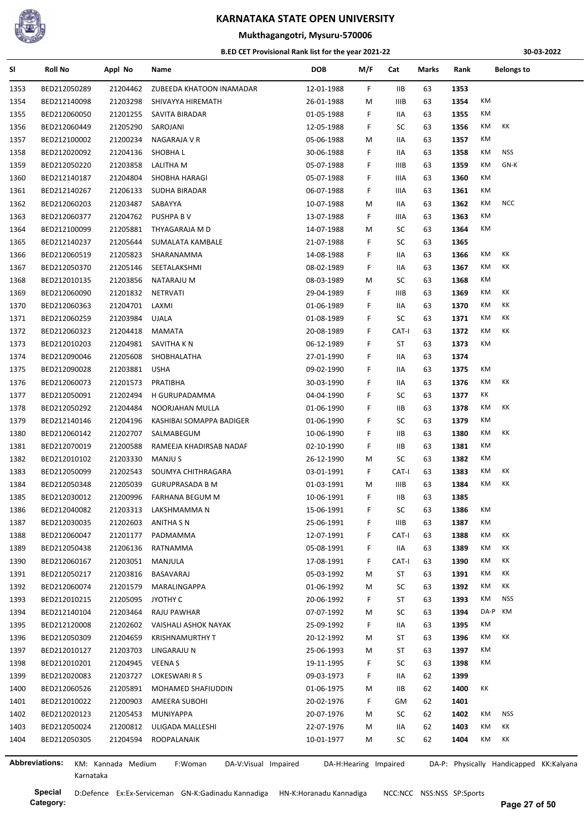

#### **Mukthagangotri, Mysuru-570006**

#### **B.ED CET Provisional Rank list for the year 2021-22**

**30-03-2022**

| SI           | <b>Roll No</b> | Appl No              | Name                              | DOB                      | M/F                   | Cat        | Marks | Rank         |         | <b>Belongs to</b>                       |
|--------------|----------------|----------------------|-----------------------------------|--------------------------|-----------------------|------------|-------|--------------|---------|-----------------------------------------|
| 1353         | BED212050289   | 21204462             | ZUBEEDA KHATOON INAMADAR          | 12-01-1988               | F                     | IIВ        | 63    | 1353         |         |                                         |
| 1354         | BED212140098   | 21203298             | SHIVAYYA HIREMATH                 | 26-01-1988               | М                     | IIIB       | 63    | 1354         | КM      |                                         |
| 1355         | BED212060050   | 21201255             | SAVITA BIRADAR                    | 01-05-1988               | F                     | IIA        | 63    | 1355         | КM      |                                         |
| 1356         | BED212060449   | 21205290             | SAROJANI                          | 12-05-1988               | F.                    | SC         | 63    | 1356         | КM      | КK                                      |
| 1357         | BED212100002   | 21200234             | NAGARAJA V R                      | 05-06-1988               | М                     | IIA        | 63    | 1357         | КM      |                                         |
| 1358         | BED212020092   | 21204136             | <b>SHOBHAL</b>                    | 30-06-1988               | F                     | IIA        | 63    | 1358         | КM      | <b>NSS</b>                              |
| 1359         | BED212050220   | 21203858             | LALITHA M                         | 05-07-1988               | F                     | IIIB       | 63    | 1359         | КM      | GN-K                                    |
| 1360         | BED212140187   | 21204804             | SHOBHA HARAGI                     | 05-07-1988               | F                     | IIIA       | 63    | 1360         | КM      |                                         |
| 1361         | BED212140267   | 21206133             | SUDHA BIRADAR                     | 06-07-1988               | F                     | IIIA       | 63    | 1361         | КM      |                                         |
| 1362         | BED212060203   | 21203487             | SABAYYA                           | 10-07-1988               | М                     | IIA        | 63    | 1362         | КM      | <b>NCC</b>                              |
| 1363         | BED212060377   | 21204762             | PUSHPA B V                        | 13-07-1988               | F                     | IIIA       | 63    | 1363         | КM      |                                         |
| 1364         | BED212100099   | 21205881             | THYAGARAJA M D                    | 14-07-1988               | М                     | SC         | 63    | 1364         | КM      |                                         |
| 1365         | BED212140237   | 21205644             | SUMALATA KAMBALE                  | 21-07-1988               | F                     | SC         | 63    | 1365         |         |                                         |
| 1366         | BED212060519   | 21205823             | SHARANAMMA                        | 14-08-1988               | F                     | IIA        | 63    | 1366         | КM      | КK                                      |
| 1367         | BED212050370   | 21205146             | SEETALAKSHMI                      | 08-02-1989               | F                     | IIA        | 63    | 1367         | КM      | КK                                      |
| 1368         | BED212010135   | 21203856             | NATARAJU M                        | 08-03-1989               | М                     | SC         | 63    | 1368         | КM      |                                         |
| 1369         | BED212060090   | 21201832             | <b>NETRVATI</b>                   | 29-04-1989               | F                     | IIIB       | 63    | 1369         | КM      | КK                                      |
| 1370         | BED212060363   | 21204701             | LAXMI                             | 01-06-1989               | F.                    | IIA        | 63    | 1370         | КM      | КK                                      |
| 1371         | BED212060259   | 21203984             | <b>UJALA</b>                      | 01-08-1989               | F.                    | SC         | 63    | 1371         | КM      | КK                                      |
| 1372         | BED212060323   | 21204418             | MAMATA                            | 20-08-1989               | F                     | CAT-I      | 63    | 1372         | КM      | КK                                      |
| 1373         | BED212010203   | 21204981             | SAVITHA K N                       | 06-12-1989               | F                     | ST         | 63    | 1373         | КM      |                                         |
| 1374         | BED212090046   | 21205608             | SHOBHALATHA                       | 27-01-1990               | F                     | IIA        | 63    | 1374         |         |                                         |
| 1375         | BED212090028   | 21203881             | <b>USHA</b>                       | 09-02-1990               | F                     | IIA        | 63    | 1375         | КM      |                                         |
| 1376         | BED212060073   | 21201573             | PRATIBHA                          | 30-03-1990               | F                     | IIA        | 63    | 1376         | КM      | КK                                      |
| 1377         | BED212050091   | 21202494             | H GURUPADAMMA                     | 04-04-1990               | F                     | SC         | 63    | 1377         | КK      |                                         |
| 1378         | BED212050292   | 21204484             | NOORJAHAN MULLA                   | 01-06-1990               | F                     | IIВ        | 63    | 1378         | КM      | КK                                      |
| 1379         | BED212140146   | 21204196             | KASHIBAI SOMAPPA BADIGER          | 01-06-1990               | F                     | SC         | 63    | 1379         | КM      |                                         |
| 1380         | BED212060142   | 21202707             | SALMABEGUM                        | 10-06-1990               | F                     | IIВ        | 63    | 1380         | КM      | КK                                      |
| 1381         | BED212070019   | 21200588             | RAMEEJA KHADIRSAB NADAF           | 02-10-1990               | F                     | IIВ        | 63    | 1381         | КM      |                                         |
| 1382         | BED212010102   | 21203330             | <b>MANJUS</b>                     | 26-12-1990               | М                     | SC         | 63    | 1382         | КM      |                                         |
| 1383         | BED212050099   | 21202543             | SOUMYA CHITHRAGARA                | 03-01-1991               | F.                    | CAT-I      | 63    | 1383         | КM      | КK                                      |
| 1384         | BED212050348   | 21205039             | <b>GURUPRASADA B M</b>            | 01-03-1991               | М                     | IIIB       | 63    | 1384         | КM      | КK                                      |
| 1385         | BED212030012   | 21200996             |                                   | 10-06-1991               | F.                    | IIВ        | 63    | 1385         |         |                                         |
|              |                |                      | FARHANA BEGUM M                   |                          |                       |            |       |              | КM      |                                         |
| 1386<br>1387 | BED212040082   | 21203313<br>21202603 | LAKSHMAMMA N<br><b>ANITHA S N</b> | 15-06-1991<br>25-06-1991 | F<br>F                | SC<br>IIIB | 63    | 1386<br>1387 | КM      |                                         |
|              | BED212030035   |                      |                                   |                          |                       |            | 63    |              | КM      | КK                                      |
| 1388         | BED212060047   | 21201177             | PADMAMMA                          | 12-07-1991               | F.                    | CAT-I      | 63    | 1388         | КM      |                                         |
| 1389         | BED212050438   | 21206136             | RATNAMMA                          | 05-08-1991               | F.                    | IIA        | 63    | 1389         | КM      | KK                                      |
| 1390         | BED212060167   | 21203051             | MANJULA                           | 17-08-1991               | F.                    | CAT-I      | 63    | 1390         |         | КK<br>КK                                |
| 1391         | BED212050217   | 21203816             | BASAVARAJ                         | 05-03-1992               | М                     | ST         | 63    | 1391         | КM      |                                         |
| 1392         | BED212060074   | 21201579             | MARALINGAPPA                      | 01-06-1992               | M                     | SC         | 63    | 1392         | КM      | КK                                      |
| 1393         | BED212010215   | 21205095             | JYOTHY C                          | 20-06-1992               | F.                    | ST         | 63    | 1393         | КM      | <b>NSS</b>                              |
| 1394         | BED212140104   | 21203464             | RAJU PAWHAR                       | 07-07-1992               | M                     | SC         | 63    | 1394         | DA-P KM |                                         |
| 1395         | BED212120008   | 21202602             | VAISHALI ASHOK NAYAK              | 25-09-1992               | F.                    | IIA        | 63    | 1395         | КM      |                                         |
| 1396         | BED212050309   | 21204659             | <b>KRISHNAMURTHY T</b>            | 20-12-1992               | М                     | ST         | 63    | 1396         | КM      | КK                                      |
| 1397         | BED212010127   | 21203703             | LINGARAJU N                       | 25-06-1993               | М                     | ST         | 63    | 1397         | КM      |                                         |
| 1398         | BED212010201   | 21204945             | <b>VEENAS</b>                     | 19-11-1995               | F                     | SC         | 63    | 1398         | КM      |                                         |
| 1399         | BED212020083   | 21203727             | LOKESWARI R S                     | 09-03-1973               | F.                    | IIA        | 62    | 1399         |         |                                         |
| 1400         | BED212060526   | 21205891             | MOHAMED SHAFIUDDIN                | 01-06-1975               | М                     | IIВ        | 62    | 1400         | КK      |                                         |
| 1401         | BED212010022   | 21200903             | AMEERA SUBOHI                     | 20-02-1976               | F                     | GM         | 62    | 1401         |         |                                         |
| 1402         | BED212020123   | 21205453             | MUNIYAPPA                         | 20-07-1976               | М                     | SC         | 62    | 1402         | КM      | <b>NSS</b>                              |
| 1403         | BED212050024   | 21200812             | ULIGADA MALLESHI                  | 22-07-1976               | M                     | IIA        | 62    | 1403         | КM      | КK                                      |
| 1404         | BED212050305   | 21204594             | ROOPALANAIK                       | 10-01-1977               | M                     | SC         | 62    | 1404         | КM      | КK                                      |
|              |                |                      |                                   |                          |                       |            |       |              |         |                                         |
|              | Abbreviations: | KM: Kannada Medium   | F:Woman<br>DA-V:Visual Impaired   |                          | DA-H:Hearing Impaired |            |       |              |         | DA-P: Physically Handicapped KK:Kalyana |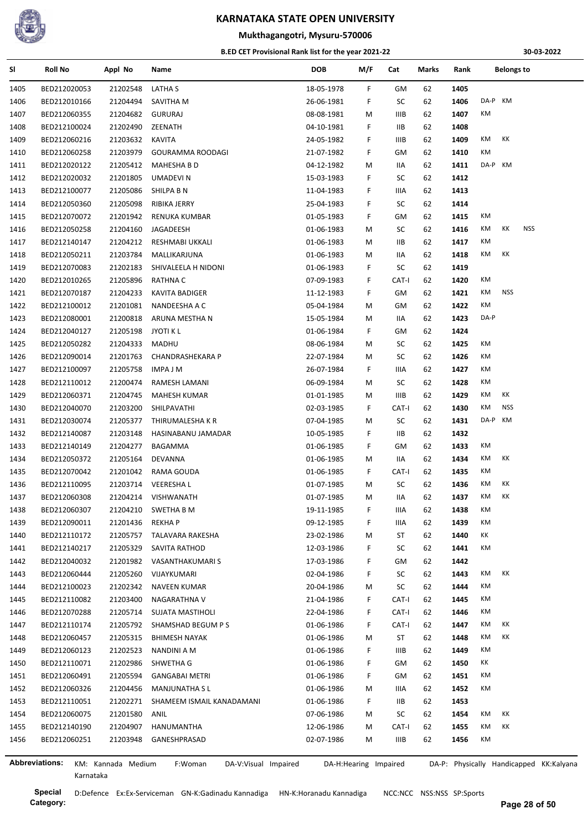

#### **Mukthagangotri, Mysuru-570006**

#### **B.ED CET Provisional Rank list for the year 2021-22**

**30-03-2022**

| SI.  | <b>Roll No</b> | Appl No            | Name                            | <b>DOB</b>            | M/F | Cat         | Marks | Rank | <b>Belongs to</b>                       |
|------|----------------|--------------------|---------------------------------|-----------------------|-----|-------------|-------|------|-----------------------------------------|
| 1405 | BED212020053   | 21202548           | LATHA S                         | 18-05-1978            | F.  | GM          | 62    | 1405 |                                         |
| 1406 | BED212010166   | 21204494           | SAVITHA M                       | 26-06-1981            | F.  | SC          | 62    | 1406 | DA-P KM                                 |
| 1407 | BED212060355   | 21204682           | <b>GURURAJ</b>                  | 08-08-1981            | М   | IIIB        | 62    | 1407 | KM                                      |
| 1408 | BED212100024   | 21202490           | ZEENATH                         | 04-10-1981            | F   | IIB.        | 62    | 1408 |                                         |
| 1409 | BED212060216   | 21203632           | <b>KAVITA</b>                   | 24-05-1982            | F   | <b>IIIB</b> | 62    | 1409 | КK<br>КM                                |
| 1410 | BED212060258   | 21203979           | GOURAMMA ROODAGI                | 21-07-1982            | F   | GМ          | 62    | 1410 | KM                                      |
| 1411 | BED212020122   | 21205412           | <b>MAHESHA B D</b>              | 04-12-1982            | M   | 11A         | 62    | 1411 | DA-P KM                                 |
| 1412 | BED212020032   | 21201805           | <b>UMADEVIN</b>                 | 15-03-1983            | F.  | SC          | 62    | 1412 |                                         |
| 1413 | BED212100077   | 21205086           | SHILPA B N                      | 11-04-1983            | F   | IIIA        | 62    | 1413 |                                         |
| 1414 | BED212050360   | 21205098           | RIBIKA JERRY                    | 25-04-1983            | F.  | SC          | 62    | 1414 |                                         |
| 1415 | BED212070072   | 21201942           | RENUKA KUMBAR                   | 01-05-1983            | F.  | GМ          | 62    | 1415 | КM                                      |
| 1416 | BED212050258   | 21204160           | JAGADEESH                       | 01-06-1983            | M   | SC          | 62    | 1416 | <b>NSS</b><br>КM<br>КK                  |
| 1417 | BED212140147   | 21204212           | RESHMABI UKKALI                 | 01-06-1983            | M   | ШB          | 62    | 1417 | KM                                      |
| 1418 | BED212050211   | 21203784           | MALLIKARJUNA                    | 01-06-1983            | M   | 11A         | 62    | 1418 | КM<br>КK                                |
| 1419 | BED212070083   | 21202183           | SHIVALEELA H NIDONI             | 01-06-1983            | F.  | SC          | 62    | 1419 |                                         |
| 1420 | BED212010265   | 21205896           | RATHNA C                        | 07-09-1983            | F.  | CAT-I       | 62    | 1420 | КM                                      |
| 1421 | BED212070187   | 21204233           | <b>KAVITA BADIGER</b>           | 11-12-1983            | F.  | GМ          | 62    | 1421 | <b>NSS</b><br>КM                        |
| 1422 | BED212100012   | 21201081           | NANDEESHA A C                   | 05-04-1984            | M   | GМ          | 62    | 1422 | KM                                      |
| 1423 | BED212080001   | 21200818           | ARUNA MESTHA N                  | 15-05-1984            | M   | 11A         | 62    | 1423 | DA-P                                    |
| 1424 | BED212040127   | 21205198           | <b>JYOTI K L</b>                | 01-06-1984            | F.  | GМ          | 62    | 1424 |                                         |
| 1425 | BED212050282   | 21204333           | MADHU                           | 08-06-1984            | M   | SC          | 62    | 1425 | KM                                      |
| 1426 | BED212090014   | 21201763           | CHANDRASHEKARA P                | 22-07-1984            | M   | SC          | 62    | 1426 | KM                                      |
| 1427 | BED212100097   | 21205758           | IMPA J M                        | 26-07-1984            | F.  | IIIA        | 62    | 1427 | КM                                      |
| 1428 | BED212110012   | 21200474           | RAMESH LAMANI                   | 06-09-1984            | M   | SC          | 62    | 1428 | КM                                      |
| 1429 | BED212060371   | 21204745           | MAHESH KUMAR                    | 01-01-1985            | M   | IIIB        | 62    | 1429 | КK<br>КM                                |
| 1430 | BED212040070   | 21203200           | SHILPAVATHI                     | 02-03-1985            | F.  | CAT-I       | 62    | 1430 | KM<br><b>NSS</b>                        |
| 1431 | BED212030074   | 21205377           | THIRUMALESHA K R                | 07-04-1985            | M   | SC          | 62    | 1431 | DA-P KM                                 |
| 1432 | BED212140087   | 21203148           | HASINABANU JAMADAR              | 10-05-1985            | F   | IIВ         | 62    | 1432 |                                         |
|      | BED212140149   |                    |                                 |                       |     |             |       | 1433 | КM                                      |
| 1433 |                | 21204277           | BAGAMMA                         | 01-06-1985            | F.  | GМ          | 62    | 1434 | КK<br>КM                                |
| 1434 | BED212050372   | 21205164           | DEVANNA                         | 01-06-1985            | M   | 11A         | 62    |      | КM                                      |
| 1435 | BED212070042   | 21201042           | RAMA GOUDA                      | 01-06-1985            | F.  | CAT-I       | 62    | 1435 | КK                                      |
| 1436 | BED212110095   | 21203714           | <b>VEERESHAL</b>                | 01-07-1985            | M   | SC          | 62    | 1436 | КM                                      |
| 1437 | BED212060308   |                    | 21204214 VISHWANATH             | 01-07-1985            | M   | 11A         | 62    | 1437 | КM<br>КK                                |
| 1438 | BED212060307   | 21204210           | <b>SWETHA B M</b>               | 19-11-1985            | F   | IIIA        | 62    | 1438 | КM                                      |
| 1439 | BED212090011   | 21201436           | <b>REKHAP</b>                   | 09-12-1985            | F   | IIIA        | 62    | 1439 | KM                                      |
| 1440 | BED212110172   | 21205757           | TALAVARA RAKESHA                | 23-02-1986            | M   | ST          | 62    | 1440 | КK                                      |
| 1441 | BED212140217   | 21205329           | SAVITA RATHOD                   | 12-03-1986            | F   | SC          | 62    | 1441 | KM                                      |
| 1442 | BED212040032   | 21201982           | VASANTHAKUMARI S                | 17-03-1986            | F.  | GМ          | 62    | 1442 |                                         |
| 1443 | BED212060444   | 21205260           | VIJAYKUMARI                     | 02-04-1986            | F.  | SC          | 62    | 1443 | КM<br>КK                                |
| 1444 | BED212100023   | 21202342           | NAVEEN KUMAR                    | 20-04-1986            | M   | SC          | 62    | 1444 | КM                                      |
| 1445 | BED212110082   | 21203400           | NAGARATHNA V                    | 21-04-1986            | F.  | CAT-I       | 62    | 1445 | КM                                      |
| 1446 | BED212070288   | 21205714           | SUJATA MASTIHOLI                | 22-04-1986            | F.  | CAT-I       | 62    | 1446 | КM                                      |
| 1447 | BED212110174   | 21205792           | SHAMSHAD BEGUM P S              | 01-06-1986            | F   | CAT-I       | 62    | 1447 | КK<br>КM                                |
| 1448 | BED212060457   | 21205315           | <b>BHIMESH NAYAK</b>            | 01-06-1986            | M   | ST          | 62    | 1448 | КM<br>КK                                |
| 1449 | BED212060123   | 21202523           | NANDINI A M                     | 01-06-1986            | F.  | IIIB        | 62    | 1449 | КM                                      |
| 1450 | BED212110071   | 21202986           | SHWETHA G                       | 01-06-1986            | F   | GМ          | 62    | 1450 | КK                                      |
| 1451 | BED212060491   | 21205594           | <b>GANGABAI METRI</b>           | 01-06-1986            | F   | GМ          | 62    | 1451 | КM                                      |
| 1452 | BED212060326   | 21204456           | <b>MANJUNATHA SL</b>            | 01-06-1986            | M   | IIIA        | 62    | 1452 | КM                                      |
| 1453 | BED212110051   | 21202271           | SHAMEEM ISMAIL KANADAMANI       | 01-06-1986            | F   | ШB          | 62    | 1453 |                                         |
| 1454 | BED212060075   | 21201580           | ANIL                            | 07-06-1986            | M   | SC          | 62    | 1454 | КM<br>КK                                |
| 1455 | BED212140190   | 21204907           | HANUMANTHA                      | 12-06-1986            | M   | CAT-I       | 62    | 1455 | КK<br>КM                                |
| 1456 | BED212060251   | 21203948           | GANESHPRASAD                    | 02-07-1986            | М   | IIIB        | 62    | 1456 | КM                                      |
|      |                |                    |                                 |                       |     |             |       |      |                                         |
|      | Abbreviations: | KM: Kannada Medium | F:Woman<br>DA-V:Visual Impaired | DA-H:Hearing Impaired |     |             |       |      | DA-P: Physically Handicapped KK:Kalyana |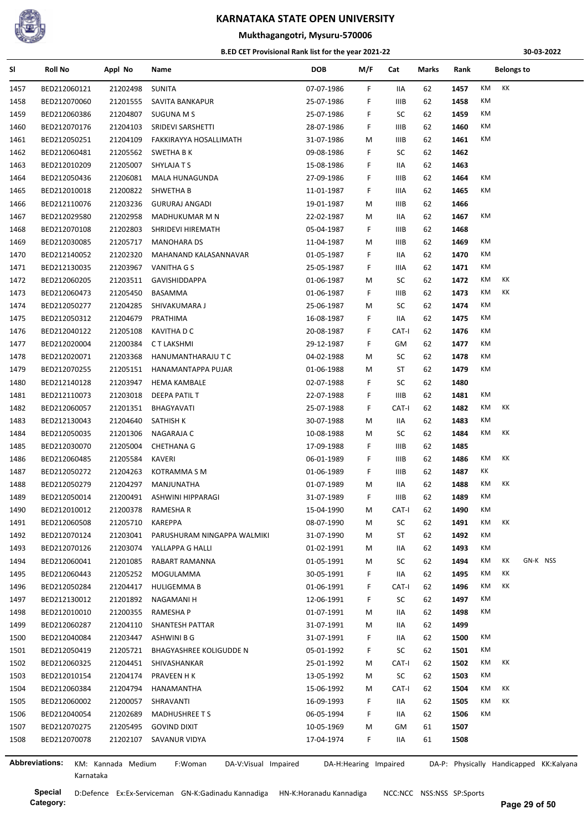

#### **Mukthagangotri, Mysuru-570006**

#### **B.ED CET Provisional Rank list for the year 2021-22**

**30-03-2022**

| SI           | Roll No               | Appl No            | Name                            | DOB        | M/F                   | Cat         | Marks    | Rank                                    |    | <b>Belongs to</b> |          |  |
|--------------|-----------------------|--------------------|---------------------------------|------------|-----------------------|-------------|----------|-----------------------------------------|----|-------------------|----------|--|
| 1457         | BED212060121          | 21202498           | <b>SUNITA</b>                   | 07-07-1986 | F.                    | IIA         | 62       | 1457                                    | КM | KK                |          |  |
| 1458         | BED212070060          | 21201555           | SAVITA BANKAPUR                 | 25-07-1986 | F                     | IIIB        | 62       | 1458                                    | КM |                   |          |  |
| 1459         | BED212060386          | 21204807           | <b>SUGUNA M S</b>               | 25-07-1986 | F                     | SC          | 62       | 1459                                    | КM |                   |          |  |
| 1460         | BED212070176          | 21204103           | SRIDEVI SARSHETTI               | 28-07-1986 | F.                    | IIIB        | 62       | 1460                                    | КM |                   |          |  |
| 1461         | BED212050251          | 21204109           | FAKKIRAYYA HOSALLIMATH          | 31-07-1986 | М                     | IIIB        | 62       | 1461                                    | КM |                   |          |  |
| 1462         | BED212060481          | 21205562           | SWETHA B K                      | 09-08-1986 | F.                    | SC          | 62       | 1462                                    |    |                   |          |  |
| 1463         | BED212010209          | 21205007           | SHYLAJA T S                     | 15-08-1986 | F                     | IIA         | 62       | 1463                                    |    |                   |          |  |
| 1464         | BED212050436          | 21206081           | MALA HUNAGUNDA                  | 27-09-1986 | F                     | IIIB        | 62       | 1464                                    | КM |                   |          |  |
| 1465         | BED212010018          | 21200822           | SHWETHA B                       | 11-01-1987 | F.                    | IIIA        | 62       | 1465                                    | КM |                   |          |  |
| 1466         | BED212110076          | 21203236           | <b>GURURAJ ANGADI</b>           | 19-01-1987 | M                     | IIIB        | 62       | 1466                                    |    |                   |          |  |
| 1467         | BED212029580          | 21202958           | MADHUKUMAR M N                  | 22-02-1987 | М                     | IIA         | 62       | 1467                                    | КM |                   |          |  |
| 1468         | BED212070108          | 21202803           | SHRIDEVI HIREMATH               | 05-04-1987 | F.                    | IIIB        | 62       | 1468                                    |    |                   |          |  |
| 1469         | BED212030085          | 21205717           | <b>MANOHARA DS</b>              | 11-04-1987 | M                     | IIIB        | 62       | 1469                                    | КM |                   |          |  |
| 1470         | BED212140052          | 21202320           | MAHANAND KALASANNAVAR           | 01-05-1987 | F                     | IIA         | 62       | 1470                                    | КM |                   |          |  |
| 1471         | BED212130035          | 21203967           | VANITHA G S                     | 25-05-1987 | F.                    | IIIA        | 62       | 1471                                    | КM |                   |          |  |
| 1472         | BED212060205          | 21203511           | <b>GAVISHIDDAPPA</b>            | 01-06-1987 | M                     | SC          | 62       | 1472                                    | КM | КK                |          |  |
| 1473         | BED212060473          | 21205450           | BASAMMA                         | 01-06-1987 | F                     | IIIB        | 62       | 1473                                    | КM | КK                |          |  |
| 1474         | BED212050277          | 21204285           | SHIVAKUMARA J                   | 25-06-1987 | М                     | SC          | 62       | 1474                                    | КM |                   |          |  |
| 1475         | BED212050312          | 21204679           | PRATHIMA                        | 16-08-1987 | F.                    | IIA         | 62       | 1475                                    | КM |                   |          |  |
| 1476         | BED212040122          | 21205108           | <b>KAVITHA D C</b>              | 20-08-1987 | F                     | CAT-I       | 62       | 1476                                    | КM |                   |          |  |
| 1477         | BED212020004          | 21200384           | CT LAKSHMI                      | 29-12-1987 | F                     | GM          | 62       | 1477                                    | КM |                   |          |  |
| 1478         | BED212020071          | 21203368           | HANUMANTHARAJU T C              | 04-02-1988 | M                     | SC          | 62       | 1478                                    | КM |                   |          |  |
| 1479         | BED212070255          | 21205151           | HANAMANTAPPA PUJAR              | 01-06-1988 | М                     | ST          | 62       | 1479                                    | КM |                   |          |  |
| 1480         | BED212140128          | 21203947           | HEMA KAMBALE                    | 02-07-1988 | F.                    | SC          | 62       | 1480                                    |    |                   |          |  |
| 1481         | BED212110073          | 21203018           | DEEPA PATIL T                   | 22-07-1988 | F.                    | IIIB        | 62       | 1481                                    | КM |                   |          |  |
| 1482         | BED212060057          | 21201351           | BHAGYAVATI                      | 25-07-1988 | F.                    | CAT-I       | 62       | 1482                                    | КM | КK                |          |  |
| 1483         | BED212130043          | 21204640           | SATHISH K                       | 30-07-1988 | M                     | IIA         | 62       | 1483                                    | КM |                   |          |  |
| 1484         | BED212050035          | 21201306           | NAGARAJA C                      | 10-08-1988 | М                     | SC          | 62       | 1484                                    | КM | КK                |          |  |
| 1485         | BED212030070          | 21205004           | <b>CHETHANA G</b>               | 17-09-1988 | F.                    | <b>IIIB</b> | 62       | 1485                                    |    |                   |          |  |
| 1486         | BED212060485          | 21205584           | KAVERI                          | 06-01-1989 | F.                    | IIIB        | 62       | 1486                                    | КM | КK                |          |  |
| 1487         | BED212050272          | 21204263           | KOTRAMMA S M                    | 01-06-1989 | F.                    | IIIB        | 62       | 1487                                    | КK |                   |          |  |
| 1488         | BED212050279          | 21204297           | MANJUNATHA                      | 01-07-1989 | M                     | IIA         | 62       | 1488                                    | КM | KK                |          |  |
| 1489         | BED212050014          | 21200491           | ASHWINI HIPPARAGI               | 31-07-1989 | F                     | IIIB        | 62       | 1489                                    | КM |                   |          |  |
| 1490         | BED212010012          | 21200378           | RAMESHA R                       | 15-04-1990 | M                     | CAT-I       | 62       | 1490                                    | КM |                   |          |  |
| 1491         | BED212060508          | 21205710           | <b>KAREPPA</b>                  | 08-07-1990 | М                     | SC          | 62       | 1491                                    | КM | KK                |          |  |
| 1492         | BED212070124          | 21203041           | PARUSHURAM NINGAPPA WALMIKI     | 31-07-1990 | М                     | ST          | 62       | 1492                                    | KM |                   |          |  |
| 1493         | BED212070126          | 21203074           | YALLAPPA G HALLI                | 01-02-1991 | М                     | IIA         | 62       | 1493                                    | КM |                   |          |  |
| 1494         | BED212060041          | 21201085           | RABART RAMANNA                  | 01-05-1991 | М                     | SC          | 62       | 1494                                    | КM | КK                | GN-K NSS |  |
| 1495         | BED212060443          | 21205252           | MOGULAMMA                       | 30-05-1991 | F.                    | IIA         | 62       | 1495                                    | КM | КK                |          |  |
| 1496         | BED212050284          | 21204417           | <b>HULIGEMMA B</b>              | 01-06-1991 | F                     | CAT-I       | 62       | 1496                                    | КM | КK                |          |  |
| 1497         | BED212130012          | 21201892           | NAGAMANI H                      | 12-06-1991 | F                     | SC          | 62       | 1497                                    | КM |                   |          |  |
| 1498         | BED212010010          | 21200355           | RAMESHA P                       | 01-07-1991 | М                     | IIA         | 62       | 1498                                    | КM |                   |          |  |
| 1499         | BED212060287          | 21204110           | SHANTESH PATTAR                 | 31-07-1991 | М                     | IIA         | 62       | 1499                                    |    |                   |          |  |
| 1500         | BED212040084          | 21203447           | ASHWINI B G                     | 31-07-1991 | F                     | IIA         | 62       | 1500                                    | КM |                   |          |  |
|              | BED212050419          | 21205721           |                                 | 05-01-1992 |                       |             |          |                                         | КM |                   |          |  |
| 1501<br>1502 | BED212060325          | 21204451           | BHAGYASHREE KOLIGUDDE N         |            | F.                    | SC<br>CAT-I | 62<br>62 | 1501<br>1502                            | КM | КK                |          |  |
|              |                       |                    | SHIVASHANKAR                    | 25-01-1992 | М                     |             |          |                                         | КM |                   |          |  |
| 1503         | BED212010154          | 21204174           | PRAVEEN H K                     | 13-05-1992 | М                     | SC          | 62       | 1503                                    | КM | KK                |          |  |
| 1504         | BED212060384          | 21204794           | HANAMANTHA                      | 15-06-1992 | М                     | CAT-I       | 62       | 1504                                    | КM | КK                |          |  |
| 1505         | BED212060002          | 21200057           | SHRAVANTI                       | 16-09-1993 | F.                    | IIA         | 62       | 1505                                    |    |                   |          |  |
| 1506         | BED212040054          | 21202689           | <b>MADHUSHREE T S</b>           | 06-05-1994 | F.                    | IIA         | 62       | 1506                                    | КM |                   |          |  |
| 1507         | BED212070275          | 21205495           | <b>GOVIND DIXIT</b>             | 10-05-1969 | M                     | GM          | 61       | 1507                                    |    |                   |          |  |
| 1508         | BED212070078          | 21202107           | SAVANUR VIDYA                   | 17-04-1974 | F.                    | IIA         | 61       | 1508                                    |    |                   |          |  |
|              | <b>Abbreviations:</b> | KM: Kannada Medium | DA-V:Visual Impaired<br>F:Woman |            | DA-H:Hearing Impaired |             |          | DA-P: Physically Handicapped KK:Kalyana |    |                   |          |  |
|              | Karnataka             |                    |                                 |            |                       |             |          |                                         |    |                   |          |  |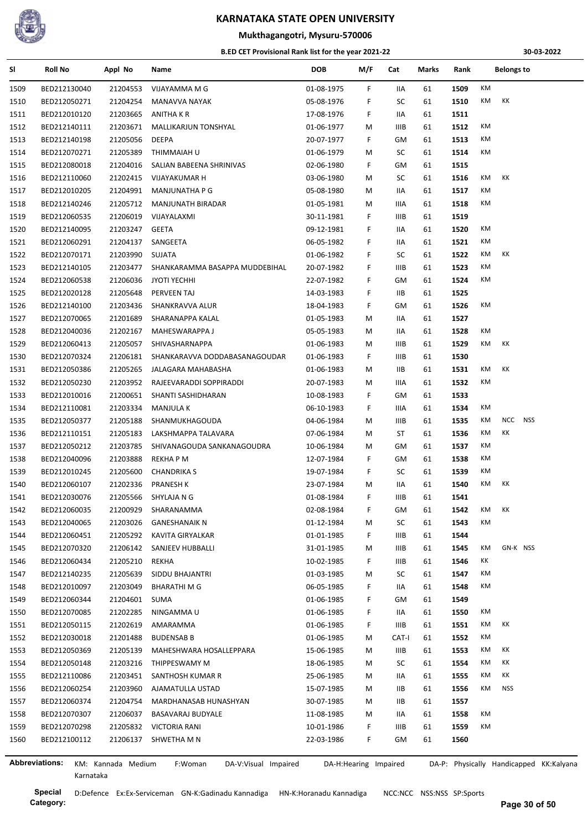

#### **Mukthagangotri, Mysuru-570006**

#### **B.ED CET Provisional Rank list for the year 2021-22**

**30-03-2022**

| SI                    | <b>Roll No</b> | Appl No            | Name                            | <b>DOB</b> | M/F                   | Cat         | Marks | Rank | <b>Belongs to</b>                       |
|-----------------------|----------------|--------------------|---------------------------------|------------|-----------------------|-------------|-------|------|-----------------------------------------|
| 1509                  | BED212130040   | 21204553           | VIJAYAMMA M G                   | 01-08-1975 | F                     | IIA         | 61    | 1509 | КM                                      |
| 1510                  | BED212050271   | 21204254           | <b>MANAVVA NAYAK</b>            | 05-08-1976 | F                     | SC          | 61    | 1510 | КM<br>КK                                |
| 1511                  | BED212010120   | 21203665           | ANITHA K R                      | 17-08-1976 | F.                    | IIA         | 61    | 1511 |                                         |
| 1512                  | BED212140111   | 21203671           | MALLIKARJUN TONSHYAL            | 01-06-1977 | М                     | <b>IIIB</b> | 61    | 1512 | КM                                      |
| 1513                  | BED212140198   | 21205056           | <b>DEEPA</b>                    | 20-07-1977 | F                     | GM          | 61    | 1513 | КM                                      |
| 1514                  | BED212070271   | 21205389           | THIMMAIAH U                     | 01-06-1979 | M                     | SC          | 61    | 1514 | КM                                      |
| 1515                  | BED212080018   | 21204016           | SALIAN BABEENA SHRINIVAS        | 02-06-1980 | F                     | GM          | 61    | 1515 |                                         |
| 1516                  | BED212110060   | 21202415           | VIJAYAKUMAR H                   | 03-06-1980 | М                     | SC          | 61    | 1516 | КK<br>КM                                |
| 1517                  | BED212010205   | 21204991           | <b>MANJUNATHA P G</b>           | 05-08-1980 | M                     | IIA         | 61    | 1517 | KM                                      |
| 1518                  | BED212140246   | 21205712           | <b>MANJUNATH BIRADAR</b>        | 01-05-1981 | M                     | IIIA        | 61    | 1518 | КM                                      |
| 1519                  | BED212060535   | 21206019           | VIJAYALAXMI                     | 30-11-1981 | F                     | IIIB        | 61    | 1519 |                                         |
| 1520                  | BED212140095   | 21203247           | GEETA                           | 09-12-1981 | F                     | IIA         | 61    | 1520 | КM                                      |
| 1521                  | BED212060291   | 21204137           | SANGEETA                        | 06-05-1982 | F                     | IIA         | 61    | 1521 | КM                                      |
| 1522                  | BED212070171   | 21203990           | <b>SUJATA</b>                   | 01-06-1982 | F                     | SC          | 61    | 1522 | КK<br>КM                                |
| 1523                  | BED212140105   | 21203477           | SHANKARAMMA BASAPPA MUDDEBIHAL  | 20-07-1982 | F                     | <b>IIIB</b> | 61    | 1523 | KM                                      |
| 1524                  | BED212060538   | 21206036           | <b>JYOTI YECHHI</b>             | 22-07-1982 | F                     | GM          | 61    | 1524 | KM                                      |
| 1525                  | BED212020128   | 21205648           | PERVEEN TAJ                     | 14-03-1983 | F                     | IIВ         | 61    | 1525 |                                         |
| 1526                  | BED212140100   | 21203436           | SHANKRAVVA ALUR                 | 18-04-1983 | F.                    | GM          | 61    | 1526 | КM                                      |
| 1527                  | BED212070065   | 21201689           | SHARANAPPA KALAL                | 01-05-1983 | М                     | IIA         | 61    | 1527 |                                         |
| 1528                  | BED212040036   | 21202167           | MAHESWARAPPA J                  | 05-05-1983 | M                     | IIA         | 61    | 1528 | КM                                      |
| 1529                  | BED212060413   | 21205057           | SHIVASHARNAPPA                  | 01-06-1983 | M                     | <b>IIIB</b> | 61    | 1529 | КM<br>КK                                |
| 1530                  | BED212070324   | 21206181           | SHANKARAVVA DODDABASANAGOUDAR   | 01-06-1983 | F                     | IIIB        | 61    | 1530 |                                         |
| 1531                  | BED212050386   | 21205265           | JALAGARA MAHABASHA              | 01-06-1983 | М                     | IIВ         | 61    | 1531 | КK<br>КM                                |
| 1532                  | BED212050230   | 21203952           | RAJEEVARADDI SOPPIRADDI         | 20-07-1983 | M                     | IIIA        | 61    | 1532 | KM                                      |
| 1533                  | BED212010016   | 21200651           | SHANTI SASHIDHARAN              | 10-08-1983 | F                     | GM          | 61    | 1533 |                                         |
| 1534                  | BED212110081   | 21203334           | MANJULA K                       | 06-10-1983 | F                     | IIIA        | 61    | 1534 | КM                                      |
|                       |                |                    |                                 |            |                       |             |       |      | <b>NCC</b><br><b>NSS</b><br>КM          |
| 1535                  | BED212050377   | 21205188           | SHANMUKHAGOUDA                  | 04-06-1984 | М                     | IIIB        | 61    | 1535 | КM<br>КK                                |
| 1536                  | BED212110151   | 21205183           | LAKSHMAPPA TALAVARA             | 07-06-1984 | M                     | ST          | 61    | 1536 | КM                                      |
| 1537                  | BED212050212   | 21203785           | SHIVANAGOUDA SANKANAGOUDRA      | 10-06-1984 | м                     | GM          | 61    | 1537 |                                         |
| 1538                  | BED212040096   | 21203888           | REKHA P M                       | 12-07-1984 | F.                    | GM          | 61    | 1538 | КM                                      |
| 1539                  | BED212010245   | 21205600           | <b>CHANDRIKA S</b>              | 19-07-1984 | F.                    | SC          | 61    | 1539 | КM                                      |
| 1540                  | BED212060107   | 21202336           | <b>PRANESH K</b>                | 23-07-1984 | М                     | IIA         | 61    | 1540 | КK<br>КM                                |
| 1541                  | BED212030076   | 21205566           | SHYLAJA N G                     | 01-08-1984 | F.                    | IIIB        | 61    | 1541 |                                         |
| 1542                  | BED212060035   | 21200929           | SHARANAMMA                      | 02-08-1984 | F                     | GM          | 61    | 1542 | KK<br>KM                                |
| 1543                  | BED212040065   | 21203026           | <b>GANESHANAIK N</b>            | 01-12-1984 | M                     | SC          | 61    | 1543 | KM                                      |
| 1544                  | BED212060451   | 21205292           | KAVITA GIRYALKAR                | 01-01-1985 | F                     | IIIB        | 61    | 1544 |                                         |
| 1545                  | BED212070320   | 21206142           | SANJEEV HUBBALLI                | 31-01-1985 | М                     | <b>IIIB</b> | 61    | 1545 | GN-K NSS<br>KM                          |
| 1546                  | BED212060434   | 21205210           | REKHA                           | 10-02-1985 | F.                    | IIIB        | 61    | 1546 | ΚK                                      |
| 1547                  | BED212140235   | 21205639           | SIDDU BHAJANTRI                 | 01-03-1985 | М                     | SC          | 61    | 1547 | КM                                      |
| 1548                  | BED212010097   | 21203049           | <b>BHARATHI M G</b>             | 06-05-1985 | F                     | IIA         | 61    | 1548 | КM                                      |
| 1549                  | BED212060344   | 21204601           | SUMA                            | 01-06-1985 | F                     | GM          | 61    | 1549 |                                         |
| 1550                  | BED212070085   | 21202285           | NINGAMMA U                      | 01-06-1985 | F                     | IIA         | 61    | 1550 | КM                                      |
| 1551                  | BED212050115   | 21202619           | AMARAMMA                        | 01-06-1985 | F                     | IIIB        | 61    | 1551 | КM<br>КK                                |
| 1552                  | BED212030018   | 21201488           | <b>BUDENSAB B</b>               | 01-06-1985 | М                     | CAT-I       | 61    | 1552 | КM                                      |
| 1553                  | BED212050369   | 21205139           | MAHESHWARA HOSALLEPPARA         | 15-06-1985 | М                     | IIIB        | 61    | 1553 | KK<br>КM                                |
| 1554                  | BED212050148   | 21203216           | THIPPESWAMY M                   | 18-06-1985 | M                     | SC          | 61    | 1554 | KK<br>КM                                |
| 1555                  | BED212110086   | 21203451           | SANTHOSH KUMAR R                | 25-06-1985 | M                     | IIA         | 61    | 1555 | КK<br>КM                                |
| 1556                  | BED212060254   | 21203960           | AJAMATULLA USTAD                | 15-07-1985 | М                     | IIВ         | 61    | 1556 | <b>NSS</b><br>КM                        |
| 1557                  | BED212060374   | 21204754           | MARDHANASAB HUNASHYAN           | 30-07-1985 | М                     | IIВ         | 61    | 1557 |                                         |
| 1558                  | BED212070307   | 21206037           | BASAVARAJ BUDYALE               | 11-08-1985 | M                     | IIA         | 61    | 1558 | КM                                      |
| 1559                  | BED212070298   | 21205832           | VICTORIA RANI                   | 10-01-1986 | F                     | <b>IIIB</b> | 61    | 1559 | КM                                      |
| 1560                  | BED212100112   | 21206137           | SHWETHA M N                     | 22-03-1986 | F.                    | GM          | 61    | 1560 |                                         |
|                       |                |                    |                                 |            |                       |             |       |      |                                         |
| <b>Abbreviations:</b> |                | KM: Kannada Medium | F:Woman<br>DA-V:Visual Impaired |            | DA-H:Hearing Impaired |             |       |      | DA-P: Physically Handicapped KK:Kalyana |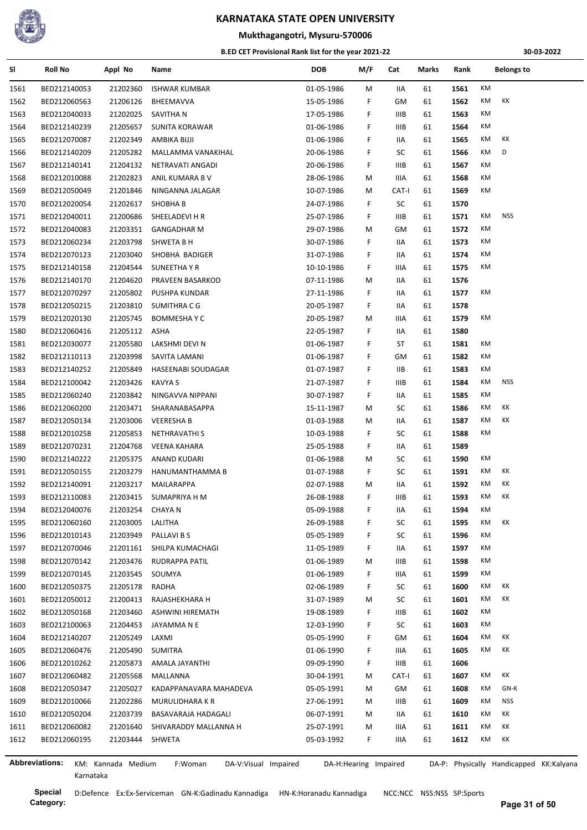

## **Mukthagangotri, Mysuru-570006**

#### **B.ED CET Provisional Rank list for the year 2021-22**

**30-03-2022**

| SI   | <b>Roll No</b>        | Appl No            | Name                            | <b>DOB</b> | M/F                   | Cat         | Marks | Rank | <b>Belongs to</b>                       |  |
|------|-----------------------|--------------------|---------------------------------|------------|-----------------------|-------------|-------|------|-----------------------------------------|--|
| 1561 | BED212140053          | 21202360           | <b>ISHWAR KUMBAR</b>            | 01-05-1986 | м                     | IIA         | 61    | 1561 | КM                                      |  |
| 1562 | BED212060563          | 21206126           | BHEEMAVVA                       | 15-05-1986 | F.                    | GМ          | 61    | 1562 | KM<br>КK                                |  |
| 1563 | BED212040033          | 21202025           | SAVITHA N                       | 17-05-1986 | F                     | IIIB        | 61    | 1563 | KM                                      |  |
| 1564 | BED212140239          | 21205657           | <b>SUNITA KORAWAR</b>           | 01-06-1986 | F                     | IIIB        | 61    | 1564 | КM                                      |  |
| 1565 | BED212070087          | 21202349           | AMBIKA BIJJI                    | 01-06-1986 | F                     | IIA         | 61    | 1565 | KK<br>КM                                |  |
| 1566 | BED212140209          | 21205282           | MALLAMMA VANAKIHAL              | 20-06-1986 | F                     | SC          | 61    | 1566 | D<br>КM                                 |  |
| 1567 | BED212140141          | 21204132           | NETRAVATI ANGADI                | 20-06-1986 | F                     | IIIB        | 61    | 1567 | КM                                      |  |
| 1568 | BED212010088          | 21202823           | ANIL KUMARA B V                 | 28-06-1986 | М                     | IIIA        | 61    | 1568 | КM                                      |  |
| 1569 | BED212050049          | 21201846           | NINGANNA JALAGAR                | 10-07-1986 | М                     | CAT-I       | 61    | 1569 | КM                                      |  |
| 1570 | BED212020054          | 21202617           | SHOBHA B                        | 24-07-1986 | F                     | SC          | 61    | 1570 |                                         |  |
| 1571 | BED212040011          | 21200686           | SHEELADEVI H R                  | 25-07-1986 | F                     | IIIB        | 61    | 1571 | <b>NSS</b><br>КM                        |  |
| 1572 | BED212040083          | 21203351           | <b>GANGADHAR M</b>              | 29-07-1986 | М                     | GM          | 61    | 1572 | КM                                      |  |
| 1573 | BED212060234          | 21203798           | SHWETA B H                      | 30-07-1986 | F                     | IIA         | 61    | 1573 | КM                                      |  |
| 1574 | BED212070123          | 21203040           | SHOBHA BADIGER                  | 31-07-1986 | F                     | 11A         | 61    | 1574 | КM                                      |  |
| 1575 | BED212140158          | 21204544           | SUNEETHA Y R                    | 10-10-1986 | F                     | IIIA        | 61    | 1575 | KM                                      |  |
| 1576 | BED212140170          | 21204620           | PRAVEEN BASARKOD                | 07-11-1986 | М                     | IIA         | 61    | 1576 |                                         |  |
| 1577 | BED212070297          | 21205802           | PUSHPA KUNDAR                   | 27-11-1986 | F.                    | IIA         | 61    | 1577 | КM                                      |  |
| 1578 | BED212050215          | 21203810           | SUMITHRA C G                    | 20-05-1987 | F                     | IIA         | 61    | 1578 |                                         |  |
| 1579 | BED212020130          | 21205745           | BOMMESHA Y C                    | 20-05-1987 | М                     | IIIA        | 61    | 1579 | КM                                      |  |
| 1580 | BED212060416          | 21205112           | ASHA                            | 22-05-1987 | F.                    | IIA         | 61    | 1580 |                                         |  |
| 1581 | BED212030077          | 21205580           | LAKSHMI DEVI N                  | 01-06-1987 | F                     | ST          | 61    | 1581 | КM                                      |  |
| 1582 | BED212110113          | 21203998           | SAVITA LAMANI                   | 01-06-1987 | F                     | GМ          | 61    | 1582 | КM                                      |  |
| 1583 | BED212140252          | 21205849           | HASEENABI SOUDAGAR              | 01-07-1987 | F                     | IIВ         | 61    | 1583 | КM                                      |  |
| 1584 | BED212100042          | 21203426           | <b>KAVYA S</b>                  | 21-07-1987 | F                     | IIIB        | 61    | 1584 | КM<br>NSS                               |  |
| 1585 | BED212060240          | 21203842           | NINGAVVA NIPPANI                | 30-07-1987 | F                     | IIA         | 61    | 1585 | КM                                      |  |
| 1586 | BED212060200          | 21203471           | SHARANABASAPPA                  | 15-11-1987 | М                     | SC          | 61    | 1586 | КK<br>КM                                |  |
| 1587 | BED212050134          | 21203006           | <b>VEERESHA B</b>               | 01-03-1988 | М                     | IIA         | 61    | 1587 | КK<br>КM                                |  |
| 1588 | BED212010258          | 21205853           | NETHRAVATHI S                   | 10-03-1988 | F.                    | SC          | 61    | 1588 | КM                                      |  |
| 1589 | BED212070231          | 21204768           | <b>VEENA KAHARA</b>             | 25-05-1988 | F                     | IIA         | 61    | 1589 |                                         |  |
| 1590 | BED212140222          | 21205375           | ANAND KUDARI                    | 01-06-1988 | М                     | SC          | 61    | 1590 | КM                                      |  |
| 1591 | BED212050155          | 21203279           | HANUMANTHAMMA B                 | 01-07-1988 | F.                    | SC          | 61    | 1591 | КM<br>КK                                |  |
| 1592 | BED212140091          | 21203217           | MAILARAPPA                      | 02-07-1988 | М                     | IIA         | 61    | 1592 | КK<br>КM                                |  |
| 1593 | BED212110083          | 21203415           | SUMAPRIYA H M                   | 26-08-1988 | F                     | <b>IIIB</b> | 61    | 1593 | КM<br>КK                                |  |
| 1594 | BED212040076          | 21203254           | <b>CHAYA N</b>                  | 05-09-1988 | F.                    | IIA         | 61    | 1594 | КM                                      |  |
| 1595 | BED212060160          | 21203005           | LALITHA                         | 26-09-1988 | F                     | SC          | 61    | 1595 | KM<br>КK                                |  |
| 1596 | BED212010143          | 21203949           | PALLAVI B S                     | 05-05-1989 | F                     | SC          | 61    | 1596 | КM                                      |  |
| 1597 | BED212070046          | 21201161           | SHILPA KUMACHAGI                | 11-05-1989 | F                     | IIA         | 61    | 1597 | КM                                      |  |
| 1598 | BED212070142          | 21203476           | RUDRAPPA PATIL                  | 01-06-1989 | М                     | IIIB        | 61    | 1598 | КM                                      |  |
| 1599 | BED212070145          | 21203545           | SOUMYA                          | 01-06-1989 | F.                    | IIIA        | 61    | 1599 | КM                                      |  |
| 1600 | BED212050375          | 21205178           | RADHA                           | 02-06-1989 | F                     | SC          | 61    | 1600 | КM<br>КK                                |  |
| 1601 | BED212050012          | 21200413           | RAJASHEKHARA H                  | 31-07-1989 | M                     | SC          | 61    | 1601 | КK<br>КM                                |  |
| 1602 | BED212050168          | 21203460           | ASHWINI HIREMATH                | 19-08-1989 | F.                    | IIIB        | 61    | 1602 | КM                                      |  |
| 1603 | BED212100063          | 21204453           | JAYAMMA N E                     | 12-03-1990 | F                     | SC          | 61    | 1603 | КM                                      |  |
| 1604 | BED212140207          | 21205249           | LAXMI                           | 05-05-1990 | F                     | GМ          | 61    | 1604 | KK<br>КM                                |  |
| 1605 | BED212060476          | 21205490           | SUMITRA                         | 01-06-1990 | F.                    | IIIA        | 61    | 1605 | КM<br>КK                                |  |
| 1606 | BED212010262          | 21205873           | AMALA JAYANTHI                  | 09-09-1990 | F.                    | IIIB        | 61    | 1606 |                                         |  |
| 1607 | BED212060482          | 21205568           | MALLANNA                        | 30-04-1991 | М                     | CAT-I       | 61    | 1607 | КK<br>КM                                |  |
| 1608 | BED212050347          | 21205027           | KADAPPANAVARA MAHADEVA          | 05-05-1991 | М                     | GМ          | 61    | 1608 | GN-K<br>КM                              |  |
| 1609 | BED212010066          | 21202286           | MURULIDHARA K R                 | 27-06-1991 | М                     | IIIB        | 61    | 1609 | <b>NSS</b><br>КM                        |  |
| 1610 | BED212050204          | 21203739           | BASAVARAJA HADAGALI             | 06-07-1991 | М                     | 11A         | 61    | 1610 | КM<br>КK                                |  |
| 1611 | BED212060082          | 21201640           | SHIVARADDY MALLANNA H           | 25-07-1991 | M                     | IIIA.       | 61    | 1611 | КM<br>КK                                |  |
| 1612 | BED212060195          | 21203444           | SHWETA                          | 05-03-1992 | F.                    | IIIA        | 61    | 1612 | КM<br>КK                                |  |
|      |                       |                    |                                 |            |                       |             |       |      |                                         |  |
|      | <b>Abbreviations:</b> | KM: Kannada Medium | F:Woman<br>DA-V:Visual Impaired |            | DA-H:Hearing Impaired |             |       |      | DA-P: Physically Handicapped KK:Kalyana |  |

j,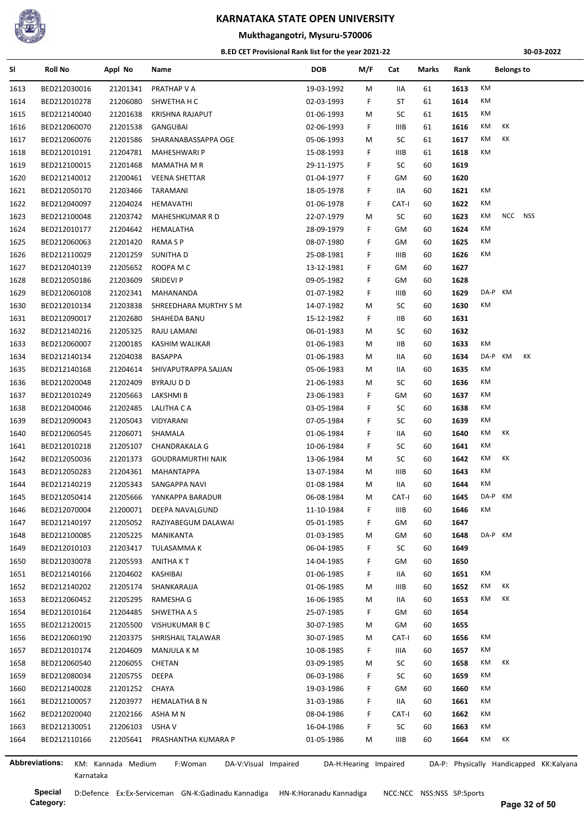

#### **Mukthagangotri, Mysuru-570006**

#### **B.ED CET Provisional Rank list for the year 2021-22**

**30-03-2022**

| SI   | <b>Roll No</b>        | Appl No            | Name                            | <b>DOB</b>               | M/F                   | Cat         | <b>Marks</b> | Rank | <b>Belongs to</b>                       |
|------|-----------------------|--------------------|---------------------------------|--------------------------|-----------------------|-------------|--------------|------|-----------------------------------------|
| 1613 | BED212030016          | 21201341           | PRATHAP V A                     | 19-03-1992               | м                     | IIA         | 61           | 1613 | ΚM                                      |
| 1614 | BED212010278          | 21206080           | SHWETHA H C                     | 02-03-1993               | F                     | ST          | 61           | 1614 | КM                                      |
| 1615 | BED212140040          | 21201638           | KRISHNA RAJAPUT                 | 01-06-1993               | M                     | SC          | 61           | 1615 | КM                                      |
| 1616 | BED212060070          | 21201538           | GANGUBAI                        | 02-06-1993               | F.                    | IIIB        | 61           | 1616 | КK<br>КM                                |
| 1617 | BED212060076          | 21201586           | SHARANABASSAPPA OGE             | 05-06-1993               | м                     | SC          | 61           | 1617 | КK<br>КM                                |
| 1618 | BED212010191          | 21204781           | MAHESHWARI P                    | 15-08-1993               | F                     | <b>IIIB</b> | 61           | 1618 | КM                                      |
| 1619 | BED212100015          | 21201468           | <b>MAMATHA M R</b>              | 29-11-1975               | F                     | SC          | 60           | 1619 |                                         |
| 1620 | BED212140012          | 21200461           | <b>VEENA SHETTAR</b>            | 01-04-1977               | F                     | GM          | 60           | 1620 |                                         |
| 1621 | BED212050170          | 21203466           | TARAMANI                        | 18-05-1978               | F                     | IIA         | 60           | 1621 | ΚM                                      |
| 1622 | BED212040097          | 21204024           | HEMAVATHI                       | 01-06-1978               | F                     | CAT-I       | 60           | 1622 | ΚM                                      |
| 1623 | BED212100048          | 21203742           | MAHESHKUMAR R D                 | 22-07-1979               | м                     | SC          | 60           | 1623 | ΚM<br>NCC NSS                           |
| 1624 | BED212010177          | 21204642           | HEMALATHA                       | 28-09-1979               | F                     | GМ          | 60           | 1624 | КM                                      |
| 1625 | BED212060063          | 21201420           | RAMA S P                        | 08-07-1980               | F                     | GM          | 60           | 1625 | КM                                      |
| 1626 | BED212110029          | 21201259           | SUNITHA D                       | 25-08-1981               | F                     | IIIB        | 60           | 1626 | КM                                      |
| 1627 | BED212040139          | 21205652           | ROOPA M C                       | 13-12-1981               | F.                    | GM          | 60           | 1627 |                                         |
| 1628 | BED212050186          | 21203609           | SRIDEVI P                       | 09-05-1982               | F                     | GM          | 60           | 1628 |                                         |
| 1629 | BED212060108          | 21202341           | MAHANANDA                       | 01-07-1982               | F                     | IIIB        | 60           | 1629 | DA-P KM                                 |
| 1630 | BED212010134          | 21203838           | SHREEDHARA MURTHY S M           | 14-07-1982               | м                     | SC          | 60           | 1630 | КM                                      |
| 1631 | BED212090017          | 21202680           | SHAHEDA BANU                    | 15-12-1982               | F                     | IIВ         | 60           | 1631 |                                         |
| 1632 | BED212140216          | 21205325           | RAJU LAMANI                     | 06-01-1983               | м                     | SC          | 60           | 1632 |                                         |
| 1633 | BED212060007          | 21200185           | KASHIM WALIKAR                  | 01-06-1983               | М                     | IIВ         | 60           | 1633 | КM                                      |
| 1634 | BED212140134          | 21204038           | BASAPPA                         | 01-06-1983               | М                     | IIА         | 60           | 1634 | DA-P KM<br>КK                           |
| 1635 | BED212140168          | 21204614           | SHIVAPUTRAPPA SAJJAN            | 05-06-1983               | М                     | IIА         | 60           | 1635 | КM                                      |
| 1636 | BED212020048          | 21202409           | BYRAJU D D                      | 21-06-1983               | М                     | SC          | 60           | 1636 | КM                                      |
| 1637 | BED212010249          | 21205663           | LAKSHMI B                       | 23-06-1983               | F                     | GM          | 60           | 1637 | КM                                      |
| 1638 | BED212040046          | 21202485           | LALITHA C A                     | 03-05-1984               | F                     | SC          | 60           | 1638 | КM                                      |
| 1639 | BED212090043          | 21205043           | VIDYARANI                       | 07-05-1984               | F                     | SC          | 60           | 1639 | КM                                      |
|      | BED212060545          | 21206071           |                                 |                          | F                     | IIА         | 60           | 1640 | КM<br>КK                                |
| 1640 |                       |                    | SHAMALA                         | 01-06-1984<br>10-06-1984 |                       |             |              |      | КM                                      |
| 1641 | BED212010218          | 21205107           | <b>CHANDRAKALA G</b>            |                          | F.                    | SC          | 60           | 1641 | КK<br>КM                                |
| 1642 | BED212050036          | 21201373           | <b>GOUDRAMURTHI NAIK</b>        | 13-06-1984               | М                     | SC          | 60           | 1642 |                                         |
| 1643 | BED212050283          | 21204361           | MAHANTAPPA                      | 13-07-1984               | М                     | <b>IIIB</b> | 60           | 1643 | КM                                      |
| 1644 | BED212140219          | 21205343           | SANGAPPA NAVI                   | 01-08-1984               | м                     | IIA         | 60           | 1644 | КM                                      |
| 1645 | BED212050414          | 21205666           | YANKAPPA BARADUR                | 06-08-1984               | м                     | CAT-I       | 60           | 1645 | DA-P KM                                 |
| 1646 | BED212070004          | 21200071           | <b>DEEPA NAVALGUND</b>          | 11-10-1984               | F                     | IIIB        | 60           | 1646 | ΚM                                      |
| 1647 | BED212140197          | 21205052           | RAZIYABEGUM DALAWAI             | 05-01-1985               | F                     | GМ          | 60           | 1647 |                                         |
| 1648 | BED212100085          | 21205225           | MANIKANTA                       | 01-03-1985               | м                     | GМ          | 60           | 1648 | DA-P KM                                 |
| 1649 | BED212010103          | 21203417           | TULASAMMA K                     | 06-04-1985               | F                     | SC          | 60           | 1649 |                                         |
| 1650 | BED212030078          | 21205593           | ANITHA K T                      | 14-04-1985               | F                     | GM          | 60           | 1650 |                                         |
| 1651 | BED212140166          | 21204602           | KASHIBAI                        | 01-06-1985               | F                     | IIA         | 60           | 1651 | КM                                      |
| 1652 | BED212140202          | 21205174           | SHANKARAJJA                     | 01-06-1985               | М                     | IIIB        | 60           | 1652 | КM<br>КK                                |
| 1653 | BED212060452          | 21205295           | RAMESHA G                       | 16-06-1985               | М                     | IIA         | 60           | 1653 | КM<br>КK                                |
| 1654 | BED212010164          | 21204485           | SHWETHA A S                     | 25-07-1985               | F                     | GМ          | 60           | 1654 |                                         |
| 1655 | BED212120015          | 21205500           | VISHUKUMAR B C                  | 30-07-1985               | M                     | GM          | 60           | 1655 |                                         |
| 1656 | BED212060190          | 21203375           | SHRISHAIL TALAWAR               | 30-07-1985               | М                     | CAT-I       | 60           | 1656 | КM                                      |
| 1657 | BED212010174          | 21204609           | <b>MANJULA K M</b>              | 10-08-1985               | F                     | IIIA        | 60           | 1657 | КM                                      |
| 1658 | BED212060540          | 21206055           | CHETAN                          | 03-09-1985               | М                     | SC          | 60           | 1658 | КM<br>КK                                |
| 1659 | BED212080034          | 21205755           | DEEPA                           | 06-03-1986               | F.                    | SC          | 60           | 1659 | КM                                      |
| 1660 | BED212140028          | 21201252           | CHAYA                           | 19-03-1986               | F                     | GM          | 60           | 1660 | КM                                      |
| 1661 | BED212100057          | 21203977           | <b>HEMALATHA B N</b>            | 31-03-1986               | F                     | IIA         | 60           | 1661 | КM                                      |
| 1662 | BED212020040          | 21202166           | ASHA M N                        | 08-04-1986               | F                     | CAT-I       | 60           | 1662 | КM                                      |
| 1663 | BED212130051          | 21206103           | USHA V                          | 16-04-1986               | F                     | SC          | 60           | 1663 | КM                                      |
| 1664 | BED212110166          | 21205641           | PRASHANTHA KUMARA P             | 01-05-1986               | М                     | <b>IIIB</b> | 60           | 1664 | КM<br>KK                                |
|      |                       |                    |                                 |                          |                       |             |              |      |                                         |
|      | <b>Abbreviations:</b> | KM: Kannada Medium | F:Woman<br>DA-V:Visual Impaired |                          | DA-H:Hearing Impaired |             |              |      | DA-P: Physically Handicapped KK:Kalyana |

Karnataka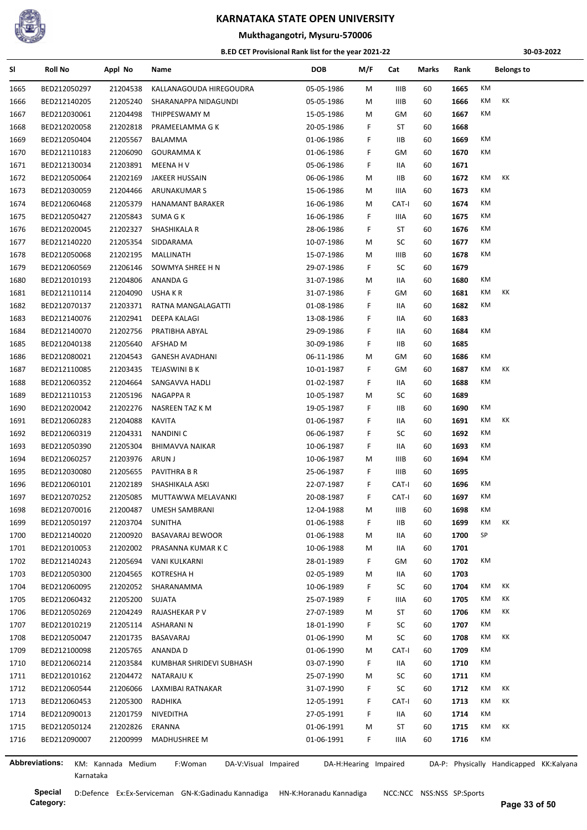

#### **Mukthagangotri, Mysuru-570006**

#### **B.ED CET Provisional Rank list for the year 2021-22**

**30-03-2022**

| SI   | <b>Roll No</b> | Appl No            | Name                            | <b>DOB</b> | M/F    | Cat                   | Marks | Rank | <b>Belongs to</b>                       |
|------|----------------|--------------------|---------------------------------|------------|--------|-----------------------|-------|------|-----------------------------------------|
| 1665 | BED212050297   | 21204538           | KALLANAGOUDA HIREGOUDRA         | 05-05-1986 | M      | IIIB                  | 60    | 1665 | KM                                      |
| 1666 | BED212140205   | 21205240           | SHARANAPPA NIDAGUNDI            | 05-05-1986 | M      | <b>IIIB</b>           | 60    | 1666 | КM<br>КK                                |
| 1667 | BED212030061   | 21204498           | THIPPESWAMY M                   | 15-05-1986 | M      | GМ                    | 60    | 1667 | KM                                      |
| 1668 | BED212020058   | 21202818           | PRAMEELAMMA G K                 | 20-05-1986 | F.     | ST                    | 60    | 1668 |                                         |
| 1669 | BED212050404   | 21205567           | BALAMMA                         | 01-06-1986 | F.     | <b>IIB</b>            | 60    | 1669 | КM                                      |
| 1670 | BED212110183   | 21206090           | <b>GOURAMMA K</b>               | 01-06-1986 | F      | GМ                    | 60    | 1670 | КM                                      |
| 1671 | BED212130034   | 21203891           | MEENA H V                       | 05-06-1986 | F.     | IIA                   | 60    | 1671 |                                         |
| 1672 | BED212050064   | 21202169           | JAKEER HUSSAIN                  | 06-06-1986 | M      | ШB                    | 60    | 1672 | КM<br>КK                                |
| 1673 | BED212030059   | 21204466           | ARUNAKUMAR S                    | 15-06-1986 | M      | IIIA                  | 60    | 1673 | KM                                      |
| 1674 | BED212060468   | 21205379           | HANAMANT BARAKER                | 16-06-1986 | M      | CAT-I                 | 60    | 1674 | КM                                      |
| 1675 | BED212050427   | 21205843           | SUMA G K                        | 16-06-1986 | F.     | IIIA                  | 60    | 1675 | КM                                      |
| 1676 | BED212020045   | 21202327           | SHASHIKALA R                    | 28-06-1986 | F      | ST                    | 60    | 1676 | КM                                      |
| 1677 | BED212140220   | 21205354           | SIDDARAMA                       | 10-07-1986 | M      | SC                    | 60    | 1677 | KM                                      |
| 1678 | BED212050068   | 21202195           | MALLINATH                       | 15-07-1986 | M      | <b>IIIB</b>           | 60    | 1678 | КM                                      |
| 1679 | BED212060569   | 21206146           | SOWMYA SHREE H N                | 29-07-1986 | F.     | SC                    | 60    | 1679 |                                         |
| 1680 | BED212010193   | 21204806           | ANANDA G                        | 31-07-1986 | M      | IIA                   | 60    | 1680 | КM                                      |
| 1681 | BED212110114   | 21204090           | USHA K R                        | 31-07-1986 | F.     | GМ                    | 60    | 1681 | KM<br>КK                                |
| 1682 | BED212070137   | 21203371           | RATNA MANGALAGATTI              | 01-08-1986 | F      | IIA                   | 60    | 1682 | KM                                      |
| 1683 | BED212140076   | 21202941           | DEEPA KALAGI                    | 13-08-1986 | F      | IIA                   | 60    | 1683 |                                         |
| 1684 | BED212140070   | 21202756           | PRATIBHA ABYAL                  | 29-09-1986 | F.     | IIA                   | 60    | 1684 | КM                                      |
| 1685 | BED212040138   | 21205640           | AFSHAD M                        | 30-09-1986 | F.     | ШB                    | 60    | 1685 |                                         |
| 1686 | BED212080021   | 21204543           | <b>GANESH AVADHANI</b>          | 06-11-1986 | M      | GМ                    | 60    | 1686 | КM                                      |
| 1687 | BED212110085   | 21203435           | TEJASWINI B K                   | 10-01-1987 | F.     | GМ                    | 60    | 1687 | КK<br>КM                                |
| 1688 | BED212060352   | 21204664           | SANGAVVA HADLI                  | 01-02-1987 | F      | IIA                   | 60    | 1688 | КM                                      |
|      |                |                    |                                 |            |        | SC                    | 60    | 1689 |                                         |
| 1689 | BED212110153   | 21205196           | NAGAPPA R                       | 10-05-1987 | M<br>F |                       |       | 1690 | КM                                      |
| 1690 | BED212020042   | 21202276           | NASREEN TAZ K M                 | 19-05-1987 |        | IIB.                  | 60    |      | KM<br>КK                                |
| 1691 | BED212060283   | 21204088           | <b>KAVITA</b>                   | 01-06-1987 | F.     | IIA                   | 60    | 1691 |                                         |
| 1692 | BED212060319   | 21204331           | NANDINI C                       | 06-06-1987 | F      | SC                    | 60    | 1692 | KM                                      |
| 1693 | BED212050390   | 21205304           | <b>BHIMAVVA NAIKAR</b>          | 10-06-1987 | F.     | IIA                   | 60    | 1693 | КM                                      |
| 1694 | BED212060257   | 21203976           | ARUN J                          | 10-06-1987 | M      | IIIB                  | 60    | 1694 | КM                                      |
| 1695 | BED212030080   | 21205655           | PAVITHRA B R                    | 25-06-1987 | F.     | IIIB                  | 60    | 1695 |                                         |
| 1696 | BED212060101   | 21202189           | SHASHIKALA ASKI                 | 22-07-1987 | F.     | CAT-I                 | 60    | 1696 | КM                                      |
| 1697 | BED212070252   | 21205085           | MUTTAWWA MELAVANKI              | 20-08-1987 | F.     | CAT-I                 | 60    | 1697 | КM                                      |
| 1698 | BED212070016   | 21200487           | UMESH SAMBRANI                  | 12-04-1988 | M      | IIIB                  | 60    | 1698 | КM                                      |
| 1699 | BED212050197   | 21203704           | SUNITHA                         | 01-06-1988 | F.     | 11B                   | 60    | 1699 | KK<br>KM                                |
| 1700 | BED212140020   | 21200920           | BASAVARAJ BEWOOR                | 01-06-1988 | M      | IIA                   | 60    | 1700 | SP                                      |
| 1701 | BED212010053   | 21202002           | PRASANNA KUMAR K C              | 10-06-1988 | M      | IIA                   | 60    | 1701 |                                         |
| 1702 | BED212140243   | 21205694           | <b>VANI KULKARNI</b>            | 28-01-1989 | F      | GМ                    | 60    | 1702 | КM                                      |
| 1703 | BED212050300   | 21204565           | KOTRESHA H                      | 02-05-1989 | M      | IIA                   | 60    | 1703 |                                         |
| 1704 | BED212060095   | 21202052           | SHARANAMMA                      | 10-06-1989 | F.     | SC                    | 60    | 1704 | КM<br>КK                                |
| 1705 | BED212060432   | 21205200           | SUJATA                          | 25-07-1989 | F.     | IIIA                  | 60    | 1705 | КK<br>КM                                |
| 1706 | BED212050269   | 21204249           | RAJASHEKAR P V                  | 27-07-1989 | М      | ST                    | 60    | 1706 | КK<br>КM                                |
| 1707 | BED212010219   | 21205114           | <b>ASHARANI N</b>               | 18-01-1990 | F.     | SC                    | 60    | 1707 | КM                                      |
| 1708 | BED212050047   | 21201735           | BASAVARAJ                       | 01-06-1990 | M      | SC                    | 60    | 1708 | КK<br>КM                                |
| 1709 | BED212100098   | 21205765           | ANANDA D                        | 01-06-1990 | M      | CAT-I                 | 60    | 1709 | KM                                      |
| 1710 | BED212060214   | 21203584           | KUMBHAR SHRIDEVI SUBHASH        | 03-07-1990 | F      | IIA                   | 60    | 1710 | KM                                      |
| 1711 | BED212010162   | 21204472           | NATARAJU K                      | 25-07-1990 | M      | SC                    | 60    | 1711 | КM                                      |
| 1712 | BED212060544   | 21206066           | LAXMIBAI RATNAKAR               | 31-07-1990 | F.     | SC                    | 60    | 1712 | КK<br>КM                                |
| 1713 | BED212060453   | 21205300           | RADHIKA                         | 12-05-1991 | F      | CAT-I                 | 60    | 1713 | КK<br>КM                                |
| 1714 | BED212090013   | 21201759           | NIVEDITHA                       | 27-05-1991 | F.     | IIA                   | 60    | 1714 | КM                                      |
| 1715 | BED212050124   | 21202826           | ERANNA                          | 01-06-1991 | M      | ST                    | 60    | 1715 | КM<br>КK                                |
| 1716 | BED212090007   | 21200999           | <b>MADHUSHREE M</b>             | 01-06-1991 | F.     | IIIA                  | 60    | 1716 | КM                                      |
|      |                |                    |                                 |            |        |                       |       |      |                                         |
|      | Abbreviations: | KM: Kannada Medium | F:Woman<br>DA-V:Visual Impaired |            |        | DA-H:Hearing Impaired |       |      | DA-P: Physically Handicapped KK:Kalyana |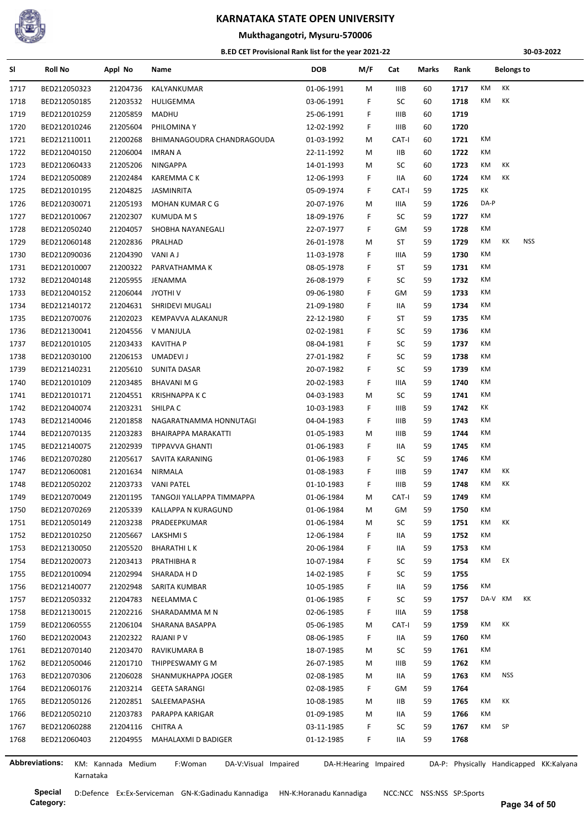

**Mukthagangotri, Mysuru-570006**

#### **B.ED CET Provisional Rank list for the year 2021-22**

**30-03-2022**

| SI   | <b>Roll No</b>        | Appl No            | Name                            | <b>DOB</b> | M/F                   | Cat   | Marks | Rank |         | <b>Belongs to</b> |            |                                         |
|------|-----------------------|--------------------|---------------------------------|------------|-----------------------|-------|-------|------|---------|-------------------|------------|-----------------------------------------|
| 1717 | BED212050323          | 21204736           | KALYANKUMAR                     | 01-06-1991 | М                     | IIIB  | 60    | 1717 | КM      | КK                |            |                                         |
| 1718 | BED212050185          | 21203532           | HULIGEMMA                       | 03-06-1991 | F                     | SC    | 60    | 1718 | КM      | КK                |            |                                         |
| 1719 | BED212010259          | 21205859           | MADHU                           | 25-06-1991 | F                     | IIIB  | 60    | 1719 |         |                   |            |                                         |
| 1720 | BED212010246          | 21205604           | PHILOMINA Y                     | 12-02-1992 | F.                    | IIIB  | 60    | 1720 |         |                   |            |                                         |
| 1721 | BED212110011          | 21200268           | BHIMANAGOUDRA CHANDRAGOUDA      | 01-03-1992 | М                     | CAT-I | 60    | 1721 | КM      |                   |            |                                         |
| 1722 | BED212040150          | 21206004           | <b>IMRAN A</b>                  | 22-11-1992 | М                     | IIВ   | 60    | 1722 | КM      |                   |            |                                         |
| 1723 | BED212060433          | 21205206           | NINGAPPA                        | 14-01-1993 | М                     | SC    | 60    | 1723 | КM      | КK                |            |                                         |
| 1724 | BED212050089          | 21202484           | <b>KAREMMACK</b>                | 12-06-1993 | F.                    | IIA   | 60    | 1724 | КM      | КK                |            |                                         |
| 1725 | BED212010195          | 21204825           | JASMINRITA                      | 05-09-1974 | F.                    | CAT-I | 59    | 1725 | КK      |                   |            |                                         |
| 1726 | BED212030071          | 21205193           | MOHAN KUMAR C G                 | 20-07-1976 | М                     | IIIA  | 59    | 1726 | DA-P    |                   |            |                                         |
| 1727 | BED212010067          | 21202307           | <b>KUMUDA M S</b>               | 18-09-1976 | F                     | SC    | 59    | 1727 | КM      |                   |            |                                         |
| 1728 | BED212050240          | 21204057           | SHOBHA NAYANEGALI               | 22-07-1977 | F                     | GM    | 59    | 1728 | КM      |                   |            |                                         |
| 1729 | BED212060148          | 21202836           | PRALHAD                         | 26-01-1978 | М                     | ST    | 59    | 1729 | КM      | КK                | <b>NSS</b> |                                         |
| 1730 | BED212090036          | 21204390           | VANI A J                        | 11-03-1978 | F                     | IIIA  | 59    | 1730 | КM      |                   |            |                                         |
| 1731 | BED212010007          | 21200322           | PARVATHAMMA K                   | 08-05-1978 | F                     | ST    | 59    | 1731 | КM      |                   |            |                                         |
| 1732 | BED212040148          | 21205955           | JENAMMA                         | 26-08-1979 | F.                    | SC    | 59    | 1732 | КM      |                   |            |                                         |
| 1733 | BED212040152          | 21206044           | <b>JYOTHIV</b>                  | 09-06-1980 | F                     | GM    | 59    | 1733 | КM      |                   |            |                                         |
| 1734 | BED212140172          | 21204631           | SHRIDEVI MUGALI                 | 21-09-1980 | F                     | IIA   | 59    | 1734 | КM      |                   |            |                                         |
| 1735 | BED212070076          | 21202023           | KEMPAVVA ALAKANUR               | 22-12-1980 | F                     | ST    | 59    | 1735 | КM      |                   |            |                                         |
| 1736 | BED212130041          | 21204556           | V MANJULA                       | 02-02-1981 | F                     | SC    | 59    | 1736 | КM      |                   |            |                                         |
| 1737 | BED212010105          | 21203433           | <b>KAVITHA P</b>                | 08-04-1981 | F                     | SC    | 59    | 1737 | КM      |                   |            |                                         |
| 1738 | BED212030100          | 21206153           | UMADEVI J                       | 27-01-1982 | F                     | SC    | 59    | 1738 | КM      |                   |            |                                         |
| 1739 | BED212140231          | 21205610           | SUNITA DASAR                    | 20-07-1982 | F                     | SC    | 59    | 1739 | КM      |                   |            |                                         |
| 1740 | BED212010109          | 21203485           | BHAVANI M G                     | 20-02-1983 | F                     | IIIA  | 59    | 1740 | КM      |                   |            |                                         |
|      | BED212010171          |                    |                                 |            |                       | SC    |       | 1741 | КM      |                   |            |                                         |
| 1741 |                       | 21204551           | <b>KRISHNAPPA K C</b>           | 04-03-1983 | М<br>F                |       | 59    | 1742 | КK      |                   |            |                                         |
| 1742 | BED212040074          | 21203231           | SHILPA <sub>C</sub>             | 10-03-1983 |                       | IIIB  | 59    |      | КM      |                   |            |                                         |
| 1743 | BED212140046          | 21201858           | NAGARATNAMMA HONNUTAGI          | 04-04-1983 | F.                    | IIIB  | 59    | 1743 |         |                   |            |                                         |
| 1744 | BED212070135          | 21203283           | BHAIRAPPA MARAKATTI             | 01-05-1983 | М                     | IIIB  | 59    | 1744 | КM      |                   |            |                                         |
| 1745 | BED212140075          | 21202939           | TIPPAVVA GHANTI                 | 01-06-1983 | F.                    | IIA   | 59    | 1745 | КM      |                   |            |                                         |
| 1746 | BED212070280          | 21205617           | SAVITA KARANING                 | 01-06-1983 | F                     | SC    | 59    | 1746 | КM      |                   |            |                                         |
| 1747 | BED212060081          | 21201634           | NIRMALA                         | 01-08-1983 | F.                    | IIIB  | 59    | 1747 | КM      | ΚK                |            |                                         |
| 1748 | BED212050202          | 21203733           | <b>VANI PATEL</b>               | 01-10-1983 | F                     | IIIB  | 59    | 1748 | КM      | КK                |            |                                         |
| 1749 | BED212070049          | 21201195           | TANGOJI YALLAPPA TIMMAPPA       | 01-06-1984 | м                     | CAT-I | 59    | 1749 | KM      |                   |            |                                         |
| 1750 | BED212070269          | 21205339           | KALLAPPA N KURAGUND             | 01-06-1984 | M                     | GМ    | 59    | 1750 | КM      |                   |            |                                         |
| 1751 | BED212050149          | 21203238           | PRADEEPKUMAR                    | 01-06-1984 | M                     | SC    | 59    | 1751 | КM      | KK                |            |                                         |
| 1752 | BED212010250          | 21205667           | LAKSHMI S                       | 12-06-1984 | F                     | IIA   | 59    | 1752 | КM      |                   |            |                                         |
| 1753 | BED212130050          | 21205520           | BHARATHI L K                    | 20-06-1984 | F                     | IIA   | 59    | 1753 | КM      |                   |            |                                         |
| 1754 | BED212020073          | 21203413           | PRATHIBHA R                     | 10-07-1984 | F                     | SC    | 59    | 1754 | KM      | EX                |            |                                         |
| 1755 | BED212010094          | 21202994           | SHARADA H D                     | 14-02-1985 | F                     | SC    | 59    | 1755 |         |                   |            |                                         |
| 1756 | BED212140077          | 21202948           | SARITA KUMBAR                   | 10-05-1985 | F                     | IIA   | 59    | 1756 | КM      |                   |            |                                         |
| 1757 | BED212050332          | 21204783           | NEELAMMA C                      | 01-06-1985 | F                     | SC    | 59    | 1757 | DA-V KM |                   | КK         |                                         |
| 1758 | BED212130015          | 21202216           | SHARADAMMA M N                  | 02-06-1985 | F.                    | IIIA  | 59    | 1758 |         |                   |            |                                         |
| 1759 | BED212060555          | 21206104           | SHARANA BASAPPA                 | 05-06-1985 | M                     | CAT-I | 59    | 1759 | КM      | КK                |            |                                         |
| 1760 | BED212020043          | 21202322           | RAJANI P V                      | 08-06-1985 | F                     | IIA   | 59    | 1760 | КM      |                   |            |                                         |
| 1761 | BED212070140          | 21203470           | RAVIKUMARA B                    | 18-07-1985 | M                     | SC    | 59    | 1761 | КM      |                   |            |                                         |
| 1762 | BED212050046          | 21201710           | THIPPESWAMY G M                 | 26-07-1985 | M                     | IIIB  | 59    | 1762 | КM      |                   |            |                                         |
| 1763 | BED212070306          | 21206028           | SHANMUKHAPPA JOGER              | 02-08-1985 | М                     | IIA   | 59    | 1763 | КM      | NSS               |            |                                         |
| 1764 | BED212060176          | 21203214           | <b>GEETA SARANGI</b>            | 02-08-1985 | F.                    | GM    | 59    | 1764 |         |                   |            |                                         |
| 1765 | BED212050126          | 21202851           | SALEEMAPASHA                    | 10-08-1985 | M                     | IIВ   | 59    | 1765 | КM      | КK                |            |                                         |
| 1766 | BED212050210          | 21203783           | PARAPPA KARIGAR                 | 01-09-1985 | М                     | IIA   | 59    | 1766 | КM      |                   |            |                                         |
| 1767 | BED212060288          | 21204116           | CHITRA A                        | 03-11-1985 | F                     | SC    | 59    | 1767 | КM      | SP                |            |                                         |
| 1768 | BED212060403          | 21204955           | MAHALAXMI D BADIGER             | 01-12-1985 | F.                    | IIA   | 59    | 1768 |         |                   |            |                                         |
|      |                       |                    |                                 |            |                       |       |       |      |         |                   |            |                                         |
|      | <b>Abbreviations:</b> | KM: Kannada Medium | F:Woman<br>DA-V:Visual Impaired |            | DA-H:Hearing Impaired |       |       |      |         |                   |            | DA-P: Physically Handicapped KK:Kalyana |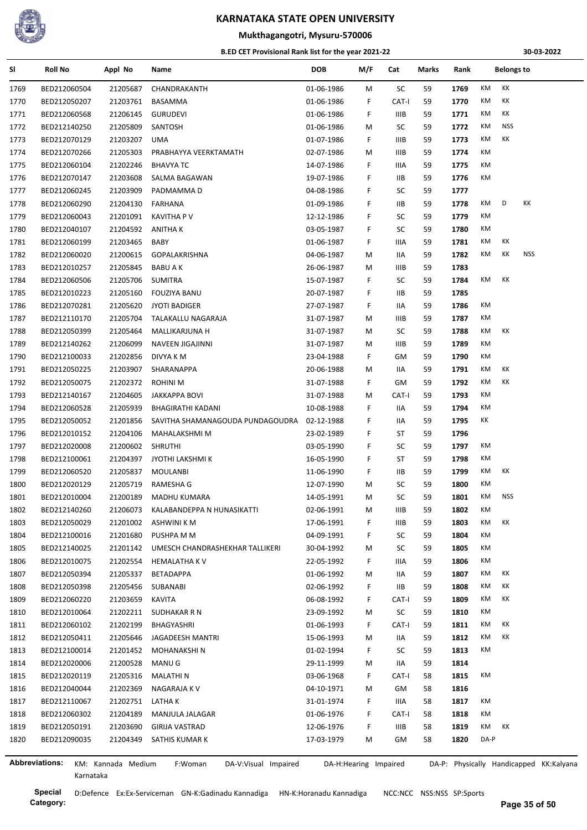

**Mukthagangotri, Mysuru-570006**

#### **B.ED CET Provisional Rank list for the year 2021-22**

**30-03-2022**

| SI   | <b>Roll No</b>               | Appl No              | Name                             | <b>DOB</b> | M/F                   | Cat         | Marks | Rank |          | <b>Belongs to</b> |                                         |
|------|------------------------------|----------------------|----------------------------------|------------|-----------------------|-------------|-------|------|----------|-------------------|-----------------------------------------|
| 1769 | BED212060504                 | 21205687             | CHANDRAKANTH                     | 01-06-1986 | М                     | SC          | 59    | 1769 | KM       | КK                |                                         |
| 1770 | BED212050207                 | 21203761             | BASAMMA                          | 01-06-1986 | F                     | CAT-I       | 59    | 1770 | KM       | КK                |                                         |
| 1771 | BED212060568                 | 21206145             | <b>GURUDEVI</b>                  | 01-06-1986 | F                     | <b>IIIB</b> | 59    | 1771 | KM       | КK                |                                         |
| 1772 | BED212140250                 | 21205809             | SANTOSH                          | 01-06-1986 | М                     | SC          | 59    | 1772 | KM       | <b>NSS</b>        |                                         |
| 1773 | BED212070129                 | 21203207             | UMA                              | 01-07-1986 | F                     | <b>IIIB</b> | 59    | 1773 | КM       | КK                |                                         |
| 1774 | BED212070266                 | 21205303             | PRABHAYYA VEERKTAMATH            | 02-07-1986 | М                     | IIIB        | 59    | 1774 | КM       |                   |                                         |
| 1775 | BED212060104                 | 21202246             | <b>BHAVYA TC</b>                 | 14-07-1986 | F                     | IIIA        | 59    | 1775 | КM       |                   |                                         |
| 1776 | BED212070147                 | 21203608             | SALMA BAGAWAN                    | 19-07-1986 | F                     | IIВ         | 59    | 1776 | КM       |                   |                                         |
| 1777 | BED212060245                 | 21203909             | PADMAMMA D                       | 04-08-1986 | F                     | SC          | 59    | 1777 |          |                   |                                         |
| 1778 | BED212060290                 | 21204130             | FARHANA                          | 01-09-1986 | F                     | IIВ         | 59    | 1778 | КM       | D                 | КK                                      |
| 1779 | BED212060043                 | 21201091             | <b>KAVITHA P V</b>               | 12-12-1986 | F                     | SC          | 59    | 1779 | КM       |                   |                                         |
| 1780 | BED212040107                 | 21204592             | <b>ANITHAK</b>                   | 03-05-1987 | F                     | SC          | 59    | 1780 | КM       |                   |                                         |
| 1781 | BED212060199                 | 21203465             | BABY                             | 01-06-1987 | F                     | IIIA        | 59    | 1781 | КM       | КK                |                                         |
| 1782 | BED212060020                 | 21200615             | <b>GOPALAKRISHNA</b>             | 04-06-1987 | М                     | IIA         | 59    | 1782 | KM       | КK                | <b>NSS</b>                              |
| 1783 | BED212010257                 | 21205845             | BABU A K                         | 26-06-1987 | M                     | IIIB        | 59    | 1783 |          |                   |                                         |
| 1784 | BED212060506                 | 21205706             | <b>SUMITRA</b>                   | 15-07-1987 | F                     | SC          | 59    | 1784 | КM       | КK                |                                         |
| 1785 | BED212010223                 | 21205160             | <b>FOUZIYA BANU</b>              | 20-07-1987 | F                     | IIВ         | 59    | 1785 |          |                   |                                         |
| 1786 | BED212070281                 | 21205620             | <b>JYOTI BADIGER</b>             | 27-07-1987 | F.                    | IIA         | 59    | 1786 | КM       |                   |                                         |
| 1787 | BED212110170                 | 21205704             | TALAKALLU NAGARAJA               | 31-07-1987 | М                     | <b>IIIB</b> | 59    | 1787 | КM       |                   |                                         |
| 1788 | BED212050399                 | 21205464             | MALLIKARJUNA H                   | 31-07-1987 | М                     | SC          | 59    | 1788 | КM       | КK                |                                         |
| 1789 | BED212140262                 | 21206099             | NAVEEN JIGAJINNI                 | 31-07-1987 | М                     | <b>IIIB</b> | 59    | 1789 | KM       |                   |                                         |
| 1790 | BED212100033                 | 21202856             | DIVYA K M                        | 23-04-1988 | F.                    | GM          | 59    | 1790 | КM       |                   |                                         |
| 1791 | BED212050225                 | 21203907             | SHARANAPPA                       | 20-06-1988 | М                     | IIA         | 59    | 1791 | KM       | КK                |                                         |
| 1792 | BED212050075                 | 21202372             | <b>ROHINI M</b>                  | 31-07-1988 | F.                    | GM          | 59    | 1792 | KM       | КK                |                                         |
| 1793 | BED212140167                 | 21204605             | <b>JAKKAPPA BOVI</b>             | 31-07-1988 | М                     | CAT-I       | 59    | 1793 | КM       |                   |                                         |
| 1794 | BED212060528                 | 21205939             | BHAGIRATHI KADANI                | 10-08-1988 | F                     | IIA         | 59    | 1794 | KM       |                   |                                         |
| 1795 | BED212050052                 | 21201856             | SAVITHA SHAMANAGOUDA PUNDAGOUDRA | 02-12-1988 | F                     | IIA         | 59    | 1795 | КK       |                   |                                         |
| 1796 | BED212010152                 | 21204106             | MAHALAKSHMI M                    | 23-02-1989 | F                     | ST          | 59    | 1796 |          |                   |                                         |
| 1797 | BED212020008                 | 21200602             | <b>SHRUTHI</b>                   | 03-05-1990 | F                     | SC          | 59    | 1797 | КM       |                   |                                         |
| 1798 | BED212100061                 | 21204397             | <b>JYOTHI LAKSHMI K</b>          | 16-05-1990 | F                     | ST          | 59    | 1798 | КM       |                   |                                         |
| 1799 | BED212060520                 | 21205837             | <b>MOULANBI</b>                  | 11-06-1990 | F                     | IIВ         | 59    | 1799 | КM       | КK                |                                         |
| 1800 |                              |                      |                                  | 12-07-1990 |                       | SC          | 59    | 1800 | KM       |                   |                                         |
| 1801 | BED212020129<br>BED212010004 | 21205719<br>21200189 | RAMESHA G<br>MADHU KUMARA        | 14-05-1991 | М<br>М                | SC          | 59    | 1801 | КM       | <b>NSS</b>        |                                         |
|      |                              | 21206073             | KALABANDEPPA N HUNASIKATTI       |            |                       |             |       |      | KM       |                   |                                         |
| 1802 | BED212140260                 |                      |                                  | 02-06-1991 | M                     | IIIB        | 59    | 1802 | КM       | КK                |                                         |
| 1803 | BED212050029                 | 21201002             | ASHWINI K M                      | 17-06-1991 | F                     | IIIB        | 59    | 1803 |          |                   |                                         |
| 1804 | BED212100016                 | 21201680             | PUSHPA M M                       | 04-09-1991 | F.                    | SC          | 59    | 1804 | КM       |                   |                                         |
| 1805 | BED212140025                 | 21201142             | UMESCH CHANDRASHEKHAR TALLIKERI  | 30-04-1992 | M                     | SC          | 59    | 1805 | КM<br>КM |                   |                                         |
| 1806 | BED212010075                 | 21202554             | <b>HEMALATHA KV</b>              | 22-05-1992 | F.                    | IIIA        | 59    | 1806 |          |                   |                                         |
| 1807 | BED212050394                 | 21205337             | <b>BETADAPPA</b>                 | 01-06-1992 | М                     | IIA         | 59    | 1807 | КM       | КK                |                                         |
| 1808 | BED212050398                 | 21205456             | SUBANABI                         | 02-06-1992 | F.                    | IIВ         | 59    | 1808 | КM       | КK                |                                         |
| 1809 | BED212060220                 | 21203659             | KAVITA                           | 06-08-1992 | F                     | CAT-I       | 59    | 1809 | КM       | КK                |                                         |
| 1810 | BED212010064                 | 21202211             | SUDHAKAR R N                     | 23-09-1992 | M                     | SC          | 59    | 1810 | КM       |                   |                                         |
| 1811 | BED212060102                 | 21202199             | BHAGYASHRI                       | 01-06-1993 | F                     | CAT-I       | 59    | 1811 | КM       | КK                |                                         |
| 1812 | BED212050411                 | 21205646             | JAGADEESH MANTRI                 | 15-06-1993 | М                     | IIA         | 59    | 1812 | КM       | КK                |                                         |
| 1813 | BED212100014                 | 21201452             | MOHANAKSHI N                     | 01-02-1994 | F.                    | SC          | 59    | 1813 | КM       |                   |                                         |
| 1814 | BED212020006                 | 21200528             | MANU G                           | 29-11-1999 | M                     | IIA         | 59    | 1814 |          |                   |                                         |
| 1815 | BED212020119                 | 21205316             | <b>MALATHIN</b>                  | 03-06-1968 | F.                    | CAT-I       | 58    | 1815 | КM       |                   |                                         |
| 1816 | BED212040044                 | 21202369             | NAGARAJA K V                     | 04-10-1971 | M                     | GM          | 58    | 1816 |          |                   |                                         |
| 1817 | BED212110067                 | 21202751             | LATHA K                          | 31-01-1974 | F.                    | IIIA        | 58    | 1817 | КM       |                   |                                         |
| 1818 | BED212060302                 | 21204189             | MANJULA JALAGAR                  | 01-06-1976 | F                     | CAT-I       | 58    | 1818 | КM       |                   |                                         |
| 1819 | BED212050191                 | 21203690             | GIRIJA VASTRAD                   | 12-06-1976 | F.                    | IIIB        | 58    | 1819 | КM       | КK                |                                         |
| 1820 | BED212090035                 | 21204349             | SATHIS KUMAR K                   | 17-03-1979 | М                     | GM          | 58    | 1820 | DA-P     |                   |                                         |
|      |                              |                      |                                  |            |                       |             |       |      |          |                   |                                         |
|      | Abbreviations:               | KM: Kannada Medium   | DA-V:Visual Impaired<br>F:Woman  |            | DA-H:Hearing Impaired |             |       |      |          |                   | DA-P: Physically Handicapped KK:Kalyana |

**Category:**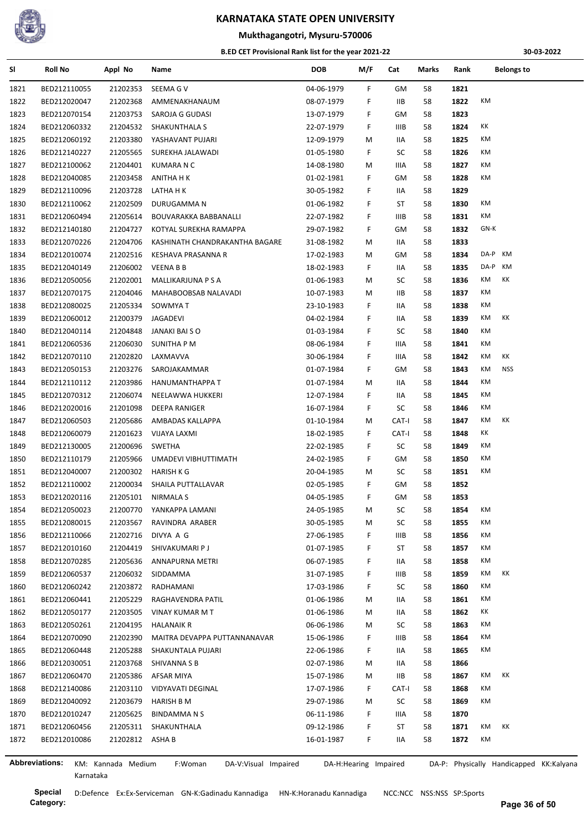

## **Mukthagangotri, Mysuru-570006**

#### **B.ED CET Provisional Rank list for the year 2021-22**

**30-03-2022**

| SI                    | <b>Roll No</b>               | Appl No            | Name                            | DOB        | M/F                   | Cat         | Marks | Rank | <b>Belongs to</b>                       |
|-----------------------|------------------------------|--------------------|---------------------------------|------------|-----------------------|-------------|-------|------|-----------------------------------------|
| 1821                  | BED212110055                 | 21202353           | SEEMA G V                       | 04-06-1979 | F                     | GМ          | 58    | 1821 |                                         |
| 1822                  | BED212020047                 | 21202368           | AMMENAKHANAUM                   | 08-07-1979 | F                     | IIВ         | 58    | 1822 | КM                                      |
| 1823                  | BED212070154                 | 21203753           | SAROJA G GUDASI                 | 13-07-1979 | F                     | GМ          | 58    | 1823 |                                         |
| 1824                  | BED212060332                 | 21204532           | <b>SHAKUNTHALA S</b>            | 22-07-1979 | F                     | IIIB        | 58    | 1824 | КK                                      |
| 1825                  | BED212060192                 | 21203380           | YASHAVANT PUJARI                | 12-09-1979 | М                     | IIA         | 58    | 1825 | КM                                      |
| 1826                  | BED212140227                 | 21205565           | SUREKHA JALAWADI                | 01-05-1980 | F                     | SC          | 58    | 1826 | КM                                      |
| 1827                  | BED212100062                 | 21204401           | KUMARA N C                      | 14-08-1980 | М                     | IIIA        | 58    | 1827 | КM                                      |
| 1828                  | BED212040085                 | 21203458           | ANITHA H K                      | 01-02-1981 | F.                    | GМ          | 58    | 1828 | КM                                      |
| 1829                  | BED212110096                 | 21203728           | LATHA H K                       | 30-05-1982 | F                     | IIA         | 58    | 1829 |                                         |
| 1830                  | BED212110062                 | 21202509           | DURUGAMMA N                     | 01-06-1982 | F                     | ST          | 58    | 1830 | КM                                      |
| 1831                  | BED212060494                 | 21205614           | BOUVARAKKA BABBANALLI           | 22-07-1982 | F.                    | IIIB        | 58    | 1831 | КM                                      |
| 1832                  | BED212140180                 | 21204727           | KOTYAL SUREKHA RAMAPPA          | 29-07-1982 | F                     | GМ          | 58    | 1832 | GN-K                                    |
| 1833                  | BED212070226                 | 21204706           | KASHINATH CHANDRAKANTHA BAGARE  | 31-08-1982 | М                     | 11A         | 58    | 1833 |                                         |
| 1834                  | BED212010074                 | 21202516           | KESHAVA PRASANNA R              | 17-02-1983 | М                     | GМ          | 58    | 1834 | KM<br>DA-P                              |
| 1835                  | BED212040149                 | 21206002           | <b>VEENA B B</b>                | 18-02-1983 | F.                    | IIA         | 58    | 1835 | DA-P<br>KM                              |
| 1836                  | BED212050056                 | 21202001           | MALLIKARJUNA P S A              | 01-06-1983 | M                     | SC          | 58    | 1836 | КK<br>КM                                |
| 1837                  | BED212070175                 | 21204046           | MAHABOOBSAB NALAVADI            | 10-07-1983 | М                     | IIВ         | 58    | 1837 | КM                                      |
| 1838                  | BED212080025                 | 21205334           | SOWMYA T                        | 23-10-1983 | F.                    | IIА         | 58    | 1838 | КM                                      |
| 1839                  | BED212060012                 | 21200379           | JAGADEVI                        | 04-02-1984 | F                     | 11A         | 58    | 1839 | КK<br>КM                                |
| 1840                  | BED212040114                 | 21204848           | JANAKI BAI S O                  | 01-03-1984 | F                     | SC          | 58    | 1840 | КM                                      |
| 1841                  | BED212060536                 | 21206030           | SUNITHA P M                     | 08-06-1984 | F                     | IIIA        | 58    | 1841 | КM                                      |
| 1842                  | BED212070110                 | 21202820           | LAXMAVVA                        | 30-06-1984 | F                     | IIIA        | 58    | 1842 | КK<br>КM                                |
| 1843                  | BED212050153                 | 21203276           | SAROJAKAMMAR                    | 01-07-1984 | F.                    | GМ          | 58    | 1843 | КM<br>NSS                               |
| 1844                  | BED212110112                 | 21203986           | HANUMANTHAPPA T                 | 01-07-1984 | М                     | IIA         | 58    | 1844 | КM                                      |
| 1845                  | BED212070312                 | 21206074           | NEELAWWA HUKKERI                | 12-07-1984 | F                     | IIA         | 58    | 1845 | КM                                      |
| 1846                  | BED212020016                 | 21201098           | DEEPA RANIGER                   | 16-07-1984 | F                     | SC          | 58    | 1846 | КM                                      |
| 1847                  | BED212060503                 | 21205686           | AMBADAS KALLAPPA                | 01-10-1984 | M                     | CAT-I       | 58    | 1847 | КM<br>КK                                |
| 1848                  | BED212060079                 | 21201623           | VIJAYA LAXMI                    | 18-02-1985 | F                     | CAT-I       | 58    | 1848 | КK                                      |
| 1849                  | BED212130005                 | 21200696           | SWETHA                          | 22-02-1985 | F.                    | SC          | 58    | 1849 | КM                                      |
| 1850                  | BED212110179                 | 21205966           | UMADEVI VIBHUTTIMATH            | 24-02-1985 | F.                    | GМ          | 58    | 1850 | КM                                      |
| 1851                  | BED212040007                 | 21200302           | HARISH K G                      | 20-04-1985 | M                     | SC          | 58    | 1851 | КM                                      |
| 1852                  | BED212110002                 | 21200034           | SHAILA PUTTALLAVAR              | 02-05-1985 | F                     | GМ          | 58    | 1852 |                                         |
| 1853                  | BED212020116                 | 21205101           | NIRMALA S                       | 04-05-1985 | F                     | GМ          | 58    | 1853 |                                         |
| 1854                  | BED212050023                 | 21200770           | YANKAPPA LAMANI                 | 24-05-1985 | M                     | SC          | 58    | 1854 | KM                                      |
| 1855                  | BED212080015                 | 21203567           | RAVINDRA ARABER                 | 30-05-1985 | М                     | SC          | 58    | 1855 | КM                                      |
| 1856                  | BED212110066                 | 21202716           | DIVYA A G                       | 27-06-1985 | F.                    | IIIB        | 58    | 1856 | КM                                      |
| 1857                  | BED212010160                 | 21204419           | SHIVAKUMARI P J                 | 01-07-1985 | F                     | ST          | 58    | 1857 | КM                                      |
| 1858                  | BED212070285                 | 21205636           | ANNAPURNA METRI                 | 06-07-1985 | F                     | IIA         | 58    | 1858 | КM                                      |
| 1859                  | BED212060537                 | 21206032           | SIDDAMMA                        | 31-07-1985 | F                     | IIIB        | 58    | 1859 | КM<br>КK                                |
| 1860                  | BED212060242                 | 21203872           | RADHAMANI                       | 17-03-1986 | F                     | SC          | 58    | 1860 | КM                                      |
| 1861                  | BED212060441                 | 21205229           | RAGHAVENDRA PATIL               | 01-06-1986 | М                     | IIА         | 58    | 1861 | КM                                      |
|                       |                              |                    | <b>VINAY KUMAR M T</b>          |            |                       |             |       | 1862 | КK                                      |
| 1862                  | BED212050177<br>BED212050261 | 21203505           |                                 | 01-06-1986 | М                     | IIA         | 58    |      | КM                                      |
| 1863                  |                              | 21204195           | <b>HALANAIK R</b>               | 06-06-1986 | М                     | SC          | 58    | 1863 | КM                                      |
| 1864                  | BED212070090                 | 21202390           | MAITRA DEVAPPA PUTTANNANAVAR    | 15-06-1986 | F                     | <b>IIIB</b> | 58    | 1864 | КM                                      |
| 1865                  | BED212060448                 | 21205288           | SHAKUNTALA PUJARI               | 22-06-1986 | F                     | IIA         | 58    | 1865 |                                         |
| 1866                  | BED212030051                 | 21203768           | SHIVANNA S B                    | 02-07-1986 | М                     | 11A         | 58    | 1866 | КM<br>КK                                |
| 1867                  | BED212060470                 | 21205386           | AFSAR MIYA                      | 15-07-1986 | М                     | IIВ         | 58    | 1867 |                                         |
| 1868                  | BED212140086                 | 21203110           | VIDYAVATI DEGINAL               | 17-07-1986 | F.                    | CAT-I       | 58    | 1868 | КM                                      |
| 1869                  | BED212040092                 | 21203679           | <b>HARISH B M</b>               | 29-07-1986 | М                     | SC          | 58    | 1869 | КM                                      |
| 1870                  | BED212010247                 | 21205625           | BINDAMMANS                      | 06-11-1986 | F                     | IIIA        | 58    | 1870 |                                         |
| 1871                  | BED212060456                 | 21205311           | SHAKUNTHALA                     | 09-12-1986 | F                     | ST          | 58    | 1871 | КM<br>КK                                |
| 1872                  | BED212010086                 | 21202812 ASHA B    |                                 | 16-01-1987 | F.                    | IIA         | 58    | 1872 | КM                                      |
| <b>Abbreviations:</b> |                              | KM: Kannada Medium | F:Woman<br>DA-V:Visual Impaired |            | DA-H:Hearing Impaired |             |       |      | DA-P: Physically Handicapped KK:Kalyana |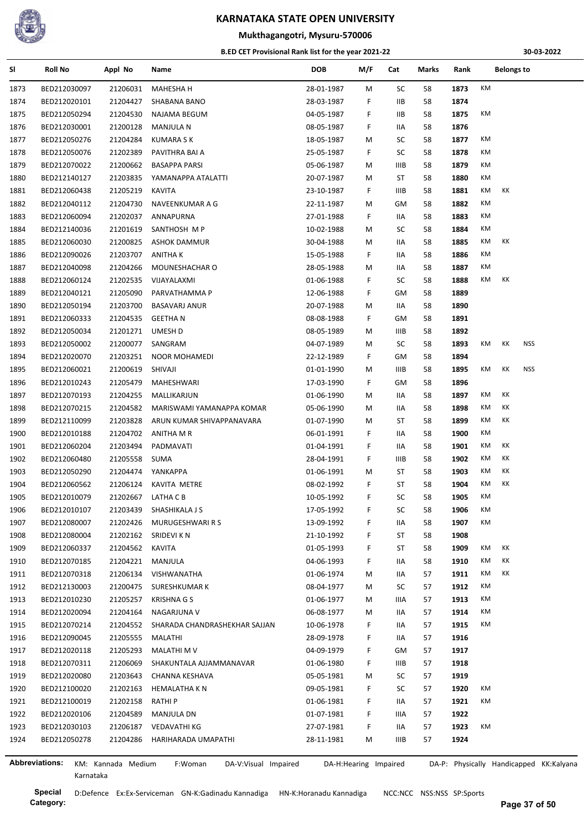

## **Mukthagangotri, Mysuru-570006**

#### **B.ED CET Provisional Rank list for the year 2021-22**

**30-03-2022**

| SI   | <b>Roll No</b>        | Appl No            | Name                            | <b>DOB</b> | M/F                   | Cat         | Marks | Rank |                | <b>Belongs to</b> |                                         |
|------|-----------------------|--------------------|---------------------------------|------------|-----------------------|-------------|-------|------|----------------|-------------------|-----------------------------------------|
| 1873 | BED212030097          | 21206031           | <b>MAHESHA H</b>                | 28-01-1987 | M                     | SC          | 58    | 1873 | KM             |                   |                                         |
| 1874 | BED212020101          | 21204427           | SHABANA BANO                    | 28-03-1987 | F.                    | ШB          | 58    | 1874 |                |                   |                                         |
| 1875 | BED212050294          | 21204530           | NAJAMA BEGUM                    | 04-05-1987 | F.                    | IIВ         | 58    | 1875 | КM             |                   |                                         |
| 1876 | BED212030001          | 21200128           | <b>MANJULA N</b>                | 08-05-1987 | F.                    | 11A         | 58    | 1876 |                |                   |                                         |
| 1877 | BED212050276          | 21204284           | <b>KUMARA S K</b>               | 18-05-1987 | M                     | SC          | 58    | 1877 | КM             |                   |                                         |
| 1878 | BED212050076          | 21202389           | PAVITHRA BAI A                  | 25-05-1987 | F.                    | SC          | 58    | 1878 | КM             |                   |                                         |
| 1879 | BED212070022          | 21200662           | <b>BASAPPA PARSI</b>            | 05-06-1987 | M                     | IIIB        | 58    | 1879 | КM             |                   |                                         |
| 1880 | BED212140127          | 21203835           | YAMANAPPA ATALATTI              | 20-07-1987 | M                     | ST          | 58    | 1880 | КM             |                   |                                         |
| 1881 | BED212060438          | 21205219           | KAVITA                          | 23-10-1987 | F.                    | IIIB        | 58    | 1881 | KM<br>КK       |                   |                                         |
| 1882 | BED212040112          | 21204730           | NAVEENKUMAR A G                 | 22-11-1987 | М                     | GМ          | 58    | 1882 | КM             |                   |                                         |
| 1883 | BED212060094          | 21202037           | ANNAPURNA                       | 27-01-1988 | F                     | <b>IIA</b>  | 58    | 1883 | КM             |                   |                                         |
| 1884 | BED212140036          | 21201619           | SANTHOSH M P                    | 10-02-1988 | M                     | SC          | 58    | 1884 | КM             |                   |                                         |
| 1885 | BED212060030          | 21200825           | <b>ASHOK DAMMUR</b>             | 30-04-1988 | M                     | 11A         | 58    | 1885 | KM<br>КK       |                   |                                         |
| 1886 | BED212090026          | 21203707           | <b>ANITHAK</b>                  | 15-05-1988 | F.                    | IIA         | 58    | 1886 | КM             |                   |                                         |
| 1887 | BED212040098          | 21204266           | MOUNESHACHAR O                  | 28-05-1988 | M                     | 11A         | 58    | 1887 | КM             |                   |                                         |
| 1888 | BED212060124          | 21202535           | VIJAYALAXMI                     | 01-06-1988 | F.                    | SC          | 58    | 1888 | KM<br>КK       |                   |                                         |
| 1889 | BED212040121          | 21205090           | PARVATHAMMA P                   | 12-06-1988 | F.                    | GМ          | 58    | 1889 |                |                   |                                         |
| 1890 | BED212050194          | 21203700           | <b>BASAVARJ ANUR</b>            | 20-07-1988 | M                     | 11A         | 58    | 1890 |                |                   |                                         |
| 1891 | BED212060333          | 21204535           | <b>GEETHAN</b>                  | 08-08-1988 | F                     | GМ          | 58    | 1891 |                |                   |                                         |
| 1892 | BED212050034          | 21201271           | UMESH D                         | 08-05-1989 | M                     | IIIB        | 58    | 1892 |                |                   |                                         |
| 1893 | BED212050002          | 21200077           | SANGRAM                         | 04-07-1989 | М                     | SC          | 58    | 1893 | КM<br>КK       | <b>NSS</b>        |                                         |
| 1894 | BED212020070          | 21203251           | NOOR MOHAMEDI                   | 22-12-1989 | F.                    | GМ          | 58    | 1894 |                |                   |                                         |
| 1895 | BED212060021          | 21200619           | SHIVAJI                         | 01-01-1990 | M                     | <b>IIIB</b> | 58    | 1895 | КM<br>КK       | <b>NSS</b>        |                                         |
| 1896 | BED212010243          | 21205479           | MAHESHWARI                      | 17-03-1990 | F.                    | GМ          | 58    | 1896 |                |                   |                                         |
| 1897 | BED212070193          | 21204255           | MALLIKARJUN                     | 01-06-1990 | M                     | 11A         | 58    | 1897 | КK<br>КM       |                   |                                         |
| 1898 | BED212070215          | 21204582           | MARISWAMI YAMANAPPA KOMAR       | 05-06-1990 | M                     | IIA         | 58    | 1898 | КK<br>КM       |                   |                                         |
| 1899 | BED212110099          | 21203828           | ARUN KUMAR SHIVAPPANAVARA       | 01-07-1990 | M                     | ST          | 58    | 1899 | KM<br>КK       |                   |                                         |
| 1900 | BED212010188          | 21204702           | ANITHA M R                      | 06-01-1991 | F.                    | 11A         | 58    | 1900 | КM             |                   |                                         |
| 1901 | BED212060204          | 21203494           | PADMAVATI                       | 01-04-1991 | F.                    | 11A         | 58    | 1901 | КK<br>КM       |                   |                                         |
| 1902 | BED212060480          | 21205558           | SUMA                            | 28-04-1991 | F                     | IIIB        | 58    | 1902 | КK<br>КM       |                   |                                         |
| 1903 | BED212050290          | 21204474           | YANKAPPA                        | 01-06-1991 | M                     | ST          | 58    | 1903 | КM<br>КK       |                   |                                         |
| 1904 | BED212060562          | 21206124           | KAVITA METRE                    | 08-02-1992 | F.                    | ST          | 58    | 1904 | KM<br>КK       |                   |                                         |
| 1905 | BED212010079          | 21202667           | LATHA C B                       | 10-05-1992 | F.                    | SC          | 58    | 1905 | КM             |                   |                                         |
| 1906 | BED212010107          | 21203439           | SHASHIKALA J S                  | 17-05-1992 | F                     | SC          | 58    | 1906 | KM             |                   |                                         |
| 1907 | BED212080007          | 21202426           | MURUGESHWARI R S                | 13-09-1992 | F.                    | IIA         | 58    | 1907 | KM             |                   |                                         |
| 1908 | BED212080004          | 21202162           | SRIDEVI K N                     | 21-10-1992 | F                     | ST          | 58    | 1908 |                |                   |                                         |
|      | BED212060337          |                    |                                 |            |                       |             |       | 1909 | КK<br>КM       |                   |                                         |
| 1909 |                       | 21204562           | <b>KAVITA</b>                   | 01-05-1993 | F                     | ST          | 58    |      | КK<br>КM       |                   |                                         |
| 1910 | BED212070185          | 21204221           | MANJULA                         | 04-06-1993 | F.                    | IIA         | 58    | 1910 |                |                   |                                         |
| 1911 | BED212070318          | 21206134           | VISHWANATHA                     | 01-06-1974 | M                     | IIA         | 57    | 1911 | КM<br>КK<br>KM |                   |                                         |
| 1912 | BED212130003          | 21200475           | SURESHKUMAR K                   | 08-04-1977 | M                     | SC          | 57    | 1912 |                |                   |                                         |
| 1913 | BED212010230          | 21205257           | <b>KRISHNA G S</b>              | 01-06-1977 | M                     | IIIA        | 57    | 1913 | КM             |                   |                                         |
| 1914 | BED212020094          | 21204164           | NAGARJUNA V                     | 06-08-1977 | М                     | IIA         | 57    | 1914 | КM             |                   |                                         |
| 1915 | BED212070214          | 21204552           | SHARADA CHANDRASHEKHAR SAJJAN   | 10-06-1978 | F                     | IIA         | 57    | 1915 | КM             |                   |                                         |
| 1916 | BED212090045          | 21205555           | MALATHI                         | 28-09-1978 | F                     | 11A         | 57    | 1916 |                |                   |                                         |
| 1917 | BED212020118          | 21205293           | MALATHI M V                     | 04-09-1979 | F                     | GМ          | 57    | 1917 |                |                   |                                         |
| 1918 | BED212070311          | 21206069           | SHAKUNTALA AJJAMMANAVAR         | 01-06-1980 | F.                    | IIIB        | 57    | 1918 |                |                   |                                         |
| 1919 | BED212020080          | 21203643           | CHANNA KESHAVA                  | 05-05-1981 | M                     | SC          | 57    | 1919 |                |                   |                                         |
| 1920 | BED212100020          | 21202163           | <b>HEMALATHA K N</b>            | 09-05-1981 | F.                    | SC          | 57    | 1920 | КM             |                   |                                         |
| 1921 | BED212100019          | 21202158           | <b>RATHIP</b>                   | 01-06-1981 | F                     | IIA         | 57    | 1921 | КM             |                   |                                         |
| 1922 | BED212020106          | 21204589           | <b>MANJULA DN</b>               | 01-07-1981 | F                     | IIIA        | 57    | 1922 |                |                   |                                         |
| 1923 | BED212030103          | 21206187           | <b>VEDAVATHI KG</b>             | 27-07-1981 | F.                    | 11A         | 57    | 1923 | КM             |                   |                                         |
| 1924 | BED212050278          | 21204286           | HARIHARADA UMAPATHI             | 28-11-1981 | M                     | <b>IIIB</b> | 57    | 1924 |                |                   |                                         |
|      |                       |                    |                                 |            |                       |             |       |      |                |                   |                                         |
|      | <b>Abbreviations:</b> | KM: Kannada Medium | F:Woman<br>DA-V:Visual Impaired |            | DA-H:Hearing Impaired |             |       |      |                |                   | DA-P: Physically Handicapped KK:Kalyana |

**Category:**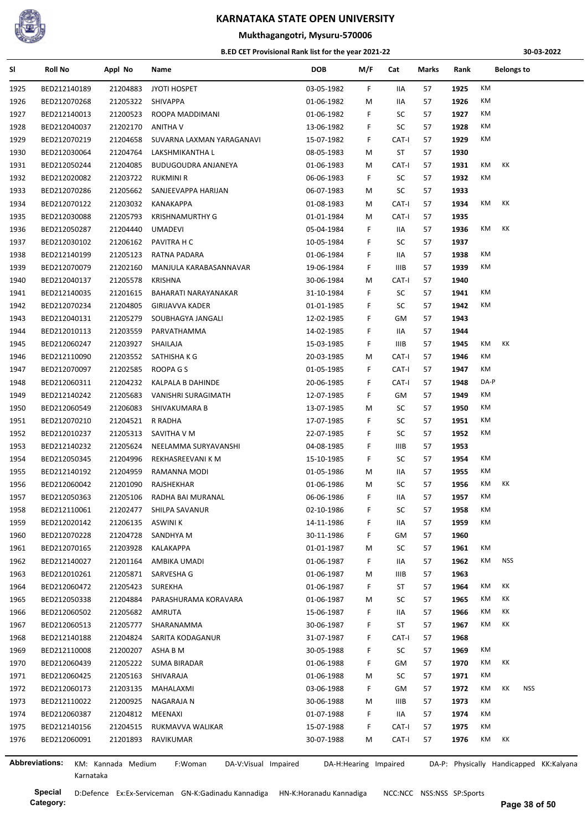

#### **Mukthagangotri, Mysuru-570006**

#### **B.ED CET Provisional Rank list for the year 2021-22**

**30-03-2022**

| SI.  | Roll No               | Appl No            | Name                            | <b>DOB</b>               | M/F | Cat   | Marks | Rank |      | <b>Belongs to</b> |                                         |
|------|-----------------------|--------------------|---------------------------------|--------------------------|-----|-------|-------|------|------|-------------------|-----------------------------------------|
| 1925 | BED212140189          | 21204883           | JYOTI HOSPET                    | 03-05-1982               | F.  | IIA   | 57    | 1925 | KM   |                   |                                         |
| 1926 | BED212070268          | 21205322           | SHIVAPPA                        | 01-06-1982               | M   | IIA   | 57    | 1926 | KM   |                   |                                         |
| 1927 | BED212140013          | 21200523           | ROOPA MADDIMANI                 | 01-06-1982               | F.  | SC    | 57    | 1927 | КM   |                   |                                         |
| 1928 | BED212040037          | 21202170           | ANITHA V                        | 13-06-1982               | F   | SC    | 57    | 1928 | KM   |                   |                                         |
| 1929 | BED212070219          | 21204658           | SUVARNA LAXMAN YARAGANAVI       | 15-07-1982               | F.  | CAT-I | 57    | 1929 | KM   |                   |                                         |
| 1930 | BED212030064          | 21204764           | LAKSHMIKANTHA L                 | 08-05-1983               | M   | ST    | 57    | 1930 |      |                   |                                         |
| 1931 | BED212050244          | 21204085           | BUDUGOUDRA ANJANEYA             | 01-06-1983               | М   | CAT-I | 57    | 1931 | KM   | КK                |                                         |
| 1932 | BED212020082          | 21203722           | <b>RUKMINI R</b>                | 06-06-1983               | F.  | SC    | 57    | 1932 | KM   |                   |                                         |
| 1933 | BED212070286          | 21205662           | SANJEEVAPPA HARIJAN             | 06-07-1983               | М   | SC    | 57    | 1933 |      |                   |                                         |
| 1934 | BED212070122          | 21203032           | KANAKAPPA                       | 01-08-1983               | M   | CAT-I | 57    | 1934 | KM   | КK                |                                         |
| 1935 | BED212030088          | 21205793           | <b>KRISHNAMURTHY G</b>          | 01-01-1984               | M   | CAT-I | 57    | 1935 |      |                   |                                         |
| 1936 | BED212050287          | 21204440           | <b>UMADEVI</b>                  | 05-04-1984               | F.  | IIA   | 57    | 1936 | KM   | КK                |                                         |
| 1937 | BED212030102          | 21206162           | PAVITRA H C                     | 10-05-1984               | F.  | SC    | 57    | 1937 |      |                   |                                         |
| 1938 | BED212140199          | 21205123           | RATNA PADARA                    | 01-06-1984               | F.  | 11A   | 57    | 1938 | КM   |                   |                                         |
| 1939 | BED212070079          | 21202160           | MANJULA KARABASANNAVAR          | 19-06-1984               | F.  | IIIB  | 57    | 1939 | КM   |                   |                                         |
| 1940 | BED212040137          | 21205578           | <b>KRISHNA</b>                  | 30-06-1984               | M   | CAT-I | 57    | 1940 |      |                   |                                         |
| 1941 | BED212140035          | 21201615           | BAHARATI NARAYANAKAR            | 31-10-1984               | F.  | SC    | 57    | 1941 | КM   |                   |                                         |
| 1942 | BED212070234          | 21204805           | GIRIJAVVA KADER                 | 01-01-1985               | F.  | SC    | 57    | 1942 | КM   |                   |                                         |
| 1943 | BED212040131          | 21205279           | SOUBHAGYA JANGALI               | 12-02-1985               | F.  | GМ    | 57    | 1943 |      |                   |                                         |
| 1944 | BED212010113          | 21203559           | PARVATHAMMA                     | 14-02-1985               | F.  | IIA   | 57    | 1944 |      |                   |                                         |
| 1945 | BED212060247          | 21203927           | SHAILAJA                        | 15-03-1985               | F.  | IIIB  | 57    | 1945 | KM   | КK                |                                         |
| 1946 | BED212110090          | 21203552           | SATHISHA K G                    | 20-03-1985               | M   | CAT-I | 57    | 1946 | KM   |                   |                                         |
| 1947 | BED212070097          | 21202585           | ROOPA G S                       | 01-05-1985               | F.  | CAT-I | 57    | 1947 | КM   |                   |                                         |
| 1948 | BED212060311          | 21204232           | KALPALA B DAHINDE               | 20-06-1985               | F.  | CAT-I | 57    | 1948 | DA-P |                   |                                         |
| 1949 | BED212140242          | 21205683           | VANISHRI SURAGIMATH             | 12-07-1985               | F.  | GM    | 57    | 1949 | КM   |                   |                                         |
| 1950 | BED212060549          | 21206083           | SHIVAKUMARA B                   | 13-07-1985               | M   | SC    | 57    | 1950 | KM   |                   |                                         |
| 1951 | BED212070210          | 21204521           | R RADHA                         | 17-07-1985               | F.  | SC    | 57    | 1951 | КM   |                   |                                         |
| 1952 | BED212010237          | 21205313           | SAVITHA V M                     | 22-07-1985               | F.  | SC    | 57    | 1952 | КM   |                   |                                         |
| 1953 | BED212140232          | 21205624           | NEELAMMA SURYAVANSHI            | 04-08-1985               | F   | IIIB  | 57    | 1953 |      |                   |                                         |
| 1954 | BED212050345          | 21204996           | REKHASREEVANI K M               | 15-10-1985               | F.  | SC    | 57    | 1954 | КM   |                   |                                         |
| 1955 | BED212140192          | 21204959           | RAMANNA MODI                    | 01-05-1986               | M   | IIA   | 57    | 1955 | КM   |                   |                                         |
|      |                       |                    |                                 |                          |     |       |       |      | KM   | КK                |                                         |
| 1956 | BED212060042          | 21201090           | RAJSHEKHAR                      | 01-06-1986<br>06-06-1986 | M   | SC    | 57    | 1956 | КM   |                   |                                         |
| 1957 | BED212050363          | 21205106           | RADHA BAI MURANAL               |                          | F.  | IIA   | 57    | 1957 | КM   |                   |                                         |
| 1958 | BED212110061          | 21202477           | SHILPA SAVANUR                  | 02-10-1986               | F.  | SC    | 57    | 1958 |      |                   |                                         |
| 1959 | BED212020142          | 21206135           | ASWINI K                        | 14-11-1986               | F   | IIA   | 57    | 1959 | KM   |                   |                                         |
| 1960 | BED212070228          | 21204728           | SANDHYA M                       | 30-11-1986               | F   | GМ    | 57    | 1960 |      |                   |                                         |
| 1961 | BED212070165          | 21203928           | KALAKAPPA                       | 01-01-1987               | M   | SC    | 57    | 1961 | КM   |                   |                                         |
| 1962 | BED212140027          | 21201164           | AMBIKA UMADI                    | 01-06-1987               | F.  | IIA   | 57    | 1962 | КM   | NSS               |                                         |
| 1963 | BED212010261          | 21205871           | SARVESHA G                      | 01-06-1987               | M   | IIIB  | 57    | 1963 |      |                   |                                         |
| 1964 | BED212060472          | 21205423           | SUREKHA                         | 01-06-1987               | F.  | ST    | 57    | 1964 | КM   | КK                |                                         |
| 1965 | BED212050338          | 21204884           | PARASHURAMA KORAVARA            | 01-06-1987               | М   | SC    | 57    | 1965 | КM   | КK                |                                         |
| 1966 | BED212060502          | 21205682           | AMRUTA                          | 15-06-1987               | F   | IIA   | 57    | 1966 | КM   | КK                |                                         |
| 1967 | BED212060513          | 21205777           | SHARANAMMA                      | 30-06-1987               | F.  | ST    | 57    | 1967 | КM   | КK                |                                         |
| 1968 | BED212140188          | 21204824           | SARITA KODAGANUR                | 31-07-1987               | F.  | CAT-I | 57    | 1968 |      |                   |                                         |
| 1969 | BED212110008          | 21200207           | ASHA B M                        | 30-05-1988               | F.  | SC    | 57    | 1969 | КM   |                   |                                         |
| 1970 | BED212060439          | 21205222           | SUMA BIRADAR                    | 01-06-1988               | F.  | GМ    | 57    | 1970 | КM   | КK                |                                         |
| 1971 | BED212060425          | 21205163           | SHIVARAJA                       | 01-06-1988               | M   | SC    | 57    | 1971 | КM   |                   |                                         |
| 1972 | BED212060173          | 21203135           | MAHALAXMI                       | 03-06-1988               | F   | GМ    | 57    | 1972 | КM   | NSS<br>КK         |                                         |
| 1973 | BED212110022          | 21200925           | NAGARAJA N                      | 30-06-1988               | M   | IIIB  | 57    | 1973 | КM   |                   |                                         |
| 1974 | BED212060387          | 21204812           | MEENAXI                         | 01-07-1988               | F.  | IIA   | 57    | 1974 | КM   |                   |                                         |
| 1975 | BED212140156          | 21204515           | RUKMAVVA WALIKAR                | 15-07-1988               | F   | CAT-I | 57    | 1975 | КM   |                   |                                         |
| 1976 | BED212060091          | 21201893           | RAVIKUMAR                       | 30-07-1988               | M   | CAT-I | 57    | 1976 | KM   | КK                |                                         |
|      |                       |                    |                                 |                          |     |       |       |      |      |                   |                                         |
|      | <b>Abbreviations:</b> | KM: Kannada Medium | F:Woman<br>DA-V:Visual Impaired | DA-H:Hearing Impaired    |     |       |       |      |      |                   | DA-P: Physically Handicapped KK:Kalyana |

Karnataka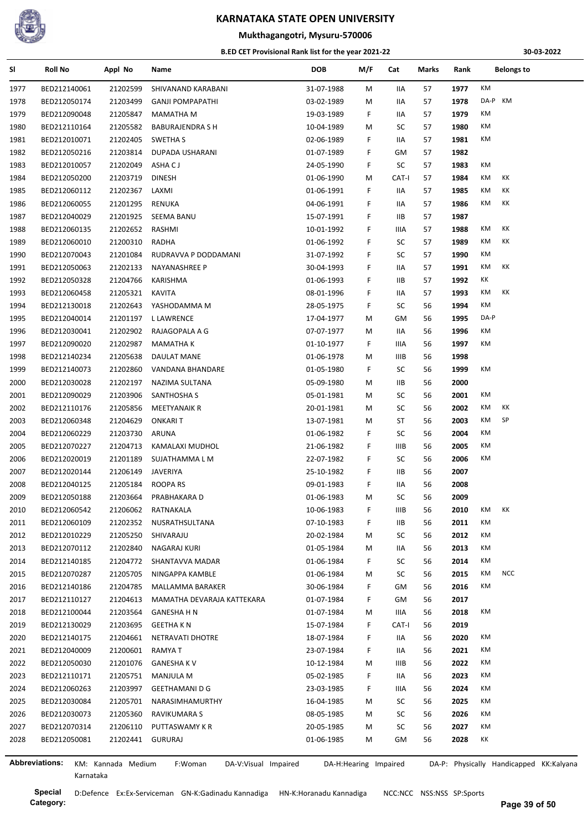

#### **Mukthagangotri, Mysuru-570006**

#### **B.ED CET Provisional Rank list for the year 2021-22**

**30-03-2022**

| SI             | <b>Roll No</b> | Appl No            | Name                            | <b>DOB</b>               | M/F | Cat         | Marks | Rank | <b>Belongs to</b>                       |
|----------------|----------------|--------------------|---------------------------------|--------------------------|-----|-------------|-------|------|-----------------------------------------|
| 1977           | BED212140061   | 21202599           | SHIVANAND KARABANI              | 31-07-1988               | M   | IIA         | 57    | 1977 | KM                                      |
| 1978           | BED212050174   | 21203499           | <b>GANJI POMPAPATHI</b>         | 03-02-1989               | M   | IIA         | 57    | 1978 | DA-P KM                                 |
| 1979           | BED212090048   | 21205847           | <b>MAMATHA M</b>                | 19-03-1989               | F.  | IIA         | 57    | 1979 | КM                                      |
| 1980           | BED212110164   | 21205582           | <b>BABURAJENDRA S H</b>         | 10-04-1989               | М   | SC          | 57    | 1980 | КM                                      |
| 1981           | BED212010071   | 21202405           | SWETHA S                        | 02-06-1989               | F.  | IIA         | 57    | 1981 | КM                                      |
| 1982           | BED212050216   | 21203814           | DUPADA USHARANI                 | 01-07-1989               | F.  | GM          | 57    | 1982 |                                         |
| 1983           | BED212010057   | 21202049           | ASHA C J                        | 24-05-1990               | F.  | SC          | 57    | 1983 | КM                                      |
| 1984           | BED212050200   | 21203719           | <b>DINESH</b>                   | 01-06-1990               | M   | CAT-I       | 57    | 1984 | KM<br>КK                                |
| 1985           | BED212060112   | 21202367           | LAXMI                           | 01-06-1991               | F.  | IIA         | 57    | 1985 | КK<br>КM                                |
| 1986           | BED212060055   | 21201295           | RENUKA                          | 04-06-1991               | F.  | IIA         | 57    | 1986 | KM<br>КK                                |
| 1987           | BED212040029   | 21201925           | SEEMA BANU                      | 15-07-1991               | F.  | 11B         | 57    | 1987 |                                         |
| 1988           | BED212060135   | 21202652           | RASHMI                          | 10-01-1992               | F.  | IIIA        | 57    | 1988 | КK<br>KM                                |
| 1989           | BED212060010   | 21200310           | <b>RADHA</b>                    | 01-06-1992               | F.  | SC          | 57    | 1989 | KM<br>КK                                |
| 1990           | BED212070043   | 21201084           | RUDRAVVA P DODDAMANI            | 31-07-1992               | F.  | SC          | 57    | 1990 | КM                                      |
| 1991           | BED212050063   | 21202133           | NAYANASHREE P                   | 30-04-1993               | F.  | IIA         | 57    | 1991 | KM<br>КK                                |
| 1992           | BED212050328   | 21204766           | KARISHMA                        | 01-06-1993               | F   | IIВ         | 57    | 1992 | КK                                      |
| 1993           | BED212060458   | 21205321           | <b>KAVITA</b>                   | 08-01-1996               | F.  | IIA         | 57    | 1993 | КK<br>KM                                |
| 1994           | BED212130018   | 21202643           | YASHODAMMA M                    | 28-05-1975               | F.  | SC          | 56    | 1994 | KM                                      |
| 1995           | BED212040014   | 21201197           | L LAWRENCE                      | 17-04-1977               | М   | GM          | 56    | 1995 | DA-P                                    |
| 1996           | BED212030041   | 21202902           | RAJAGOPALA A G                  | 07-07-1977               | M   | IIA         | 56    | 1996 | КM                                      |
| 1997           | BED212090020   | 21202987           | <b>MAMATHA K</b>                | 01-10-1977               | F.  | IIIA        | 56    | 1997 | KM                                      |
| 1998           | BED212140234   | 21205638           | DAULAT MANE                     | 01-06-1978               | M   | <b>IIIB</b> | 56    | 1998 |                                         |
| 1999           | BED212140073   | 21202860           | VANDANA BHANDARE                | 01-05-1980               | F.  | SC          | 56    | 1999 | КM                                      |
| 2000           | BED212030028   | 21202197           | NAZIMA SULTANA                  | 05-09-1980               | М   | IIB.        | 56    | 2000 |                                         |
| 2001           | BED212090029   | 21203906           | SANTHOSHA S                     | 05-01-1981               | M   | SC          | 56    | 2001 | КM                                      |
| 2002           | BED212110176   | 21205856           | <b>MEETYANAIK R</b>             | 20-01-1981               | M   | SC          | 56    | 2002 | КK<br>KM                                |
| 2003           | BED212060348   | 21204629           | <b>ONKARIT</b>                  | 13-07-1981               | м   | ST          | 56    | 2003 | KM<br>SP                                |
| 2004           |                | 21203730           |                                 |                          | F.  | SC          | 56    | 2004 | КM                                      |
|                | BED212060229   |                    | ARUNA                           | 01-06-1982<br>21-06-1982 |     |             |       | 2005 | КM                                      |
| 2005           | BED212070227   | 21204713           | KAMALAXI MUDHOL                 |                          | F.  | IIIB<br>SC  | 56    | 2006 | КM                                      |
| 2006           | BED212020019   | 21201189           | SUJATHAMMA L M                  | 22-07-1982               | F.  |             | 56    |      |                                         |
| 2007           | BED212020144   | 21206149           | JAVERIYA                        | 25-10-1982               | F.  | IIB.        | 56    | 2007 |                                         |
| 2008           | BED212040125   | 21205184           | ROOPA RS                        | 09-01-1983               | F.  | IIA         | 56    | 2008 |                                         |
| 2009           | BED212050188   | 21203664           | PRABHAKARA D                    | 01-06-1983               | м   | SC          | 56    | 2009 |                                         |
| 2010           | BED212060542   | 21206062           | RATNAKALA                       | 10-06-1983               | F.  | IIIB        | 56    | 2010 | KM<br>КK                                |
| 2011           | BED212060109   | 21202352           | NUSRATHSULTANA                  | 07-10-1983               | F.  | IIB         | 56    | 2011 | KM                                      |
| 2012           | BED212010229   | 21205250           | SHIVARAJU                       | 20-02-1984               | M   | SC          | 56    | 2012 | КM                                      |
| 2013           | BED212070112   | 21202840           | NAGARAJ KURI                    | 01-05-1984               | M   | IIA         | 56    | 2013 | КM                                      |
| 2014           | BED212140185   | 21204772           | SHANTAVVA MADAR                 | 01-06-1984               | F.  | SC          | 56    | 2014 | КM                                      |
| 2015           | BED212070287   | 21205705           | NINGAPPA KAMBLE                 | 01-06-1984               | M   | SC          | 56    | 2015 | KM<br><b>NCC</b>                        |
| 2016           | BED212140186   | 21204785           | MALLAMMA BARAKER                | 30-06-1984               | F.  | GМ          | 56    | 2016 | KM                                      |
| 2017           | BED212110127   | 21204613           | MAMATHA DEVARAJA KATTEKARA      | 01-07-1984               | F.  | GМ          | 56    | 2017 |                                         |
| 2018           | BED212100044   | 21203564           | GANESHA H N                     | 01-07-1984               | М   | IIIA        | 56    | 2018 | КM                                      |
| 2019           | BED212130029   | 21203695           | <b>GEETHA K N</b>               | 15-07-1984               | F.  | CAT-I       | 56    | 2019 |                                         |
| 2020           | BED212140175   | 21204661           | NETRAVATI DHOTRE                | 18-07-1984               | F.  | IIA         | 56    | 2020 | КM                                      |
| 2021           | BED212040009   | 21200601           | RAMYA T                         | 23-07-1984               | F.  | IIA         | 56    | 2021 | КM                                      |
| 2022           | BED212050030   | 21201076           | <b>GANESHA K V</b>              | 10-12-1984               | М   | IIIB        | 56    | 2022 | KM                                      |
| 2023           | BED212110171   | 21205751           | <b>MANJULA M</b>                | 05-02-1985               | F.  | IIA         | 56    | 2023 | КM                                      |
| 2024           | BED212060263   | 21203997           | <b>GEETHAMANI D G</b>           | 23-03-1985               | F.  | IIIA        | 56    | 2024 | КM                                      |
| 2025           | BED212030084   | 21205701           | NARASIMHAMURTHY                 | 16-04-1985               | M   | SC          | 56    | 2025 | КM                                      |
| 2026           | BED212030073   | 21205360           | RAVIKUMARA S                    | 08-05-1985               | M   | SC          | 56    | 2026 | КM                                      |
| 2027           | BED212070314   | 21206110           | PUTTASWAMY K R                  | 20-05-1985               | M   | SC          | 56    | 2027 | КM                                      |
| 2028           | BED212050081   | 21202441 GURURAJ   |                                 | 01-06-1985               | M   | GМ          | 56    | 2028 | КK                                      |
| Abbreviations: |                | KM: Kannada Medium | F:Woman<br>DA-V:Visual Impaired | DA-H:Hearing Impaired    |     |             |       |      | DA-P: Physically Handicapped KK:Kalyana |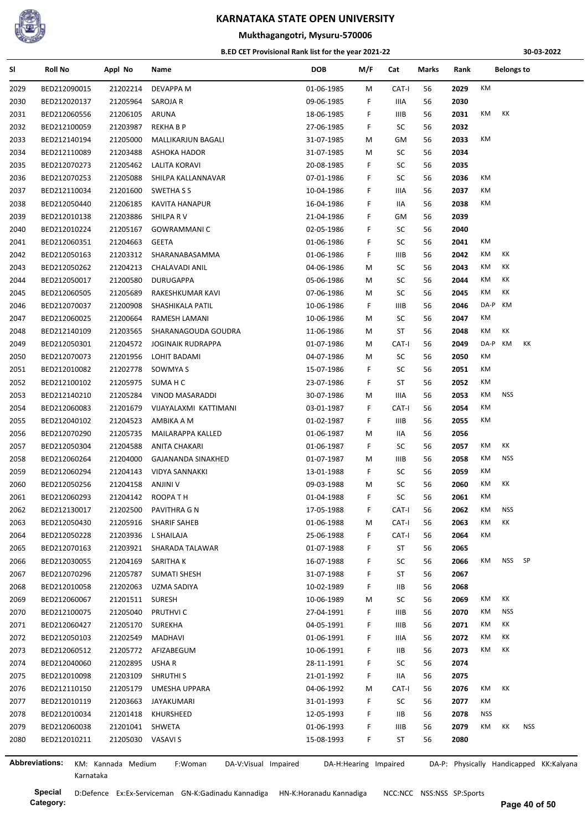

### **Mukthagangotri, Mysuru-570006**

#### **B.ED CET Provisional Rank list for the year 2021-22**

**30-03-2022**

| SI                    | <b>Roll No</b> | Appl No            | Name                            | <b>DOB</b> | M/F                   | Cat         | Marks | Rank |           | <b>Belongs to</b> |     |                                         |
|-----------------------|----------------|--------------------|---------------------------------|------------|-----------------------|-------------|-------|------|-----------|-------------------|-----|-----------------------------------------|
| 2029                  | BED212090015   | 21202214           | DEVAPPA M                       | 01-06-1985 | М                     | CAT-I       | 56    | 2029 | KM        |                   |     |                                         |
| 2030                  | BED212020137   | 21205964           | SAROJA R                        | 09-06-1985 | F.                    | IIIA        | 56    | 2030 |           |                   |     |                                         |
| 2031                  | BED212060556   | 21206105           | <b>ARUNA</b>                    | 18-06-1985 | F.                    | IIIB        | 56    | 2031 | КM        | КK                |     |                                         |
| 2032                  | BED212100059   | 21203987           | REKHA B P                       | 27-06-1985 | F                     | SC          | 56    | 2032 |           |                   |     |                                         |
| 2033                  | BED212140194   | 21205000           | MALLIKARJUN BAGALI              | 31-07-1985 | М                     | GM          | 56    | 2033 | КM        |                   |     |                                         |
| 2034                  | BED212110089   | 21203488           | ASHOKA HADOR                    | 31-07-1985 | М                     | SC          | 56    | 2034 |           |                   |     |                                         |
| 2035                  | BED212070273   | 21205462           | LALITA KORAVI                   | 20-08-1985 | F                     | SC          | 56    | 2035 |           |                   |     |                                         |
| 2036                  | BED212070253   | 21205088           | SHILPA KALLANNAVAR              | 07-01-1986 | F                     | SC          | 56    | 2036 | КM        |                   |     |                                         |
| 2037                  | BED212110034   | 21201600           | SWETHA S S                      | 10-04-1986 | F                     | IIIA        | 56    | 2037 | КM        |                   |     |                                         |
| 2038                  | BED212050440   | 21206185           | <b>KAVITA HANAPUR</b>           | 16-04-1986 | F                     | IIА         | 56    | 2038 | КM        |                   |     |                                         |
| 2039                  | BED212010138   | 21203886           | SHILPA R V                      | 21-04-1986 | F                     | GM          | 56    | 2039 |           |                   |     |                                         |
| 2040                  | BED212010224   | 21205167           | GOWRAMMANI C                    | 02-05-1986 | F                     | SC          | 56    | 2040 |           |                   |     |                                         |
| 2041                  | BED212060351   | 21204663           | GEETA                           | 01-06-1986 | F                     | SC          | 56    | 2041 | КM        |                   |     |                                         |
| 2042                  | BED212050163   | 21203312           | SHARANABASAMMA                  | 01-06-1986 | F                     | IIIB        | 56    | 2042 | КM        | КK                |     |                                         |
| 2043                  | BED212050262   | 21204213           | CHALAVADI ANIL                  | 04-06-1986 | M                     | SC          | 56    | 2043 | КM        | КK                |     |                                         |
| 2044                  | BED212050017   | 21200580           | DURUGAPPA                       | 05-06-1986 | м                     | SC          | 56    | 2044 | КM        | КK                |     |                                         |
| 2045                  | BED212060505   | 21205689           | RAKESHKUMAR KAVI                | 07-06-1986 | М                     | SC          | 56    | 2045 | КM        | КK                |     |                                         |
| 2046                  | BED212070037   | 21200908           | SHASHIKALA PATIL                | 10-06-1986 | F.                    | IIIB        | 56    | 2046 | DA-P      | KM                |     |                                         |
| 2047                  | BED212060025   | 21200664           | RAMESH LAMANI                   | 10-06-1986 | М                     | SC          | 56    | 2047 | КM        |                   |     |                                         |
| 2048                  | BED212140109   | 21203565           | SHARANAGOUDA GOUDRA             | 11-06-1986 | М                     | ST          | 56    | 2048 | КM        | КK                |     |                                         |
| 2049                  | BED212050301   | 21204572           | <b>JOGINAIK RUDRAPPA</b>        | 01-07-1986 | M                     | CAT-I       | 56    | 2049 | DA-P      | КM                | ΚK  |                                         |
| 2050                  | BED212070073   | 21201956           | LOHIT BADAMI                    | 04-07-1986 | м                     | SC          | 56    | 2050 | КM        |                   |     |                                         |
| 2051                  | BED212010082   | 21202778           | SOWMYA S                        | 15-07-1986 | F                     | SC          | 56    | 2051 | КM        |                   |     |                                         |
| 2052                  | BED212100102   | 21205975           | SUMA H C                        | 23-07-1986 | F                     | ST          | 56    | 2052 | КM        |                   |     |                                         |
| 2053                  | BED212140210   | 21205284           | VINOD MASARADDI                 | 30-07-1986 | М                     | IIIA        | 56    | 2053 | КM        | <b>NSS</b>        |     |                                         |
| 2054                  | BED212060083   | 21201679           | VIJAYALAXMI KATTIMANI           | 03-01-1987 | F                     | CAT-I       | 56    | 2054 | КM        |                   |     |                                         |
| 2055                  | BED212040102   | 21204523           | AMBIKA A M                      | 01-02-1987 | F.                    | IIIB        | 56    | 2055 | КM        |                   |     |                                         |
| 2056                  | BED212070290   | 21205735           | MAILARAPPA KALLED               | 01-06-1987 | м                     | IIA         | 56    | 2056 |           |                   |     |                                         |
| 2057                  | BED212050304   | 21204588           | ANITA CHAKARI                   | 01-06-1987 | F.                    | SC          | 56    | 2057 | КM        | КK                |     |                                         |
| 2058                  | BED212060264   | 21204000           | GAJANANDA SINAKHED              | 01-07-1987 | М                     | IIIB        | 56    | 2058 | КM        | <b>NSS</b>        |     |                                         |
| 2059                  | BED212060294   | 21204143           | VIDYA SANNAKKI                  | 13-01-1988 | F.                    | SC          | 56    | 2059 | КM        |                   |     |                                         |
| 2060                  | BED212050256   | 21204158           | ANJINI V                        | 09-03-1988 | M                     | SC          | 56    | 2060 | КM        | КK                |     |                                         |
| 2061                  | BED212060293   | 21204142           | ROOPATH                         | 01-04-1988 | F.                    | SC          | 56    | 2061 | <b>KM</b> |                   |     |                                         |
| 2062                  | BED212130017   | 21202500           | PAVITHRA G N                    | 17-05-1988 | F.                    | CAT-I       | 56    | 2062 | КM        | <b>NSS</b>        |     |                                         |
| 2063                  | BED212050430   | 21205916           | SHARIF SAHEB                    | 01-06-1988 | Μ                     | CAT-I       | 56    | 2063 | KM        | КK                |     |                                         |
| 2064                  | BED212050228   | 21203936           | L SHAILAJA                      | 25-06-1988 | F.                    | CAT-I       | 56    | 2064 | KM        |                   |     |                                         |
| 2065                  | BED212070163   | 21203921           | SHARADA TALAWAR                 | 01-07-1988 | F.                    | ST          | 56    | 2065 |           |                   |     |                                         |
| 2066                  | BED212030055   | 21204169           | SARITHA K                       | 16-07-1988 | F                     | SC          | 56    | 2066 | КM        | NSS SP            |     |                                         |
| 2067                  | BED212070296   | 21205787           | <b>SUMATI SHESH</b>             | 31-07-1988 | F                     | ST          | 56    | 2067 |           |                   |     |                                         |
| 2068                  | BED212010058   | 21202063           | UZMA SADIYA                     | 10-02-1989 | F                     | IIВ         | 56    | 2068 |           |                   |     |                                         |
| 2069                  | BED212060067   | 21201511           | SURESH                          | 10-06-1989 | M                     | SC          | 56    | 2069 | КM        | КK                |     |                                         |
| 2070                  | BED212100075   | 21205040           | PRUTHVI C                       | 27-04-1991 | F                     | IIIB        | 56    | 2070 | КM        | <b>NSS</b>        |     |                                         |
| 2071                  | BED212060427   | 21205170           | <b>SUREKHA</b>                  | 04-05-1991 | F                     | <b>IIIB</b> | 56    | 2071 | КM        | КK                |     |                                         |
| 2072                  | BED212050103   | 21202549           | MADHAVI                         | 01-06-1991 | F                     | IIIA        | 56    | 2072 | КM        | КK                |     |                                         |
| 2073                  | BED212060512   | 21205772           | AFIZABEGUM                      | 10-06-1991 | F                     | IIВ         | 56    | 2073 | КM        | КK                |     |                                         |
| 2074                  | BED212040060   | 21202895           | USHA R                          | 28-11-1991 | F.                    | SC          | 56    | 2074 |           |                   |     |                                         |
| 2075                  | BED212010098   | 21203109           | <b>SHRUTHI S</b>                | 21-01-1992 | F                     | IIA         | 56    | 2075 |           |                   |     |                                         |
| 2076                  | BED212110150   | 21205179           | UMESHA UPPARA                   | 04-06-1992 | м                     | CAT-I       | 56    | 2076 | КM        | КK                |     |                                         |
| 2077                  | BED212010119   | 21203663           | JAYAKUMARI                      | 31-01-1993 | F.                    | SC          | 56    | 2077 | КM        |                   |     |                                         |
| 2078                  | BED212010034   | 21201418           | KHURSHEED                       | 12-05-1993 | F.                    | IIВ         | 56    | 2078 | NSS       |                   |     |                                         |
| 2079                  | BED212060038   | 21201041           | SHWETA                          | 01-06-1993 | F                     | IIIB        | 56    | 2079 | KM        | КK                | NSS |                                         |
| 2080                  | BED212010211   | 21205030 VASAVI S  |                                 | 15-08-1993 | F.                    | ST          | 56    | 2080 |           |                   |     |                                         |
|                       |                |                    |                                 |            |                       |             |       |      |           |                   |     |                                         |
| <b>Abbreviations:</b> |                | KM: Kannada Medium | F:Woman<br>DA-V:Visual Impaired |            | DA-H:Hearing Impaired |             |       |      |           |                   |     | DA-P: Physically Handicapped KK:Kalyana |

Karnataka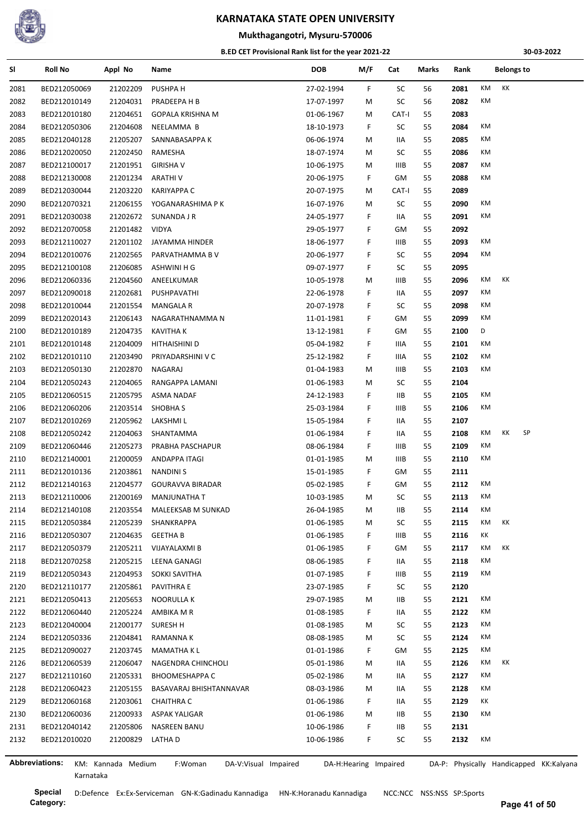

## **Mukthagangotri, Mysuru-570006**

#### **B.ED CET Provisional Rank list for the year 2021-22**

**30-03-2022**

| SI                    | <b>Roll No</b> | Appl No            | Name                            | <b>DOB</b> | M/F                   | Cat         | Marks | Rank | <b>Belongs to</b>                       |
|-----------------------|----------------|--------------------|---------------------------------|------------|-----------------------|-------------|-------|------|-----------------------------------------|
| 2081                  | BED212050069   | 21202209           | PUSHPA H                        | 27-02-1994 | F                     | SC          | 56    | 2081 | КK<br>КM                                |
| 2082                  | BED212010149   | 21204031           | PRADEEPA H B                    | 17-07-1997 | M                     | SC          | 56    | 2082 | КM                                      |
| 2083                  | BED212010180   | 21204651           | <b>GOPALA KRISHNA M</b>         | 01-06-1967 | M                     | CAT-I       | 55    | 2083 |                                         |
| 2084                  | BED212050306   | 21204608           | NEELAMMA B                      | 18-10-1973 | F.                    | SC          | 55    | 2084 | КM                                      |
| 2085                  | BED212040128   | 21205207           | SANNABASAPPA K                  | 06-06-1974 | М                     | IIA         | 55    | 2085 | КM                                      |
| 2086                  | BED212020050   | 21202450           | RAMESHA                         | 18-07-1974 | М                     | SC          | 55    | 2086 | КM                                      |
| 2087                  | BED212100017   | 21201951           | <b>GIRISHA V</b>                | 10-06-1975 | М                     | IIIB        | 55    | 2087 | КM                                      |
| 2088                  | BED212130008   | 21201234           | ARATHI V                        | 20-06-1975 | F.                    | GM          | 55    | 2088 | КM                                      |
| 2089                  | BED212030044   | 21203220           | KARIYAPPA C                     | 20-07-1975 | М                     | CAT-I       | 55    | 2089 |                                         |
| 2090                  | BED212070321   | 21206155           | YOGANARASHIMA P K               | 16-07-1976 | М                     | SC          | 55    | 2090 | КM                                      |
| 2091                  | BED212030038   | 21202672           | SUNANDA J R                     | 24-05-1977 | F                     | IIA         | 55    | 2091 | КM                                      |
| 2092                  | BED212070058   | 21201482           | <b>VIDYA</b>                    | 29-05-1977 | F                     | GM          | 55    | 2092 |                                         |
| 2093                  | BED212110027   | 21201102           | JAYAMMA HINDER                  | 18-06-1977 | F                     | IIIB        | 55    | 2093 | КM                                      |
| 2094                  | BED212010076   | 21202565           | PARVATHAMMA B V                 | 20-06-1977 | F                     | SC          | 55    | 2094 | КM                                      |
| 2095                  | BED212100108   | 21206085           | ASHWINI H G                     | 09-07-1977 | F.                    | SC          | 55    | 2095 |                                         |
| 2096                  | BED212060336   | 21204560           | ANEELKUMAR                      | 10-05-1978 | м                     | IIIB        | 55    | 2096 | KK<br>КM                                |
| 2097                  | BED212090018   | 21202681           | PUSHPAVATHI                     | 22-06-1978 | F                     | IIA         | 55    | 2097 | КM                                      |
| 2098                  | BED212010044   | 21201554           | <b>MANGALA R</b>                | 20-07-1978 | F                     | SC          | 55    | 2098 | КM                                      |
| 2099                  | BED212020143   | 21206143           | NAGARATHNAMMA N                 | 11-01-1981 | F.                    | GM          | 55    | 2099 | КM                                      |
| 2100                  | BED212010189   | 21204735           | KAVITHA K                       | 13-12-1981 | F                     | GM          | 55    | 2100 | D                                       |
|                       |                | 21204009           |                                 |            | F                     |             | 55    |      | ΚM                                      |
| 2101                  | BED212010148   |                    | HITHAISHINI D                   | 05-04-1982 |                       | IIIA        |       | 2101 | KM                                      |
| 2102                  | BED212010110   | 21203490           | PRIYADARSHINI V C               | 25-12-1982 | F.                    | IIIA        | 55    | 2102 | КM                                      |
| 2103                  | BED212050130   | 21202870           | NAGARAJ                         | 01-04-1983 | М                     | IIIB        | 55    | 2103 |                                         |
| 2104                  | BED212050243   | 21204065           | RANGAPPA LAMANI                 | 01-06-1983 | M                     | SC          | 55    | 2104 |                                         |
| 2105                  | BED212060515   | 21205795           | ASMA NADAF                      | 24-12-1983 | F                     | IIВ         | 55    | 2105 | КM                                      |
| 2106                  | BED212060206   | 21203514           | <b>SHOBHAS</b>                  | 25-03-1984 | F.                    | <b>IIIB</b> | 55    | 2106 | КM                                      |
| 2107                  | BED212010269   | 21205962           | LAKSHMI L                       | 15-05-1984 | F                     | 11A         | 55    | 2107 |                                         |
| 2108                  | BED212050242   | 21204063           | SHANTAMMA                       | 01-06-1984 | F                     | IIA         | 55    | 2108 | SP<br>КM<br>КK                          |
| 2109                  | BED212060446   | 21205273           | PRABHA PASCHAPUR                | 08-06-1984 | F.                    | IIIB        | 55    | 2109 | КM                                      |
| 2110                  | BED212140001   | 21200059           | ANDAPPA ITAGI                   | 01-01-1985 | М                     | IIIB        | 55    | 2110 | КM                                      |
| 2111                  | BED212010136   | 21203861           | <b>NANDINIS</b>                 | 15-01-1985 | F.                    | GM          | 55    | 2111 |                                         |
| 2112                  | BED212140163   | 21204577           | GOURAVVA BIRADAR                | 05-02-1985 | F                     | GM          | 55    | 2112 | КM                                      |
| 2113                  | BED212110006   | 21200169           | <b>MANJUNATHA T</b>             | 10-03-1985 | м                     | SC          | 55    | 2113 | ΚM                                      |
| 2114                  | BED212140108   | 21203554           | MALEEKSAB M SUNKAD              | 26-04-1985 | M                     | IIВ         | 55    | 2114 | ΚM                                      |
| 2115                  | BED212050384   | 21205239           | SHANKRAPPA                      | 01-06-1985 | м                     | SC          | 55    | 2115 | КK<br>КM                                |
| 2116                  | BED212050307   | 21204635           | <b>GEETHA B</b>                 | 01-06-1985 | F.                    | IIIB        | 55    | 2116 | КK                                      |
| 2117                  | BED212050379   | 21205211           | VIJAYALAXMI B                   | 01-06-1985 | F.                    | GM          | 55    | 2117 | КK<br>КM                                |
| 2118                  | BED212070258   | 21205215           | LEENA GANAGI                    | 08-06-1985 | F                     | IIA         | 55    | 2118 | КM                                      |
| 2119                  | BED212050343   | 21204953           | SOKKI SAVITHA                   | 01-07-1985 | F                     | IIIB        | 55    | 2119 | КM                                      |
| 2120                  | BED212110177   | 21205861           | PAVITHRA E                      | 23-07-1985 | F.                    | SC          | 55    | 2120 |                                         |
| 2121                  | BED212050413   | 21205653           | NOORULLA K                      | 29-07-1985 | M                     | IIВ         | 55    | 2121 | КM                                      |
| 2122                  | BED212060440   | 21205224           | AMBIKA M R                      | 01-08-1985 | F                     | 11A         | 55    | 2122 | КM                                      |
| 2123                  | BED212040004   | 21200177           | SURESH H                        | 01-08-1985 | М                     | SC          | 55    | 2123 | КM                                      |
| 2124                  | BED212050336   | 21204841           | RAMANNA K                       | 08-08-1985 | M                     | SC          | 55    | 2124 | КM                                      |
| 2125                  | BED212090027   | 21203745           | MAMATHA K L                     | 01-01-1986 | F.                    | GM          | 55    | 2125 | КM                                      |
| 2126                  | BED212060539   | 21206047           | NAGENDRA CHINCHOLI              | 05-01-1986 | M                     | 11A         | 55    | 2126 | КM<br>КK                                |
| 2127                  | BED212110160   | 21205331           | <b>BHOOMESHAPPA C</b>           | 05-02-1986 | M                     | IIA         | 55    | 2127 | КM                                      |
| 2128                  | BED212060423   | 21205155           | BASAVARAJ BHISHTANNAVAR         | 08-03-1986 | М                     | IIA         | 55    | 2128 | КM                                      |
| 2129                  | BED212060168   | 21203061           | <b>CHAITHRA C</b>               | 01-06-1986 | F.                    | IIA         | 55    | 2129 | КK                                      |
| 2130                  | BED212060036   | 21200933           | ASPAK YALIGAR                   | 01-06-1986 | М                     | IIВ         | 55    | 2130 | КM                                      |
| 2131                  | BED212040142   | 21205806           | NASREEN BANU                    | 10-06-1986 | F                     | IIВ         | 55    | 2131 |                                         |
| 2132                  | BED212010020   | 21200829           | LATHA D                         | 10-06-1986 | F.                    | SC          | 55    | 2132 | КM                                      |
|                       |                |                    |                                 |            |                       |             |       |      |                                         |
| <b>Abbreviations:</b> |                | KM: Kannada Medium | F:Woman<br>DA-V:Visual Impaired |            | DA-H:Hearing Impaired |             |       |      | DA-P: Physically Handicapped KK:Kalyana |

Karnataka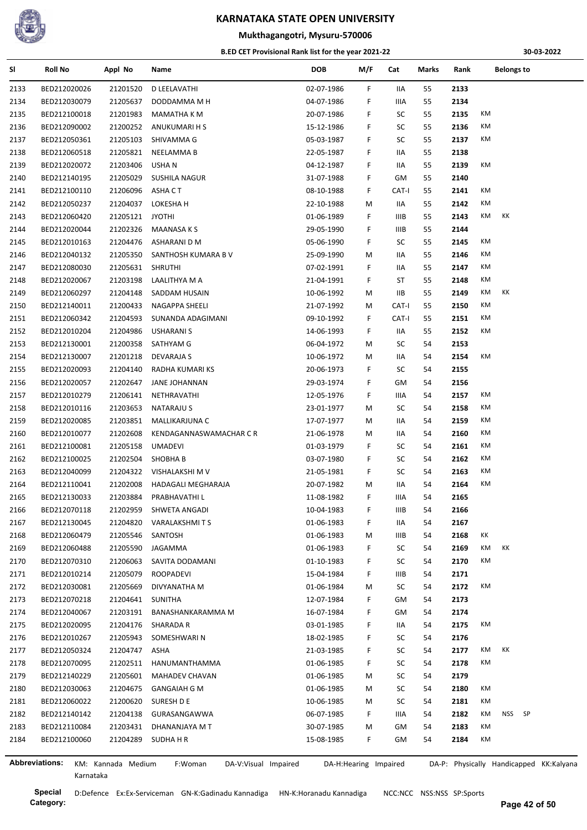

#### **Mukthagangotri, Mysuru-570006**

#### **B.ED CET Provisional Rank list for the year 2021-22**

**30-03-2022**

| SI             | <b>Roll No</b> | Appl No            | Name                            | DOB        | M/F                   | Cat   | Marks | Rank | <b>Belongs to</b>                       |
|----------------|----------------|--------------------|---------------------------------|------------|-----------------------|-------|-------|------|-----------------------------------------|
| 2133           | BED212020026   | 21201520           | D LEELAVATHI                    | 02-07-1986 | F.                    | IIA   | 55    | 2133 |                                         |
| 2134           | BED212030079   | 21205637           | DODDAMMA M H                    | 04-07-1986 | F                     | IIIA  | 55    | 2134 |                                         |
| 2135           | BED212100018   | 21201983           | MAMATHA K M                     | 20-07-1986 | F                     | SC    | 55    | 2135 | КM                                      |
| 2136           | BED212090002   | 21200252           | ANUKUMARI H S                   | 15-12-1986 | F                     | SC    | 55    | 2136 | КM                                      |
| 2137           | BED212050361   | 21205103           | SHIVAMMA G                      | 05-03-1987 | F                     | SC    | 55    | 2137 | ΚM                                      |
| 2138           | BED212060518   | 21205821           | NEELAMMA B                      | 22-05-1987 | F                     | IIA   | 55    | 2138 |                                         |
| 2139           | BED212020072   | 21203406           | USHA N                          | 04-12-1987 | F                     | 11A   | 55    | 2139 | КM                                      |
| 2140           | BED212140195   | 21205029           | SUSHILA NAGUR                   | 31-07-1988 | F.                    | GM    | 55    | 2140 |                                         |
| 2141           | BED212100110   | 21206096           | ASHA C T                        | 08-10-1988 | F.                    | CAT-I | 55    | 2141 | КM                                      |
| 2142           | BED212050237   | 21204037           | LOKESHA H                       | 22-10-1988 | М                     | IIA   | 55    | 2142 | КM                                      |
| 2143           | BED212060420   | 21205121           | <b>JYOTHI</b>                   | 01-06-1989 | F                     | IIIB  | 55    | 2143 | КM<br>КK                                |
| 2144           | BED212020044   | 21202326           | MAANASA K S                     | 29-05-1990 | F                     | IIIB  | 55    | 2144 |                                         |
| 2145           | BED212010163   | 21204476           | ASHARANI D M                    | 05-06-1990 | F                     | SC    | 55    | 2145 | КM                                      |
| 2146           | BED212040132   | 21205350           | SANTHOSH KUMARA B V             | 25-09-1990 | M                     | IIA   | 55    | 2146 | КM                                      |
| 2147           | BED212080030   | 21205631           | <b>SHRUTHI</b>                  | 07-02-1991 | F.                    | IIA   | 55    | 2147 | КM                                      |
| 2148           | BED212020067   | 21203198           | LAALITHYA M A                   | 21-04-1991 | F                     | ST    | 55    | 2148 | КM                                      |
| 2149           | BED212060297   | 21204148           | SADDAM HUSAIN                   | 10-06-1992 | M                     | IIВ   | 55    | 2149 | КM<br>КK                                |
| 2150           | BED212140011   | 21200433           | NAGAPPA SHEELI                  | 21-07-1992 | М                     | CAT-I | 55    | 2150 | КM                                      |
| 2151           | BED212060342   | 21204593           | SUNANDA ADAGIMANI               | 09-10-1992 | F                     | CAT-I | 55    | 2151 | КM                                      |
| 2152           | BED212010204   | 21204986           | <b>USHARANI S</b>               | 14-06-1993 | F                     | IIA   | 55    | 2152 | КM                                      |
| 2153           | BED212130001   | 21200358           | SATHYAM G                       | 06-04-1972 | М                     | SC    | 54    | 2153 |                                         |
| 2154           |                | 21201218           |                                 |            |                       | IIA   | 54    | 2154 | КM                                      |
|                | BED212130007   |                    | DEVARAJA S                      | 10-06-1972 | М                     |       |       |      |                                         |
| 2155           | BED212020093   | 21204140           | RADHA KUMARI KS                 | 20-06-1973 | F                     | SC    | 54    | 2155 |                                         |
| 2156           | BED212020057   | 21202647           | JANE JOHANNAN                   | 29-03-1974 | F                     | GM    | 54    | 2156 |                                         |
| 2157           | BED212010279   | 21206141           | NETHRAVATHI                     | 12-05-1976 | F                     | IIIA  | 54    | 2157 | КM                                      |
| 2158           | BED212010116   | 21203653           | NATARAJU S                      | 23-01-1977 | М                     | SC    | 54    | 2158 | КM                                      |
| 2159           | BED212020085   | 21203851           | MALLIKARJUNA C                  | 17-07-1977 | М                     | IIA   | 54    | 2159 | КM                                      |
| 2160           | BED212010077   | 21202608           | KENDAGANNASWAMACHAR C R         | 21-06-1978 | M                     | IIA   | 54    | 2160 | КM                                      |
| 2161           | BED212100081   | 21205158           | <b>UMADEVI</b>                  | 01-03-1979 | F.                    | SC    | 54    | 2161 | КM                                      |
| 2162           | BED212100025   | 21202504           | <b>SHOBHAB</b>                  | 03-07-1980 | F.                    | SC    | 54    | 2162 | КM                                      |
| 2163           | BED212040099   | 21204322           | VISHALAKSHI M V                 | 21-05-1981 | F                     | SC    | 54    | 2163 | КM                                      |
| 2164           | BED212110041   | 21202008           | HADAGALI MEGHARAJA              | 20-07-1982 | М                     | IIA   | 54    | 2164 | КM                                      |
| 2165           | BED212130033   | 21203884           | PRABHAVATHI L                   | 11-08-1982 | F.                    | IIIA  | 54    | 2165 |                                         |
| 2166           | BED212070118   | 21202959           | SHWETA ANGADI                   | 10-04-1983 | F                     | IIIB  | 54    | 2166 |                                         |
| 2167           | BED212130045   | 21204820           | VARALAKSHMITS                   | 01-06-1983 | F                     | IIA   | 54    | 2167 |                                         |
| 2168           | BED212060479   | 21205546           | SANTOSH                         | 01-06-1983 | M                     | IIIB  | 54    | 2168 | КK                                      |
| 2169           | BED212060488   | 21205590           | JAGAMMA                         | 01-06-1983 | F                     | SC    | 54    | 2169 | КM<br>ΚK                                |
| 2170           | BED212070310   | 21206063           | SAVITA DODAMANI                 | 01-10-1983 | F                     | SC    | 54    | 2170 | КM                                      |
| 2171           | BED212010214   | 21205079           | ROOPADEVI                       | 15-04-1984 | F                     | IIIB  | 54    | 2171 |                                         |
| 2172           | BED212030081   | 21205669           | DIVYANATHA M                    | 01-06-1984 | м                     | SC    | 54    | 2172 | ΚM                                      |
| 2173           | BED212070218   | 21204641           | SUNITHA                         | 12-07-1984 | F                     | GM    | 54    | 2173 |                                         |
| 2174           | BED212040067   | 21203191           | BANASHANKARAMMA M               | 16-07-1984 | F                     | GM    | 54    | 2174 |                                         |
| 2175           | BED212020095   | 21204176           | SHARADA R                       | 03-01-1985 | F                     | IIA   | 54    | 2175 | ΚM                                      |
| 2176           | BED212010267   | 21205943           | SOMESHWARI N                    | 18-02-1985 | F                     | SC    | 54    | 2176 |                                         |
| 2177           | BED212050324   | 21204747           | ASHA                            | 21-03-1985 | F                     | SC    | 54    | 2177 | КM<br>КK                                |
| 2178           | BED212070095   | 21202511           | HANUMANTHAMMA                   | 01-06-1985 | F.                    | SC    | 54    | 2178 | ΚM                                      |
| 2179           | BED212140229   | 21205601           | MAHADEV CHAVAN                  | 01-06-1985 | М                     | SC    | 54    | 2179 |                                         |
| 2180           | BED212030063   | 21204675           | <b>GANGAIAH G M</b>             | 01-06-1985 | М                     | SC    | 54    | 2180 | КM                                      |
| 2181           | BED212060022   | 21200620           | SURESH D E                      | 10-06-1985 | М                     | SC    | 54    | 2181 | КM                                      |
| 2182           | BED212140142   | 21204138           | GURASANGAWWA                    | 06-07-1985 | F                     | IIIA  | 54    | 2182 | КM<br>NSS SP                            |
| 2183           | BED212110084   | 21203431           | DHANANJAYA M T                  | 30-07-1985 | М                     | GM    | 54    | 2183 | КM                                      |
| 2184           | BED212100060   | 21204289           | SUDHA H R                       | 15-08-1985 | F.                    | GM    | 54    | 2184 | КM                                      |
|                |                |                    |                                 |            |                       |       |       |      |                                         |
| Abbreviations: |                | KM: Kannada Medium | F:Woman<br>DA-V:Visual Impaired |            | DA-H:Hearing Impaired |       |       |      | DA-P: Physically Handicapped KK:Kalyana |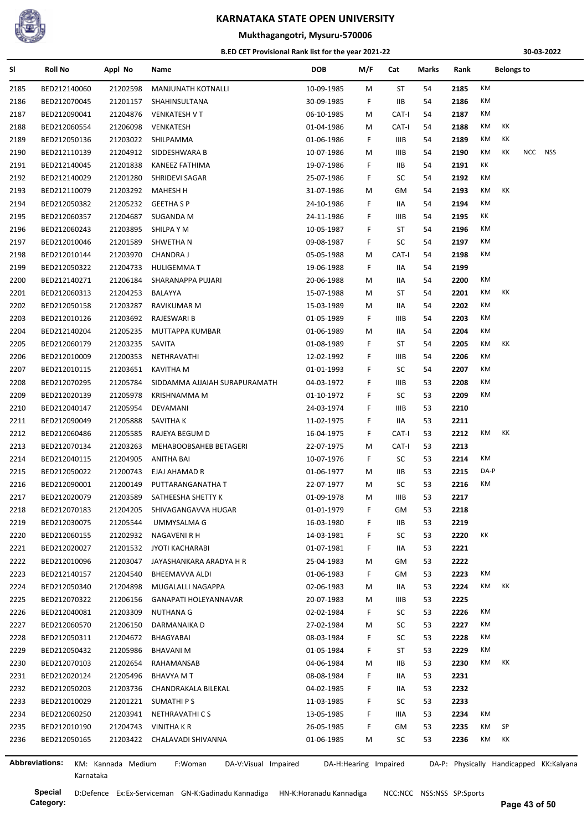

#### **Mukthagangotri, Mysuru-570006**

#### **B.ED CET Provisional Rank list for the year 2021-22**

**30-03-2022**

| SI   | <b>Roll No</b>        | Appl No            | Name                            | <b>DOB</b>            | M/F | Cat         | Marks | Rank |      | <b>Belongs to</b> |            |                                         |
|------|-----------------------|--------------------|---------------------------------|-----------------------|-----|-------------|-------|------|------|-------------------|------------|-----------------------------------------|
| 2185 | BED212140060          | 21202598           | MANJUNATH KOTNALLI              | 10-09-1985            | М   | ST          | 54    | 2185 | KM   |                   |            |                                         |
| 2186 | BED212070045          | 21201157           | SHAHINSULTANA                   | 30-09-1985            | F.  | IIВ         | 54    | 2186 | КM   |                   |            |                                         |
| 2187 | BED212090041          | 21204876           | <b>VENKATESH V T</b>            | 06-10-1985            | M   | CAT-I       | 54    | 2187 | КM   |                   |            |                                         |
| 2188 | BED212060554          | 21206098           | VENKATESH                       | 01-04-1986            | М   | CAT-I       | 54    | 2188 | КM   | КK                |            |                                         |
| 2189 | BED212050136          | 21203022           | SHILPAMMA                       | 01-06-1986            | F.  | IIIB        | 54    | 2189 | КM   | КK                |            |                                         |
| 2190 | BED212110139          | 21204912           | SIDDESHWARA B                   | 10-07-1986            | M   | IIIB        | 54    | 2190 | КM   | КK                | <b>NCC</b> | NSS                                     |
| 2191 | BED212140045          | 21201838           | KANEEZ FATHIMA                  | 19-07-1986            | F   | ШB          | 54    | 2191 | КK   |                   |            |                                         |
| 2192 | BED212140029          | 21201280           | SHRIDEVI SAGAR                  | 25-07-1986            | F   | SC          | 54    | 2192 | КM   |                   |            |                                         |
| 2193 | BED212110079          | 21203292           | <b>MAHESH H</b>                 | 31-07-1986            | M   | GM          | 54    | 2193 | КM   | КK                |            |                                         |
| 2194 | BED212050382          | 21205232           | <b>GEETHA S P</b>               | 24-10-1986            | F   | IIA         | 54    | 2194 | КM   |                   |            |                                         |
| 2195 | BED212060357          | 21204687           | SUGANDA M                       | 24-11-1986            | F   | IIIB        | 54    | 2195 | КK   |                   |            |                                         |
| 2196 | BED212060243          | 21203895           | SHILPA Y M                      | 10-05-1987            | F   | ST          | 54    | 2196 | КM   |                   |            |                                         |
| 2197 | BED212010046          | 21201589           | SHWETHA N                       | 09-08-1987            | F.  | SC          | 54    | 2197 | КM   |                   |            |                                         |
| 2198 | BED212010144          | 21203970           | <b>CHANDRA J</b>                | 05-05-1988            | M   | CAT-I       | 54    | 2198 | КM   |                   |            |                                         |
| 2199 | BED212050322          | 21204733           | <b>HULIGEMMA T</b>              | 19-06-1988            | F.  | IIA         | 54    | 2199 |      |                   |            |                                         |
| 2200 | BED212140271          | 21206184           | SHARANAPPA PUJARI               | 20-06-1988            | M   | IIA         | 54    | 2200 | КM   |                   |            |                                         |
| 2201 | BED212060313          | 21204253           | BALAYYA                         | 15-07-1988            | M   | ST          | 54    | 2201 | КM   | КK                |            |                                         |
| 2202 | BED212050158          | 21203287           | RAVIKUMAR M                     | 15-03-1989            | M   | 11A         | 54    | 2202 | КM   |                   |            |                                         |
| 2203 | BED212010126          | 21203692           | RAJESWARI B                     | 01-05-1989            | F   | IIIB        | 54    | 2203 | КM   |                   |            |                                         |
| 2204 | BED212140204          | 21205235           | MUTTAPPA KUMBAR                 | 01-06-1989            | M   | IIA         | 54    | 2204 | КM   |                   |            |                                         |
| 2205 | BED212060179          | 21203235           | SAVITA                          | 01-08-1989            | F.  | ST          | 54    | 2205 | КM   | КK                |            |                                         |
| 2206 | BED212010009          | 21200353           | NETHRAVATHI                     | 12-02-1992            | F   | IIIB        | 54    | 2206 | КM   |                   |            |                                         |
|      |                       |                    | <b>KAVITHA M</b>                |                       | F   | SC          |       | 2207 | КM   |                   |            |                                         |
| 2207 | BED212010115          | 21203651           |                                 | 01-01-1993            | F   |             | 54    | 2208 | КM   |                   |            |                                         |
| 2208 | BED212070295          | 21205784           | SIDDAMMA AJJAIAH SURAPURAMATH   | 04-03-1972            |     | IIIB        | 53    |      | КM   |                   |            |                                         |
| 2209 | BED212020139          | 21205978           | KRISHNAMMA M                    | 01-10-1972            | F   | SC          | 53    | 2209 |      |                   |            |                                         |
| 2210 | BED212040147          | 21205954           | DEVAMANI                        | 24-03-1974            | F.  | IIIB        | 53    | 2210 |      |                   |            |                                         |
| 2211 | BED212090049          | 21205888           | SAVITHA K                       | 11-02-1975            | F.  | IIA         | 53    | 2211 |      |                   |            |                                         |
| 2212 | BED212060486          | 21205585           | RAJEYA BEGUM D                  | 16-04-1975            | F.  | CAT-I       | 53    | 2212 | КM   | КK                |            |                                         |
| 2213 | BED212070134          | 21203263           | MEHABOOBSAHEB BETAGERI          | 22-07-1975            | M   | CAT-I       | 53    | 2213 |      |                   |            |                                         |
| 2214 | BED212040115          | 21204905           | ANITHA BAI                      | 10-07-1976            | F.  | SC          | 53    | 2214 | КM   |                   |            |                                         |
| 2215 | BED212050022          | 21200743           | EJAJ AHAMAD R                   | 01-06-1977            | M   | IIВ         | 53    | 2215 | DA-P |                   |            |                                         |
| 2216 | BED212090001          | 21200149           | PUTTARANGANATHA T               | 22-07-1977            | М   | SC          | 53    | 2216 | КM   |                   |            |                                         |
| 2217 | BED212020079          | 21203589           | SATHEESHA SHETTY K              | 01-09-1978            | M   | <b>IIIB</b> | 53    | 2217 |      |                   |            |                                         |
| 2218 | BED212070183          | 21204205           | SHIVAGANGAVVA HUGAR             | 01-01-1979            | F   | GМ          | 53    | 2218 |      |                   |            |                                         |
| 2219 | BED212030075          | 21205544           | UMMYSALMA G                     | 16-03-1980            | F   | IIВ         | 53    | 2219 |      |                   |            |                                         |
| 2220 | BED212060155          | 21202932           | NAGAVENI R H                    | 14-03-1981            | F   | SC          | 53    | 2220 | ΚK   |                   |            |                                         |
| 2221 | BED212020027          | 21201532           | JYOTI KACHARABI                 | 01-07-1981            | F.  | IIA         | 53    | 2221 |      |                   |            |                                         |
| 2222 | BED212010096          | 21203047           | JAYASHANKARA ARADYA H R         | 25-04-1983            | M   | GM          | 53    | 2222 |      |                   |            |                                         |
| 2223 | BED212140157          | 21204540           | BHEEMAVVA ALDI                  | 01-06-1983            | F.  | GМ          | 53    | 2223 | КM   |                   |            |                                         |
| 2224 | BED212050340          | 21204898           | MUGALALLI NAGAPPA               | 02-06-1983            | M   | IIA         | 53    | 2224 | КM   | КK                |            |                                         |
| 2225 | BED212070322          | 21206156           | GANAPATI HOLEYANNAVAR           | 20-07-1983            | M   | IIIB        | 53    | 2225 |      |                   |            |                                         |
| 2226 | BED212040081          | 21203309           | <b>NUTHANA G</b>                | 02-02-1984            | F.  | SC          | 53    | 2226 | КM   |                   |            |                                         |
| 2227 | BED212060570          | 21206150           | DARMANAIKA D                    | 27-02-1984            | M   | SC          | 53    | 2227 | КM   |                   |            |                                         |
| 2228 | BED212050311          | 21204672           | BHAGYABAI                       | 08-03-1984            | F   | SC          | 53    | 2228 | КM   |                   |            |                                         |
| 2229 | BED212050432          | 21205986           | <b>BHAVANIM</b>                 | 01-05-1984            | F.  | ST          | 53    | 2229 | КM   |                   |            |                                         |
| 2230 | BED212070103          | 21202654           | RAHAMANSAB                      | 04-06-1984            | М   | IIВ         | 53    | 2230 | КM   | КK                |            |                                         |
| 2231 | BED212020124          | 21205496           | <b>BHAVYA M T</b>               | 08-08-1984            | F.  | IIA         | 53    | 2231 |      |                   |            |                                         |
| 2232 | BED212050203          | 21203736           | CHANDRAKALA BILEKAL             | 04-02-1985            | F.  | IIA         | 53    | 2232 |      |                   |            |                                         |
| 2233 | BED212010029          | 21201221           | SUMATHI P S                     | 11-03-1985            | F.  | SC          | 53    | 2233 |      |                   |            |                                         |
| 2234 | BED212060250          | 21203941           | NETHRAVATHI C S                 | 13-05-1985            | F.  | IIIA        | 53    | 2234 | КM   |                   |            |                                         |
| 2235 | BED212010190          | 21204743           | VINITHA K R                     | 26-05-1985            | F.  | GM          | 53    | 2235 | КM   | SP                |            |                                         |
| 2236 | BED212050165          | 21203422           | CHALAVADI SHIVANNA              | 01-06-1985            | M   | SC          | 53    | 2236 | КM   | КK                |            |                                         |
|      |                       |                    |                                 |                       |     |             |       |      |      |                   |            |                                         |
|      | <b>Abbreviations:</b> | KM: Kannada Medium | DA-V:Visual Impaired<br>F:Woman | DA-H:Hearing Impaired |     |             |       |      |      |                   |            | DA-P: Physically Handicapped KK:Kalyana |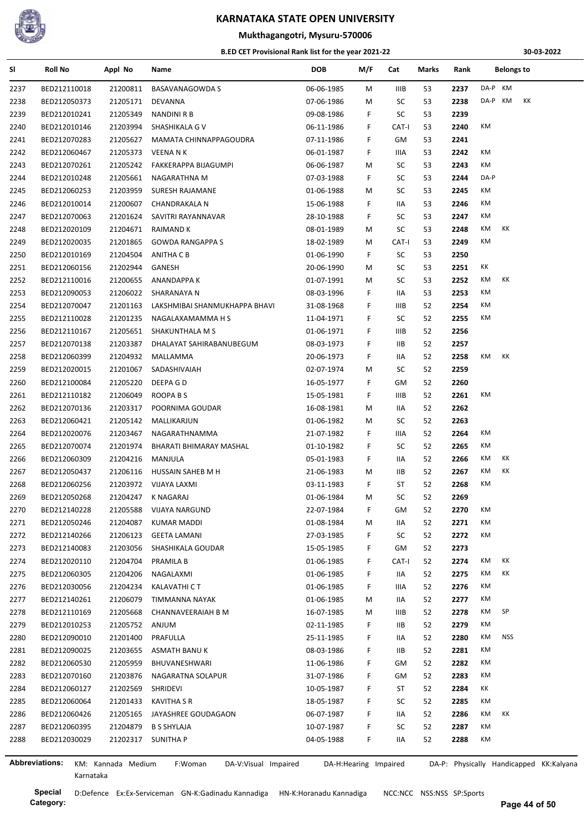

## **Mukthagangotri, Mysuru-570006**

#### **B.ED CET Provisional Rank list for the year 2021-22**

**30-03-2022**

| SI   | <b>Roll No</b>               | Appl No              | Name                            | <b>DOB</b>               | M/F                   | Cat   | Marks | Rank | <b>Belongs to</b>                       |
|------|------------------------------|----------------------|---------------------------------|--------------------------|-----------------------|-------|-------|------|-----------------------------------------|
| 2237 | BED212110018                 | 21200811             | <b>BASAVANAGOWDA S</b>          | 06-06-1985               | M                     | IIIB  | 53    | 2237 | DA-P KM                                 |
| 2238 | BED212050373                 | 21205171             | DEVANNA                         | 07-06-1986               | M                     | SC    | 53    | 2238 | DA-P KM<br>КK                           |
| 2239 | BED212010241                 | 21205349             | <b>NANDINI R B</b>              | 09-08-1986               | F.                    | SC    | 53    | 2239 |                                         |
| 2240 | BED212010146                 | 21203994             | SHASHIKALA G V                  | 06-11-1986               | F                     | CAT-I | 53    | 2240 | KM                                      |
| 2241 | BED212070283                 | 21205627             | MAMATA CHINNAPPAGOUDRA          | 07-11-1986               | F                     | GM    | 53    | 2241 |                                         |
| 2242 | BED212060467                 | 21205373             | VEENA N K                       | 06-01-1987               | F                     | IIIA  | 53    | 2242 | KM                                      |
| 2243 | BED212070261                 | 21205242             | FAKKERAPPA BIJAGUMPI            | 06-06-1987               | М                     | SC    | 53    | 2243 | КM                                      |
| 2244 | BED212010248                 | 21205661             | NAGARATHNA M                    | 07-03-1988               | F                     | SC    | 53    | 2244 | DA-P                                    |
| 2245 | BED212060253                 | 21203959             | SURESH RAJAMANE                 | 01-06-1988               | M                     | SC    | 53    | 2245 | КM                                      |
| 2246 | BED212010014                 | 21200607             | CHANDRAKALA N                   | 15-06-1988               | F                     | IIA   | 53    | 2246 | КM                                      |
| 2247 | BED212070063                 | 21201624             | SAVITRI RAYANNAVAR              | 28-10-1988               | F                     | SC    | 53    | 2247 | КM                                      |
| 2248 | BED212020109                 | 21204671             | RAIMAND K                       | 08-01-1989               | M                     | SC    | 53    | 2248 | КM<br>КK                                |
| 2249 | BED212020035                 | 21201865             | <b>GOWDA RANGAPPA S</b>         | 18-02-1989               | M                     | CAT-I | 53    | 2249 | КM                                      |
| 2250 | BED212010169                 | 21204504             | ANITHA C B                      | 01-06-1990               | F                     | SC    | 53    | 2250 |                                         |
| 2251 | BED212060156                 | 21202944             | GANESH                          | 20-06-1990               | M                     | SC    | 53    | 2251 | КK                                      |
| 2252 | BED212110016                 | 21200655             | <b>ANANDAPPA K</b>              | 01-07-1991               | М                     | SC    | 53    | 2252 | КM<br>КK                                |
| 2253 | BED212090053                 | 21206022             | SHARANAYA N                     | 08-03-1996               | F                     | IIA   | 53    | 2253 | KM                                      |
| 2254 | BED212070047                 | 21201163             | LAKSHMIBAI SHANMUKHAPPA BHAVI   | 31-08-1968               | F.                    | IIIB  | 52    | 2254 | КM                                      |
| 2255 | BED212110028                 | 21201235             | NAGALAXAMAMMA H S               | 11-04-1971               | F.                    | SC    | 52    | 2255 | КM                                      |
| 2256 | BED212110167                 | 21205651             | SHAKUNTHALA M S                 | 01-06-1971               | F                     | IIIB  | 52    | 2256 |                                         |
| 2257 | BED212070138                 | 21203387             | DHALAYAT SAHIRABANUBEGUM        | 08-03-1973               | F.                    | IIВ   | 52    | 2257 |                                         |
| 2258 | BED212060399                 | 21204932             | MALLAMMA                        | 20-06-1973               | F.                    | IIA   | 52    | 2258 | КM<br>КK                                |
| 2259 | BED212020015                 | 21201067             | SADASHIVAIAH                    | 02-07-1974               | M                     | SC    | 52    | 2259 |                                         |
| 2260 | BED212100084                 | 21205220             | DEEPA G D                       | 16-05-1977               | F                     | GМ    | 52    | 2260 |                                         |
| 2261 | BED212110182                 | 21206049             | ROOPA B S                       | 15-05-1981               | F                     | IIIB  | 52    | 2261 | КM                                      |
| 2262 | BED212070136                 | 21203317             | POORNIMA GOUDAR                 | 16-08-1981               | M                     | IIA   | 52    | 2262 |                                         |
| 2263 | BED212060421                 | 21205142             | MALLIKARJUN                     | 01-06-1982               | M                     | SC    | 52    | 2263 |                                         |
| 2264 | BED212020076                 | 21203467             | NAGARATHNAMMA                   | 21-07-1982               | F.                    | IIIA. | 52    | 2264 | КM                                      |
| 2265 | BED212070074                 | 21201974             | BHARATI BHIMARAY MASHAL         | 01-10-1982               | F                     | SC    | 52    | 2265 | КM                                      |
| 2266 | BED212060309                 | 21204216             | MANJULA                         | 05-01-1983               | F                     | IIA   | 52    | 2266 | КM<br>КK                                |
| 2267 | BED212050437                 |                      | HUSSAIN SAHEB M H               |                          |                       | IIB.  | 52    | 2267 | КM<br>КK                                |
|      | BED212060256                 | 21206116             | 21203972 VIJAYA LAXMI           | 21-06-1983<br>03-11-1983 | M<br>F                | ST    | 52    | 2268 | КM                                      |
| 2268 |                              |                      | <b>K NAGARAJ</b>                | 01-06-1984               | M                     | SC    | 52    | 2269 |                                         |
| 2269 | BED212050268<br>BED212140228 | 21204247<br>21205588 |                                 |                          |                       |       |       |      | КM                                      |
| 2270 |                              |                      | <b>VIJAYA NARGUND</b>           | 22-07-1984               | F.                    | GМ    | 52    | 2270 | КM                                      |
| 2271 | BED212050246                 | 21204087             | KUMAR MADDI                     | 01-08-1984               | М                     | IIA   | 52    | 2271 | КM                                      |
| 2272 | BED212140266                 | 21206123             | <b>GEETA LAMANI</b>             | 27-03-1985               | F                     | SC    | 52    | 2272 |                                         |
| 2273 | BED212140083                 | 21203056             | SHASHIKALA GOUDAR               | 15-05-1985               | F                     | GM    | 52    | 2273 |                                         |
| 2274 | BED212020110                 | 21204704             | PRAMILA B                       | 01-06-1985               | F.                    | CAT-I | 52    | 2274 | КM<br>КK                                |
| 2275 | BED212060305                 | 21204206             | NAGALAXMI                       | 01-06-1985               | F                     | IIA   | 52    | 2275 | КK<br>КM                                |
| 2276 | BED212030056                 | 21204234             | KALAVATHI C T                   | 01-06-1985               | F.                    | IIIA  | 52    | 2276 | КM                                      |
| 2277 | BED212140261                 | 21206079             | TIMMANNA NAYAK                  | 01-06-1985               | M                     | IIA   | 52    | 2277 | КM                                      |
| 2278 | BED212110169                 | 21205668             | CHANNAVEERAIAH B M              | 16-07-1985               | М                     | IIIB  | 52    | 2278 | SP<br>КM                                |
| 2279 | BED212010253                 | 21205752             | ANJUM                           | 02-11-1985               | F                     | ШB    | 52    | 2279 | КM                                      |
| 2280 | BED212090010                 | 21201400             | PRAFULLA                        | 25-11-1985               | F                     | IIA   | 52    | 2280 | <b>NSS</b><br>КM                        |
| 2281 | BED212090025                 | 21203655             | ASMATH BANU K                   | 08-03-1986               | F                     | 11B   | 52    | 2281 | КM                                      |
| 2282 | BED212060530                 | 21205959             | BHUVANESHWARI                   | 11-06-1986               | F                     | GМ    | 52    | 2282 | КM                                      |
| 2283 | BED212070160                 | 21203876             | NAGARATNA SOLAPUR               | 31-07-1986               | F.                    | GМ    | 52    | 2283 | КM                                      |
| 2284 | BED212060127                 | 21202569             | SHRIDEVI                        | 10-05-1987               | F                     | ST    | 52    | 2284 | КK                                      |
| 2285 | BED212060064                 | 21201433             | KAVITHA S R                     | 18-05-1987               | F                     | SC    | 52    | 2285 | КM                                      |
| 2286 | BED212060426                 | 21205165             | JAYASHREE GOUDAGAON             | 06-07-1987               | F.                    | IIA   | 52    | 2286 | КM<br>КK                                |
| 2287 | BED212060395                 | 21204879             | <b>B S SHYLAJA</b>              | 10-07-1987               | F.                    | SC    | 52    | 2287 | КM                                      |
| 2288 | BED212030029                 | 21202317             | SUNITHA P                       | 04-05-1988               | F.                    | IIA   | 52    | 2288 | КM                                      |
|      | <b>Abbreviations:</b>        |                      |                                 |                          |                       |       |       |      |                                         |
|      |                              | KM: Kannada Medium   | F:Woman<br>DA-V:Visual Impaired |                          | DA-H:Hearing Impaired |       |       |      | DA-P: Physically Handicapped KK:Kalyana |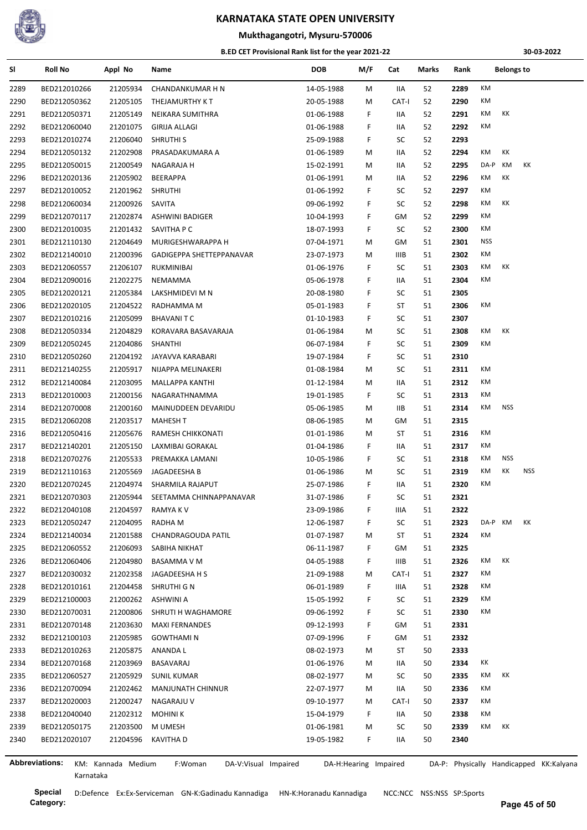

#### **Mukthagangotri, Mysuru-570006**

#### **B.ED CET Provisional Rank list for the year 2021-22**

**30-03-2022**

| SI   | <b>Roll No</b>               | Appl No              | Name                            | <b>DOB</b>               | M/F                   | Cat   | Marks | Rank | <b>Belongs to</b>                       |  |
|------|------------------------------|----------------------|---------------------------------|--------------------------|-----------------------|-------|-------|------|-----------------------------------------|--|
| 2289 | BED212010266                 | 21205934             | CHANDANKUMAR H N                | 14-05-1988               | М                     | IIA   | 52    | 2289 | KM                                      |  |
| 2290 | BED212050362                 | 21205105             | THEJAMURTHY KT                  | 20-05-1988               | М                     | CAT-I | 52    | 2290 | КM                                      |  |
| 2291 | BED212050371                 | 21205149             | NEIKARA SUMITHRA                | 01-06-1988               | F                     | IIA   | 52    | 2291 | КK<br>КM                                |  |
| 2292 | BED212060040                 | 21201075             | GIRIJA ALLAGI                   | 01-06-1988               | F.                    | IIA   | 52    | 2292 | КM                                      |  |
| 2293 | BED212010274                 | 21206040             | SHRUTHI S                       | 25-09-1988               | F.                    | SC    | 52    | 2293 |                                         |  |
| 2294 | BED212050132                 | 21202908             | PRASADAKUMARA A                 | 01-06-1989               | М                     | IIA   | 52    | 2294 | КM<br>КK                                |  |
| 2295 | BED212050015                 | 21200549             | NAGARAJA H                      | 15-02-1991               | М                     | IIA   | 52    | 2295 | КM<br>КK<br>DA-P                        |  |
| 2296 | BED212020136                 | 21205902             | BEERAPPA                        | 01-06-1991               | М                     | IIA   | 52    | 2296 | КM<br>КK                                |  |
| 2297 | BED212010052                 | 21201962             | <b>SHRUTHI</b>                  | 01-06-1992               | F                     | SC    | 52    | 2297 | КM                                      |  |
| 2298 | BED212060034                 | 21200926             | SAVITA                          | 09-06-1992               | F                     | SC    | 52    | 2298 | КK<br>КM                                |  |
| 2299 | BED212070117                 | 21202874             | ASHWINI BADIGER                 | 10-04-1993               | F.                    | GM    | 52    | 2299 | КM                                      |  |
| 2300 | BED212010035                 | 21201432             | SAVITHA P C                     | 18-07-1993               | F                     | SC    | 52    | 2300 | КM                                      |  |
| 2301 | BED212110130                 | 21204649             | MURIGESHWARAPPA H               | 07-04-1971               | М                     | GM    | 51    | 2301 | <b>NSS</b>                              |  |
| 2302 | BED212140010                 | 21200396             | GADIGEPPA SHETTEPPANAVAR        | 23-07-1973               | М                     | IIIB  | 51    | 2302 | КM                                      |  |
| 2303 | BED212060557                 | 21206107             | RUKMINIBAI                      | 01-06-1976               | F.                    | SC    | 51    | 2303 | КK<br>КM                                |  |
| 2304 | BED212090016                 | 21202275             | NEMAMMA                         | 05-06-1978               | F.                    | IIA   | 51    | 2304 | КM                                      |  |
| 2305 | BED212020121                 | 21205384             | LAKSHMIDEVI M N                 | 20-08-1980               | F                     | SC    | 51    | 2305 |                                         |  |
| 2306 | BED212020105                 | 21204522             | RADHAMMA M                      | 05-01-1983               | F                     | ST    | 51    | 2306 | ΚM                                      |  |
| 2307 | BED212010216                 | 21205099             | <b>BHAVANITC</b>                | 01-10-1983               | F                     | SC    | 51    | 2307 |                                         |  |
| 2308 | BED212050334                 | 21204829             | KORAVARA BASAVARAJA             | 01-06-1984               | м                     | SC    | 51    | 2308 | КM<br>КK                                |  |
| 2309 | BED212050245                 | 21204086             | <b>SHANTHI</b>                  | 06-07-1984               | F                     | SC    | 51    | 2309 | КM                                      |  |
| 2310 | BED212050260                 | 21204192             | JAYAVVA KARABARI                | 19-07-1984               | F.                    | SC    | 51    | 2310 |                                         |  |
| 2311 | BED212140255                 | 21205917             | NIJAPPA MELINAKERI              | 01-08-1984               | М                     | SC    | 51    | 2311 | КM                                      |  |
| 2312 | BED212140084                 | 21203095             | MALLAPPA KANTHI                 | 01-12-1984               | М                     | IIA   | 51    | 2312 | КM                                      |  |
| 2313 | BED212010003                 | 21200156             | NAGARATHNAMMA                   | 19-01-1985               | F.                    | SC    | 51    | 2313 | КM                                      |  |
| 2314 | BED212070008                 | 21200160             | MAINUDDEEN DEVARIDU             | 05-06-1985               | М                     | IIВ   | 51    | 2314 | КM<br><b>NSS</b>                        |  |
| 2315 | BED212060208                 | 21203517             | <b>MAHESH T</b>                 | 08-06-1985               | М                     | GМ    | 51    | 2315 |                                         |  |
| 2316 | BED212050416                 | 21205676             | RAMESH CHIKKONATI               | 01-01-1986               | М                     | ST    | 51    | 2316 | КM                                      |  |
| 2317 | BED212140201                 | 21205150             | LAXMIBAI GORAKAL                | 01-04-1986               | F.                    | IIA   | 51    | 2317 | КM                                      |  |
| 2318 | BED212070276                 | 21205533             | PREMAKKA LAMANI                 | 10-05-1986               | F.                    | SC    | 51    | 2318 | КM<br><b>NSS</b>                        |  |
| 2319 | BED212110163                 | 21205569             | JAGADEESHA B                    | 01-06-1986               | М                     | SC    | 51    | 2319 | КM<br>КK<br><b>NSS</b>                  |  |
|      |                              |                      | SHARMILA RAJAPUT                |                          |                       | IIA   | 51    | 2320 | КM                                      |  |
| 2320 | BED212070245<br>BED212070303 | 21204974<br>21205944 | SEETAMMA CHINNAPPANAVAR         | 25-07-1986<br>31-07-1986 | F.<br>F.              | SC    | 51    | 2321 |                                         |  |
| 2321 | BED212040108                 |                      |                                 |                          |                       |       |       |      |                                         |  |
| 2322 |                              | 21204597<br>21204095 | RAMYA K V                       | 23-09-1986               | F                     | IIIA  | 51    | 2322 | DA-P KM<br>КK                           |  |
| 2323 | BED212050247                 |                      | RADHA M                         | 12-06-1987               | F.                    | SC    | 51    | 2323 | КM                                      |  |
| 2324 | BED212140034                 | 21201588             | CHANDRAGOUDA PATIL              | 01-07-1987               | м                     | ST    | 51    | 2324 |                                         |  |
| 2325 | BED212060552                 | 21206093             | SABIHA NIKHAT                   | 06-11-1987               | F                     | GМ    | 51    | 2325 | КM<br>KK                                |  |
| 2326 | BED212060406                 | 21204980             | BASAMMA V M                     | 04-05-1988               | F.                    | IIIB  | 51    | 2326 |                                         |  |
| 2327 | BED212030032                 | 21202358             | JAGADEESHA H S                  | 21-09-1988               | M                     | CAT-I | 51    | 2327 | КM                                      |  |
| 2328 | BED212010161                 | 21204458             | SHRUTHI G N                     | 06-01-1989               | F.                    | IIIA  | 51    | 2328 | КM                                      |  |
| 2329 | BED212100003                 | 21200262             | ASHWINI A                       | 15-05-1992               | F                     | SC    | 51    | 2329 | КM                                      |  |
| 2330 | BED212070031                 | 21200806             | SHRUTI H WAGHAMORE              | 09-06-1992               | F                     | SC    | 51    | 2330 | КM                                      |  |
| 2331 | BED212070148                 | 21203630             | <b>MAXI FERNANDES</b>           | 09-12-1993               | F                     | GM    | 51    | 2331 |                                         |  |
| 2332 | BED212100103                 | 21205985             | <b>GOWTHAMI N</b>               | 07-09-1996               | F                     | GM    | 51    | 2332 |                                         |  |
| 2333 | BED212010263                 | 21205875             | ANANDA L                        | 08-02-1973               | м                     | ST    | 50    | 2333 |                                         |  |
| 2334 | BED212070168                 | 21203969             | BASAVARAJ                       | 01-06-1976               | М                     | IIA   | 50    | 2334 | КK                                      |  |
| 2335 | BED212060527                 | 21205929             | <b>SUNIL KUMAR</b>              | 08-02-1977               | М                     | SC    | 50    | 2335 | KK<br>КM                                |  |
| 2336 | BED212070094                 | 21202462             | <b>MANJUNATH CHINNUR</b>        | 22-07-1977               | М                     | IIA   | 50    | 2336 | КM                                      |  |
| 2337 | BED212020003                 | 21200247             | NAGARAJU V                      | 09-10-1977               | М                     | CAT-I | 50    | 2337 | КM                                      |  |
| 2338 | BED212040040                 | 21202312             | <b>MOHINI K</b>                 | 15-04-1979               | F                     | IIA   | 50    | 2338 | КM                                      |  |
| 2339 | BED212050175                 | 21203500             | M UMESH                         | 01-06-1981               | м                     | SC    | 50    | 2339 | КM<br>КK                                |  |
| 2340 | BED212020107                 | 21204596             | KAVITHA D                       | 19-05-1982               | F.                    | IIA   | 50    | 2340 |                                         |  |
|      |                              |                      |                                 |                          |                       |       |       |      |                                         |  |
|      | <b>Abbreviations:</b>        | KM: Kannada Medium   | F:Woman<br>DA-V:Visual Impaired |                          | DA-H:Hearing Impaired |       |       |      | DA-P: Physically Handicapped KK:Kalyana |  |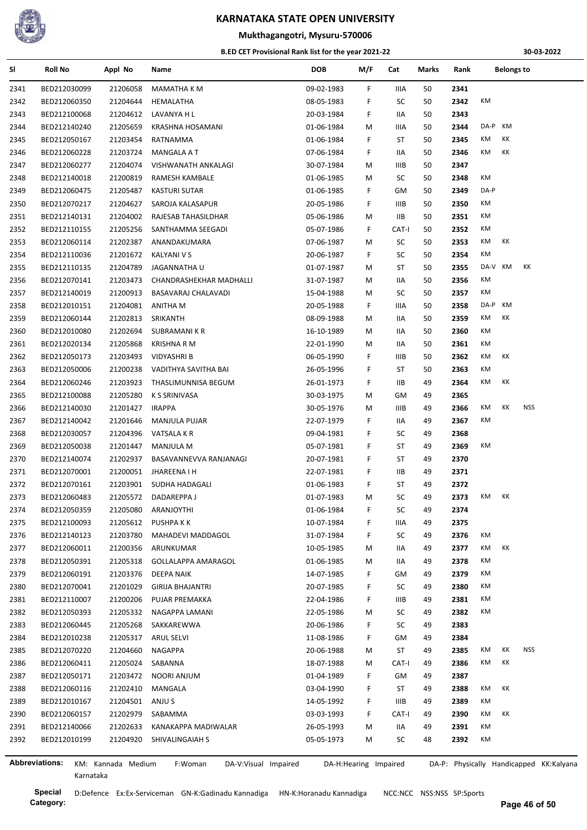

### **Mukthagangotri, Mysuru-570006**

#### **B.ED CET Provisional Rank list for the year 2021-22**

**30-03-2022**

| SI   | <b>Roll No</b> | Appl No              | Name                            | DOB        | M/F                   | Cat   | Marks | Rank |         | <b>Belongs to</b> |            |                                         |
|------|----------------|----------------------|---------------------------------|------------|-----------------------|-------|-------|------|---------|-------------------|------------|-----------------------------------------|
| 2341 | BED212030099   | 21206058             | MAMATHA K M                     | 09-02-1983 | F                     | IIIA  | 50    | 2341 |         |                   |            |                                         |
| 2342 | BED212060350   | 21204644             | HEMALATHA                       | 08-05-1983 | F                     | SC    | 50    | 2342 | КM      |                   |            |                                         |
| 2343 | BED212100068   | 21204612             | LAVANYA H L                     | 20-03-1984 | F                     | IIA   | 50    | 2343 |         |                   |            |                                         |
| 2344 | BED212140240   | 21205659             | KRASHNA HOSAMANI                | 01-06-1984 | м                     | IIIA  | 50    | 2344 | DA-P    | КM                |            |                                         |
| 2345 | BED212050167   | 21203454             | RATNAMMA                        | 01-06-1984 | F                     | ST    | 50    | 2345 | КM      | КK                |            |                                         |
| 2346 | BED212060228   | 21203724             | MANGALA A T                     | 07-06-1984 | F                     | IIA   | 50    | 2346 | КM      | КK                |            |                                         |
| 2347 | BED212060277   | 21204074             | VISHWANATH ANKALAGI             | 30-07-1984 | м                     | IIIB  | 50    | 2347 |         |                   |            |                                         |
| 2348 | BED212140018   | 21200819             | RAMESH KAMBALE                  | 01-06-1985 | м                     | SC    | 50    | 2348 | КM      |                   |            |                                         |
| 2349 | BED212060475   | 21205487             | <b>KASTURI SUTAR</b>            | 01-06-1985 | F.                    | GМ    | 50    | 2349 | DA-P    |                   |            |                                         |
| 2350 | BED212070217   | 21204627             | SAROJA KALASAPUR                | 20-05-1986 | F                     | IIIB  | 50    | 2350 | КM      |                   |            |                                         |
| 2351 | BED212140131   | 21204002             | RAJESAB TAHASILDHAR             | 05-06-1986 | м                     | IIВ   | 50    | 2351 | КM      |                   |            |                                         |
| 2352 | BED212110155   | 21205256             | SANTHAMMA SEEGADI               | 05-07-1986 | F                     | CAT-I | 50    | 2352 | КM      |                   |            |                                         |
| 2353 | BED212060114   | 21202387             | ANANDAKUMARA                    | 07-06-1987 | м                     | SC    | 50    | 2353 | KM      | КK                |            |                                         |
| 2354 | BED212110036   | 21201672             | KALYANI V S                     | 20-06-1987 | F.                    | SC    | 50    | 2354 | КM      |                   |            |                                         |
| 2355 | BED212110135   | 21204789             | JAGANNATHA U                    | 01-07-1987 | м                     | ST    | 50    | 2355 | DA-V KM |                   | КK         |                                         |
| 2356 | BED212070141   | 21203473             | CHANDRASHEKHAR MADHALLI         | 31-07-1987 | М                     | IIA   | 50    | 2356 | КM      |                   |            |                                         |
| 2357 | BED212140019   | 21200913             | BASAVARAJ CHALAVADI             | 15-04-1988 | М                     | SC    | 50    | 2357 | КM      |                   |            |                                         |
| 2358 | BED212010151   | 21204081             | ANITHA M                        | 20-05-1988 | F                     | IIIA  | 50    | 2358 | DA-P    | КM                |            |                                         |
| 2359 | BED212060144   | 21202813             | SRIKANTH                        | 08-09-1988 | M                     | IIA   | 50    | 2359 | КM      | КK                |            |                                         |
| 2360 | BED212010080   | 21202694             | SUBRAMANI K R                   | 16-10-1989 | м                     | IIА   | 50    | 2360 | КM      |                   |            |                                         |
| 2361 | BED212020134   | 21205868             | <b>KRISHNA R M</b>              | 22-01-1990 | м                     | IIА   | 50    | 2361 | КM      |                   |            |                                         |
| 2362 | BED212050173   | 21203493             | <b>VIDYASHRI B</b>              | 06-05-1990 | F                     | IIIB  | 50    | 2362 | КM      | КK                |            |                                         |
| 2363 | BED212050006   | 21200238             | VADITHYA SAVITHA BAI            | 26-05-1996 | F                     | ST    | 50    | 2363 | КM      |                   |            |                                         |
| 2364 | BED212060246   | 21203923             | THASLIMUNNISA BEGUM             | 26-01-1973 | F.                    | IIВ   | 49    | 2364 | KM      | ΚK                |            |                                         |
| 2365 | BED212100088   | 21205280             | <b>K S SRINIVASA</b>            | 30-03-1975 | м                     | GМ    | 49    | 2365 |         |                   |            |                                         |
| 2366 | BED212140030   | 21201427             | <b>IRAPPA</b>                   | 30-05-1976 | м                     | IIIB  | 49    | 2366 | КM      | КK                | NSS        |                                         |
| 2367 | BED212140042   | 21201646             | <b>MANJULA PUJAR</b>            | 22-07-1979 | F                     | IIA   | 49    | 2367 | КM      |                   |            |                                         |
| 2368 | BED212030057   | 21204396             | VATSALA K R                     | 09-04-1981 | F                     | SC    | 49    | 2368 |         |                   |            |                                         |
| 2369 | BED212050038   | 21201447             | <b>MANJULA M</b>                | 05-07-1981 | F                     | ST    | 49    | 2369 | КM      |                   |            |                                         |
| 2370 | BED212140074   | 21202937             | BASAVANNEVVA RANJANAGI          | 20-07-1981 | F.                    | ST    | 49    | 2370 |         |                   |            |                                         |
| 2371 | BED212070001   | 21200051             | JHAREENA I H                    | 22-07-1981 | F                     | IIВ   | 49    | 2371 |         |                   |            |                                         |
| 2372 | BED212070161   | 21203901             | SUDHA HADAGALI                  | 01-06-1983 | F                     | ST    | 49    | 2372 |         |                   |            |                                         |
| 2373 | BED212060483   | 21205572             | DADAREPPA J                     | 01-07-1983 | М                     | SC    | 49    | 2373 | КM      | КK                |            |                                         |
| 2374 | BED212050359   | 21205080             | ARANJOYTHI                      | 01-06-1984 | F                     | SC    | 49    | 2374 |         |                   |            |                                         |
| 2375 | BED212100093   | 21205612             | PUSHPA K K                      | 10-07-1984 | F                     | IIIA  | 49    | 2375 |         |                   |            |                                         |
| 2376 | BED212140123   | 21203780             | MAHADEVI MADDAGOL               | 31-07-1984 | F                     | SC    | 49    | 2376 | КM      |                   |            |                                         |
| 2377 | BED212060011   | 21200356             | ARUNKUMAR                       | 10-05-1985 | M                     | IIA   | 49    | 2377 | КM      | КK                |            |                                         |
| 2378 | BED212050391   | 21205318             | GOLLALAPPA AMARAGOL             | 01-06-1985 |                       | IIА   | 49    | 2378 | КM      |                   |            |                                         |
| 2379 | BED212060191   | 21203376             | DEEPA NAIK                      | 14-07-1985 | M<br>F                | GМ    | 49    | 2379 | КM      |                   |            |                                         |
|      | BED212070041   |                      |                                 | 20-07-1985 |                       |       |       |      | КM      |                   |            |                                         |
| 2380 |                | 21201029<br>21200206 | <b>GIRIJA BHAJANTRI</b>         |            | F<br>F                | SC    | 49    | 2380 | КM      |                   |            |                                         |
| 2381 | BED212110007   |                      | PUJAR PREMAKKA                  | 22-04-1986 |                       | IIIB  | 49    | 2381 | КM      |                   |            |                                         |
| 2382 | BED212050393   | 21205332             | NAGAPPA LAMANI                  | 22-05-1986 | М                     | SC    | 49    | 2382 |         |                   |            |                                         |
| 2383 | BED212060445   | 21205268             | SAKKAREWWA                      | 20-06-1986 | F                     | SC    | 49    | 2383 |         |                   |            |                                         |
| 2384 | BED212010238   | 21205317             | <b>ARUL SELVI</b>               | 11-08-1986 | F                     | GМ    | 49    | 2384 |         |                   |            |                                         |
| 2385 | BED212070220   | 21204660             | <b>NAGAPPA</b>                  | 20-06-1988 | м                     | ST    | 49    | 2385 | КM      | КK                | <b>NSS</b> |                                         |
| 2386 | BED212060411   | 21205024             | SABANNA                         | 18-07-1988 | M                     | CAT-I | 49    | 2386 | KM      | ΚK                |            |                                         |
| 2387 | BED212050171   | 21203472             | NOORI ANJUM                     | 01-04-1989 | F.                    | GМ    | 49    | 2387 |         |                   |            |                                         |
| 2388 | BED212060116   | 21202410             | MANGALA                         | 03-04-1990 | F                     | ST    | 49    | 2388 | КM      | KK                |            |                                         |
| 2389 | BED212010167   | 21204501             | ANJU S                          | 14-05-1992 | F                     | IIIB  | 49    | 2389 | КM      |                   |            |                                         |
| 2390 | BED212060157   | 21202979             | SABAMMA                         | 03-03-1993 | F                     | CAT-I | 49    | 2390 | КM      | KK                |            |                                         |
| 2391 | BED212140066   | 21202633             | KANAKAPPA MADIWALAR             | 26-05-1993 | М                     | IIA   | 49    | 2391 | КM      |                   |            |                                         |
| 2392 | BED212010199   | 21204920             | SHIVALINGAIAH S                 | 05-05-1973 | М                     | SC    | 48    | 2392 | КM      |                   |            |                                         |
|      | Abbreviations: | KM: Kannada Medium   | F:Woman<br>DA-V:Visual Impaired |            | DA-H:Hearing Impaired |       |       |      |         |                   |            | DA-P: Physically Handicapped KK:Kalyana |
|      |                |                      |                                 |            |                       |       |       |      |         |                   |            |                                         |

**Special** D:Defence Ex:Ex-Serviceman GN-K:Gadinadu Kannadiga HN-K:Horanadu Kannadiga NCC:NCC NSS:NSS SP:Sports

Karnataka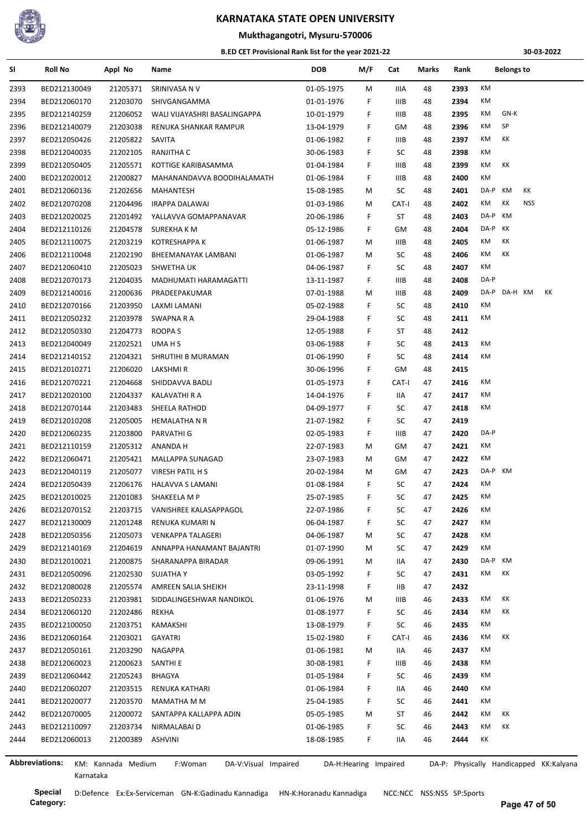

**Mukthagangotri, Mysuru-570006**

#### **B.ED CET Provisional Rank list for the year 2021-22**

**30-03-2022**

| SI   | <b>Roll No</b> | Appl No            | Name                            | DOB        | M/F                   | Cat         | Marks | Rank         |              | <b>Belongs to</b> |                                         |
|------|----------------|--------------------|---------------------------------|------------|-----------------------|-------------|-------|--------------|--------------|-------------------|-----------------------------------------|
| 2393 | BED212130049   | 21205371           | SRINIVASA N V                   | 01-05-1975 | м                     | IIIA        | 48    | 2393         | КM           |                   |                                         |
| 2394 | BED212060170   | 21203070           | SHIVGANGAMMA                    | 01-01-1976 | F                     | <b>IIIB</b> | 48    | 2394         | КM           |                   |                                         |
| 2395 | BED212140259   | 21206052           | WALI VIJAYASHRI BASALINGAPPA    | 10-01-1979 | F                     | IIIB        | 48    | 2395         | КM           | GN-K              |                                         |
| 2396 | BED212140079   | 21203038           | RENUKA SHANKAR RAMPUR           | 13-04-1979 | F                     | GM          | 48    | 2396         | SP<br>КM     |                   |                                         |
| 2397 | BED212050426   | 21205822           | SAVITA                          | 01-06-1982 | F                     | <b>IIIB</b> | 48    | 2397         | КM<br>КK     |                   |                                         |
| 2398 | BED212040035   | 21202105           | RANJITHA C                      | 30-06-1983 | F                     | SC          | 48    | 2398         | КM           |                   |                                         |
| 2399 | BED212050405   | 21205571           | KOTTIGE KARIBASAMMA             | 01-04-1984 | F                     | <b>IIIB</b> | 48    | 2399         | КM<br>КK     |                   |                                         |
| 2400 | BED212020012   | 21200827           | MAHANANDAVVA BOODIHALAMATH      | 01-06-1984 | F.                    | <b>IIIB</b> | 48    | 2400         | КM           |                   |                                         |
| 2401 | BED212060136   | 21202656           | MAHANTESH                       | 15-08-1985 | М                     | SC          | 48    | 2401         | DA-P<br>КM   | KK                |                                         |
| 2402 | BED212070208   | 21204496           | <b>IRAPPA DALAWAI</b>           | 01-03-1986 | М                     | CAT-I       | 48    | 2402         | КM<br>КK     | <b>NSS</b>        |                                         |
| 2403 | BED212020025   | 21201492           | YALLAVVA GOMAPPANAVAR           | 20-06-1986 | F                     | ST          | 48    | 2403         | DA-P<br>КM   |                   |                                         |
| 2404 | BED212110126   | 21204578           | SUREKHA K M                     | 05-12-1986 | F                     | GM          | 48    | 2404         | DA-P<br>КK   |                   |                                         |
| 2405 | BED212110075   | 21203219           | <b>KOTRESHAPPA K</b>            | 01-06-1987 | М                     | IIIB        | 48    | 2405         | КK<br>КM     |                   |                                         |
| 2406 | BED212110048   | 21202190           | BHEEMANAYAK LAMBANI             | 01-06-1987 | М                     | SC          | 48    | 2406         | КM<br>КK     |                   |                                         |
| 2407 | BED212060410   | 21205023           | SHWETHA UK                      | 04-06-1987 | F.                    | SC          | 48    | 2407         | КM           |                   |                                         |
| 2408 | BED212070173   | 21204035           | MADHUMATI HARAMAGATTI           | 13-11-1987 | F                     | IIIB        | 48    | 2408         | DA-P         |                   |                                         |
| 2409 | BED212140016   | 21200636           | PRADEEPAKUMAR                   | 07-01-1988 | М                     | IIIB        | 48    | 2409         | DA-P DA-H KM |                   | КK                                      |
| 2410 | BED212070166   | 21203950           | LAXMI LAMANI                    | 05-02-1988 | F                     | SC          | 48    | 2410         | КM           |                   |                                         |
| 2411 | BED212050232   | 21203978           | SWAPNA R A                      | 29-04-1988 | F                     | SC          | 48    | 2411         | КM           |                   |                                         |
| 2412 | BED212050330   | 21204773           | ROOPA S                         | 12-05-1988 | F                     | ST          | 48    | 2412         |              |                   |                                         |
|      | BED212040049   | 21202521           | UMA H S                         | 03-06-1988 | F                     | SC          | 48    | 2413         | КM           |                   |                                         |
| 2413 | BED212140152   | 21204321           | SHRUTIHI B MURAMAN              | 01-06-1990 | F                     | SC          | 48    | 2414         | ΚM           |                   |                                         |
| 2414 |                |                    |                                 |            |                       |             |       |              |              |                   |                                         |
| 2415 | BED212010271   | 21206020           | LAKSHMI R                       | 30-06-1996 | F                     | GM<br>CAT-I | 48    | 2415<br>2416 | КM           |                   |                                         |
| 2416 | BED212070221   | 21204668           | SHIDDAVVA BADLI                 | 01-05-1973 | F                     |             | 47    |              | КM           |                   |                                         |
| 2417 | BED212020100   | 21204337           | KALAVATHI R A                   | 14-04-1976 | F                     | IIA         | 47    | 2417         |              |                   |                                         |
| 2418 | BED212070144   | 21203483           | SHEELA RATHOD                   | 04-09-1977 | F                     | SC          | 47    | 2418         | КM           |                   |                                         |
| 2419 | BED212010208   | 21205005           | <b>HEMALATHA N R</b>            | 21-07-1982 | F                     | SC          | 47    | 2419         |              |                   |                                         |
| 2420 | BED212060235   | 21203800           | PARVATHI G                      | 02-05-1983 | F                     | IIIB        | 47    | 2420         | DA-P         |                   |                                         |
| 2421 | BED212110159   | 21205312           | ANANDA H                        | 22-07-1983 | М                     | GM          | 47    | 2421         | КM           |                   |                                         |
| 2422 | BED212060471   | 21205421           | MALLAPPA SUNAGAD                | 23-07-1983 | М                     | GM          | 47    | 2422         | КM           |                   |                                         |
| 2423 | BED212040119   | 21205077           | VIRESH PATIL H S                | 20-02-1984 | М                     | GM          | 47    | 2423         | DA-P<br>KM   |                   |                                         |
| 2424 | BED212050439   | 21206176           | HALAVVA S LAMANI                | 01-08-1984 | F                     | SC          | 47    | 2424         | КM           |                   |                                         |
| 2425 | BED212010025   | 21201083           | SHAKEELA M P                    | 25-07-1985 | F                     | SC          | 47    | 2425         | КM           |                   |                                         |
| 2426 | BED212070152   | 21203715           | VANISHREE KALASAPPAGOL          | 22-07-1986 | F                     | SC          | 47    | 2426         | ΚM           |                   |                                         |
| 2427 | BED212130009   | 21201248           | RENUKA KUMARI N                 | 06-04-1987 | F                     | SC          | 47    | 2427         | КM           |                   |                                         |
| 2428 | BED212050356   | 21205073           | <b>VENKAPPA TALAGERI</b>        | 04-06-1987 | М                     | SC          | 47    | 2428         | КM           |                   |                                         |
| 2429 | BED212140169   | 21204619           | ANNAPPA HANAMANT BAJANTRI       | 01-07-1990 | М                     | SC          | 47    | 2429         | КM           |                   |                                         |
| 2430 | BED212010021   | 21200875           | SHARANAPPA BIRADAR              | 09-06-1991 | M                     | IIA         | 47    | 2430         | DA-P<br>KM   |                   |                                         |
| 2431 | BED212050096   | 21202530           | SUJATHA Y                       | 03-05-1992 | F                     | SC          | 47    | 2431         | КM<br>KK     |                   |                                         |
| 2432 | BED212080028   | 21205574           | AMREEN SALIA SHEIKH             | 23-11-1998 | F.                    | IIВ         | 47    | 2432         |              |                   |                                         |
| 2433 | BED212050233   | 21203981           | SIDDALINGESHWAR NANDIKOL        | 01-06-1976 | М                     | IIIB        | 46    | 2433         | КM<br>КK     |                   |                                         |
| 2434 | BED212060120   | 21202486           | REKHA                           | 01-08-1977 | F                     | SC          | 46    | 2434         | КM<br>КK     |                   |                                         |
| 2435 | BED212100050   | 21203751           | KAMAKSHI                        | 13-08-1979 | F                     | SC          | 46    | 2435         | ΚM           |                   |                                         |
| 2436 | BED212060164   | 21203021           | <b>GAYATRI</b>                  | 15-02-1980 | F.                    | CAT-I       | 46    | 2436         | КM<br>КK     |                   |                                         |
| 2437 | BED212050161   | 21203290           | NAGAPPA                         | 01-06-1981 | М                     | 11A         | 46    | 2437         | КM           |                   |                                         |
| 2438 | BED212060023   | 21200623           | SANTHI E                        | 30-08-1981 | F.                    | IIIB        | 46    | 2438         | КM           |                   |                                         |
| 2439 | BED212060442   | 21205243           | BHAGYA                          | 01-05-1984 | F.                    | SC          | 46    | 2439         | КM           |                   |                                         |
| 2440 | BED212060207   | 21203515           | RENUKA KATHARI                  | 01-06-1984 | F                     | 11A         | 46    | 2440         | КM           |                   |                                         |
| 2441 | BED212020077   | 21203570           | MAMATHA M M                     | 25-04-1985 | F                     | SC          | 46    | 2441         | КM           |                   |                                         |
| 2442 | BED212070005   | 21200072           | SANTAPPA KALLAPPA ADIN          | 05-05-1985 | M                     | ST          | 46    | 2442         | КK<br>КM     |                   |                                         |
| 2443 | BED212110097   | 21203734           | NIRMALABAI D                    | 01-06-1985 | F.                    | SC          | 46    | 2443         | КM<br>ΚK     |                   |                                         |
| 2444 | BED212060013   | 21200389           | <b>ASHVINI</b>                  | 18-08-1985 | F.                    | IIA         | 46    | 2444         | КK           |                   |                                         |
|      |                |                    |                                 |            |                       |             |       |              |              |                   |                                         |
|      | Abbreviations: | KM: Kannada Medium | F:Woman<br>DA-V:Visual Impaired |            | DA-H:Hearing Impaired |             |       |              |              |                   | DA-P: Physically Handicapped KK:Kalyana |

Karnataka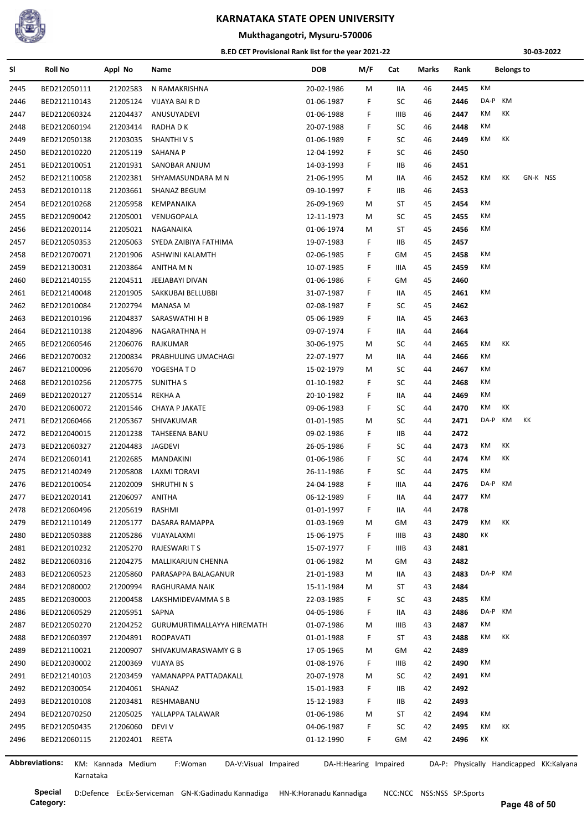

## **Mukthagangotri, Mysuru-570006**

#### **B.ED CET Provisional Rank list for the year 2021-22**

**30-03-2022**

| SI             | <b>Roll No</b>               | Appl No              | Name                            | <b>DOB</b> | M/F                   | Cat         | Marks | Rank | <b>Belongs to</b>                       |
|----------------|------------------------------|----------------------|---------------------------------|------------|-----------------------|-------------|-------|------|-----------------------------------------|
| 2445           | BED212050111                 | 21202583             | N RAMAKRISHNA                   | 20-02-1986 | М                     | IIA         | 46    | 2445 | КM                                      |
| 2446           | BED212110143                 | 21205124             | VIJAYA BAI R D                  | 01-06-1987 | F                     | SC          | 46    | 2446 | DA-P<br>КM                              |
| 2447           | BED212060324                 | 21204437             | ANUSUYADEVI                     | 01-06-1988 | F                     | IIIB        | 46    | 2447 | КM<br>КK                                |
| 2448           | BED212060194                 | 21203414             | RADHA D K                       | 20-07-1988 | F                     | SC          | 46    | 2448 | ΚM                                      |
| 2449           | BED212050138                 | 21203035             | SHANTHI V S                     | 01-06-1989 | F                     | SC          | 46    | 2449 | КM<br>КK                                |
| 2450           | BED212010220                 | 21205119             | SAHANA P                        | 12-04-1992 | F                     | SC          | 46    | 2450 |                                         |
| 2451           | BED212010051                 | 21201931             | SANOBAR ANJUM                   | 14-03-1993 | F                     | IIВ         | 46    | 2451 |                                         |
| 2452           | BED212110058                 | 21202381             | SHYAMASUNDARA M N               | 21-06-1995 | М                     | IIA         | 46    | 2452 | GN-K NSS<br>КM<br>ĸк                    |
| 2453           | BED212010118                 | 21203661             | SHANAZ BEGUM                    | 09-10-1997 | F.                    | IIВ         | 46    | 2453 |                                         |
| 2454           | BED212010268                 | 21205958             | KEMPANAIKA                      | 26-09-1969 | М                     | ST          | 45    | 2454 | КM                                      |
| 2455           | BED212090042                 | 21205001             | VENUGOPALA                      | 12-11-1973 | М                     | SC          | 45    | 2455 | КM                                      |
| 2456           | BED212020114                 | 21205021             | NAGANAIKA                       | 01-06-1974 | М                     | ST          | 45    | 2456 | ΚM                                      |
| 2457           | BED212050353                 | 21205063             | SYEDA ZAIBIYA FATHIMA           | 19-07-1983 | F                     | IIВ         | 45    | 2457 |                                         |
| 2458           | BED212070071                 | 21201906             | ASHWINI KALAMTH                 | 02-06-1985 | F                     | GМ          | 45    | 2458 | КM                                      |
| 2459           | BED212130031                 | 21203864             | ANITHA M N                      | 10-07-1985 | F                     | IIIA        | 45    | 2459 | ΚM                                      |
| 2460           | BED212140155                 | 21204511             | JEEJABAYI DIVAN                 | 01-06-1986 | F                     | GM          | 45    | 2460 |                                         |
| 2461           | BED212140048                 | 21201905             | SAKKUBAI BELLUBBI               | 31-07-1987 | F                     | IIA         | 45    | 2461 | ΚM                                      |
| 2462           | BED212010084                 | 21202794             | <b>MANASA M</b>                 | 02-08-1987 | F                     | SC          | 45    | 2462 |                                         |
| 2463           | BED212010196                 | 21204837             | SARASWATHI H B                  | 05-06-1989 | F                     | IIA         | 45    | 2463 |                                         |
| 2464           | BED212110138                 | 21204896             | NAGARATHNA H                    | 09-07-1974 | F                     | IIA         | 44    | 2464 |                                         |
| 2465           | BED212060546                 | 21206076             | RAJKUMAR                        | 30-06-1975 | М                     | SC          | 44    | 2465 | КM<br>КK                                |
| 2466           | BED212070032                 | 21200834             | PRABHULING UMACHAGI             | 22-07-1977 | М                     | IIA         | 44    | 2466 | КM                                      |
| 2467           | BED212100096                 | 21205670             | YOGESHATD                       | 15-02-1979 | М                     | SC          | 44    | 2467 | ΚM                                      |
| 2468           | BED212010256                 | 21205775             | <b>SUNITHAS</b>                 | 01-10-1982 | F                     | SC          | 44    | 2468 | КM                                      |
| 2469           | BED212020127                 | 21205514             | <b>REKHA A</b>                  | 20-10-1982 | F                     | IIA         | 44    | 2469 | КM                                      |
| 2470           | BED212060072                 | 21201546             | <b>CHAYA P JAKATE</b>           | 09-06-1983 | F                     | SC          | 44    | 2470 | КM<br>КK                                |
| 2471           | BED212060466                 | 21205367             | SHIVAKUMAR                      | 01-01-1985 | М                     | SC          | 44    | 2471 | DA-P<br>KM<br>КK                        |
| 2472           | BED212040015                 | 21201238             | TAHSEENA BANU                   | 09-02-1986 | F.                    | IIВ         | 44    | 2472 |                                         |
|                |                              |                      |                                 |            | F                     | SC          | 44    | 2473 | КM<br>КK                                |
| 2473           | BED212060327<br>BED212060141 | 21204483<br>21202685 | JAGDEVI                         | 26-05-1986 | F                     | SC          | 44    | 2474 | КM<br>КK                                |
| 2474           |                              |                      | MANDAKINI                       | 01-06-1986 |                       |             |       |      | ΚM                                      |
| 2475           | BED212140249                 | 21205808             | LAXMI TORAVI                    | 26-11-1986 | F                     | SC          | 44    | 2475 |                                         |
| 2476           | BED212010054                 | 21202009             | SHRUTHI N S                     | 24-04-1988 | F                     | IIIA        | 44    | 2476 | DA-P<br>КM<br>КM                        |
| 2477           | BED212020141                 | 21206097             | <b>ANITHA</b>                   | 06-12-1989 | F                     | IIA         | 44    | 2477 |                                         |
| 2478           | BED212060496                 | 21205619             | RASHMI                          | 01-01-1997 | F.                    | 11A         | 44    | 2478 |                                         |
| 2479           | BED212110149                 | 21205177             | DASARA RAMAPPA                  | 01-03-1969 | М                     | GM          | 43    | 2479 | KK<br>КM                                |
| 2480           | BED212050388                 | 21205286             | VIJAYALAXMI                     | 15-06-1975 | F.                    | IIIB        | 43    | 2480 | КK                                      |
| 2481           | BED212010232                 | 21205270             | RAJESWARI T S                   | 15-07-1977 | F                     | IIIB        | 43    | 2481 |                                         |
| 2482           | BED212060316                 | 21204275             | MALLIKARJUN CHENNA              | 01-06-1982 | М                     | GM          | 43    | 2482 |                                         |
| 2483           | BED212060523                 | 21205860             | PARASAPPA BALAGANUR             | 21-01-1983 | М                     | IIA         | 43    | 2483 | DA-P KM                                 |
| 2484           | BED212080002                 | 21200994             | RAGHURAMA NAIK                  | 15-11-1984 | М                     | ST          | 43    | 2484 |                                         |
| 2485           | BED212030003                 | 21200458             | LAKSHMIDEVAMMA S B              | 22-03-1985 | F                     | SC          | 43    | 2485 | КM                                      |
| 2486           | BED212060529                 | 21205951             | SAPNA                           | 04-05-1986 | F                     | 11A         | 43    | 2486 | DA-P KM                                 |
| 2487           | BED212050270                 | 21204252             | GURUMURTIMALLAYYA HIREMATH      | 01-07-1986 | М                     | <b>IIIB</b> | 43    | 2487 | КM                                      |
| 2488           | BED212060397                 | 21204891             | ROOPAVATI                       | 01-01-1988 | F                     | ST          | 43    | 2488 | КM<br>KK                                |
| 2489           | BED212110021                 | 21200907             | SHIVAKUMARASWAMY G B            | 17-05-1965 | М                     | GM          | 42    | 2489 |                                         |
| 2490           | BED212030002                 | 21200369             | VIJAYA BS                       | 01-08-1976 | F.                    | IIIB        | 42    | 2490 | КM                                      |
| 2491           | BED212140103                 | 21203459             | YAMANAPPA PATTADAKALL           | 20-07-1978 | M                     | SC          | 42    | 2491 | КM                                      |
| 2492           | BED212030054                 | 21204061             | SHANAZ                          | 15-01-1983 | F                     | IIВ         | 42    | 2492 |                                         |
| 2493           | BED212010108                 | 21203481             | RESHMABANU                      | 15-12-1983 | F.                    | IIВ         | 42    | 2493 |                                         |
| 2494           | BED212070250                 | 21205025             | YALLAPPA TALAWAR                | 01-06-1986 | M                     | ST          | 42    | 2494 | КM                                      |
| 2495           | BED212050435                 | 21206060             | DEVI V                          | 04-06-1987 | F                     | SC          | 42    | 2495 | КK<br>КM                                |
| 2496           | BED212060115                 | 21202401 REETA       |                                 | 01-12-1990 | F.                    | GM          | 42    | 2496 | КK                                      |
| Abbreviations: |                              |                      |                                 |            |                       |             |       |      |                                         |
|                |                              | KM: Kannada Medium   | F:Woman<br>DA-V:Visual Impaired |            | DA-H:Hearing Impaired |             |       |      | DA-P: Physically Handicapped KK:Kalyana |

**Category:**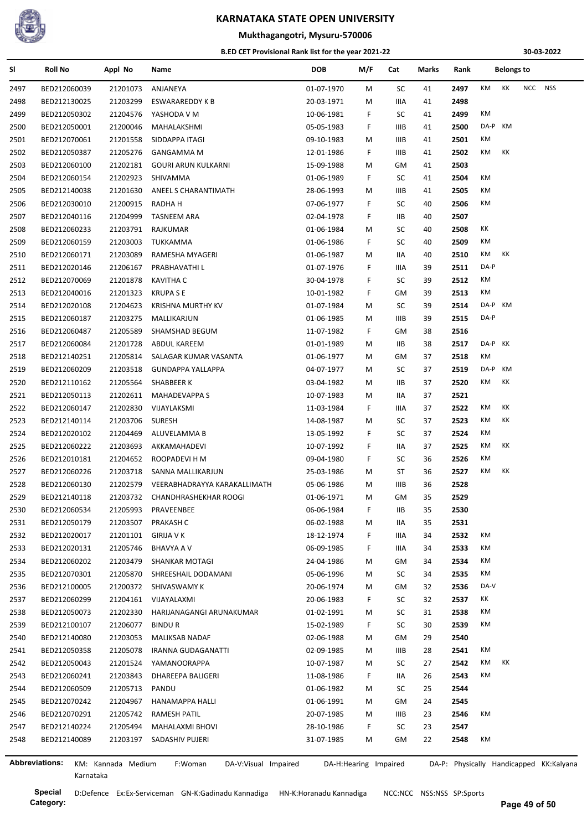

## **Mukthagangotri, Mysuru-570006**

#### **B.ED CET Provisional Rank list for the year 2021-22**

**30-03-2022**

| SI                    | <b>Roll No</b> | Appl No            | Name                            | DOB        | M/F                   | Cat         | Marks | Rank                                    | <b>Belongs to</b> |    |            |     |  |
|-----------------------|----------------|--------------------|---------------------------------|------------|-----------------------|-------------|-------|-----------------------------------------|-------------------|----|------------|-----|--|
| 2497                  | BED212060039   | 21201073           | ANJANEYA                        | 01-07-1970 | M                     | SC          | 41    | 2497                                    | КM                | КK | <b>NCC</b> | NSS |  |
| 2498                  | BED212130025   | 21203299           | ESWARAREDDY K B                 | 20-03-1971 | м                     | IIIA        | 41    | 2498                                    |                   |    |            |     |  |
| 2499                  | BED212050302   | 21204576           | YASHODA V M                     | 10-06-1981 | F                     | SC          | 41    | 2499                                    | КM                |    |            |     |  |
| 2500                  | BED212050001   | 21200046           | MAHALAKSHMI                     | 05-05-1983 | F                     | IIIB        | 41    | 2500                                    | DA-P              | KM |            |     |  |
| 2501                  | BED212070061   | 21201558           | SIDDAPPA ITAGI                  | 09-10-1983 | м                     | IIIB        | 41    | 2501                                    | КM                |    |            |     |  |
| 2502                  | BED212050387   | 21205276           | <b>GANGAMMA M</b>               | 12-01-1986 | F                     | IIIB        | 41    | 2502                                    | КM                | КK |            |     |  |
| 2503                  | BED212060100   | 21202181           | <b>GOURI ARUN KULKARNI</b>      | 15-09-1988 | м                     | GM          | 41    | 2503                                    |                   |    |            |     |  |
| 2504                  | BED212060154   | 21202923           | SHIVAMMA                        | 01-06-1989 | F                     | SC          | 41    | 2504                                    | КM                |    |            |     |  |
| 2505                  | BED212140038   | 21201630           | ANEEL S CHARANTIMATH            | 28-06-1993 | м                     | <b>IIIB</b> | 41    | 2505                                    | КM                |    |            |     |  |
| 2506                  | BED212030010   | 21200915           | RADHA H                         | 07-06-1977 | F                     | SC          | 40    | 2506                                    | KM                |    |            |     |  |
| 2507                  | BED212040116   | 21204999           | TASNEEM ARA                     | 02-04-1978 | F                     | IIВ         | 40    | 2507                                    |                   |    |            |     |  |
| 2508                  | BED212060233   | 21203791           | RAJKUMAR                        | 01-06-1984 | м                     | SC          | 40    | 2508                                    | КK                |    |            |     |  |
| 2509                  | BED212060159   | 21203003           | TUKKAMMA                        | 01-06-1986 | F                     | SC          | 40    | 2509                                    | КM                |    |            |     |  |
| 2510                  | BED212060171   | 21203089           | RAMESHA MYAGERI                 | 01-06-1987 | м                     | <b>IIA</b>  | 40    | 2510                                    | КM                | КK |            |     |  |
| 2511                  | BED212020146   | 21206167           | PRABHAVATHI L                   | 01-07-1976 | F                     | IIIA        | 39    | 2511                                    | DA-P              |    |            |     |  |
| 2512                  | BED212070069   | 21201878           | KAVITHA C                       | 30-04-1978 | F                     | SC          | 39    | 2512                                    | КM                |    |            |     |  |
| 2513                  | BED212040016   | 21201323           | <b>KRUPA SE</b>                 | 10-01-1982 | F                     | GM          | 39    | 2513                                    | КM                |    |            |     |  |
| 2514                  | BED212020108   | 21204623           | <b>KRISHNA MURTHY KV</b>        | 01-07-1984 | м                     | SC          | 39    | 2514                                    | DA-P              | KM |            |     |  |
| 2515                  | BED212060187   | 21203275           | MALLIKARJUN                     | 01-06-1985 | м                     | <b>IIIB</b> | 39    | 2515                                    | DA-P              |    |            |     |  |
| 2516                  | BED212060487   | 21205589           | SHAMSHAD BEGUM                  | 11-07-1982 | F                     | GM          | 38    | 2516                                    |                   |    |            |     |  |
|                       | BED212060084   | 21201728           | ABDUL KAREEM                    | 01-01-1989 | М                     | IIВ         | 38    | 2517                                    | DA-P KK           |    |            |     |  |
| 2517                  | BED212140251   | 21205814           | SALAGAR KUMAR VASANTA           |            | м                     | GM          | 37    | 2518                                    | КM                |    |            |     |  |
| 2518                  |                |                    |                                 | 01-06-1977 |                       | SC          |       |                                         | DA-P              | KM |            |     |  |
| 2519                  | BED212060209   | 21203518           | <b>GUNDAPPA YALLAPPA</b>        | 04-07-1977 | м                     |             | 37    | 2519                                    | КM                | КK |            |     |  |
| 2520                  | BED212110162   | 21205564           | SHABBEER K                      | 03-04-1982 | м                     | IIВ         | 37    | 2520                                    |                   |    |            |     |  |
| 2521                  | BED212050113   | 21202611           | <b>MAHADEVAPPA S</b>            | 10-07-1983 | м                     | IIA         | 37    | 2521                                    |                   |    |            |     |  |
| 2522                  | BED212060147   | 21202830           | VIJAYLAKSMI                     | 11-03-1984 | F                     | IIIA        | 37    | 2522                                    | КM                | КK |            |     |  |
| 2523                  | BED212140114   | 21203706           | <b>SURESH</b>                   | 14-08-1987 | м                     | SC          | 37    | 2523                                    | КM                | КK |            |     |  |
| 2524                  | BED212020102   | 21204469           | ALUVELAMMA B                    | 13-05-1992 | F                     | SC          | 37    | 2524                                    | КM                |    |            |     |  |
| 2525                  | BED212060222   | 21203693           | AKKAMAHADEVI                    | 10-07-1992 | F                     | IIA         | 37    | 2525                                    | КM                | КK |            |     |  |
| 2526                  | BED212010181   | 21204652           | ROOPADEVI H M                   | 09-04-1980 | F                     | SC          | 36    | 2526                                    | КM                |    |            |     |  |
| 2527                  | BED212060226   | 21203718           | SANNA MALLIKARJUN               | 25-03-1986 | м                     | ST          | 36    | 2527                                    | КM                | КK |            |     |  |
| 2528                  | BED212060130   | 21202579           | VEERABHADRAYYA KARAKALLIMATH    | 05-06-1986 | м                     | IIIB        | 36    | 2528                                    |                   |    |            |     |  |
| 2529                  | BED212140118   | 21203732           | CHANDHRASHEKHAR ROOGI           | 01-06-1971 | м                     | GM          | 35    | 2529                                    |                   |    |            |     |  |
| 2530                  | BED212060534   | 21205993           | PRAVEENBEE                      | 06-06-1984 | F                     | IIВ         | 35    | 2530                                    |                   |    |            |     |  |
| 2531                  | BED212050179   | 21203507           | <b>PRAKASH C</b>                | 06-02-1988 | M                     | IIA         | 35    | 2531                                    |                   |    |            |     |  |
| 2532                  | BED212020017   | 21201101           | <b>GIRIJA V K</b>               | 18-12-1974 | F                     | IIIA        | 34    | 2532                                    | КM                |    |            |     |  |
| 2533                  | BED212020131   | 21205746           | BHAVYA A V                      | 06-09-1985 | F                     | IIIA        | 34    | 2533                                    | КM                |    |            |     |  |
| 2534                  | BED212060202   | 21203479           | <b>SHANKAR MOTAGI</b>           | 24-04-1986 | м                     | GM          | 34    | 2534                                    | КM                |    |            |     |  |
| 2535                  | BED212070301   | 21205870           | SHREESHAIL DODAMANI             | 05-06-1996 | М                     | SC          | 34    | 2535                                    | КM                |    |            |     |  |
| 2536                  | BED212100005   | 21200372           | SHIVASWAMY K                    | 20-06-1974 | Μ                     | GM          | 32    | 2536                                    | DA-V              |    |            |     |  |
| 2537                  | BED212060299   | 21204161           | VIJAYALAXMI                     | 20-06-1983 | F                     | SC          | 32    | 2537                                    | КK                |    |            |     |  |
| 2538                  | BED212050073   | 21202330           | HARIJANAGANGI ARUNAKUMAR        | 01-02-1991 | M                     | SC          | 31    | 2538                                    | КM                |    |            |     |  |
| 2539                  | BED212100107   | 21206077           | <b>BINDUR</b>                   | 15-02-1989 | F                     | SC          | 30    | 2539                                    | КM                |    |            |     |  |
| 2540                  | BED212140080   | 21203053           | MALIKSAB NADAF                  | 02-06-1988 | м                     | GM          | 29    | 2540                                    |                   |    |            |     |  |
| 2541                  | BED212050358   | 21205078           | <b>IRANNA GUDAGANATTI</b>       | 02-09-1985 | М                     | IIIB        | 28    | 2541                                    | КM                |    |            |     |  |
| 2542                  | BED212050043   | 21201524           | YAMANOORAPPA                    | 10-07-1987 | М                     | SC          | 27    | 2542                                    | КM                | КK |            |     |  |
| 2543                  | BED212060241   | 21203843           | DHAREEPA BALIGERI               | 11-08-1986 | F                     | IIA         | 26    | 2543                                    | КM                |    |            |     |  |
| 2544                  | BED212060509   | 21205713           | PANDU                           | 01-06-1982 | М                     | SC          | 25    | 2544                                    |                   |    |            |     |  |
| 2545                  | BED212070242   | 21204967           | HANAMAPPA HALLI                 | 01-06-1991 | М                     | GM          | 24    | 2545                                    |                   |    |            |     |  |
| 2546                  | BED212070291   | 21205742           | RAMESH PATIL                    | 20-07-1985 | М                     | IIIB        | 23    | 2546                                    | КM                |    |            |     |  |
| 2547                  | BED212140224   | 21205494           | MAHALAXMI BHOVI                 | 28-10-1986 | F                     | SC          | 23    | 2547                                    |                   |    |            |     |  |
| 2548                  | BED212140089   | 21203197           | SADASHIV PUJERI                 | 31-07-1985 | М                     | GM          | 22    | 2548                                    | КM                |    |            |     |  |
|                       |                |                    |                                 |            |                       |             |       |                                         |                   |    |            |     |  |
| <b>Abbreviations:</b> |                | KM: Kannada Medium | DA-V:Visual Impaired<br>F:Woman |            | DA-H:Hearing Impaired |             |       | DA-P: Physically Handicapped KK:Kalyana |                   |    |            |     |  |